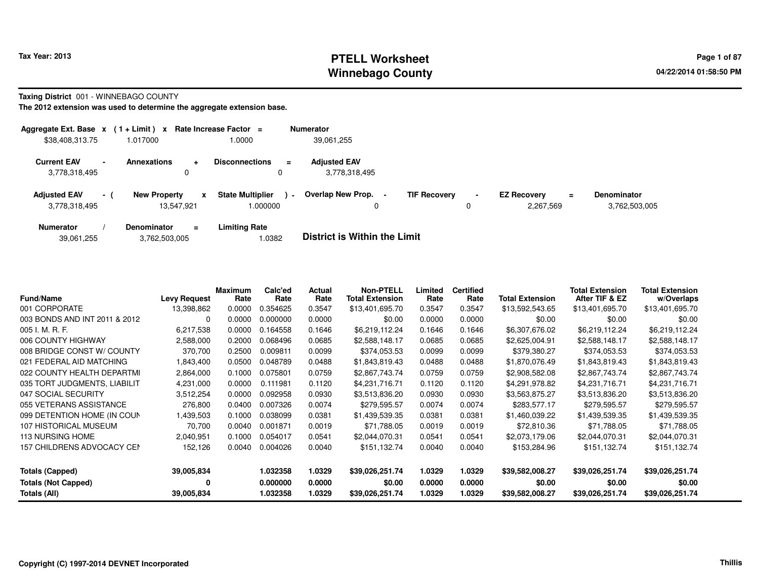# **PTELL Worksheet Tax Year: 2013 Page 1 of 87 PAGE 1 of 87 PAGE 1 2013 Page 1 of 87 Winnebago County**

**Taxing District** 001 - WINNEBAGO COUNTY

| Aggregate Ext. Base x                                           |          | $(1 + Limit)$ x                   |                | Rate Increase Factor $=$           |               | <b>Numerator</b>                     |                     |                     |                                 |    |                                     |
|-----------------------------------------------------------------|----------|-----------------------------------|----------------|------------------------------------|---------------|--------------------------------------|---------------------|---------------------|---------------------------------|----|-------------------------------------|
| \$38,408,313.75                                                 |          | 1.017000                          |                | 1.0000                             |               | 39,061,255                           |                     |                     |                                 |    |                                     |
| <b>Current EAV</b><br>$\overline{\phantom{a}}$<br>3,778,318,495 |          | <b>Annexations</b>                | $\ddot{}$<br>0 | <b>Disconnections</b>              | $\equiv$<br>0 | <b>Adiusted EAV</b><br>3,778,318,495 |                     |                     |                                 |    |                                     |
| <b>Adjusted EAV</b><br>3,778,318,495                            | $\sim$ 1 | <b>New Property</b><br>13.547.921 | x              | <b>State Multiplier</b><br>000000. | $\sim$        | Overlap New Prop. -<br>0             | <b>TIF Recovery</b> | $\blacksquare$<br>0 | <b>EZ Recovery</b><br>2.267.569 | Ξ. | <b>Denominator</b><br>3,762,503,005 |
| <b>Numerator</b>                                                |          | <b>Denominator</b>                | $\equiv$       | <b>Limiting Rate</b>               |               | _ _ _ _ _ _ _ _ _ _ _ _ _ _          |                     |                     |                                 |    |                                     |

| 39,061,255 | 3,762,503,005 | 1.0382 | <b>District is Within the Limit</b> |
|------------|---------------|--------|-------------------------------------|
|            |               |        |                                     |

| <b>Fund/Name</b>              | <b>Levy Request</b> | Maximum<br>Rate | Calc'ed<br>Rate | Actual<br>Rate | <b>Non-PTELL</b><br><b>Total Extension</b> | Limited<br>Rate | <b>Certified</b><br>Rate | <b>Total Extension</b> | <b>Total Extension</b><br>After TIF & EZ | Total Extension<br>w/Overlaps |
|-------------------------------|---------------------|-----------------|-----------------|----------------|--------------------------------------------|-----------------|--------------------------|------------------------|------------------------------------------|-------------------------------|
| 001 CORPORATE                 | 13,398,862          | 0.0000          | .354625         | 0.3547         | \$13,401,695.70                            | 0.3547          | 0.3547                   | \$13,592,543.65        | \$13,401,695.70                          | \$13,401,695.70               |
| 003 BONDS AND INT 2011 & 2012 | 0                   | 0.0000          | 0.000000        | 0.0000         | \$0.00                                     | 0.0000          | 0.0000                   | \$0.00                 | \$0.00                                   | \$0.00                        |
| 005 I. M. R. F.               | 6,217,538           | 0.0000          | 0.164558        | 0.1646         | \$6,219,112.24                             | 0.1646          | 0.1646                   | \$6,307,676.02         | \$6,219,112.24                           | \$6,219,112.24                |
| 006 COUNTY HIGHWAY            | 2,588,000           | 0.2000          | 0.068496        | 0.0685         | \$2,588,148.17                             | 0.0685          | 0.0685                   | \$2,625,004.91         | \$2,588,148.17                           | \$2,588,148.17                |
| 008 BRIDGE CONST W/ COUNTY    | 370,700             | 0.2500          | 0.009811        | 0.0099         | \$374,053.53                               | 0.0099          | 0.0099                   | \$379,380.27           | \$374,053.53                             | \$374,053.53                  |
| 021 FEDERAL AID MATCHING      | 1,843,400           | 0.0500          | 0.048789        | 0.0488         | \$1,843,819.43                             | 0.0488          | 0.0488                   | \$1,870,076.49         | \$1,843,819.43                           | \$1,843,819.43                |
| 022 COUNTY HEALTH DEPARTMI    | 2,864,000           | 0.1000          | 0.075801        | 0.0759         | \$2,867,743.74                             | 0.0759          | 0.0759                   | \$2,908,582.08         | \$2,867,743.74                           | \$2,867,743.74                |
| 035 TORT JUDGMENTS, LIABILIT  | 4,231,000           | 0.0000          | 0.111981        | 0.1120         | \$4,231,716.71                             | 0.1120          | 0.1120                   | \$4,291,978.82         | \$4,231,716.71                           | \$4,231,716.71                |
| 047 SOCIAL SECURITY           | 3,512,254           | 0.0000          | 0.092958        | 0.0930         | \$3,513,836.20                             | 0.0930          | 0.0930                   | \$3,563,875.27         | \$3,513,836.20                           | \$3,513,836.20                |
| 055 VETERANS ASSISTANCE       | 276,800             | 0.0400          | 0.007326        | 0.0074         | \$279,595.57                               | 0.0074          | 0.0074                   | \$283,577.17           | \$279,595.57                             | \$279,595.57                  |
| 099 DETENTION HOME (IN COUN   | 1,439,503           | 0.1000          | 0.038099        | 0.0381         | \$1,439,539.35                             | 0.0381          | 0.0381                   | \$1,460,039.22         | \$1,439,539.35                           | \$1,439,539.35                |
| 107 HISTORICAL MUSEUM         | 70,700              | 0.0040          | 0.001871        | 0.0019         | \$71,788.05                                | 0.0019          | 0.0019                   | \$72,810.36            | \$71,788.05                              | \$71,788.05                   |
| <b>113 NURSING HOME</b>       | 2,040,951           | 0.1000          | 0.054017        | 0.0541         | \$2,044,070.31                             | 0.0541          | 0.0541                   | \$2,073,179.06         | \$2,044,070.31                           | \$2,044,070.31                |
| 157 CHILDRENS ADVOCACY CEN    | 152,126             | 0.0040          | 0.004026        | 0.0040         | \$151,132.74                               | 0.0040          | 0.0040                   | \$153,284.96           | \$151,132.74                             | \$151,132.74                  |
| <b>Totals (Capped)</b>        | 39,005,834          |                 | 1.032358        | 1.0329         | \$39,026,251.74                            | 1.0329          | 1.0329                   | \$39,582,008.27        | \$39,026,251.74                          | \$39,026,251.74               |
| <b>Totals (Not Capped)</b>    | 0                   |                 | 0.000000        | 0.0000         | \$0.00                                     | 0.0000          | 0.0000                   | \$0.00                 | \$0.00                                   | \$0.00                        |
| Totals (All)                  | 39,005,834          |                 | 1.032358        | 1.0329         | \$39,026,251.74                            | 1.0329          | 1.0329                   | \$39,582,008.27        | \$39,026,251.74                          | \$39,026,251.74               |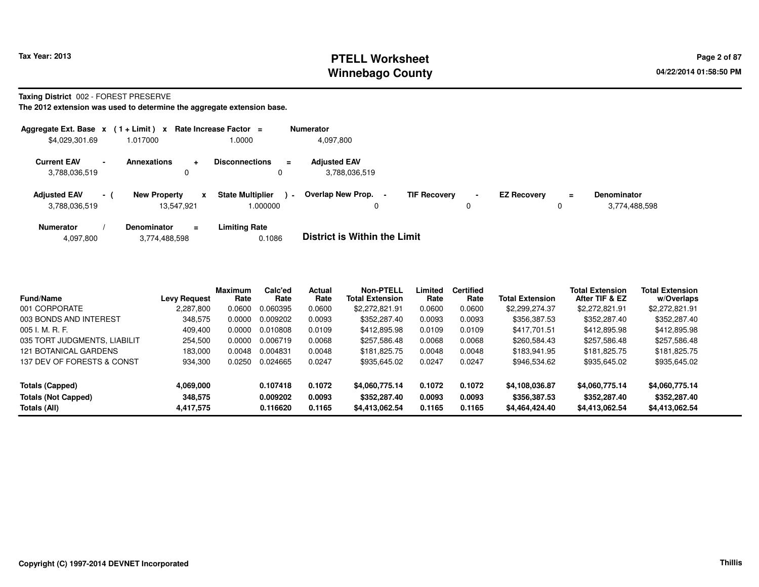# **PTELL Worksheet Tax Year: 2013 Page 2 of 87 Page 2 of 87 Winnebago County**

**Taxing District** 002 - FOREST PRESERVE

| Aggregate Ext. Base $x$ (1+Limit) $x$ |                          |                                   |                  | Rate Increase Factor =             |                | <b>Numerator</b>                     |                     |                     |                    |               |                              |
|---------------------------------------|--------------------------|-----------------------------------|------------------|------------------------------------|----------------|--------------------------------------|---------------------|---------------------|--------------------|---------------|------------------------------|
| \$4,029,301.69                        |                          | 1.017000                          |                  | 1.0000                             |                | 4.097.800                            |                     |                     |                    |               |                              |
| <b>Current EAV</b><br>3,788,036,519   | $\overline{\phantom{0}}$ | <b>Annexations</b>                | $\ddotmark$<br>0 | <b>Disconnections</b><br>0         | $\equiv$       | <b>Adjusted EAV</b><br>3,788,036,519 |                     |                     |                    |               |                              |
| <b>Adjusted EAV</b><br>3,788,036,519  | $-1$                     | <b>New Property</b><br>13.547.921 | x                | <b>State Multiplier</b><br>.000000 | $\blacksquare$ | Overlap New Prop.                    | <b>TIF Recovery</b> | $\blacksquare$<br>0 | <b>EZ Recovery</b> | $\equiv$<br>0 | Denominator<br>3,774,488,598 |
| <b>Numerator</b>                      |                          | <b>Denominator</b>                | $=$              | <b>Limiting Rate</b>               |                | _ _ _ _ _ _ _ _ _ _ _ _ _ _          |                     |                     |                    |               |                              |

| 4,097,800 |  | 3,774,488,598 | 0.1086 | <b>District is Within the Limit</b> |
|-----------|--|---------------|--------|-------------------------------------|
|-----------|--|---------------|--------|-------------------------------------|

| <b>Fund/Name</b>             | <b>Levy Request</b> | <b>Maximum</b><br>Rate | Calc'ed<br>Rate | Actual<br>Rate | <b>Non-PTELL</b><br><b>Total Extension</b> | Limited<br>Rate | <b>Certified</b><br>Rate | <b>Total Extension</b> | <b>Total Extension</b><br>After TIF & EZ | <b>Total Extension</b><br>w/Overlaps |  |
|------------------------------|---------------------|------------------------|-----------------|----------------|--------------------------------------------|-----------------|--------------------------|------------------------|------------------------------------------|--------------------------------------|--|
| 001 CORPORATE                | 2,287,800           | 0.0600                 | 0.060395        | 0.0600         | \$2,272,821.91                             | 0.0600          | 0.0600                   | \$2,299,274.37         | \$2,272,821.91                           | \$2,272,821.91                       |  |
| 003 BONDS AND INTEREST       | 348,575             | 0.0000                 | 0.009202        | 0.0093         | \$352,287.40                               | 0.0093          | 0.0093                   | \$356,387.53           | \$352,287.40                             | \$352,287.40                         |  |
| $005$ J. M. R. F.            | 409.400             | 0.0000                 | 0.010808        | 0.0109         | \$412,895.98                               | 0.0109          | 0.0109                   | \$417,701.51           | \$412,895.98                             | \$412,895.98                         |  |
| 035 TORT JUDGMENTS, LIABILIT | 254.500             | 0.0000                 | 0.006719        | 0.0068         | \$257.586.48                               | 0.0068          | 0.0068                   | \$260,584.43           | \$257,586.48                             | \$257,586.48                         |  |
| 121 BOTANICAL GARDENS        | 183.000             | 0.0048                 | 0.004831        | 0.0048         | \$181.825.75                               | 0.0048          | 0.0048                   | \$183,941,95           | \$181.825.75                             | \$181.825.75                         |  |
| 137 DEV OF FORESTS & CONST   | 934,300             | 0.0250                 | 0.024665        | 0.0247         | \$935,645.02                               | 0.0247          | 0.0247                   | \$946,534.62           | \$935,645.02                             | \$935,645.02                         |  |
| Totals (Capped)              | 4,069,000           |                        | 0.107418        | 0.1072         | \$4,060,775.14                             | 0.1072          | 0.1072                   | \$4,108,036.87         | \$4,060,775.14                           | \$4,060,775.14                       |  |
| Totals (Not Capped)          | 348.575             |                        | 0.009202        | 0.0093         | \$352,287.40                               | 0.0093          | 0.0093                   | \$356,387.53           | \$352,287.40                             | \$352,287.40                         |  |
| Totals (All)                 | 4,417,575           |                        | 0.116620        | 0.1165         | \$4,413,062.54                             | 0.1165          | 0.1165                   | \$4,464,424.40         | \$4,413,062.54                           | \$4,413,062.54                       |  |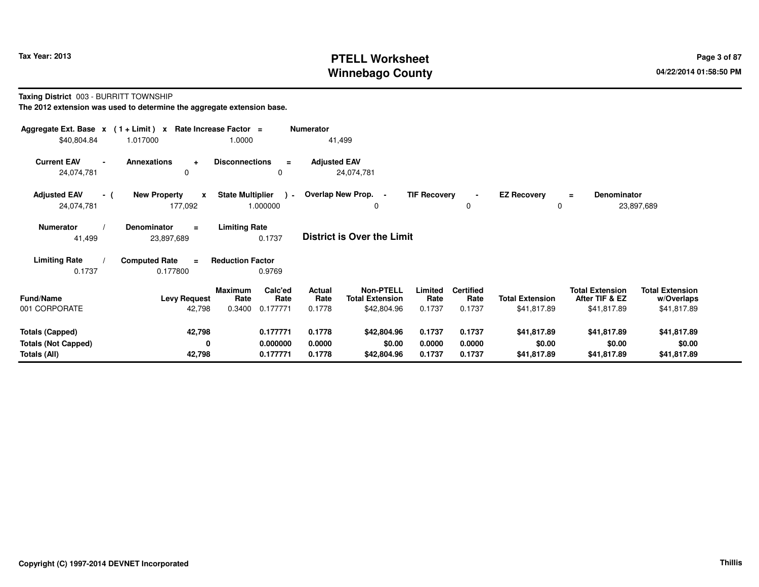# **PTELL Worksheet Tax Year: 2013 Page 3 of 87 Page 3 of 87 Winnebago County**

**Taxing District** 003 - BURRITT TOWNSHIP

| Aggregate Ext. Base $x$ (1 + Limit) x Rate Increase Factor = |                                                    |                                               | <b>Numerator</b>    |                                            |                     |                          |                         |                                          |                                      |  |
|--------------------------------------------------------------|----------------------------------------------------|-----------------------------------------------|---------------------|--------------------------------------------|---------------------|--------------------------|-------------------------|------------------------------------------|--------------------------------------|--|
| \$40,804.84                                                  | 1.017000                                           | 1.0000                                        | 41,499              |                                            |                     |                          |                         |                                          |                                      |  |
| <b>Current EAV</b><br>24,074,781                             | <b>Annexations</b><br>$\ddot{}$<br>0               | <b>Disconnections</b><br>$\equiv$<br>0        | <b>Adjusted EAV</b> | 24,074,781                                 |                     |                          |                         |                                          |                                      |  |
| <b>Adjusted EAV</b><br>- (<br>24,074,781                     | <b>New Property</b><br>$\boldsymbol{x}$<br>177,092 | <b>State Multiplier</b><br>$\sim$<br>1.000000 | Overlap New Prop. - | 0                                          | <b>TIF Recovery</b> | $\mathbf 0$              | <b>EZ Recovery</b><br>0 | Denominator<br>$\equiv$                  | 23,897,689                           |  |
| <b>Numerator</b><br>41,499                                   | <b>Denominator</b><br>$\equiv$<br>23,897,689       | <b>Limiting Rate</b><br>0.1737                |                     | District is Over the Limit                 |                     |                          |                         |                                          |                                      |  |
| <b>Limiting Rate</b>                                         | <b>Computed Rate</b><br>$\equiv$                   | <b>Reduction Factor</b>                       |                     |                                            |                     |                          |                         |                                          |                                      |  |
| 0.1737                                                       | 0.177800                                           | 0.9769                                        |                     |                                            |                     |                          |                         |                                          |                                      |  |
| <b>Fund/Name</b>                                             | <b>Levy Request</b>                                | Calc'ed<br>Maximum<br>Rate<br>Rate            | Actual<br>Rate      | <b>Non-PTELL</b><br><b>Total Extension</b> | Limited<br>Rate     | <b>Certified</b><br>Rate | <b>Total Extension</b>  | <b>Total Extension</b><br>After TIF & EZ | <b>Total Extension</b><br>w/Overlaps |  |
| 001 CORPORATE                                                | 42,798                                             | 0.177771<br>0.3400                            | 0.1778              | \$42,804.96                                | 0.1737              | 0.1737                   | \$41,817.89             | \$41,817.89                              | \$41,817.89                          |  |
|                                                              |                                                    |                                               |                     |                                            |                     |                          |                         |                                          |                                      |  |
| <b>Totals (Capped)</b>                                       | 42,798                                             | 0.177771                                      | 0.1778              | \$42,804.96                                | 0.1737              | 0.1737                   | \$41,817.89             | \$41,817.89                              | \$41,817.89                          |  |
| <b>Totals (Not Capped)</b>                                   | 0                                                  | 0.000000                                      | 0.0000              | \$0.00                                     | 0.0000              | 0.0000                   | \$0.00                  | \$0.00                                   | \$0.00                               |  |
| Totals (All)                                                 | 42,798                                             | 0.177771                                      | 0.1778              | \$42,804.96                                | 0.1737              | 0.1737                   | \$41,817.89             | \$41,817.89                              | \$41,817.89                          |  |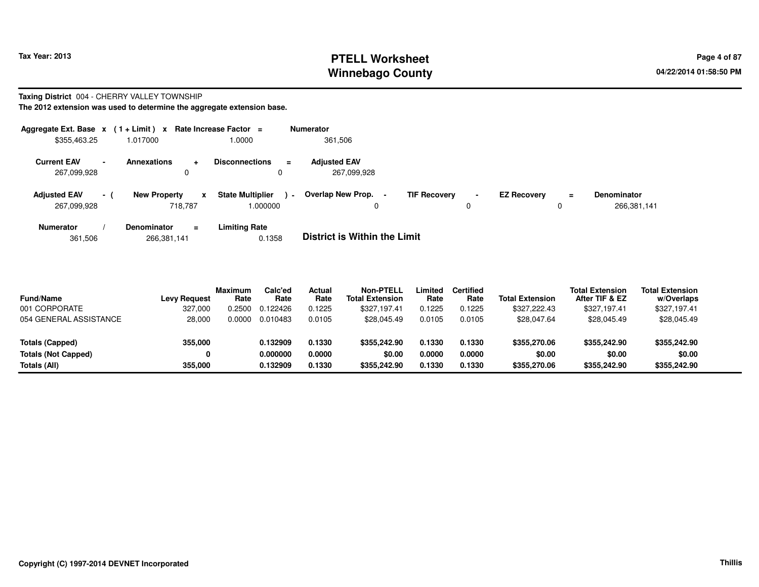# **PTELL Worksheet Tax Year: 2013 Page 4 of 87 PAGE 12 At 2014 Page 4 of 87 Winnebago County**

### **Taxing District** 004 - CHERRY VALLEY TOWNSHIP

**The 2012 extension was used to determine the aggregate extension base.**

| Aggregate Ext. Base $x$ (1 + Limit) $x$ |                          |                     |                | Rate Increase Factor =             |          | <b>Numerator</b>                   |                     |   |                    |          |                                   |
|-----------------------------------------|--------------------------|---------------------|----------------|------------------------------------|----------|------------------------------------|---------------------|---|--------------------|----------|-----------------------------------|
| \$355,463.25                            |                          | 1.017000            |                | 1.0000                             |          | 361,506                            |                     |   |                    |          |                                   |
| <b>Current EAV</b><br>267,099,928       | $\overline{\phantom{0}}$ | <b>Annexations</b>  | $\ddot{}$<br>0 | <b>Disconnections</b><br>0         | $\equiv$ | <b>Adjusted EAV</b><br>267,099,928 |                     |   |                    |          |                                   |
| <b>Adjusted EAV</b><br>267,099,928      | $-1$                     | <b>New Property</b> | X<br>718.787   | <b>State Multiplier</b><br>.000000 | $\sim$   | Overlap New Prop. -<br>0           | <b>TIF Recovery</b> | 0 | <b>EZ Recovery</b> | $\equiv$ | <b>Denominator</b><br>266,381,141 |
| <b>Numerator</b>                        |                          | <b>Denominator</b>  | $\equiv$       | <b>Limiting Rate</b>               |          | _ _ _ _ _ _ _ _ _ _ _ _ _ _        |                     |   |                    |          |                                   |

361,506266,381,141 0.1358 **District is Within the Limit**

| <b>Fund/Name</b>           | <b>Levy Request</b> | <b>Maximum</b><br>Rate | Calc'ed<br>Rate | Actual<br>Rate | Non-PTELL<br><b>Total Extension</b> | .imited<br>Rate | <b>Certified</b><br>Rate | <b>Total Extension</b> | <b>Total Extension</b><br>After TIF & EZ | <b>Total Extension</b><br>w/Overlaps |  |
|----------------------------|---------------------|------------------------|-----------------|----------------|-------------------------------------|-----------------|--------------------------|------------------------|------------------------------------------|--------------------------------------|--|
| 001 CORPORATE              | 327.000             | 0.2500                 | 0.122426        | 0.1225         | \$327.197.41                        | 0.1225          | 0.1225                   | \$327,222,43           | \$327,197.41                             | \$327,197.41                         |  |
| 054 GENERAL ASSISTANCE     | 28,000              | 0.0000                 | 0.010483        | 0.0105         | \$28.045.49                         | 0.0105          | 0.0105                   | \$28,047.64            | \$28,045.49                              | \$28,045.49                          |  |
| Totals (Capped)            | 355,000             |                        | 0.132909        | 0.1330         | \$355,242,90                        | 0.1330          | 0.1330                   | \$355,270.06           | \$355,242.90                             | \$355,242.90                         |  |
| <b>Totals (Not Capped)</b> | 0                   |                        | 0.000000        | 0.0000         | \$0.00                              | 0.0000          | 0.0000                   | \$0.00                 | \$0.00                                   | \$0.00                               |  |
| Totals (All)               | 355.000             |                        | 0.132909        | 0.1330         | \$355,242.90                        | 0.1330          | 0.1330                   | \$355,270.06           | \$355,242.90                             | \$355,242.90                         |  |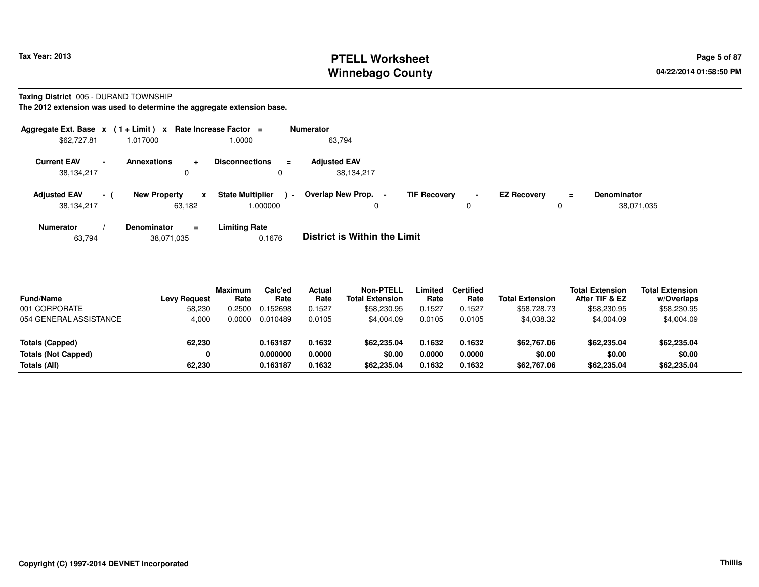# **PTELL Worksheet Tax Year: 2013 Page 5 of 87 PAGE 12 At 2014 Page 5 of 87 Page 5 of 87 Winnebago County**

**Taxing District** 005 - DURAND TOWNSHIP

**The 2012 extension was used to determine the aggregate extension base.**

| Aggregate Ext. Base $x$ (1 + Limit) $x$ |                |                                        | Rate Increase Factor =                   |                | <b>Numerator</b>                  |                     |                               |                    |          |                                  |
|-----------------------------------------|----------------|----------------------------------------|------------------------------------------|----------------|-----------------------------------|---------------------|-------------------------------|--------------------|----------|----------------------------------|
| \$62,727.81                             |                | 1.017000                               | 1.0000                                   |                | 63,794                            |                     |                               |                    |          |                                  |
| <b>Current EAV</b><br>38,134,217        | $\blacksquare$ | <b>Annexations</b><br>÷<br>$\mathbf 0$ | <b>Disconnections</b><br>0               | $\equiv$       | <b>Adjusted EAV</b><br>38,134,217 |                     |                               |                    |          |                                  |
| <b>Adjusted EAV</b><br>38,134,217       | $\sim$ 1       | <b>New Property</b><br>63.182          | <b>State Multiplier</b><br>x<br>1.000000 | $\blacksquare$ | Overlap New Prop. -<br>0          | <b>TIF Recovery</b> | $\overline{\phantom{a}}$<br>0 | <b>EZ Recovery</b> | $\equiv$ | <b>Denominator</b><br>38,071,035 |
| <b>Numerator</b>                        |                | <b>Denominator</b><br>$\equiv$         | <b>Limiting Rate</b>                     |                | _ . _                             |                     |                               |                    |          |                                  |

63,79438,071,035 0.1676 **District is Within the Limit**

| <b>Fund/Name</b><br>001 CORPORATE | <b>Levy Request</b><br>58,230 | <b>Maximum</b><br>Rate<br>.2500 | Calc'ed<br>Rate<br>0.152698 | Actual<br>Rate<br>0.1527 | <b>Non-PTELL</b><br><b>Total Extension</b><br>\$58,230.95 | Limited<br>Rate<br>0.1527 | <b>Certified</b><br>Rate<br>0.1527 | <b>Total Extension</b><br>\$58,728.73 | <b>Total Extension</b><br>After TIF & EZ<br>\$58,230.95 | <b>Total Extension</b><br>w/Overlaps<br>\$58,230.95 |
|-----------------------------------|-------------------------------|---------------------------------|-----------------------------|--------------------------|-----------------------------------------------------------|---------------------------|------------------------------------|---------------------------------------|---------------------------------------------------------|-----------------------------------------------------|
| 054 GENERAL ASSISTANCE            | 4,000                         | 0000.0                          | 0.010489                    | 0.0105                   | \$4.004.09                                                | 0.0105                    | 0.0105                             | \$4,038.32                            | \$4,004.09                                              | \$4,004.09                                          |
| Totals (Capped)                   | 62,230                        |                                 | 0.163187                    | 0.1632                   | \$62,235.04                                               | 0.1632                    | 0.1632                             | \$62,767.06                           | \$62,235.04                                             | \$62,235.04                                         |
| <b>Totals (Not Capped)</b>        | 0                             |                                 | 0.000000                    | 0.0000                   | \$0.00                                                    | 0.0000                    | 0.0000                             | \$0.00                                | \$0.00                                                  | \$0.00                                              |
| Totals (All)                      | 62.230                        |                                 | 0.163187                    | 0.1632                   | \$62,235.04                                               | 0.1632                    | 0.1632                             | \$62,767.06                           | \$62,235.04                                             | \$62,235.04                                         |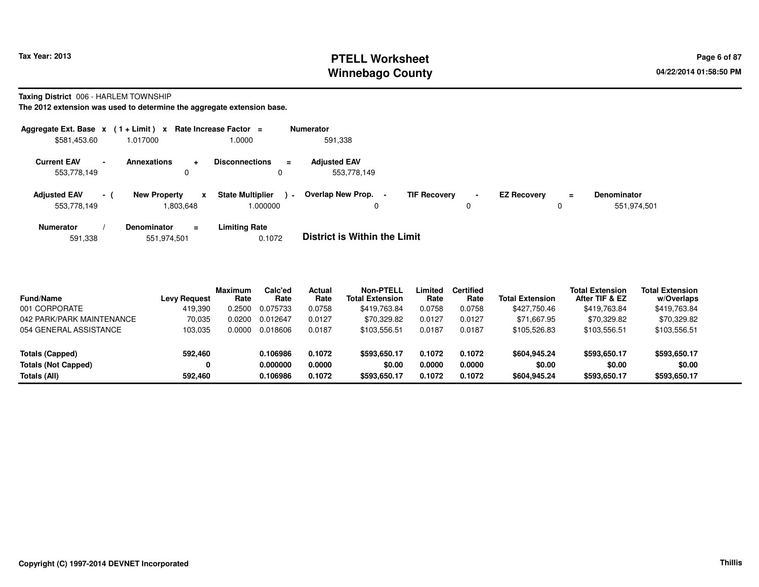# **PTELL Worksheet Tax Year: 2013 Page 6 of 87 Page 6 of 87 Winnebago County**

**Taxing District** 006 - HARLEM TOWNSHIP

**The 2012 extension was used to determine the aggregate extension base.**

| Aggregate Ext. Base $x$ (1+Limit) x Rate Increase Factor = |     |                     |                |                                     |          | <b>Numerator</b>                    |                     |                     |                    |               |                                   |
|------------------------------------------------------------|-----|---------------------|----------------|-------------------------------------|----------|-------------------------------------|---------------------|---------------------|--------------------|---------------|-----------------------------------|
| \$581,453.60                                               |     | 1.017000            |                | .0000                               |          | 591,338                             |                     |                     |                    |               |                                   |
| <b>Current EAV</b><br>553,778,149                          |     | <b>Annexations</b>  | ÷<br>0         | <b>Disconnections</b>               | $\equiv$ | <b>Adjusted EAV</b><br>553,778,149  |                     |                     |                    |               |                                   |
| <b>Adjusted EAV</b><br>553,778,149                         | - 1 | <b>New Property</b> | x<br>1,803,648 | <b>State Multiplier</b><br>1.000000 | $\sim$   | Overlap New Prop.<br>$\blacksquare$ | <b>TIF Recovery</b> | $\blacksquare$<br>0 | <b>EZ Recovery</b> | $\equiv$<br>0 | <b>Denominator</b><br>551,974,501 |
| <b>Numerator</b>                                           |     | <b>Denominator</b>  | $\equiv$       | <b>Limiting Rate</b>                |          |                                     |                     |                     |                    |               |                                   |

591,338551,974,501 0.1072 **District is Within the Limit**

| <b>Fund/Name</b>           | <b>Levy Request</b> | Maximum<br>Rate | Calc'ed<br>Rate | Actual<br>Rate | Non-PTELL<br><b>Total Extension</b> | Limited<br>Rate | <b>Certified</b><br>Rate | <b>Total Extension</b> | <b>Total Extension</b><br>After TIF & EZ | <b>Total Extension</b><br>w/Overlaps |
|----------------------------|---------------------|-----------------|-----------------|----------------|-------------------------------------|-----------------|--------------------------|------------------------|------------------------------------------|--------------------------------------|
| 001 CORPORATE              | 419,390             | .2500           | 0.075733        | 0.0758         | \$419,763.84                        | 0.0758          | 0.0758                   | \$427,750.46           | \$419,763.84                             | \$419,763.84                         |
| 042 PARK/PARK MAINTENANCE  | 70,035              | .0200           | 0.012647        | 0.0127         | \$70.329.82                         | 0.0127          | 0.0127                   | \$71,667.95            | \$70,329.82                              | \$70,329.82                          |
| 054 GENERAL ASSISTANCE     | 103.035             | 0.0000          | 0.018606        | 0.0187         | \$103,556.51                        | 0.0187          | 0.0187                   | \$105,526.83           | \$103,556.51                             | \$103,556.51                         |
| Totals (Capped)            | 592,460             |                 | 0.106986        | 0.1072         | \$593,650.17                        | 0.1072          | 0.1072                   | \$604.945.24           | \$593,650.17                             | \$593,650.17                         |
| <b>Totals (Not Capped)</b> | 0                   |                 | 0.000000        | 0.0000         | \$0.00                              | 0.0000          | 0.0000                   | \$0.00                 | \$0.00                                   | \$0.00                               |
| Totals (All)               | 592.460             |                 | 0.106986        | 0.1072         | \$593,650.17                        | 0.1072          | 0.1072                   | \$604.945.24           | \$593,650.17                             | \$593,650.17                         |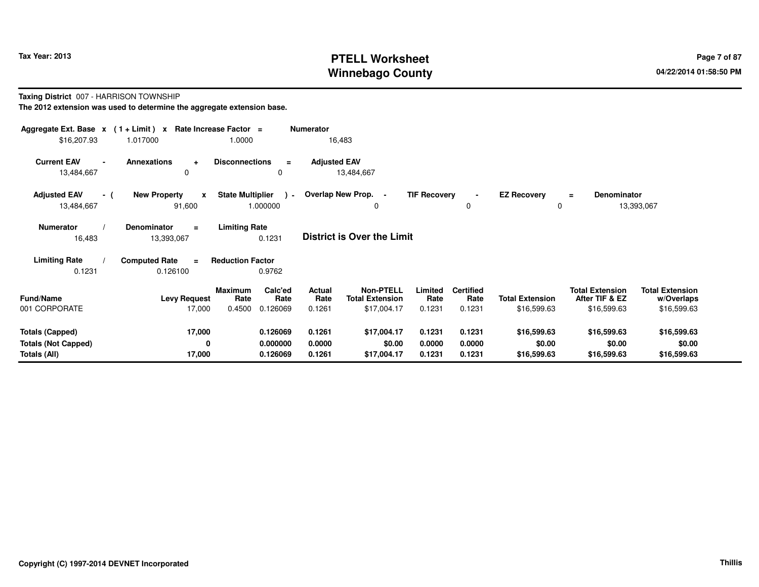# **PTELL Worksheet Tax Year: 2013 Page 7 of 87 PAGE 12 ASS ASSESSED ASSESSED Page 7 of 87 Winnebago County**

**Taxing District** 007 - HARRISON TOWNSHIP

| Aggregate Ext. Base $x$ (1 + Limit) $x$    |                                              | Rate Increase Factor =                               | <b>Numerator</b>                  |                                            |                     |                          |                         |                                          |                                      |
|--------------------------------------------|----------------------------------------------|------------------------------------------------------|-----------------------------------|--------------------------------------------|---------------------|--------------------------|-------------------------|------------------------------------------|--------------------------------------|
| \$16,207.93                                | 1.017000                                     | 1.0000                                               | 16,483                            |                                            |                     |                          |                         |                                          |                                      |
| <b>Current EAV</b><br>$\sim$<br>13,484,667 | <b>Annexations</b><br>$\ddot{}$<br>$\Omega$  | <b>Disconnections</b><br>$\equiv$<br>0               | <b>Adjusted EAV</b><br>13,484,667 |                                            |                     |                          |                         |                                          |                                      |
| <b>Adjusted EAV</b><br>- (<br>13,484,667   | <b>New Property</b><br>X<br>91,600           | <b>State Multiplier</b><br>$\rightarrow$<br>1.000000 | Overlap New Prop. -               | 0                                          | <b>TIF Recovery</b> | $\mathbf 0$              | <b>EZ Recovery</b><br>0 | Denominator<br>$\equiv$                  | 13,393,067                           |
| <b>Numerator</b><br>16,483                 | <b>Denominator</b><br>$\equiv$<br>13,393,067 | <b>Limiting Rate</b><br>0.1231                       | <b>District is Over the Limit</b> |                                            |                     |                          |                         |                                          |                                      |
| <b>Limiting Rate</b>                       | <b>Computed Rate</b><br>$\equiv$             | <b>Reduction Factor</b>                              |                                   |                                            |                     |                          |                         |                                          |                                      |
| 0.1231                                     | 0.126100                                     | 0.9762                                               |                                   |                                            |                     |                          |                         |                                          |                                      |
| <b>Fund/Name</b>                           | <b>Levy Request</b>                          | Calc'ed<br>Maximum<br>Rate<br>Rate                   | Actual<br>Rate                    | <b>Non-PTELL</b><br><b>Total Extension</b> | Limited<br>Rate     | <b>Certified</b><br>Rate | <b>Total Extension</b>  | <b>Total Extension</b><br>After TIF & EZ | <b>Total Extension</b><br>w/Overlaps |
| 001 CORPORATE                              | 17,000                                       | 0.4500<br>0.126069                                   | 0.1261                            | \$17,004.17                                | 0.1231              | 0.1231                   | \$16,599.63             | \$16,599.63                              | \$16,599.63                          |
| <b>Totals (Capped)</b>                     | 17,000                                       | 0.126069                                             | 0.1261                            | \$17,004.17                                | 0.1231              | 0.1231                   | \$16,599.63             | \$16,599.63                              | \$16,599.63                          |
| <b>Totals (Not Capped)</b>                 | 0                                            | 0.000000                                             | 0.0000                            | \$0.00                                     | 0.0000              | 0.0000                   | \$0.00                  | \$0.00                                   | \$0.00                               |
| Totals (All)                               | 17,000                                       | 0.126069                                             | 0.1261                            | \$17,004.17                                | 0.1231              | 0.1231                   | \$16,599.63             | \$16,599.63                              | \$16,599.63                          |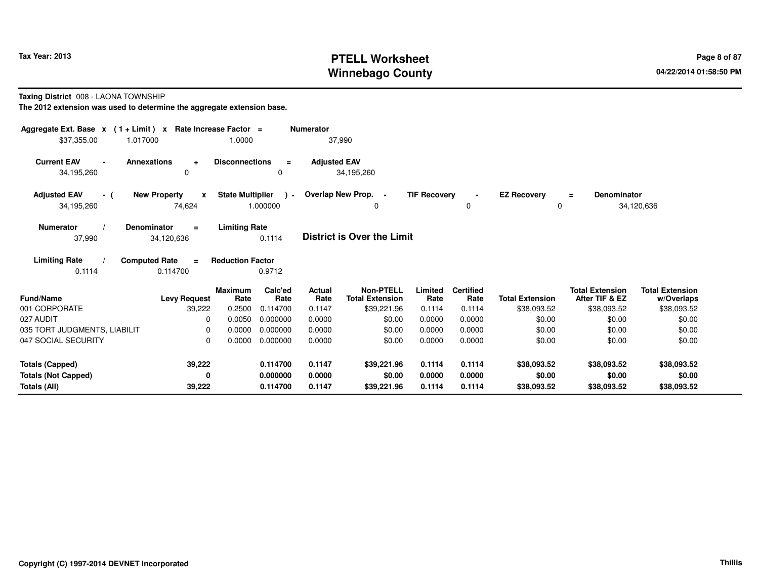# **PTELL Worksheet Tax Year: 2013 Page 8 of 87 PAGE 12 ASS ASSESSED ASSESSED Page 8 of 87 Winnebago County**

**Taxing District** 008 - LAONA TOWNSHIP

| Aggregate Ext. Base $x$ (1 + Limit) x Rate Increase Factor = |                                               |                                        | <b>Numerator</b>      |                                            |                     |                               |                                |                                          |                                      |
|--------------------------------------------------------------|-----------------------------------------------|----------------------------------------|-----------------------|--------------------------------------------|---------------------|-------------------------------|--------------------------------|------------------------------------------|--------------------------------------|
| \$37,355.00<br>1.017000                                      |                                               | 1.0000                                 | 37,990                |                                            |                     |                               |                                |                                          |                                      |
| <b>Current EAV</b><br>34,195,260                             | <b>Annexations</b><br>$\ddot{}$<br>0          | <b>Disconnections</b><br>$\equiv$<br>0 | <b>Adjusted EAV</b>   | 34,195,260                                 |                     |                               |                                |                                          |                                      |
| <b>Adjusted EAV</b><br>- (<br>34,195,260                     | <b>New Property</b><br>$\mathbf{x}$<br>74,624 | State Multiplier ) -<br>1.000000       |                       | Overlap New Prop. -<br>0                   | <b>TIF Recovery</b> | $\blacksquare$<br>$\mathbf 0$ | <b>EZ Recovery</b><br>$\Omega$ | <b>Denominator</b><br>$\equiv$           | 34,120,636                           |
| <b>Numerator</b><br>37,990                                   | <b>Denominator</b><br>$\equiv$<br>34,120,636  | <b>Limiting Rate</b><br>0.1114         |                       | <b>District is Over the Limit</b>          |                     |                               |                                |                                          |                                      |
| <b>Limiting Rate</b><br>0.1114                               | <b>Computed Rate</b><br>$\equiv$<br>0.114700  | <b>Reduction Factor</b><br>0.9712      |                       |                                            |                     |                               |                                |                                          |                                      |
| <b>Fund/Name</b>                                             | <b>Maximum</b><br><b>Levy Request</b>         | Calc'ed<br>Rate<br>Rate                | <b>Actual</b><br>Rate | <b>Non-PTELL</b><br><b>Total Extension</b> | Limited<br>Rate     | <b>Certified</b><br>Rate      | <b>Total Extension</b>         | <b>Total Extension</b><br>After TIF & EZ | <b>Total Extension</b><br>w/Overlaps |
| 001 CORPORATE                                                | 39,222                                        | 0.2500<br>0.114700                     | 0.1147                | \$39,221.96                                | 0.1114              | 0.1114                        | \$38,093.52                    | \$38,093.52                              | \$38,093.52                          |
| 027 AUDIT                                                    | $\Omega$                                      | 0.0050<br>0.000000                     | 0.0000                | \$0.00                                     | 0.0000              | 0.0000                        | \$0.00                         | \$0.00                                   | \$0.00                               |
| 035 TORT JUDGMENTS, LIABILIT                                 | $\Omega$                                      | 0.0000<br>0.000000                     | 0.0000                | \$0.00                                     | 0.0000              | 0.0000                        | \$0.00                         | \$0.00                                   | \$0.00                               |
| 047 SOCIAL SECURITY                                          | $\Omega$                                      | 0.0000<br>0.000000                     | 0.0000                | \$0.00                                     | 0.0000              | 0.0000                        | \$0.00                         | \$0.00                                   | \$0.00                               |
| <b>Totals (Capped)</b>                                       | 39,222                                        | 0.114700                               | 0.1147                | \$39,221.96                                | 0.1114              | 0.1114                        | \$38,093.52                    | \$38,093.52                              | \$38,093.52                          |
| <b>Totals (Not Capped)</b>                                   | 0                                             | 0.000000                               | 0.0000                | \$0.00                                     | 0.0000              | 0.0000                        | \$0.00                         | \$0.00                                   | \$0.00                               |
| Totals (All)                                                 | 39,222                                        | 0.114700                               | 0.1147                | \$39,221.96                                | 0.1114              | 0.1114                        | \$38,093.52                    | \$38,093.52                              | \$38,093.52                          |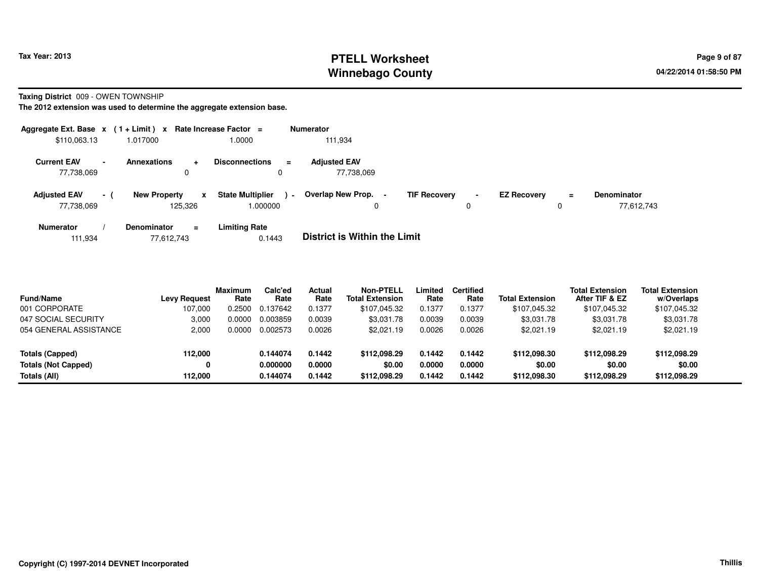# **PTELL Worksheet Tax Year: 2013 Page 9 of 87 PAGE 12 At 2014 Page 9 of 87 Winnebago County**

**Taxing District** 009 - OWEN TOWNSHIP

**The 2012 extension was used to determine the aggregate extension base.**

| Aggregate Ext. Base $x$ (1 + Limit) $x$ |        |                                | Rate Increase Factor =       |                           | <b>Numerator</b>                  |                     |                               |                    |               |                                  |
|-----------------------------------------|--------|--------------------------------|------------------------------|---------------------------|-----------------------------------|---------------------|-------------------------------|--------------------|---------------|----------------------------------|
| \$110,063.13                            |        | 1.017000                       | 1.0000                       |                           | 111.934                           |                     |                               |                    |               |                                  |
| <b>Current EAV</b><br>77,738,069        | $\sim$ | Annexations<br>0               | <b>Disconnections</b><br>÷   | $\equiv$                  | <b>Adjusted EAV</b><br>77,738,069 |                     |                               |                    |               |                                  |
| <b>Adjusted EAV</b><br>77,738,069       | $-1$   | <b>New Property</b><br>125.326 | <b>State Multiplier</b><br>x | $\blacksquare$<br>000000. | Overlap New Prop. -<br>0          | <b>TIF Recovery</b> | $\overline{\phantom{a}}$<br>0 | <b>EZ Recovery</b> | $\equiv$<br>0 | <b>Denominator</b><br>77,612,743 |
| <b>Numerator</b>                        |        | <b>Denominator</b>             | Limiting Rate<br>$\equiv$    |                           | _ _ _ _ _ _ _ _ _ _ _ _ _ _       |                     |                               |                    |               |                                  |

111,93477,612,743 0.1443 **District is Within the Limit**

| <b>Fund/Name</b>           | Levy Request | Maximum<br>Rate | Calc'ed<br>Rate | Actual<br>Rate | <b>Non-PTELL</b><br><b>Total Extension</b> | Limited<br>Rate | <b>Certified</b><br>Rate | <b>Total Extension</b> | <b>Total Extension</b><br>After TIF & EZ | <b>Total Extension</b><br>w/Overlaps |  |
|----------------------------|--------------|-----------------|-----------------|----------------|--------------------------------------------|-----------------|--------------------------|------------------------|------------------------------------------|--------------------------------------|--|
| 001 CORPORATE              | 107.000      | 0.2500          | 0.137642        | 0.1377         | \$107,045.32                               | 0.1377          | 0.1377                   | \$107,045.32           | \$107,045.32                             | \$107,045.32                         |  |
| 047 SOCIAL SECURITY        | 3.000        | 0.0000          | 0.003859        | 0.0039         | \$3,031.78                                 | 0.0039          | 0.0039                   | \$3,031.78             | \$3,031.78                               | \$3,031.78                           |  |
| 054 GENERAL ASSISTANCE     | 2.000        | 0.0000          | 0.002573        | 0.0026         | \$2.021.19                                 | 0.0026          | 0.0026                   | \$2.021.19             | \$2.021.19                               | \$2,021.19                           |  |
| Totals (Capped)            | 112.000      |                 | 0.144074        | 0.1442         | \$112.098.29                               | 0.1442          | 0.1442                   | \$112,098.30           | \$112.098.29                             | \$112,098.29                         |  |
| <b>Totals (Not Capped)</b> | 0            |                 | 0.000000        | 0.0000         | \$0.00                                     | 0.0000          | 0.0000                   | \$0.00                 | \$0.00                                   | \$0.00                               |  |
| Totals (All)               | 112.000      |                 | 0.144074        | 0.1442         | \$112.098.29                               | 0.1442          | 0.1442                   | \$112,098.30           | \$112,098.29                             | \$112,098.29                         |  |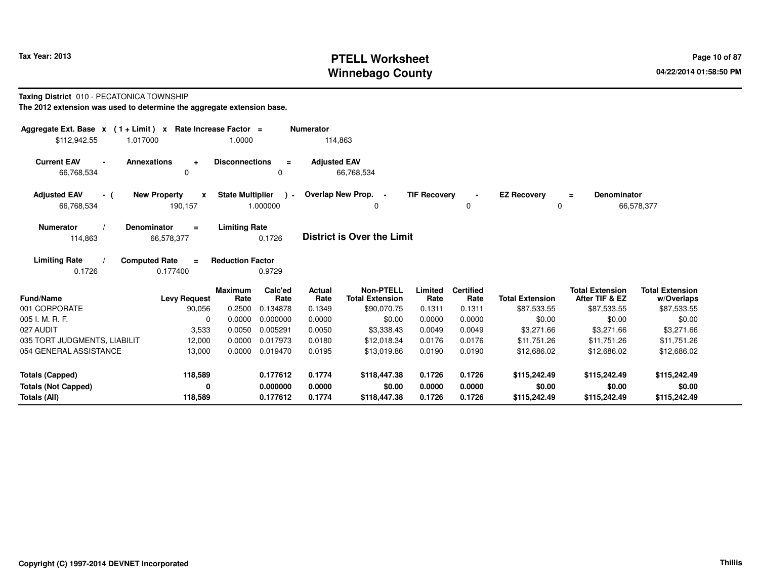# **PTELL Worksheet Tax Year: 2013 Page 10 of 87 PAGE 10 of 87 Page 10 of 87 Winnebago County**

### **Taxing District** 010 - PECATONICA TOWNSHIP

| Aggregate Ext. Base $x$ (1 + Limit) x Rate Increase Factor = |                                              |                                  |                             | <b>Numerator</b>         |                                                           |                           |                                    |                                       |                                                         |                                                     |
|--------------------------------------------------------------|----------------------------------------------|----------------------------------|-----------------------------|--------------------------|-----------------------------------------------------------|---------------------------|------------------------------------|---------------------------------------|---------------------------------------------------------|-----------------------------------------------------|
| \$112,942.55                                                 | 1.017000                                     | 1.0000                           |                             | 114,863                  |                                                           |                           |                                    |                                       |                                                         |                                                     |
| <b>Current EAV</b><br>66,768,534                             | <b>Annexations</b><br>$\ddot{}$<br>0         | <b>Disconnections</b>            | $\equiv$                    | <b>Adjusted EAV</b>      | 66,768,534                                                |                           |                                    |                                       |                                                         |                                                     |
| <b>Adjusted EAV</b><br>- (<br>66,768,534                     | <b>New Property</b><br>x<br>190,157          | <b>State Multiplier</b>          | $\lambda$ -<br>1.000000     |                          | Overlap New Prop. -<br>0                                  | <b>TIF Recovery</b>       | 0                                  | <b>EZ Recovery</b><br>0               | <b>Denominator</b><br>$\equiv$                          | 66,578,377                                          |
| Numerator<br>114,863                                         | <b>Denominator</b><br>$\equiv$<br>66,578,377 | <b>Limiting Rate</b>             | 0.1726                      |                          | <b>District is Over the Limit</b>                         |                           |                                    |                                       |                                                         |                                                     |
| <b>Limiting Rate</b><br>0.1726                               | <b>Computed Rate</b><br>$\equiv$<br>0.177400 | <b>Reduction Factor</b>          | 0.9729                      |                          |                                                           |                           |                                    |                                       |                                                         |                                                     |
| <b>Fund/Name</b><br>001 CORPORATE                            | <b>Levy Request</b><br>90,056                | <b>Maximum</b><br>Rate<br>0.2500 | Calc'ed<br>Rate<br>0.134878 | Actual<br>Rate<br>0.1349 | <b>Non-PTELL</b><br><b>Total Extension</b><br>\$90,070.75 | Limited<br>Rate<br>0.1311 | <b>Certified</b><br>Rate<br>0.1311 | <b>Total Extension</b><br>\$87,533.55 | <b>Total Extension</b><br>After TIF & EZ<br>\$87,533.55 | <b>Total Extension</b><br>w/Overlaps<br>\$87,533.55 |
| 005 I. M. R. F.                                              | 0                                            | 0.0000                           | 0.000000                    | 0.0000                   | \$0.00                                                    | 0.0000                    | 0.0000                             | \$0.00                                | \$0.00                                                  | \$0.00                                              |
| 027 AUDIT                                                    | 3,533                                        | 0.0050                           | 0.005291                    | 0.0050                   | \$3,338.43                                                | 0.0049                    | 0.0049                             | \$3,271.66                            | \$3,271.66                                              | \$3,271.66                                          |
| 035 TORT JUDGMENTS, LIABILIT                                 | 12,000                                       | 0.0000                           | 0.017973                    | 0.0180                   | \$12,018.34                                               | 0.0176                    | 0.0176                             | \$11,751.26                           | \$11,751.26                                             | \$11,751.26                                         |
| 054 GENERAL ASSISTANCE                                       | 13,000                                       | 0.0000                           | 0.019470                    | 0.0195                   | \$13,019.86                                               | 0.0190                    | 0.0190                             | \$12,686.02                           | \$12,686.02                                             | \$12,686.02                                         |
| <b>Totals (Capped)</b>                                       | 118,589                                      |                                  | 0.177612                    | 0.1774                   | \$118,447.38                                              | 0.1726                    | 0.1726                             | \$115,242.49                          | \$115,242.49                                            | \$115,242.49                                        |
| <b>Totals (Not Capped)</b>                                   | 0                                            |                                  | 0.000000                    | 0.0000                   | \$0.00                                                    | 0.0000                    | 0.0000                             | \$0.00                                | \$0.00                                                  | \$0.00                                              |
| Totals (All)                                                 | 118,589                                      |                                  | 0.177612                    | 0.1774                   | \$118,447.38                                              | 0.1726                    | 0.1726                             | \$115,242.49                          | \$115,242.49                                            | \$115,242.49                                        |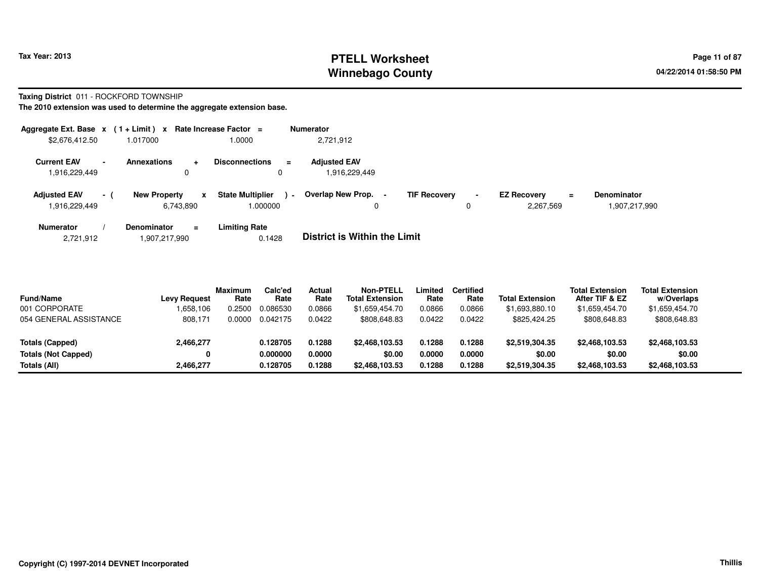# **PTELL Worksheet Tax Year: 2013 Page 11 of 87 PAGE 11 of 87 Page 11 of 87 Winnebago County**

**Taxing District** 011 - ROCKFORD TOWNSHIP

**The 2010 extension was used to determine the aggregate extension base.**

| Aggregate Ext. Base $x$ (1 + Limit) $x$                         |                     | Rate Increase Factor = |                                               | <b>Numerator</b>                     |                     |                               |                                 |   |                                     |
|-----------------------------------------------------------------|---------------------|------------------------|-----------------------------------------------|--------------------------------------|---------------------|-------------------------------|---------------------------------|---|-------------------------------------|
| \$2,676,412.50                                                  | 1.017000            |                        | 1.0000                                        | 2,721,912                            |                     |                               |                                 |   |                                     |
| <b>Current EAV</b><br>$\overline{\phantom{a}}$<br>1,916,229,449 | Annexations         | 0                      | <b>Disconnections</b><br>$\equiv$<br>0        | <b>Adjusted EAV</b><br>1,916,229,449 |                     |                               |                                 |   |                                     |
| <b>Adjusted EAV</b><br>$-1$<br>1,916,229,449                    | <b>New Property</b> | X<br>6,743,890         | <b>State Multiplier</b><br>$\sim$<br>1.000000 | Overlap New Prop.                    | <b>TIF Recovery</b> | $\overline{\phantom{0}}$<br>0 | <b>EZ Recovery</b><br>2,267,569 | Ξ | <b>Denominator</b><br>1,907,217,990 |
| <b>Numerator</b>                                                | <b>Denominator</b>  | $\equiv$               | <b>Limiting Rate</b>                          | _ . _                                |                     |                               |                                 |   |                                     |

2,721,9121,907,217,990 0.1428 **District is Within the Limit**

| <b>Fund/Name</b>           | <b>Levy Request</b> | <b>Maximum</b><br>Rate | Calc'ed<br>Rate | Actual<br>Rate | <b>Non-PTELL</b><br><b>Total Extension</b> | Limited<br>Rate | <b>Certified</b><br>Rate | <b>Total Extension</b> | <b>Total Extension</b><br>After TIF & EZ | <b>Total Extension</b><br>w/Overlaps |  |
|----------------------------|---------------------|------------------------|-----------------|----------------|--------------------------------------------|-----------------|--------------------------|------------------------|------------------------------------------|--------------------------------------|--|
| 001 CORPORATE              | .658,106            | ).2500                 | 0.086530        | 0.0866         | \$1.659.454.70                             | 0.0866          | 0.0866                   | \$1,693,880.10         | \$1,659,454.70                           | \$1,659,454.70                       |  |
| 054 GENERAL ASSISTANCE     | 808.171             | 0.0000                 | 0.042175        | 0.0422         | \$808,648.83                               | 0.0422          | 0.0422                   | \$825.424.25           | \$808,648.83                             | \$808,648.83                         |  |
| Totals (Capped)            | 2,466,277           |                        | 0.128705        | 0.1288         | \$2,468,103,53                             | 0.1288          | 0.1288                   | \$2,519,304.35         | \$2,468,103,53                           | \$2,468,103.53                       |  |
| <b>Totals (Not Capped)</b> | 0                   |                        | 0.000000        | 0.0000         | \$0.00                                     | 0.0000          | 0.0000                   | \$0.00                 | \$0.00                                   | \$0.00                               |  |
| Totals (All)               | 2,466,277           |                        | 0.128705        | 0.1288         | \$2,468,103.53                             | 0.1288          | 0.1288                   | \$2,519,304.35         | \$2,468,103.53                           | \$2,468,103.53                       |  |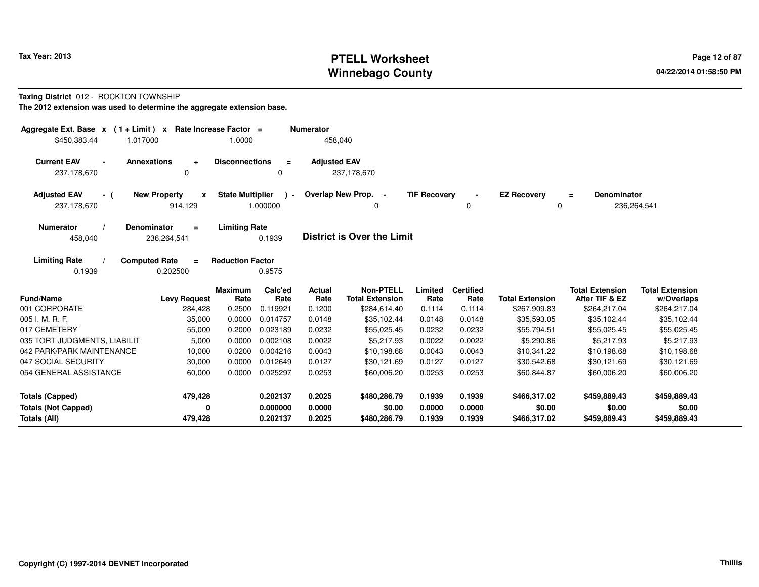# **PTELL Worksheet Tax Year: 2013 Page 12 of 87 PAGE 12 of 87 Page 12 of 87 Winnebago County**

### **Taxing District** 012 - ROCKTON TOWNSHIP

| Aggregate Ext. Base $x$ (1+Limit) x                                       | Rate Increase Factor =                             |                         |                      | <b>Numerator</b>    |                                            |                     |                          |                                   |                                          |                                      |
|---------------------------------------------------------------------------|----------------------------------------------------|-------------------------|----------------------|---------------------|--------------------------------------------|---------------------|--------------------------|-----------------------------------|------------------------------------------|--------------------------------------|
| \$450,383.44<br>1.017000                                                  |                                                    | 1.0000                  |                      | 458,040             |                                            |                     |                          |                                   |                                          |                                      |
| <b>Current EAV</b><br><b>Annexations</b><br>$\blacksquare$<br>237,178,670 | ÷<br>$\mathbf 0$                                   | <b>Disconnections</b>   | $\equiv$<br>$\Omega$ | <b>Adjusted EAV</b> | 237,178,670                                |                     |                          |                                   |                                          |                                      |
| <b>Adjusted EAV</b><br>- (<br>237,178,670                                 | <b>New Property</b><br>$\boldsymbol{x}$<br>914,129 | <b>State Multiplier</b> | $\cdot$<br>1.000000  |                     | Overlap New Prop. -<br>0                   | <b>TIF Recovery</b> | $\blacksquare$<br>0      | <b>EZ Recovery</b><br>$\mathbf 0$ | <b>Denominator</b><br>$\equiv$           | 236,264,541                          |
| <b>Numerator</b><br><b>Denominator</b><br>458,040                         | $\equiv$<br>236,264,541                            | <b>Limiting Rate</b>    | 0.1939               |                     | <b>District is Over the Limit</b>          |                     |                          |                                   |                                          |                                      |
| <b>Limiting Rate</b><br><b>Computed Rate</b><br>0.1939                    | $\equiv$<br>0.202500                               | <b>Reduction Factor</b> | 0.9575               |                     |                                            |                     |                          |                                   |                                          |                                      |
| <b>Fund/Name</b>                                                          | <b>Levy Request</b>                                | <b>Maximum</b><br>Rate  | Calc'ed<br>Rate      | Actual<br>Rate      | <b>Non-PTELL</b><br><b>Total Extension</b> | Limited<br>Rate     | <b>Certified</b><br>Rate | <b>Total Extension</b>            | <b>Total Extension</b><br>After TIF & EZ | <b>Total Extension</b><br>w/Overlaps |
| 001 CORPORATE                                                             | 284,428                                            | 0.2500                  | 0.119921             | 0.1200              | \$284,614.40                               | 0.1114              | 0.1114                   | \$267,909.83                      | \$264,217.04                             | \$264,217.04                         |
| 005 I. M. R. F.                                                           | 35,000                                             | 0.0000                  | 0.014757             | 0.0148              | \$35,102.44                                | 0.0148              | 0.0148                   | \$35,593.05                       | \$35,102.44                              | \$35,102.44                          |
| 017 CEMETERY                                                              | 55,000                                             | 0.2000                  | 0.023189             | 0.0232              | \$55,025.45                                | 0.0232              | 0.0232                   | \$55,794.51                       | \$55,025.45                              | \$55,025.45                          |
| 035 TORT JUDGMENTS, LIABILIT                                              | 5,000                                              | 0.0000                  | 0.002108             | 0.0022              | \$5.217.93                                 | 0.0022              | 0.0022                   | \$5,290.86                        | \$5,217.93                               | \$5,217.93                           |
| 042 PARK/PARK MAINTENANCE                                                 | 10,000                                             | 0.0200                  | 0.004216             | 0.0043              | \$10,198.68                                | 0.0043              | 0.0043                   | \$10,341.22                       | \$10,198.68                              | \$10,198.68                          |
| 047 SOCIAL SECURITY                                                       | 30,000                                             | 0.0000                  | 0.012649             | 0.0127              | \$30,121.69                                | 0.0127              | 0.0127                   | \$30,542.68                       | \$30,121.69                              | \$30,121.69                          |
| 054 GENERAL ASSISTANCE                                                    | 60,000                                             | 0.0000                  | 0.025297             | 0.0253              | \$60,006.20                                | 0.0253              | 0.0253                   | \$60,844.87                       | \$60,006.20                              | \$60,006.20                          |
| <b>Totals (Capped)</b>                                                    | 479,428                                            |                         | 0.202137             | 0.2025              | \$480,286.79                               | 0.1939              | 0.1939                   | \$466,317.02                      | \$459,889.43                             | \$459,889.43                         |
| <b>Totals (Not Capped)</b>                                                | $\Omega$                                           |                         | 0.000000             | 0.0000              | \$0.00                                     | 0.0000              | 0.0000                   | \$0.00                            | \$0.00                                   | \$0.00                               |
| Totals (All)                                                              | 479,428                                            |                         | 0.202137             | 0.2025              | \$480,286.79                               | 0.1939              | 0.1939                   | \$466,317.02                      | \$459,889.43                             | \$459,889.43                         |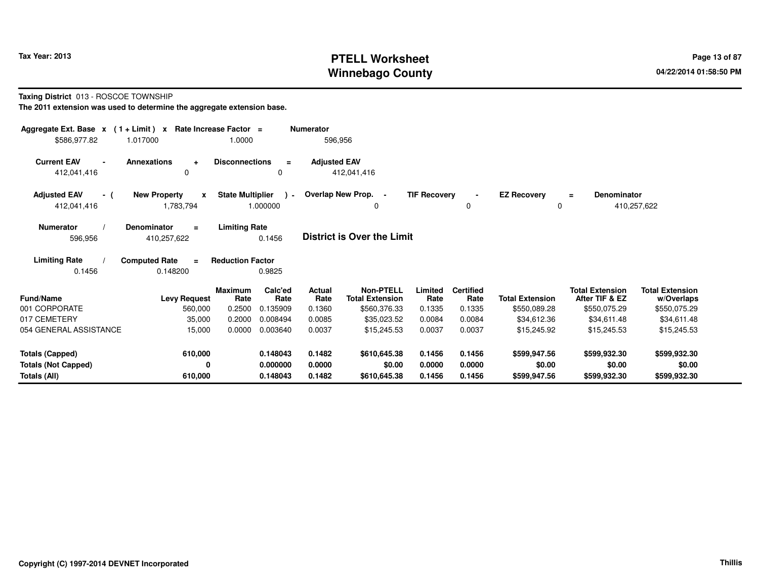# **PTELL Worksheet Tax Year: 2013 Page 13 of 87 PAGE 13 of 87 Page 13 of 87 Winnebago County**

**Taxing District** 013 - ROSCOE TOWNSHIP

| Aggregate Ext. Base $x$ (1+Limit) $x$ | Rate Increase Factor =<br>1.017000  | 1.0000                  |                 | <b>Numerator</b><br>596,956 |                                            |                     |                          |                        |                                          |                                      |
|---------------------------------------|-------------------------------------|-------------------------|-----------------|-----------------------------|--------------------------------------------|---------------------|--------------------------|------------------------|------------------------------------------|--------------------------------------|
| \$586,977.82                          |                                     |                         |                 |                             |                                            |                     |                          |                        |                                          |                                      |
| <b>Current EAV</b>                    | <b>Annexations</b><br>$\ddot{}$     | <b>Disconnections</b>   | $\equiv$        | <b>Adjusted EAV</b>         |                                            |                     |                          |                        |                                          |                                      |
| 412,041,416                           | 0                                   |                         | 0               |                             | 412,041,416                                |                     |                          |                        |                                          |                                      |
| <b>Adjusted EAV</b><br>- (            | <b>New Property</b><br>$\mathbf{x}$ | <b>State Multiplier</b> | $\lambda$ -     |                             | Overlap New Prop. -                        | <b>TIF Recovery</b> |                          | <b>EZ Recovery</b>     | <b>Denominator</b><br>$\equiv$           |                                      |
| 412,041,416                           | 1,783,794                           |                         | 1.000000        |                             | 0                                          |                     | $\mathbf 0$              | 0                      |                                          | 410,257,622                          |
| <b>Numerator</b>                      | <b>Denominator</b><br>$\equiv$      | <b>Limiting Rate</b>    |                 |                             |                                            |                     |                          |                        |                                          |                                      |
| 596,956                               | 410,257,622                         |                         | 0.1456          |                             | <b>District is Over the Limit</b>          |                     |                          |                        |                                          |                                      |
| <b>Limiting Rate</b>                  | <b>Computed Rate</b><br>$\equiv$    | <b>Reduction Factor</b> |                 |                             |                                            |                     |                          |                        |                                          |                                      |
| 0.1456                                | 0.148200                            |                         | 0.9825          |                             |                                            |                     |                          |                        |                                          |                                      |
| <b>Fund/Name</b>                      | <b>Levy Request</b>                 | Maximum<br>Rate         | Calc'ed<br>Rate | Actual<br>Rate              | <b>Non-PTELL</b><br><b>Total Extension</b> | Limited<br>Rate     | <b>Certified</b><br>Rate | <b>Total Extension</b> | <b>Total Extension</b><br>After TIF & EZ | <b>Total Extension</b><br>w/Overlaps |
| 001 CORPORATE                         | 560,000                             | 0.2500                  | 0.135909        | 0.1360                      | \$560,376.33                               | 0.1335              | 0.1335                   | \$550,089.28           | \$550,075.29                             | \$550,075.29                         |
| 017 CEMETERY                          | 35,000                              | 0.2000                  | 0.008494        | 0.0085                      | \$35,023.52                                | 0.0084              | 0.0084                   | \$34,612.36            | \$34,611.48                              | \$34,611.48                          |
| 054 GENERAL ASSISTANCE                | 15,000                              | 0.0000                  | 0.003640        | 0.0037                      | \$15,245.53                                | 0.0037              | 0.0037                   | \$15,245.92            | \$15,245.53                              | \$15,245.53                          |
| <b>Totals (Capped)</b>                | 610,000                             |                         | 0.148043        | 0.1482                      | \$610,645.38                               | 0.1456              | 0.1456                   | \$599,947.56           | \$599,932.30                             | \$599,932.30                         |
| <b>Totals (Not Capped)</b>            | 0                                   |                         | 0.000000        | 0.0000                      | \$0.00                                     | 0.0000              | 0.0000                   | \$0.00                 | \$0.00                                   | \$0.00                               |
| Totals (All)                          | 610,000                             |                         | 0.148043        | 0.1482                      | \$610,645.38                               | 0.1456              | 0.1456                   | \$599,947.56           | \$599,932.30                             | \$599,932.30                         |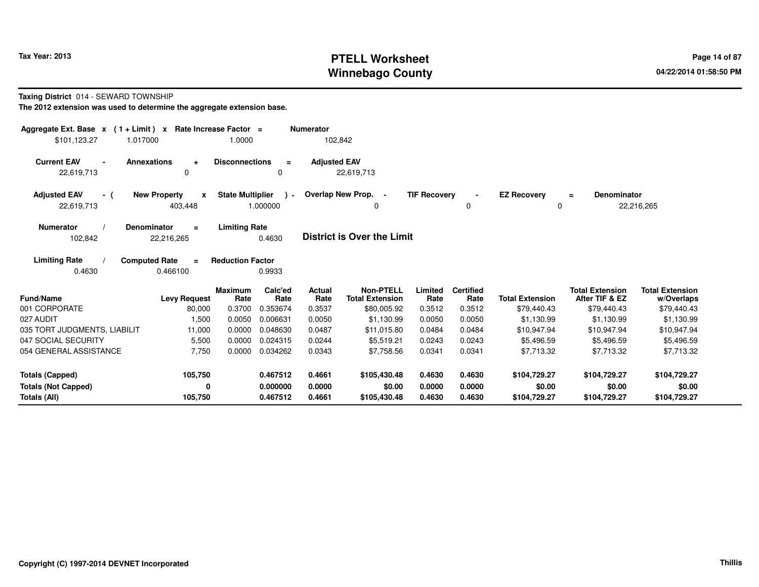# **PTELL Worksheet Tax Year: 2013 Page 14 of 87 PAGE 14 of 87 Page 14 of 87 Winnebago County**

### **Taxing District** 014 - SEWARD TOWNSHIP

| Aggregate Ext. Base $x$ (1 + Limit) $x$  |                                              | Rate Increase Factor =           |                             | <b>Numerator</b>         |                                                           |                           |                                    |                                       |                                                         |                                                     |
|------------------------------------------|----------------------------------------------|----------------------------------|-----------------------------|--------------------------|-----------------------------------------------------------|---------------------------|------------------------------------|---------------------------------------|---------------------------------------------------------|-----------------------------------------------------|
| \$101,123.27<br>1.017000                 |                                              | 1.0000                           |                             | 102,842                  |                                                           |                           |                                    |                                       |                                                         |                                                     |
| <b>Current EAV</b><br>22,619,713         | Annexations<br>$\ddot{}$<br>0                | <b>Disconnections</b>            | $\equiv$<br>$\Omega$        | <b>Adjusted EAV</b>      | 22,619,713                                                |                           |                                    |                                       |                                                         |                                                     |
| <b>Adjusted EAV</b><br>- (<br>22,619,713 | <b>New Property</b><br>X<br>403,448          | <b>State Multiplier</b>          | $\lambda$ -<br>1.000000     |                          | Overlap New Prop.<br>$\sim$<br>0                          | <b>TIF Recovery</b>       | 0                                  | <b>EZ Recovery</b><br>0               | <b>Denominator</b><br>$\equiv$                          | 22,216,265                                          |
| <b>Numerator</b><br>102,842              | <b>Denominator</b><br>$\equiv$<br>22,216,265 | <b>Limiting Rate</b>             | 0.4630                      |                          | <b>District is Over the Limit</b>                         |                           |                                    |                                       |                                                         |                                                     |
| <b>Limiting Rate</b><br>0.4630           | <b>Computed Rate</b><br>$\equiv$<br>0.466100 | <b>Reduction Factor</b>          | 0.9933                      |                          |                                                           |                           |                                    |                                       |                                                         |                                                     |
| <b>Fund/Name</b><br>001 CORPORATE        | <b>Levy Request</b><br>80,000                | <b>Maximum</b><br>Rate<br>0.3700 | Calc'ed<br>Rate<br>0.353674 | Actual<br>Rate<br>0.3537 | <b>Non-PTELL</b><br><b>Total Extension</b><br>\$80,005.92 | Limited<br>Rate<br>0.3512 | <b>Certified</b><br>Rate<br>0.3512 | <b>Total Extension</b><br>\$79,440.43 | <b>Total Extension</b><br>After TIF & EZ<br>\$79,440.43 | <b>Total Extension</b><br>w/Overlaps<br>\$79,440.43 |
| 027 AUDIT                                | 1,500                                        | 0.0050                           | 0.006631                    | 0.0050                   | \$1,130.99                                                | 0.0050                    | 0.0050                             | \$1,130.99                            | \$1,130.99                                              | \$1,130.99                                          |
| 035 TORT JUDGMENTS, LIABILIT             | 11,000                                       | 0.0000                           | 0.048630                    | 0.0487                   | \$11,015.80                                               | 0.0484                    | 0.0484                             | \$10,947.94                           | \$10,947.94                                             | \$10,947.94                                         |
| 047 SOCIAL SECURITY                      | 5,500                                        | 0.0000                           | 0.024315                    | 0.0244                   | \$5,519.21                                                | 0.0243                    | 0.0243                             | \$5,496.59                            | \$5,496.59                                              | \$5,496.59                                          |
| 054 GENERAL ASSISTANCE                   | 7,750                                        | 0.0000                           | 0.034262                    | 0.0343                   | \$7,758.56                                                | 0.0341                    | 0.0341                             | \$7.713.32                            | \$7.713.32                                              | \$7.713.32                                          |
| <b>Totals (Capped)</b>                   | 105,750                                      |                                  | 0.467512                    | 0.4661                   | \$105,430.48                                              | 0.4630                    | 0.4630                             | \$104,729.27                          | \$104,729.27                                            | \$104,729.27                                        |
| <b>Totals (Not Capped)</b>               | 0                                            |                                  | 0.000000                    | 0.0000                   | \$0.00                                                    | 0.0000                    | 0.0000                             | \$0.00                                | \$0.00                                                  | \$0.00                                              |
| Totals (All)                             | 105,750                                      |                                  | 0.467512                    | 0.4661                   | \$105,430.48                                              | 0.4630                    | 0.4630                             | \$104,729.27                          | \$104,729.27                                            | \$104,729.27                                        |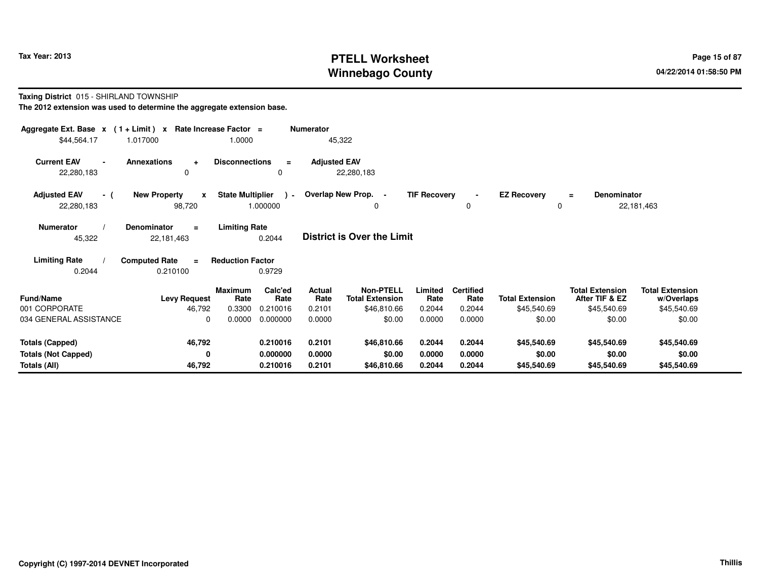# **PTELL Worksheet Tax Year: 2013 Page 15 of 87 PAGE 15 of 87 Page 15 of 87 Winnebago County**

**Taxing District** 015 - SHIRLAND TOWNSHIP

| Aggregate Ext. Base $x$ (1+Limit) $x$ |                                              | Rate Increase Factor =  |                 | <b>Numerator</b>    |                                            |                     |                          |                        |                                          |                                      |  |
|---------------------------------------|----------------------------------------------|-------------------------|-----------------|---------------------|--------------------------------------------|---------------------|--------------------------|------------------------|------------------------------------------|--------------------------------------|--|
| \$44,564.17                           | 1.017000                                     | 1.0000                  |                 |                     | 45,322                                     |                     |                          |                        |                                          |                                      |  |
| <b>Current EAV</b><br>22,280,183      | <b>Annexations</b><br>÷<br>$\Omega$          | <b>Disconnections</b>   | $\equiv$<br>0   | <b>Adjusted EAV</b> | 22,280,183                                 |                     |                          |                        |                                          |                                      |  |
| <b>Adjusted EAV</b><br>- (            | <b>New Property</b><br>$\mathbf{x}$          | <b>State Multiplier</b> |                 |                     | ) - Overlap New Prop. -                    | <b>TIF Recovery</b> | $\blacksquare$           | <b>EZ Recovery</b>     | Denominator<br>Ξ                         |                                      |  |
| 22,280,183                            | 98,720                                       |                         | 1.000000        |                     | $\Omega$                                   |                     | 0                        | $\Omega$               |                                          | 22,181,463                           |  |
| <b>Numerator</b><br>45,322            | <b>Denominator</b><br>$=$<br>22,181,463      | <b>Limiting Rate</b>    | 0.2044          |                     | <b>District is Over the Limit</b>          |                     |                          |                        |                                          |                                      |  |
| <b>Limiting Rate</b><br>0.2044        | <b>Computed Rate</b><br>$\equiv$<br>0.210100 | <b>Reduction Factor</b> | 0.9729          |                     |                                            |                     |                          |                        |                                          |                                      |  |
| <b>Fund/Name</b>                      | <b>Levy Request</b>                          | <b>Maximum</b><br>Rate  | Calc'ed<br>Rate | Actual<br>Rate      | <b>Non-PTELL</b><br><b>Total Extension</b> | Limited<br>Rate     | <b>Certified</b><br>Rate | <b>Total Extension</b> | <b>Total Extension</b><br>After TIF & EZ | <b>Total Extension</b><br>w/Overlaps |  |
| 001 CORPORATE                         | 46,792                                       | 0.3300                  | 0.210016        | 0.2101              | \$46,810.66                                | 0.2044              | 0.2044                   | \$45,540.69            | \$45,540.69                              | \$45,540.69                          |  |
| 034 GENERAL ASSISTANCE                | $\Omega$                                     | 0.0000                  | 0.000000        | 0.0000              | \$0.00                                     | 0.0000              | 0.0000                   | \$0.00                 | \$0.00                                   | \$0.00                               |  |
| <b>Totals (Capped)</b>                | 46,792                                       |                         | 0.210016        | 0.2101              | \$46,810.66                                | 0.2044              | 0.2044                   | \$45,540.69            | \$45,540.69                              | \$45,540.69                          |  |
| <b>Totals (Not Capped)</b>            | 0                                            |                         | 0.000000        | 0.0000              | \$0.00                                     | 0.0000              | 0.0000                   | \$0.00                 | \$0.00                                   | \$0.00                               |  |
| Totals (All)                          | 46,792                                       |                         | 0.210016        | 0.2101              | \$46,810.66                                | 0.2044              | 0.2044                   | \$45,540.69            | \$45,540.69                              | \$45,540.69                          |  |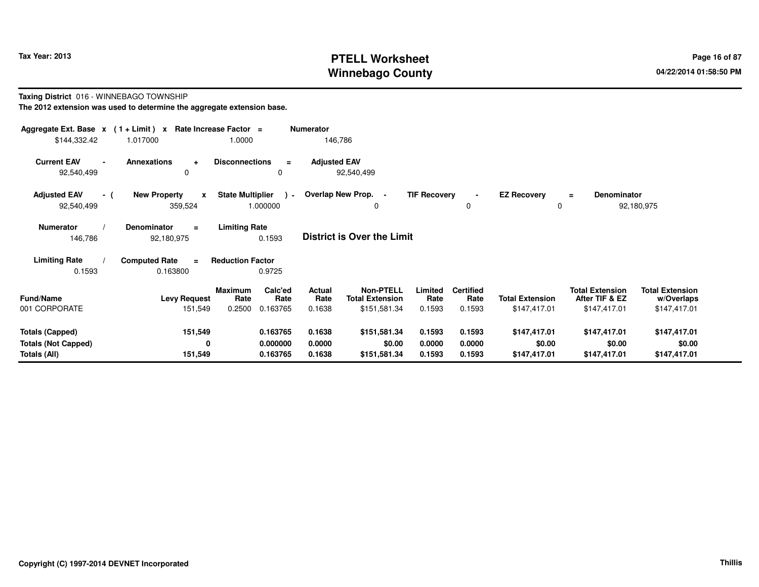# **PTELL Worksheet Tax Year: 2013 Page 16 of 87 PAGE 16 of 87 Page 16 of 87 Winnebago County**

### **Taxing District** 016 - WINNEBAGO TOWNSHIP

| Aggregate Ext. Base $x$ (1 + Limit) x Rate Increase Factor = |                                                |                                               | <b>Numerator</b>                  |                                     |                     |                          |                                |                                          |                                      |
|--------------------------------------------------------------|------------------------------------------------|-----------------------------------------------|-----------------------------------|-------------------------------------|---------------------|--------------------------|--------------------------------|------------------------------------------|--------------------------------------|
| \$144,332.42                                                 | 1.017000                                       | 1.0000                                        | 146,786                           |                                     |                     |                          |                                |                                          |                                      |
| <b>Current EAV</b><br>92,540,499                             | <b>Annexations</b><br>$\ddot{}$<br>0           | <b>Disconnections</b><br>$\equiv$<br>0        | <b>Adjusted EAV</b><br>92,540,499 |                                     |                     |                          |                                |                                          |                                      |
| <b>Adjusted EAV</b><br>- (<br>92,540,499                     | <b>New Property</b><br>$\mathbf{x}$<br>359,524 | <b>State Multiplier</b><br>$\sim$<br>1.000000 | Overlap New Prop. -               | 0                                   | <b>TIF Recovery</b> | 0                        | <b>EZ Recovery</b><br>$\Omega$ | <b>Denominator</b><br>$\equiv$           | 92,180,975                           |
| <b>Numerator</b><br>146,786                                  | <b>Denominator</b><br>$\equiv$<br>92,180,975   | <b>Limiting Rate</b><br>0.1593                | <b>District is Over the Limit</b> |                                     |                     |                          |                                |                                          |                                      |
| <b>Limiting Rate</b>                                         | <b>Computed Rate</b><br>$\equiv$               | <b>Reduction Factor</b>                       |                                   |                                     |                     |                          |                                |                                          |                                      |
| 0.1593                                                       | 0.163800                                       | 0.9725                                        |                                   |                                     |                     |                          |                                |                                          |                                      |
| <b>Fund/Name</b>                                             | <b>Levy Request</b>                            | Calc'ed<br><b>Maximum</b><br>Rate<br>Rate     | Actual<br>Rate                    | Non-PTELL<br><b>Total Extension</b> | Limited<br>Rate     | <b>Certified</b><br>Rate | <b>Total Extension</b>         | <b>Total Extension</b><br>After TIF & EZ | <b>Total Extension</b><br>w/Overlaps |
| 001 CORPORATE                                                | 151,549                                        | 0.2500<br>0.163765                            | 0.1638                            | \$151,581.34                        | 0.1593              | 0.1593                   | \$147,417.01                   | \$147,417.01                             | \$147,417.01                         |
| <b>Totals (Capped)</b>                                       | 151,549                                        | 0.163765                                      | 0.1638                            | \$151,581.34                        | 0.1593              | 0.1593                   | \$147,417.01                   | \$147,417.01                             | \$147,417.01                         |
| <b>Totals (Not Capped)</b>                                   | 0                                              | 0.000000                                      | 0.0000                            | \$0.00                              | 0.0000              | 0.0000                   | \$0.00                         | \$0.00                                   | \$0.00                               |
| Totals (All)                                                 | 151,549                                        | 0.163765                                      | 0.1638                            | \$151,581.34                        | 0.1593              | 0.1593                   | \$147,417.01                   | \$147,417.01                             | \$147,417.01                         |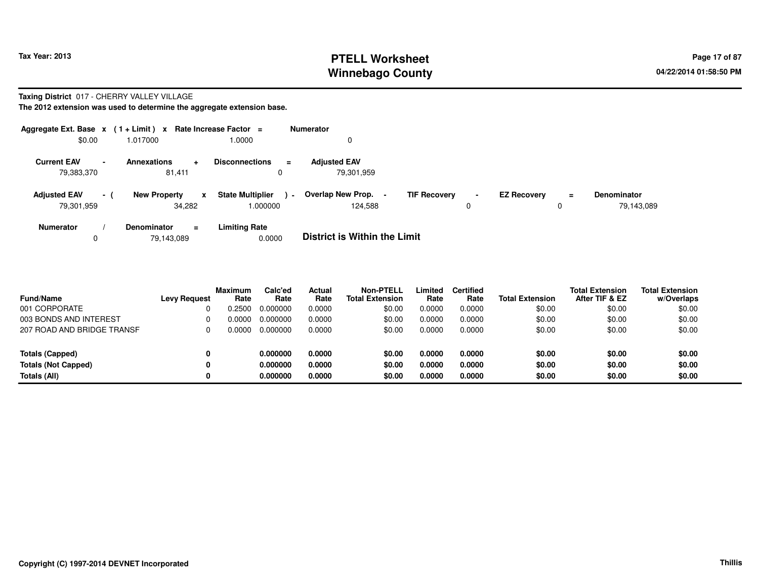### **PTELL Worksheet Tax Year: 2013 Page 17 of 87 PAGE 17 of 87 Winnebago County**

### **Taxing District** 017 - CHERRY VALLEY VILLAGE

| Aggregate Ext. Base $x$ (1 + Limit) $x$                      |                                       | Rate Increase Factor =                                        | <b>Numerator</b>                                      |                     |                                     |                                  |
|--------------------------------------------------------------|---------------------------------------|---------------------------------------------------------------|-------------------------------------------------------|---------------------|-------------------------------------|----------------------------------|
| \$0.00                                                       | 1.017000                              | 1.0000                                                        |                                                       |                     |                                     |                                  |
| <b>Current EAV</b><br>$\overline{\phantom{0}}$<br>79,383,370 | <b>Annexations</b><br>81.411          | <b>Disconnections</b><br>$\equiv$<br>$\div$<br>0              | <b>Adjusted EAV</b><br>79.301.959                     |                     |                                     |                                  |
| <b>Adjusted EAV</b><br>79,301,959                            | <b>New Property</b><br>$-1$<br>34.282 | <b>State Multiplier</b><br>$\mathbf{x}$<br>$\sim$<br>1.000000 | Overlap New Prop. -<br><b>TIF Recovery</b><br>124.588 | $\blacksquare$<br>0 | <b>EZ Recovery</b><br>$\equiv$<br>0 | <b>Denominator</b><br>79,143,089 |
| <b>Numerator</b><br>0                                        | <b>Denominator</b><br>79,143,089      | <b>Limiting Rate</b><br>$\equiv$<br>0.0000                    | <b>District is Within the Limit</b>                   |                     |                                     |                                  |

| <b>Fund/Name</b>           | <b>Levy Request</b> | <b>Maximum</b><br>Rate | Calc'ed<br>Rate | Actual<br>Rate | <b>Non-PTELL</b><br><b>Total Extension</b> | Limited<br>Rate | <b>Certified</b><br>Rate | <b>Total Extension</b> | <b>Total Extension</b><br>After TIF & EZ | <b>Total Extension</b><br>w/Overlaps |
|----------------------------|---------------------|------------------------|-----------------|----------------|--------------------------------------------|-----------------|--------------------------|------------------------|------------------------------------------|--------------------------------------|
| 001 CORPORATE              |                     | ን.2500                 | 0.000000        | 0.0000         | \$0.00                                     | 0.0000          | 0.0000                   | \$0.00                 | \$0.00                                   | \$0.00                               |
| 003 BONDS AND INTEREST     |                     | N 0000.                | 0.000000        | 0.0000         | \$0.00                                     | 0.0000          | 0.0000                   | \$0.00                 | \$0.00                                   | \$0.00                               |
| 207 ROAD AND BRIDGE TRANSF |                     | N 0000.                | 0.000000        | 0.0000         | \$0.00                                     | 0.0000          | 0.0000                   | \$0.00                 | \$0.00                                   | \$0.00                               |
| Totals (Capped)            |                     |                        | 0.000000        | 0.0000         | \$0.00                                     | 0.0000          | 0.0000                   | \$0.00                 | \$0.00                                   | \$0.00                               |
| <b>Totals (Not Capped)</b> |                     |                        | 0.000000        | 0.0000         | \$0.00                                     | 0.0000          | 0.0000                   | \$0.00                 | \$0.00                                   | \$0.00                               |
| Totals (All)               |                     |                        | 0.000000        | 0.0000         | \$0.00                                     | 0.0000          | 0.0000                   | \$0.00                 | \$0.00                                   | \$0.00                               |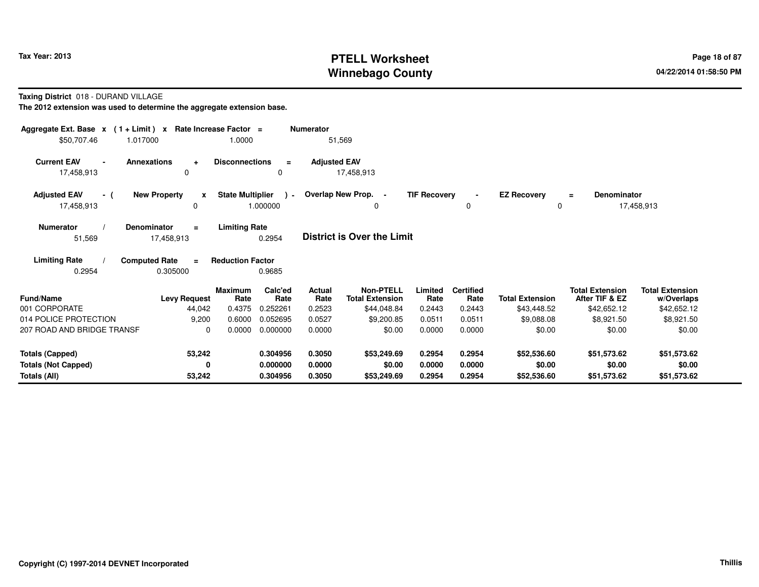# **PTELL Worksheet Tax Year: 2013 Page 18 of 87 PAGE 18 of 87 Page 18 of 87 Winnebago County**

**Taxing District** 018 - DURAND VILLAGE

| Aggregate Ext. Base $x$ (1 + Limit) x Rate Increase Factor = |                                          |                                     |                      | <b>Numerator</b>    |                                            |                     |                          |                                |                                          |                                      |
|--------------------------------------------------------------|------------------------------------------|-------------------------------------|----------------------|---------------------|--------------------------------------------|---------------------|--------------------------|--------------------------------|------------------------------------------|--------------------------------------|
| \$50,707.46<br>1.017000                                      |                                          | 1.0000                              |                      | 51,569              |                                            |                     |                          |                                |                                          |                                      |
| <b>Current EAV</b><br><b>Annexations</b><br>17,458,913       | $\ddot{}$<br>0                           | <b>Disconnections</b>               | $\equiv$<br>$\Omega$ | <b>Adjusted EAV</b> | 17,458,913                                 |                     |                          |                                |                                          |                                      |
| <b>Adjusted EAV</b><br>- (<br>17,458,913                     | <b>New Property</b><br>$\pmb{\chi}$<br>0 | <b>State Multiplier</b><br>1.000000 | $\cdot$              |                     | Overlap New Prop. -<br>0                   | <b>TIF Recovery</b> | $\Omega$                 | <b>EZ Recovery</b><br>$\Omega$ | <b>Denominator</b><br>$=$                | 17,458,913                           |
| Denominator<br><b>Numerator</b><br>51,569                    | $\equiv$<br>17,458,913                   | <b>Limiting Rate</b>                | 0.2954               |                     | <b>District is Over the Limit</b>          |                     |                          |                                |                                          |                                      |
| <b>Limiting Rate</b><br><b>Computed Rate</b><br>0.2954       | $\equiv$<br>0.305000                     | <b>Reduction Factor</b>             | 0.9685               |                     |                                            |                     |                          |                                |                                          |                                      |
| <b>Fund/Name</b>                                             | <b>Levy Request</b>                      | <b>Maximum</b><br>Rate              | Calc'ed<br>Rate      | Actual<br>Rate      | <b>Non-PTELL</b><br><b>Total Extension</b> | Limited<br>Rate     | <b>Certified</b><br>Rate | <b>Total Extension</b>         | <b>Total Extension</b><br>After TIF & EZ | <b>Total Extension</b><br>w/Overlaps |
| 001 CORPORATE                                                | 44,042                                   | 0.4375                              | 0.252261             | 0.2523              | \$44,048.84                                | 0.2443              | 0.2443                   | \$43,448.52                    | \$42,652.12                              | \$42,652.12                          |
| 014 POLICE PROTECTION                                        | 9,200                                    | 0.6000                              | 0.052695             | 0.0527              | \$9,200.85                                 | 0.0511              | 0.0511                   | \$9,088.08                     | \$8,921.50                               | \$8,921.50                           |
| 207 ROAD AND BRIDGE TRANSF                                   | $\Omega$                                 | 0.0000                              | 0.000000             | 0.0000              | \$0.00                                     | 0.0000              | 0.0000                   | \$0.00                         | \$0.00                                   | \$0.00                               |
| <b>Totals (Capped)</b>                                       | 53,242                                   |                                     | 0.304956             | 0.3050              | \$53,249.69                                | 0.2954              | 0.2954                   | \$52,536.60                    | \$51,573.62                              | \$51,573.62                          |
| <b>Totals (Not Capped)</b>                                   | 0                                        |                                     | 0.000000             | 0.0000              | \$0.00                                     | 0.0000              | 0.0000                   | \$0.00                         | \$0.00                                   | \$0.00                               |
| Totals (All)                                                 | 53,242                                   |                                     | 0.304956             | 0.3050              | \$53,249.69                                | 0.2954              | 0.2954                   | \$52,536.60                    | \$51,573.62                              | \$51,573.62                          |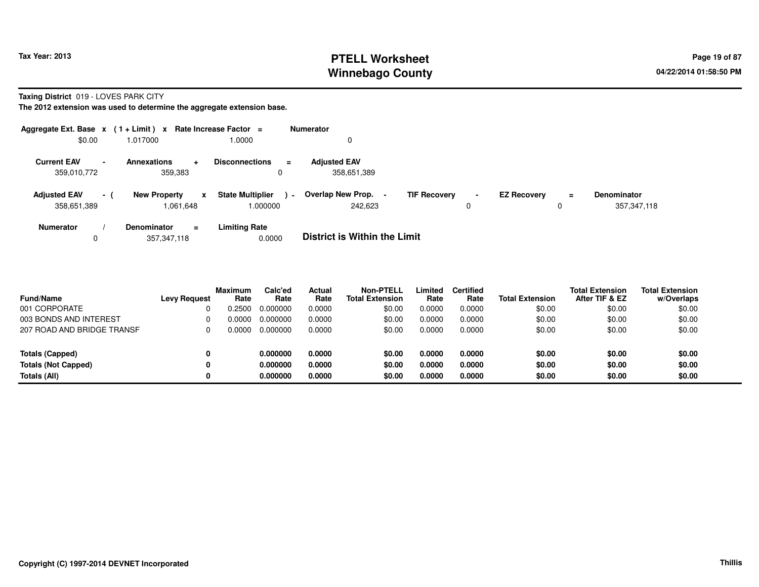### **PTELL Worksheet Tax Year: 2013 Page 19 of 87 PAGE 19 of 87 Page 19 of 87 Winnebago County**

**Taxing District** 019 - LOVES PARK CITY

| Aggregate Ext. Base $x$ (1 + Limit) $x$                       |                                                  | Rate Increase Factor =                        | <b>Numerator</b>                                      |                     |                               |                                   |
|---------------------------------------------------------------|--------------------------------------------------|-----------------------------------------------|-------------------------------------------------------|---------------------|-------------------------------|-----------------------------------|
| \$0.00                                                        | 1.017000                                         | 1.0000                                        | 0                                                     |                     |                               |                                   |
| <b>Current EAV</b><br>$\overline{\phantom{a}}$<br>359,010,772 | <b>Annexations</b><br>$\div$<br>359,383          | <b>Disconnections</b><br>$\equiv$<br>$\Omega$ | <b>Adjusted EAV</b><br>358,651,389                    |                     |                               |                                   |
| <b>Adjusted EAV</b><br>- 1<br>358,651,389                     | <b>New Property</b><br>$\mathbf{x}$<br>1.061.648 | <b>State Multiplier</b><br>$\sim$<br>1.000000 | Overlap New Prop. -<br><b>TIF Recovery</b><br>242.623 | $\blacksquare$<br>0 | <b>EZ Recovery</b><br>Ξ.<br>0 | <b>Denominator</b><br>357,347,118 |
| <b>Numerator</b><br>0                                         | <b>Denominator</b><br>$\equiv$<br>357.347.118    | <b>Limiting Rate</b><br>0.0000                | <b>District is Within the Limit</b>                   |                     |                               |                                   |

| <b>Fund/Name</b>           | <b>Levy Request</b> | <b>Maximum</b><br>Rate | Calc'ed<br>Rate | Actual<br>Rate | <b>Non-PTELL</b><br><b>Total Extension</b> | Limited<br>Rate | Certified<br>Rate | <b>Total Extension</b> | <b>Total Extension</b><br>After TIF & EZ | <b>Total Extension</b><br>w/Overlaps |
|----------------------------|---------------------|------------------------|-----------------|----------------|--------------------------------------------|-----------------|-------------------|------------------------|------------------------------------------|--------------------------------------|
| 001 CORPORATE              |                     | 0.2500                 | 0.000000        | 0.0000         | \$0.00                                     | 0.0000          | 0.0000            | \$0.00                 | \$0.00                                   | \$0.00                               |
| 003 BONDS AND INTEREST     |                     | 0.0000                 | 0.000000        | 0.0000         | \$0.00                                     | 0.0000          | 0.0000            | \$0.00                 | \$0.00                                   | \$0.00                               |
| 207 ROAD AND BRIDGE TRANSF |                     | 0.0000                 | 0.000000        | 0.0000         | \$0.00                                     | 0.0000          | 0.0000            | \$0.00                 | \$0.00                                   | \$0.00                               |
| Totals (Capped)            |                     |                        | 0.000000        | 0.0000         | \$0.00                                     | 0.0000          | 0.0000            | \$0.00                 | \$0.00                                   | \$0.00                               |
| <b>Totals (Not Capped)</b> |                     |                        | 0.000000        | 0.0000         | \$0.00                                     | 0.0000          | 0.0000            | \$0.00                 | \$0.00                                   | \$0.00                               |
| Totals (All)               |                     |                        | 0.000000        | 0.0000         | \$0.00                                     | 0.0000          | 0.0000            | \$0.00                 | \$0.00                                   | \$0.00                               |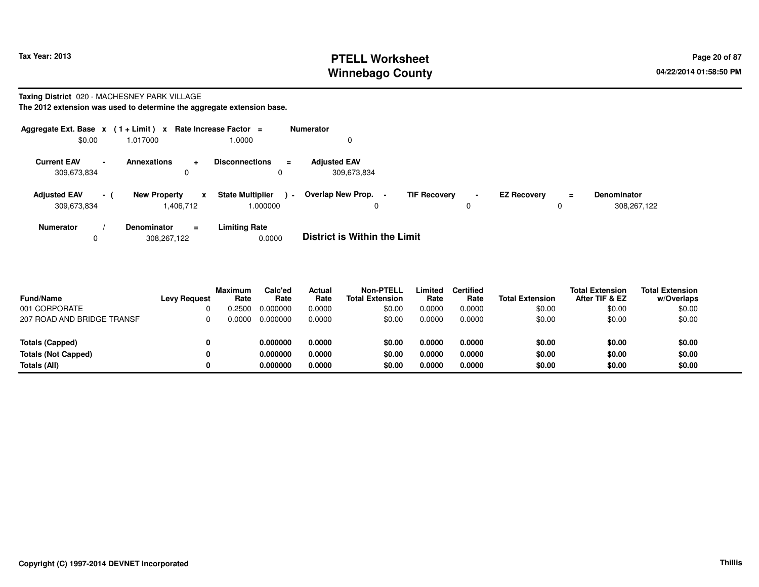# **PTELL Worksheet Tax Year: 2013 Page 20 of 87 PAGE 20 of 87 Page 20 of 87 Winnebago County**

### **Taxing District** 020 - MACHESNEY PARK VILLAGE

|                                    |                | Aggregate Ext. Base $x$ (1 + Limit) x Rate Increase Factor = |                                               | <b>Numerator</b>                                |                     |                    |               |                                   |
|------------------------------------|----------------|--------------------------------------------------------------|-----------------------------------------------|-------------------------------------------------|---------------------|--------------------|---------------|-----------------------------------|
| \$0.00                             |                | 1.017000                                                     | 1.0000                                        | 0                                               |                     |                    |               |                                   |
| <b>Current EAV</b><br>309,673,834  | $\blacksquare$ | <b>Annexations</b><br>÷<br>0                                 | <b>Disconnections</b><br>$\equiv$             | <b>Adjusted EAV</b><br>309,673,834              |                     |                    |               |                                   |
| <b>Adjusted EAV</b><br>309,673,834 | - (            | <b>New Property</b><br>$\mathbf{x}$<br>1.406.712             | <b>State Multiplier</b><br>$\sim$<br>1.000000 | Overlap New Prop. -<br><b>TIF Recovery</b><br>0 | $\blacksquare$<br>0 | <b>EZ Recovery</b> | $\equiv$<br>0 | <b>Denominator</b><br>308,267,122 |
| <b>Numerator</b><br>0              |                | <b>Denominator</b><br>$\equiv$<br>308.267.122                | <b>Limiting Rate</b><br>0.0000                | <b>District is Within the Limit</b>             |                     |                    |               |                                   |

| <b>Fund/Name</b>           | <b>Levy Request</b> | <b>Maximum</b><br>Rate | Calc'ed<br>Rate | <b>Actual</b><br>Rate | <b>Non-PTELL</b><br><b>Total Extension</b> | Limited<br>Rate | <b>Certified</b><br>Rate | <b>Total Extension</b> | <b>Total Extension</b><br>After TIF & EZ | <b>Total Extension</b><br>w/Overlaps |
|----------------------------|---------------------|------------------------|-----------------|-----------------------|--------------------------------------------|-----------------|--------------------------|------------------------|------------------------------------------|--------------------------------------|
| 001 CORPORATE              |                     | 0.2500                 | 0.000000        | 0.0000                | \$0.00                                     | 0.0000          | 0.0000                   | \$0.00                 | \$0.00                                   | \$0.00                               |
| 207 ROAD AND BRIDGE TRANSF |                     |                        | 0.000000        | 0.0000                | \$0.00                                     | 0.0000          | 0.0000                   | \$0.00                 | \$0.00                                   | \$0.00                               |
| Totals (Capped)            |                     |                        | 0.000000        | 0.0000                | \$0.00                                     | 0.0000          | 0.0000                   | \$0.00                 | \$0.00                                   | \$0.00                               |
| <b>Totals (Not Capped)</b> | 0                   |                        | 0.000000        | 0.0000                | \$0.00                                     | 0.0000          | 0.0000                   | \$0.00                 | \$0.00                                   | \$0.00                               |
| Totals (All)               |                     |                        | 0.000000        | 0.0000                | \$0.00                                     | 0.0000          | 0.0000                   | \$0.00                 | \$0.00                                   | \$0.00                               |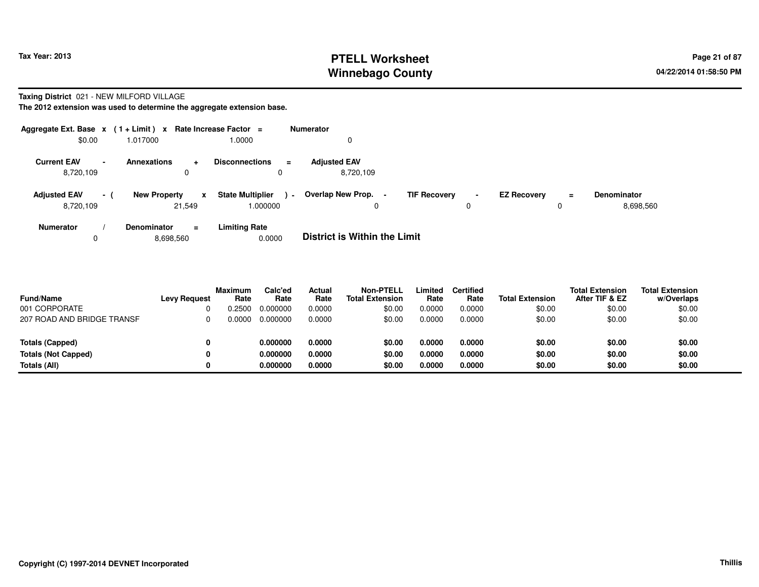### **PTELL Worksheet Tax Year: 2013 Page 21 of 87 PAGE 21 of 87 Page 21 of 87 Winnebago County**

### **Taxing District** 021 - NEW MILFORD VILLAGE

| Aggregate Ext. Base $x$ (1 + Limit) $x$ |                                            | Rate Increase Factor =            | <b>Numerator</b>                           |   |                                |                    |
|-----------------------------------------|--------------------------------------------|-----------------------------------|--------------------------------------------|---|--------------------------------|--------------------|
| \$0.00                                  | 1.017000                                   | 1.0000                            | 0                                          |   |                                |                    |
| <b>Current EAV</b><br>$\sim$            | <b>Annexations</b><br>$\ddot{\phantom{1}}$ | <b>Disconnections</b><br>$\equiv$ | <b>Adiusted EAV</b>                        |   |                                |                    |
| 8,720,109                               | $\mathbf 0$                                | 0                                 | 8.720.109                                  |   |                                |                    |
| <b>Adjusted EAV</b><br>- (              | <b>New Property</b><br>$\mathbf{x}$        | <b>State Multiplier</b><br>$\sim$ | Overlap New Prop. -<br><b>TIF Recovery</b> | ٠ | <b>EZ Recovery</b><br>$\equiv$ | <b>Denominator</b> |
| 8,720,109                               | 21,549                                     | 000000.                           | 0                                          | 0 | υ                              | 8,698,560          |
| <b>Numerator</b>                        | <b>Denominator</b><br>$\equiv$             | <b>Limiting Rate</b>              |                                            |   |                                |                    |
| 0                                       | 8,698,560                                  | 0.0000                            | <b>District is Within the Limit</b>        |   |                                |                    |

| <b>Fund/Name</b>           | <b>Levy Request</b> | <b>Maximum</b><br>Rate | Calc'ed<br>Rate | Actual<br>Rate | <b>Non-PTELL</b><br><b>Total Extension</b> | Limited<br>Rate | <b>Certified</b><br>Rate | <b>Total Extension</b> | <b>Total Extension</b><br>After TIF & EZ | <b>Total Extension</b><br>w/Overlaps |
|----------------------------|---------------------|------------------------|-----------------|----------------|--------------------------------------------|-----------------|--------------------------|------------------------|------------------------------------------|--------------------------------------|
| 001 CORPORATE              |                     | 0.2500                 | 0.000000        | 0.0000         | \$0.00                                     | 0.0000          | 0.0000                   | \$0.00                 | \$0.00                                   | \$0.00                               |
| 207 ROAD AND BRIDGE TRANSF |                     | 0.0000                 | 0.000000        | 0.0000         | \$0.00                                     | 0.0000          | 0.0000                   | \$0.00                 | \$0.00                                   | \$0.00                               |
|                            |                     |                        |                 |                |                                            |                 |                          |                        |                                          |                                      |
| <b>Totals (Capped)</b>     |                     |                        | 0.000000        | 0.0000         | \$0.00                                     | 0.0000          | 0.0000                   | \$0.00                 | \$0.00                                   | \$0.00                               |
| <b>Totals (Not Capped)</b> |                     |                        | 0.000000        | 0.0000         | \$0.00                                     | 0.0000          | 0.0000                   | \$0.00                 | \$0.00                                   | \$0.00                               |
| Totals (All)               |                     |                        | 0.000000        | 0.0000         | \$0.00                                     | 0.0000          | 0.0000                   | \$0.00                 | \$0.00                                   | \$0.00                               |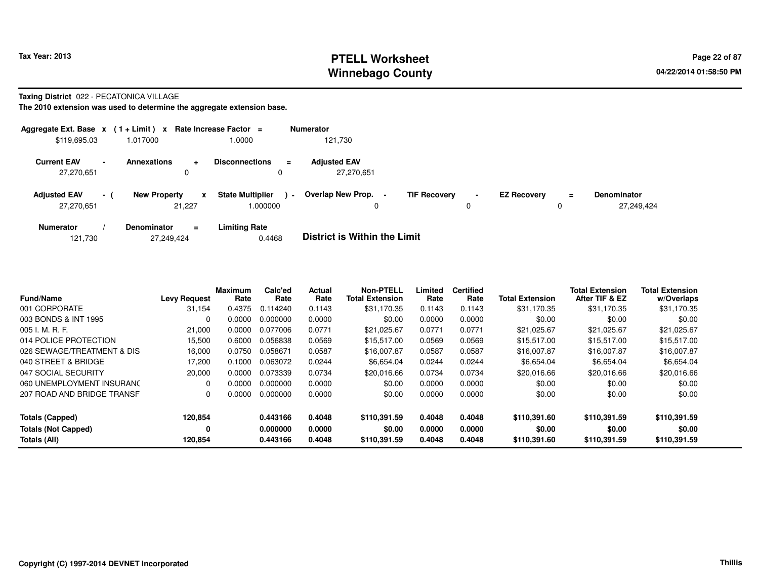# **PTELL Worksheet Tax Year: 2013 Page 22 of 87 Page 22 of 87 Winnebago County**

### **Taxing District** 022 - PECATONICA VILLAGE

|                                   |                | Aggregate Ext. Base $x$ (1 + Limit) $x$ Rate Increase Factor = |          |                                     |                | <b>Numerator</b>                              |                     |                     |                    |               |                                  |
|-----------------------------------|----------------|----------------------------------------------------------------|----------|-------------------------------------|----------------|-----------------------------------------------|---------------------|---------------------|--------------------|---------------|----------------------------------|
| \$119,695.03                      |                | 1.017000                                                       |          | 0000.                               |                | 121,730                                       |                     |                     |                    |               |                                  |
| <b>Current EAV</b><br>27,270,651  | $\blacksquare$ | <b>Annexations</b><br>$\ddot{}$<br>0                           |          | <b>Disconnections</b><br>0          | $=$            | <b>Adjusted EAV</b><br>27,270,651             |                     |                     |                    |               |                                  |
| <b>Adjusted EAV</b><br>27.270.651 | $\sim$ $-$     | <b>New Property</b><br>21.227                                  | x        | <b>State Multiplier</b><br>1.000000 | $\blacksquare$ | Overlap New Prop.<br>$\overline{\phantom{0}}$ | <b>TIF Recovery</b> | $\blacksquare$<br>0 | <b>EZ Recovery</b> | $\equiv$<br>0 | <b>Denominator</b><br>27.249.424 |
| <b>Numerator</b>                  |                | <b>Denominator</b>                                             | $\equiv$ | <b>Limiting Rate</b>                |                | _ . _                                         |                     |                     |                    |               |                                  |

| 121,730 | 27,249,424 | 0.4468 | <b>District is Within the Limit</b> |
|---------|------------|--------|-------------------------------------|
|---------|------------|--------|-------------------------------------|

| <b>Fund/Name</b>           | <b>Levy Request</b> | <b>Maximum</b><br>Rate | Calc'ed<br>Rate | Actual<br>Rate | <b>Non-PTELL</b><br><b>Total Extension</b> | Limited<br>Rate | <b>Certified</b><br>Rate | <b>Total Extension</b> | <b>Total Extension</b><br>After TIF & EZ | <b>Total Extension</b><br>w/Overlaps |
|----------------------------|---------------------|------------------------|-----------------|----------------|--------------------------------------------|-----------------|--------------------------|------------------------|------------------------------------------|--------------------------------------|
| 001 CORPORATE              | 31,154              | 0.4375                 | 0.114240        | 0.1143         | \$31,170.35                                | 0.1143          | 0.1143                   | \$31,170.35            | \$31,170.35                              | \$31,170.35                          |
| 003 BONDS & INT 1995       | $\Omega$            | 0.0000                 | 0.000000        | 0.0000         | \$0.00                                     | 0.0000          | 0.0000                   | \$0.00                 | \$0.00                                   | \$0.00                               |
| 005 I. M. R. F.            | 21.000              | 0.0000                 | 0.077006        | 0.0771         | \$21.025.67                                | 0.0771          | 0.0771                   | \$21.025.67            | \$21.025.67                              | \$21,025.67                          |
| 014 POLICE PROTECTION      | 15.500              | 0.6000                 | 0.056838        | 0.0569         | \$15,517.00                                | 0.0569          | 0.0569                   | \$15,517.00            | \$15,517.00                              | \$15,517.00                          |
| 026 SEWAGE/TREATMENT & DIS | 16,000              | 0.0750                 | 0.058671        | 0.0587         | \$16,007.87                                | 0.0587          | 0.0587                   | \$16,007.87            | \$16,007.87                              | \$16,007.87                          |
| 040 STREET & BRIDGE        | 17,200              | 0.1000                 | 0.063072        | 0.0244         | \$6,654.04                                 | 0.0244          | 0.0244                   | \$6,654.04             | \$6.654.04                               | \$6,654.04                           |
| 047 SOCIAL SECURITY        | 20,000              | 0.0000                 | 0.073339        | 0.0734         | \$20,016.66                                | 0.0734          | 0.0734                   | \$20,016.66            | \$20,016.66                              | \$20,016.66                          |
| 060 UNEMPLOYMENT INSURANO  | 0                   | 0.0000                 | 0.000000        | 0.0000         | \$0.00                                     | 0.0000          | 0.0000                   | \$0.00                 | \$0.00                                   | \$0.00                               |
| 207 ROAD AND BRIDGE TRANSF | 0                   | 0.0000                 | 0.000000        | 0.0000         | \$0.00                                     | 0.0000          | 0.0000                   | \$0.00                 | \$0.00                                   | \$0.00                               |
| <b>Totals (Capped)</b>     | 120,854             |                        | 0.443166        | 0.4048         | \$110.391.59                               | 0.4048          | 0.4048                   | \$110.391.60           | \$110,391.59                             | \$110,391.59                         |
| <b>Totals (Not Capped)</b> | 0                   |                        | 0.000000        | 0.0000         | \$0.00                                     | 0.0000          | 0.0000                   | \$0.00                 | \$0.00                                   | \$0.00                               |
| Totals (All)               | 120,854             |                        | 0.443166        | 0.4048         | \$110,391.59                               | 0.4048          | 0.4048                   | \$110.391.60           | \$110,391.59                             | \$110,391.59                         |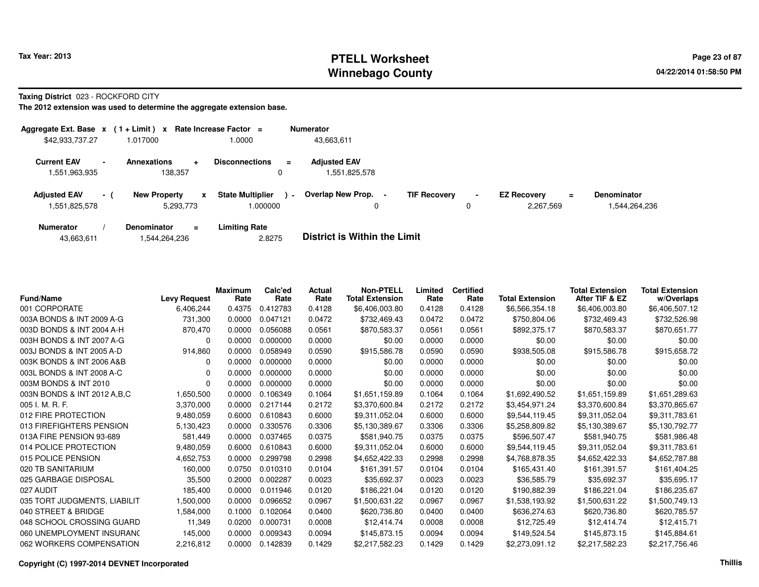# **PTELL Worksheet Tax Year: 2013 Page 23 of 87 PAGE 23 of 87 Winnebago County**

**Taxing District** 023 - ROCKFORD CITY

| Aggregate Ext. Base $x$ (1+Limit) $x$ |                          |                                       | Rate Increase Factor $=$            |          | <b>Numerator</b>                     |                     |   |                                             |                                   |
|---------------------------------------|--------------------------|---------------------------------------|-------------------------------------|----------|--------------------------------------|---------------------|---|---------------------------------------------|-----------------------------------|
| \$42,933,737.27                       |                          | 1.017000                              | 1.0000                              |          | 43,663,611                           |                     |   |                                             |                                   |
| <b>Current EAV</b><br>551,963,935     | $\overline{\phantom{0}}$ | <b>Annexations</b><br>÷<br>138,357    | <b>Disconnections</b><br>0          | $\equiv$ | <b>Adiusted EAV</b><br>1,551,825,578 |                     |   |                                             |                                   |
| <b>Adjusted EAV</b><br>551,825,578    | $-1$                     | <b>New Property</b><br>x<br>5,293,773 | <b>State Multiplier</b><br>1.000000 | $\sim$   | Overlap New Prop. -<br>0             | <b>TIF Recovery</b> | 0 | <b>EZ Recovery</b><br>$\equiv$<br>2.267.569 | <b>Denominator</b><br>544,264,236 |
| <b>Numerator</b>                      |                          | Denominator<br>Ξ.                     | <b>Limiting Rate</b>                |          | _                                    |                     |   |                                             |                                   |

|  | 43,663,611 | 1,544,264,236 | 2.8275 | <b>District is Within the Limit</b> |
|--|------------|---------------|--------|-------------------------------------|
|--|------------|---------------|--------|-------------------------------------|

| <b>Fund/Name</b>              | <b>Levy Request</b> | <b>Maximum</b><br>Rate | Calc'ed<br>Rate | <b>Actual</b><br>Rate | <b>Non-PTELL</b><br><b>Total Extension</b> | Limited<br>Rate | <b>Certified</b><br>Rate | <b>Total Extension</b> | <b>Total Extension</b><br>After TIF & EZ | <b>Total Extension</b><br>w/Overlaps |
|-------------------------------|---------------------|------------------------|-----------------|-----------------------|--------------------------------------------|-----------------|--------------------------|------------------------|------------------------------------------|--------------------------------------|
| 001 CORPORATE                 | 6,406,244           | 0.4375                 | 0.412783        | 0.4128                | \$6,406,003.80                             | 0.4128          | 0.4128                   | \$6,566,354.18         | \$6,406,003.80                           | \$6,406,507.12                       |
| 003A BONDS & INT 2009 A-G     | 731,300             | 0.0000                 | 0.047121        | 0.0472                | \$732,469.43                               | 0.0472          | 0.0472                   | \$750,804.06           | \$732,469.43                             | \$732,526.98                         |
| 003D BONDS & INT 2004 A-H     | 870,470             | 0.0000                 | 0.056088        | 0.0561                | \$870,583.37                               | 0.0561          | 0.0561                   | \$892,375.17           | \$870,583.37                             | \$870,651.77                         |
| 003H BONDS & INT 2007 A-G     | 0                   | 0.0000                 | 0.000000        | 0.0000                | \$0.00                                     | 0.0000          | 0.0000                   | \$0.00                 | \$0.00                                   | \$0.00                               |
| 003J BONDS & INT 2005 A-D     | 914,860             | 0.0000                 | 0.058949        | 0.0590                | \$915,586.78                               | 0.0590          | 0.0590                   | \$938,505.08           | \$915,586.78                             | \$915,658.72                         |
| 003K BONDS & INT 2006 A&B     | 0                   | 0.0000                 | 0.000000        | 0.0000                | \$0.00                                     | 0.0000          | 0.0000                   | \$0.00                 | \$0.00                                   | \$0.00                               |
| 003L BONDS & INT 2008 A-C     | 0                   | 0.0000                 | 0.000000        | 0.0000                | \$0.00                                     | 0.0000          | 0.0000                   | \$0.00                 | \$0.00                                   | \$0.00                               |
| 003M BONDS & INT 2010         | 0                   | 0.0000                 | 0.000000        | 0.0000                | \$0.00                                     | 0.0000          | 0.0000                   | \$0.00                 | \$0.00                                   | \$0.00                               |
| 003N BONDS & INT 2012 A, B, C | 1,650,500           | 0.0000                 | 0.106349        | 0.1064                | \$1,651,159.89                             | 0.1064          | 0.1064                   | \$1,692,490.52         | \$1,651,159.89                           | \$1,651,289.63                       |
| 005 I. M. R. F.               | 3,370,000           | 0.0000                 | 0.217144        | 0.2172                | \$3,370,600.84                             | 0.2172          | 0.2172                   | \$3,454,971.24         | \$3,370,600.84                           | \$3,370,865.67                       |
| 012 FIRE PROTECTION           | 9,480,059           | 0.6000                 | 0.610843        | 0.6000                | \$9,311,052.04                             | 0.6000          | 0.6000                   | \$9,544,119.45         | \$9,311,052.04                           | \$9,311,783.61                       |
| 013 FIREFIGHTERS PENSION      | 5,130,423           | 0.0000                 | 0.330576        | 0.3306                | \$5,130,389.67                             | 0.3306          | 0.3306                   | \$5,258,809.82         | \$5,130,389.67                           | \$5,130,792.77                       |
| 013A FIRE PENSION 93-689      | 581,449             | 0.0000                 | 0.037465        | 0.0375                | \$581,940.75                               | 0.0375          | 0.0375                   | \$596,507.47           | \$581.940.75                             | \$581,986.48                         |
| 014 POLICE PROTECTION         | 9,480,059           | 0.6000                 | 0.610843        | 0.6000                | \$9,311,052.04                             | 0.6000          | 0.6000                   | \$9,544,119.45         | \$9,311,052.04                           | \$9,311,783.61                       |
| 015 POLICE PENSION            | 4,652,753           | 0.0000                 | 0.299798        | 0.2998                | \$4,652,422.33                             | 0.2998          | 0.2998                   | \$4,768,878.35         | \$4,652,422.33                           | \$4,652,787.88                       |
| 020 TB SANITARIUM             | 160,000             | 0.0750                 | 0.010310        | 0.0104                | \$161,391.57                               | 0.0104          | 0.0104                   | \$165,431.40           | \$161,391.57                             | \$161,404.25                         |
| 025 GARBAGE DISPOSAL          | 35,500              | 0.2000                 | 0.002287        | 0.0023                | \$35,692.37                                | 0.0023          | 0.0023                   | \$36,585.79            | \$35.692.37                              | \$35,695.17                          |
| 027 AUDIT                     | 185,400             | 0.0000                 | 0.011946        | 0.0120                | \$186,221.04                               | 0.0120          | 0.0120                   | \$190,882.39           | \$186,221.04                             | \$186,235.67                         |
| 035 TORT JUDGMENTS, LIABILIT  | 1,500,000           | 0.0000                 | 0.096652        | 0.0967                | \$1,500,631.22                             | 0.0967          | 0.0967                   | \$1,538,193.92         | \$1,500,631.22                           | \$1,500,749.13                       |
| 040 STREET & BRIDGE           | 1,584,000           | 0.1000                 | 0.102064        | 0.0400                | \$620,736.80                               | 0.0400          | 0.0400                   | \$636,274.63           | \$620,736.80                             | \$620,785.57                         |
| 048 SCHOOL CROSSING GUARD     | 11,349              | 0.0200                 | 0.000731        | 0.0008                | \$12,414.74                                | 0.0008          | 0.0008                   | \$12,725.49            | \$12,414.74                              | \$12,415.71                          |
| 060 UNEMPLOYMENT INSURANC     | 145,000             | 0.0000                 | 0.009343        | 0.0094                | \$145,873.15                               | 0.0094          | 0.0094                   | \$149,524.54           | \$145,873.15                             | \$145,884.61                         |
| 062 WORKERS COMPENSATION      | 2,216,812           | 0.0000                 | 0.142839        | 0.1429                | \$2,217,582.23                             | 0.1429          | 0.1429                   | \$2,273,091.12         | \$2,217,582.23                           | \$2,217,756.46                       |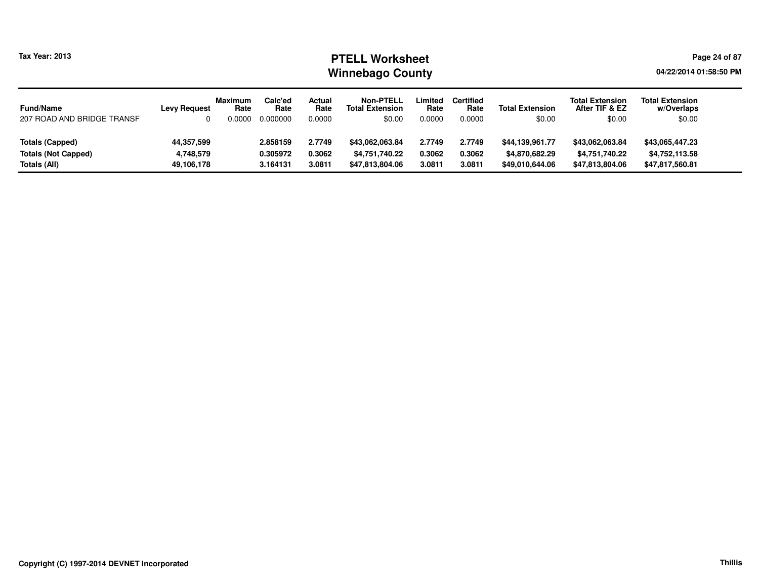### **PTELL Worksheet Tax Year: 2013 Page 24 of 87 Page 24 of 87 Winnebago County**

**04/22/2014 01:58:50 PM**

| <b>Fund/Name</b><br>207 ROAD AND BRIDGE TRANSF | <b>Levy Request</b> | <b>Maximum</b><br>Rate<br>0.0000 | Calc'ed<br>Rate<br>0.000000 | Actual<br>Rate<br>0.0000 | <b>Non-PTELL</b><br><b>Total Extension</b><br>\$0.00 | Limited<br>Rate<br>0.0000 | <b>Certified</b><br>Rate<br>0.0000 | <b>Total Extension</b><br>\$0.00 | <b>Total Extension</b><br>After TIF & EZ<br>\$0.00 | <b>Total Extension</b><br>w/Overlaps<br>\$0.00 |
|------------------------------------------------|---------------------|----------------------------------|-----------------------------|--------------------------|------------------------------------------------------|---------------------------|------------------------------------|----------------------------------|----------------------------------------------------|------------------------------------------------|
| Totals (Capped)                                | 44,357,599          |                                  | 2.858159                    | 2.7749                   | \$43,062,063.84                                      | 2.7749                    | 2.7749                             | \$44,139,961.77                  | \$43,062,063.84                                    | \$43,065,447.23                                |
| <b>Totals (Not Capped)</b>                     | 4,748,579           |                                  | 0.305972                    | 0.3062                   | \$4,751,740.22                                       | 0.3062                    | 0.3062                             | \$4,870,682.29                   | \$4,751,740.22                                     | \$4,752,113.58                                 |
| Totals (All)                                   | 49,106,178          |                                  | 3.164131                    | 3.0811                   | \$47.813.804.06                                      | 3.0811                    | 3.0811                             | \$49,010,644.06                  | \$47,813,804.06                                    | \$47,817,560.81                                |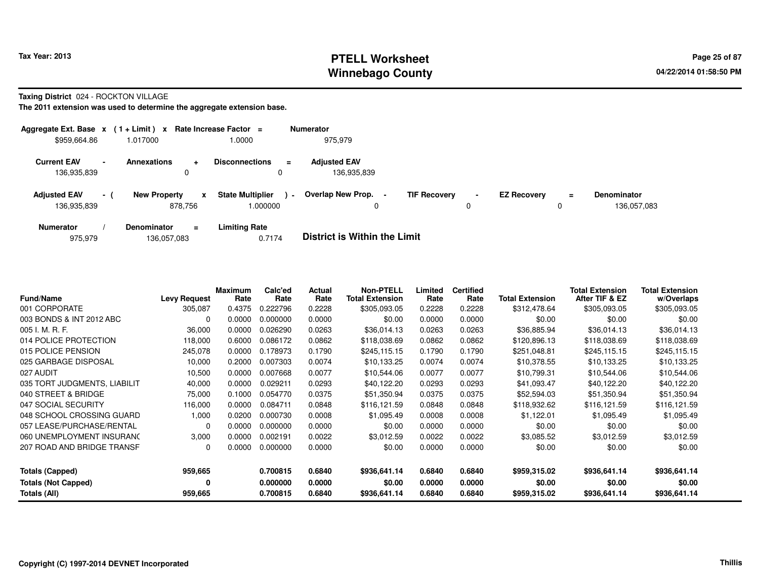# **PTELL Worksheet Tax Year: 2013 Page 25 of 87 PAGE 25 of 87 Winnebago County**

#### **Taxing District** 024 - ROCKTON VILLAGE

| Aggregate Ext. Base $x$ (1 + Limit) $x$ Rate Increase Factor = |                          |                     |                |                                    |                | <b>Numerator</b>                   |                     |                     |                    |          |                                   |
|----------------------------------------------------------------|--------------------------|---------------------|----------------|------------------------------------|----------------|------------------------------------|---------------------|---------------------|--------------------|----------|-----------------------------------|
| \$959,664.86                                                   |                          | 1.017000            |                | 1.0000                             |                | 975.979                            |                     |                     |                    |          |                                   |
| <b>Current EAV</b><br>136,935,839                              | $\overline{\phantom{a}}$ | <b>Annexations</b>  | $\ddot{}$<br>0 | <b>Disconnections</b><br>0         | $\equiv$       | <b>Adjusted EAV</b><br>136,935,839 |                     |                     |                    |          |                                   |
| <b>Adjusted EAV</b><br>136,935,839                             | $-1$                     | <b>New Property</b> | x<br>878.756   | <b>State Multiplier</b><br>.000000 | $\blacksquare$ | <b>Overlap New Prop.</b><br>0      | <b>TIF Recovery</b> | $\blacksquare$<br>0 | <b>EZ Recovery</b> | $\equiv$ | <b>Denominator</b><br>136.057.083 |
| <b>Numerator</b>                                               |                          | <b>Denominator</b>  | $\equiv$       | <b>Limiting Rate</b>               |                | _ _ _ _ _ _ _ _ _ _ _ _ _ _        |                     |                     |                    |          |                                   |

| 0.7174 | <b>District is Within the Limit</b> |
|--------|-------------------------------------|
|        |                                     |

| <b>Fund/Name</b>             | <b>Levy Request</b> | <b>Maximum</b><br>Rate | Calc'ed<br>Rate | Actual<br>Rate | <b>Non-PTELL</b><br><b>Total Extension</b> | Limited<br>Rate | <b>Certified</b><br>Rate | <b>Total Extension</b> | <b>Total Extension</b><br>After TIF & EZ | <b>Total Extension</b><br>w/Overlaps |
|------------------------------|---------------------|------------------------|-----------------|----------------|--------------------------------------------|-----------------|--------------------------|------------------------|------------------------------------------|--------------------------------------|
| 001 CORPORATE                | 305,087             | 0.4375                 | 0.222796        | 0.2228         | \$305,093.05                               | 0.2228          | 0.2228                   | \$312,478.64           | \$305,093.05                             | \$305,093.05                         |
| 003 BONDS & INT 2012 ABC     | $\Omega$            | 0.0000                 | 0.000000        | 0.0000         | \$0.00                                     | 0.0000          | 0.0000                   | \$0.00                 | \$0.00                                   | \$0.00                               |
| 005 I. M. R. F.              | 36,000              | 0.0000                 | 0.026290        | 0.0263         | \$36,014.13                                | 0.0263          | 0.0263                   | \$36,885.94            | \$36,014.13                              | \$36,014.13                          |
| 014 POLICE PROTECTION        | 118,000             | 0.6000                 | 0.086172        | 0.0862         | \$118,038.69                               | 0.0862          | 0.0862                   | \$120,896.13           | \$118,038.69                             | \$118,038.69                         |
| 015 POLICE PENSION           | 245,078             | 0.0000                 | 0.178973        | 0.1790         | \$245,115.15                               | 0.1790          | 0.1790                   | \$251,048.81           | \$245,115.15                             | \$245,115.15                         |
| 025 GARBAGE DISPOSAL         | 10,000              | 0.2000                 | 0.007303        | 0.0074         | \$10,133.25                                | 0.0074          | 0.0074                   | \$10.378.55            | \$10,133.25                              | \$10,133.25                          |
| 027 AUDIT                    | 10,500              | 0.0000                 | 0.007668        | 0.0077         | \$10,544.06                                | 0.0077          | 0.0077                   | \$10,799.31            | \$10,544.06                              | \$10,544.06                          |
| 035 TORT JUDGMENTS, LIABILIT | 40,000              | 0.0000                 | 0.029211        | 0.0293         | \$40,122.20                                | 0.0293          | 0.0293                   | \$41,093.47            | \$40,122.20                              | \$40,122.20                          |
| 040 STREET & BRIDGE          | 75,000              | 0.1000                 | 0.054770        | 0.0375         | \$51,350.94                                | 0.0375          | 0.0375                   | \$52,594.03            | \$51,350.94                              | \$51,350.94                          |
| 047 SOCIAL SECURITY          | 116,000             | 0.0000                 | 0.084711        | 0.0848         | \$116,121.59                               | 0.0848          | 0.0848                   | \$118,932.62           | \$116,121.59                             | \$116,121.59                         |
| 048 SCHOOL CROSSING GUARD    | 1,000               | 0.0200                 | 0.000730        | 0.0008         | \$1,095.49                                 | 0.0008          | 0.0008                   | \$1,122.01             | \$1,095.49                               | \$1,095.49                           |
| 057 LEASE/PURCHASE/RENTAL    | $\Omega$            | 0.0000                 | 0.000000        | 0.0000         | \$0.00                                     | 0.0000          | 0.0000                   | \$0.00                 | \$0.00                                   | \$0.00                               |
| 060 UNEMPLOYMENT INSURANC    | 3,000               | 0.0000                 | 0.002191        | 0.0022         | \$3,012.59                                 | 0.0022          | 0.0022                   | \$3,085.52             | \$3,012.59                               | \$3,012.59                           |
| 207 ROAD AND BRIDGE TRANSF   | $\Omega$            | 0.0000                 | 0.000000        | 0.0000         | \$0.00                                     | 0.0000          | 0.0000                   | \$0.00                 | \$0.00                                   | \$0.00                               |
| <b>Totals (Capped)</b>       | 959,665             |                        | 0.700815        | 0.6840         | \$936,641.14                               | 0.6840          | 0.6840                   | \$959,315.02           | \$936,641.14                             | \$936,641.14                         |
| <b>Totals (Not Capped)</b>   | 0                   |                        | 0.000000        | 0.0000         | \$0.00                                     | 0.0000          | 0.0000                   | \$0.00                 | \$0.00                                   | \$0.00                               |
| Totals (All)                 | 959,665             |                        | 0.700815        | 0.6840         | \$936,641.14                               | 0.6840          | 0.6840                   | \$959,315.02           | \$936,641.14                             | \$936,641.14                         |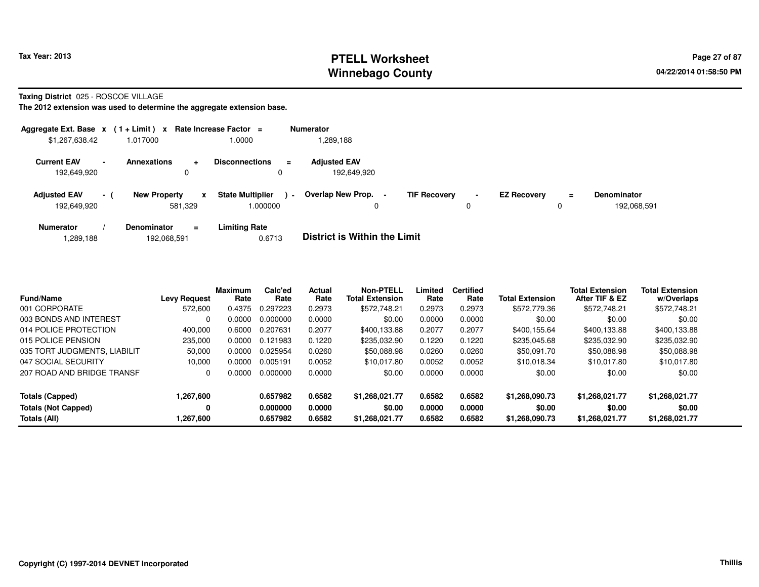# **PTELL Worksheet Tax Year: 2013 Page 27 of 87 PAGE 27 of 87 Winnebago County**

**Taxing District** 025 - ROSCOE VILLAGE

| Aggregate Ext. Base $x$ (1 + Limit) $x$ Rate Increase Factor = |        |                     |                         |                                    |                | <b>Numerator</b>                   |                     |                |                    |               |                                   |
|----------------------------------------------------------------|--------|---------------------|-------------------------|------------------------------------|----------------|------------------------------------|---------------------|----------------|--------------------|---------------|-----------------------------------|
| \$1,267,638.42                                                 |        | 1.017000            |                         | 1.0000                             |                | .289,188                           |                     |                |                    |               |                                   |
| <b>Current EAV</b><br>192,649,920                              | $\sim$ | <b>Annexations</b>  | ÷<br>0                  | <b>Disconnections</b><br>0         | $=$            | <b>Adjusted EAV</b><br>192,649,920 |                     |                |                    |               |                                   |
| <b>Adjusted EAV</b><br>192,649,920                             | $-1$   | <b>New Property</b> | $\mathbf{x}$<br>581.329 | <b>State Multiplier</b><br>000000. | $\blacksquare$ | Overlap New Prop.<br>0             | <b>TIF Recovery</b> | $\blacksquare$ | <b>EZ Recovery</b> | $\equiv$<br>0 | <b>Denominator</b><br>192.068.591 |
| <b>Numerator</b>                                               |        | <b>Denominator</b>  | $=$                     | <b>Limiting Rate</b>               |                | _ _ _ _ _ _ _ _ _ _ _ _ _ _        |                     |                |                    |               |                                   |

| 192,068,591<br>. 289,188.، | 0.6713 | <b>District is Within the Limit</b> |
|----------------------------|--------|-------------------------------------|
|----------------------------|--------|-------------------------------------|

| <b>Fund/Name</b>             | <b>Levy Request</b> | <b>Maximum</b><br>Rate | Calc'ed<br>Rate | Actual<br>Rate | <b>Non-PTELL</b><br><b>Total Extension</b> | Limited<br>Rate | <b>Certified</b><br>Rate | <b>Total Extension</b> | <b>Total Extension</b><br>After TIF & EZ | <b>Total Extension</b><br>w/Overlaps |  |
|------------------------------|---------------------|------------------------|-----------------|----------------|--------------------------------------------|-----------------|--------------------------|------------------------|------------------------------------------|--------------------------------------|--|
| 001 CORPORATE                | 572,600             | 0.4375                 | 0.297223        | 0.2973         | \$572,748.21                               | 0.2973          | 0.2973                   | \$572,779.36           | \$572,748.21                             | \$572,748.21                         |  |
| 003 BONDS AND INTEREST       | 0                   | 0.0000                 | 0.000000        | 0.0000         | \$0.00                                     | 0.0000          | 0.0000                   | \$0.00                 | \$0.00                                   | \$0.00                               |  |
| 014 POLICE PROTECTION        | 400.000             | 0.6000                 | 0.207631        | 0.2077         | \$400.133.88                               | 0.2077          | 0.2077                   | \$400.155.64           | \$400.133.88                             | \$400.133.88                         |  |
| 015 POLICE PENSION           | 235,000             | 0.0000                 | 0.121983        | 0.1220         | \$235.032.90                               | 0.1220          | 0.1220                   | \$235.045.68           | \$235,032.90                             | \$235,032.90                         |  |
| 035 TORT JUDGMENTS, LIABILIT | 50,000              | 0.0000                 | 0.025954        | 0.0260         | \$50,088.98                                | 0.0260          | 0.0260                   | \$50.091.70            | \$50,088.98                              | \$50,088.98                          |  |
| 047 SOCIAL SECURITY          | 10.000              | 0.0000                 | 0.005191        | 0.0052         | \$10.017.80                                | 0.0052          | 0.0052                   | \$10.018.34            | \$10.017.80                              | \$10,017.80                          |  |
| 207 ROAD AND BRIDGE TRANSF   | 0                   | 0.0000                 | 0.000000        | 0.0000         | \$0.00                                     | 0.0000          | 0.0000                   | \$0.00                 | \$0.00                                   | \$0.00                               |  |
| Totals (Capped)              | 1,267,600           |                        | 0.657982        | 0.6582         | \$1,268,021.77                             | 0.6582          | 0.6582                   | \$1,268,090.73         | \$1.268.021.77                           | \$1,268,021.77                       |  |
| <b>Totals (Not Capped)</b>   | 0                   |                        | 0.000000        | 0.0000         | \$0.00                                     | 0.0000          | 0.0000                   | \$0.00                 | \$0.00                                   | \$0.00                               |  |
| Totals (All)                 | 1,267,600           |                        | 0.657982        | 0.6582         | \$1,268,021.77                             | 0.6582          | 0.6582                   | \$1,268,090.73         | \$1.268.021.77                           | \$1,268,021.77                       |  |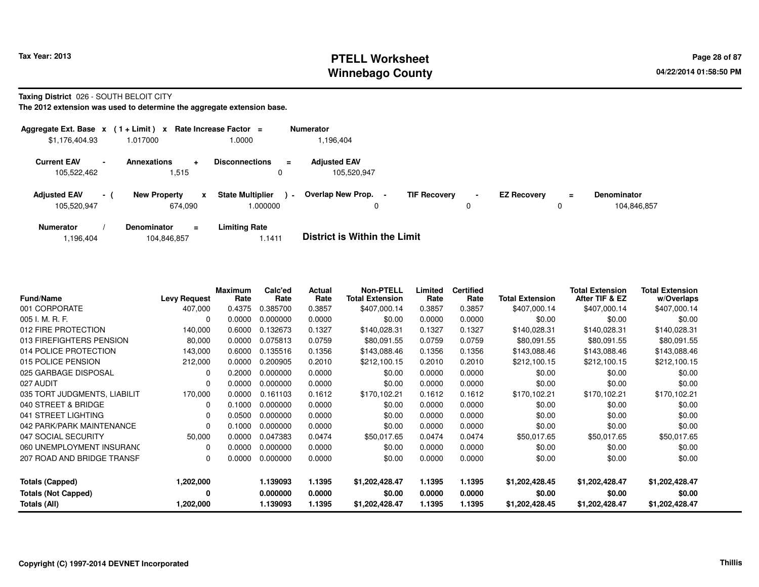# **PTELL Worksheet Tax Year: 2013 Page 28 of 87 PAGE 28 of 87 Page 28 of 87 Winnebago County**

### **Taxing District** 026 - SOUTH BELOIT CITY

**The 2012 extension was used to determine the aggregate extension base.**

|                                    |        | Aggregate Ext. Base $x$ (1+Limit) x Rate Increase Factor = |                                    | <b>Numerator</b>                         |                     |                |                    |               |                                   |
|------------------------------------|--------|------------------------------------------------------------|------------------------------------|------------------------------------------|---------------------|----------------|--------------------|---------------|-----------------------------------|
| \$1,176,404.93                     |        | 1.017000                                                   | 1.0000                             | .196.404                                 |                     |                |                    |               |                                   |
| <b>Current EAV</b><br>105,522,462  | $\sim$ | <b>Annexations</b><br>÷<br>515. ا                          | <b>Disconnections</b><br>$=$<br>0  | <b>Adjusted EAV</b><br>105,520,947       |                     |                |                    |               |                                   |
| <b>Adjusted EAV</b><br>105,520,947 | $-1$   | <b>New Property</b><br>$\mathbf{x}$<br>674.090             | <b>State Multiplier</b><br>000000. | Overlap New Prop.<br>$\blacksquare$<br>0 | <b>TIF Recovery</b> | $\blacksquare$ | <b>EZ Recovery</b> | $\equiv$<br>0 | <b>Denominator</b><br>104.846.857 |
| <b>Numerator</b>                   |        | <b>Denominator</b><br>$=$                                  | <b>Limiting Rate</b>               | _ _ _ _ _ _ _ _ _ _ _ _ _ _              |                     |                |                    |               |                                   |

1,196,404104,846,857 1.1411 **District is Within the Limit**

| <b>Fund/Name</b>             | <b>Levy Request</b> | <b>Maximum</b><br>Rate | Calc'ed<br>Rate | Actual<br>Rate | <b>Non-PTELL</b><br><b>Total Extension</b> | Limited<br>Rate | <b>Certified</b><br>Rate | <b>Total Extension</b> | <b>Total Extension</b><br>After TIF & EZ | <b>Total Extension</b><br>w/Overlaps |
|------------------------------|---------------------|------------------------|-----------------|----------------|--------------------------------------------|-----------------|--------------------------|------------------------|------------------------------------------|--------------------------------------|
| 001 CORPORATE                | 407,000             | 0.4375                 | 0.385700        | 0.3857         | \$407,000.14                               | 0.3857          | 0.3857                   | \$407,000.14           | \$407,000.14                             | \$407,000.14                         |
| 005 I. M. R. F.              | 0                   | 0.0000                 | 0.000000        | 0.0000         | \$0.00                                     | 0.0000          | 0.0000                   | \$0.00                 | \$0.00                                   | \$0.00                               |
| 012 FIRE PROTECTION          | 140,000             | 0.6000                 | 0.132673        | 0.1327         | \$140,028.31                               | 0.1327          | 0.1327                   | \$140,028.31           | \$140,028.31                             | \$140,028.31                         |
| 013 FIREFIGHTERS PENSION     | 80,000              | 0.0000                 | 0.075813        | 0.0759         | \$80.091.55                                | 0.0759          | 0.0759                   | \$80.091.55            | \$80,091.55                              | \$80,091.55                          |
| 014 POLICE PROTECTION        | 143,000             | 0.6000                 | 0.135516        | 0.1356         | \$143,088.46                               | 0.1356          | 0.1356                   | \$143,088.46           | \$143,088.46                             | \$143,088.46                         |
| 015 POLICE PENSION           | 212,000             | 0.0000                 | 0.200905        | 0.2010         | \$212,100.15                               | 0.2010          | 0.2010                   | \$212,100.15           | \$212,100.15                             | \$212,100.15                         |
| 025 GARBAGE DISPOSAL         | $\Omega$            | 0.2000                 | 0.000000        | 0.0000         | \$0.00                                     | 0.0000          | 0.0000                   | \$0.00                 | \$0.00                                   | \$0.00                               |
| 027 AUDIT                    | $\Omega$            | 0.0000                 | 0.000000        | 0.0000         | \$0.00                                     | 0.0000          | 0.0000                   | \$0.00                 | \$0.00                                   | \$0.00                               |
| 035 TORT JUDGMENTS, LIABILIT | 170,000             | 0.0000                 | 0.161103        | 0.1612         | \$170,102.21                               | 0.1612          | 0.1612                   | \$170,102.21           | \$170,102.21                             | \$170,102.21                         |
| 040 STREET & BRIDGE          | 0                   | 0.1000                 | 0.000000        | 0.0000         | \$0.00                                     | 0.0000          | 0.0000                   | \$0.00                 | \$0.00                                   | \$0.00                               |
| 041 STREET LIGHTING          | $\Omega$            | 0.0500                 | 0.000000        | 0.0000         | \$0.00                                     | 0.0000          | 0.0000                   | \$0.00                 | \$0.00                                   | \$0.00                               |
| 042 PARK/PARK MAINTENANCE    | $\Omega$            | 0.1000                 | 0.000000        | 0.0000         | \$0.00                                     | 0.0000          | 0.0000                   | \$0.00                 | \$0.00                                   | \$0.00                               |
| 047 SOCIAL SECURITY          | 50,000              | 0.0000                 | 0.047383        | 0.0474         | \$50,017.65                                | 0.0474          | 0.0474                   | \$50,017.65            | \$50,017.65                              | \$50,017.65                          |
| 060 UNEMPLOYMENT INSURANC    | 0                   | 0.0000                 | 0.000000        | 0.0000         | \$0.00                                     | 0.0000          | 0.0000                   | \$0.00                 | \$0.00                                   | \$0.00                               |
| 207 ROAD AND BRIDGE TRANSF   | 0                   | 0.0000                 | 0.000000        | 0.0000         | \$0.00                                     | 0.0000          | 0.0000                   | \$0.00                 | \$0.00                                   | \$0.00                               |
| <b>Totals (Capped)</b>       | 1,202,000           |                        | 1.139093        | 1.1395         | \$1,202,428.47                             | 1.1395          | 1.1395                   | \$1,202,428.45         | \$1,202,428.47                           | \$1,202,428.47                       |
| <b>Totals (Not Capped)</b>   | 0                   |                        | 0.000000        | 0.0000         | \$0.00                                     | 0.0000          | 0.0000                   | \$0.00                 | \$0.00                                   | \$0.00                               |
| Totals (All)                 | 1,202,000           |                        | 1.139093        | 1.1395         | \$1,202,428.47                             | 1.1395          | 1.1395                   | \$1,202,428.45         | \$1,202,428.47                           | \$1,202,428.47                       |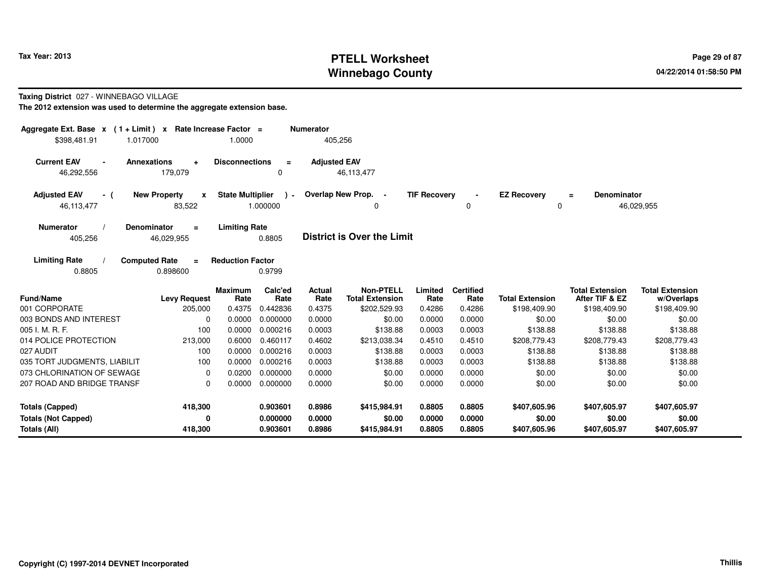# **PTELL Worksheet Tax Year: 2013 Page 29 of 87 PAGE 29 of 87 Winnebago County**

### **Taxing District** 027 - WINNEBAGO VILLAGE

| Aggregate Ext. Base $x$ (1 + Limit) $x$                | Rate Increase Factor =                        |                         |                         | <b>Numerator</b>    |                                            |                     |                          |                         |                                          |                                      |
|--------------------------------------------------------|-----------------------------------------------|-------------------------|-------------------------|---------------------|--------------------------------------------|---------------------|--------------------------|-------------------------|------------------------------------------|--------------------------------------|
| \$398,481.91<br>1.017000                               |                                               | 1.0000                  |                         | 405,256             |                                            |                     |                          |                         |                                          |                                      |
| <b>Current EAV</b><br><b>Annexations</b><br>46,292,556 | $\ddot{}$<br>179,079                          | <b>Disconnections</b>   | $\equiv$<br>0           | <b>Adjusted EAV</b> | 46,113,477                                 |                     |                          |                         |                                          |                                      |
| <b>Adjusted EAV</b><br>- (<br>46,113,477               | <b>New Property</b><br>$\mathbf{x}$<br>83,522 | <b>State Multiplier</b> | $\lambda$ -<br>1.000000 |                     | Overlap New Prop. -<br>0                   | <b>TIF Recovery</b> | $\mathbf 0$              | <b>EZ Recovery</b><br>0 | <b>Denominator</b><br>$\equiv$           | 46,029,955                           |
| <b>Numerator</b><br>405,256                            | <b>Denominator</b><br>$\equiv$<br>46,029,955  | <b>Limiting Rate</b>    | 0.8805                  |                     | <b>District is Over the Limit</b>          |                     |                          |                         |                                          |                                      |
| <b>Limiting Rate</b><br>0.8805                         | <b>Computed Rate</b><br>$\equiv$<br>0.898600  | <b>Reduction Factor</b> | 0.9799                  |                     |                                            |                     |                          |                         |                                          |                                      |
| <b>Fund/Name</b>                                       | <b>Levy Request</b>                           | <b>Maximum</b><br>Rate  | Calc'ed<br>Rate         | Actual<br>Rate      | <b>Non-PTELL</b><br><b>Total Extension</b> | Limited<br>Rate     | <b>Certified</b><br>Rate | <b>Total Extension</b>  | <b>Total Extension</b><br>After TIF & EZ | <b>Total Extension</b><br>w/Overlaps |
| 001 CORPORATE                                          | 205,000                                       | 0.4375                  | 0.442836                | 0.4375              | \$202,529.93                               | 0.4286              | 0.4286                   | \$198,409.90            | \$198,409.90                             | \$198,409.90                         |
| 003 BONDS AND INTEREST                                 | $\Omega$                                      | 0.0000                  | 0.000000                | 0.0000              | \$0.00                                     | 0.0000              | 0.0000                   | \$0.00                  | \$0.00                                   | \$0.00                               |
| 005 I. M. R. F.                                        | 100                                           | 0.0000                  | 0.000216                | 0.0003              | \$138.88                                   | 0.0003              | 0.0003                   | \$138.88                | \$138.88                                 | \$138.88                             |
| 014 POLICE PROTECTION                                  | 213,000                                       | 0.6000                  | 0.460117                | 0.4602              | \$213,038.34                               | 0.4510              | 0.4510                   | \$208,779.43            | \$208,779.43                             | \$208,779.43                         |
| 027 AUDIT                                              | 100                                           | 0.0000                  | 0.000216                | 0.0003              | \$138.88                                   | 0.0003              | 0.0003                   | \$138.88                | \$138.88                                 | \$138.88                             |
| 035 TORT JUDGMENTS, LIABILIT                           | 100                                           | 0.0000                  | 0.000216                | 0.0003              | \$138.88                                   | 0.0003              | 0.0003                   | \$138.88                | \$138.88                                 | \$138.88                             |
| 073 CHLORINATION OF SEWAGE                             | 0                                             | 0.0200                  | 0.000000                | 0.0000              | \$0.00                                     | 0.0000              | 0.0000                   | \$0.00                  | \$0.00                                   | \$0.00                               |
| 207 ROAD AND BRIDGE TRANSF                             | $\Omega$                                      | 0.0000                  | 0.000000                | 0.0000              | \$0.00                                     | 0.0000              | 0.0000                   | \$0.00                  | \$0.00                                   | \$0.00                               |
| <b>Totals (Capped)</b>                                 | 418,300                                       |                         | 0.903601                | 0.8986              | \$415,984.91                               | 0.8805              | 0.8805                   | \$407,605.96            | \$407,605.97                             | \$407,605.97                         |
| <b>Totals (Not Capped)</b>                             | 0                                             |                         | 0.000000                | 0.0000              | \$0.00                                     | 0.0000              | 0.0000                   | \$0.00                  | \$0.00                                   | \$0.00                               |
| Totals (All)                                           | 418,300                                       |                         | 0.903601                | 0.8986              | \$415,984.91                               | 0.8805              | 0.8805                   | \$407,605.96            | \$407,605.97                             | \$407,605.97                         |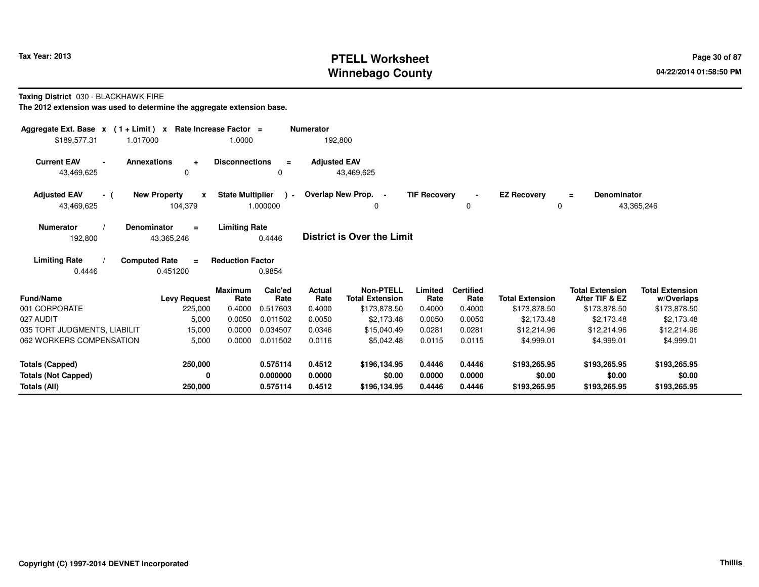# **PTELL Worksheet Tax Year: 2013 Page 30 of 87 PAGE 2014 Page 30 of 87 Winnebago County**

**Taxing District** 030 - BLACKHAWK FIRE

| Aggregate Ext. Base $x$ (1+Limit) x<br>\$189,577.31<br>1.017000 | Rate Increase Factor =                       | 1.0000                              | <b>Numerator</b>                  | 192,800                                    |                     |                          |                         |                                          |                                      |
|-----------------------------------------------------------------|----------------------------------------------|-------------------------------------|-----------------------------------|--------------------------------------------|---------------------|--------------------------|-------------------------|------------------------------------------|--------------------------------------|
| <b>Current EAV</b><br><b>Annexations</b><br>43,469,625          | $\ddot{}$<br>$\Omega$                        | <b>Disconnections</b>               | $\equiv$<br>0                     | <b>Adjusted EAV</b><br>43,469,625          |                     |                          |                         |                                          |                                      |
| <b>Adjusted EAV</b><br>- (<br>43,469,625                        | <b>New Property</b><br>X<br>104,379          | <b>State Multiplier</b><br>1.000000 | $\lambda$ -                       | Overlap New Prop. -<br>0                   | <b>TIF Recovery</b> | $\blacksquare$<br>0      | <b>EZ Recovery</b><br>0 | <b>Denominator</b><br>$\equiv$           | 43,365,246                           |
| <b>Numerator</b><br><b>Denominator</b><br>192,800               | $\equiv$<br>43,365,246                       | <b>Limiting Rate</b><br>0.4446      |                                   | District is Over the Limit                 |                     |                          |                         |                                          |                                      |
| <b>Limiting Rate</b><br>0.4446                                  | <b>Computed Rate</b><br>$\equiv$<br>0.451200 | <b>Reduction Factor</b><br>0.9854   |                                   |                                            |                     |                          |                         |                                          |                                      |
| Fund/Name                                                       | <b>Levy Request</b>                          | <b>Maximum</b><br>Rate              | Calc'ed<br>Actual<br>Rate<br>Rate | <b>Non-PTELL</b><br><b>Total Extension</b> | Limited<br>Rate     | <b>Certified</b><br>Rate | <b>Total Extension</b>  | <b>Total Extension</b><br>After TIF & EZ | <b>Total Extension</b><br>w/Overlaps |
| 001 CORPORATE                                                   | 225,000                                      | 0.4000<br>0.517603                  | 0.4000                            | \$173,878.50                               | 0.4000              | 0.4000                   | \$173,878.50            | \$173,878.50                             | \$173,878.50                         |
| 027 AUDIT                                                       | 5,000                                        | 0.0050<br>0.011502                  | 0.0050                            | \$2,173.48                                 | 0.0050              | 0.0050                   | \$2,173.48              | \$2,173.48                               | \$2,173.48                           |
| 035 TORT JUDGMENTS, LIABILIT                                    | 15,000                                       | 0.0000<br>0.034507                  | 0.0346                            | \$15,040.49                                | 0.0281              | 0.0281                   | \$12,214.96             | \$12,214.96                              | \$12,214.96                          |
| 062 WORKERS COMPENSATION                                        | 5,000                                        | 0.0000<br>0.011502                  | 0.0116                            | \$5,042.48                                 | 0.0115              | 0.0115                   | \$4,999.01              | \$4,999.01                               | \$4,999.01                           |
| <b>Totals (Capped)</b>                                          | 250,000                                      | 0.575114                            | 0.4512                            | \$196,134.95                               | 0.4446              | 0.4446                   | \$193,265.95            | \$193,265.95                             | \$193,265.95                         |
| <b>Totals (Not Capped)</b>                                      | 0                                            | 0.000000                            | 0.0000                            | \$0.00                                     | 0.0000              | 0.0000                   | \$0.00                  | \$0.00                                   | \$0.00                               |
| Totals (All)                                                    | 250,000                                      | 0.575114                            | 0.4512                            | \$196,134.95                               | 0.4446              | 0.4446                   | \$193,265.95            | \$193,265.95                             | \$193,265.95                         |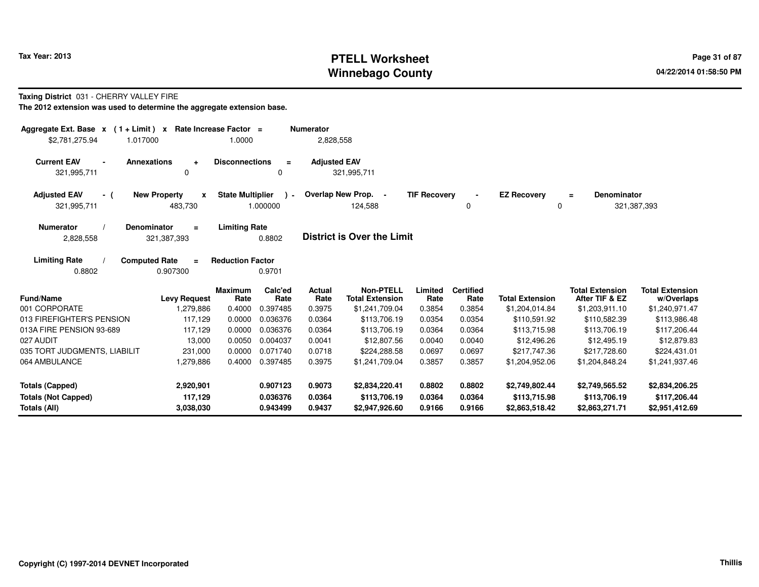# **PTELL Worksheet Tax Year: 2013 Page 31 of 87 PAGE 21 of 87 Page 31 of 87 Winnebago County**

### **Taxing District** 031 - CHERRY VALLEY FIRE

| Aggregate Ext. Base $x$ (1 + Limit) $x$<br>\$2,781,275.94<br>1.017000 | Rate Increase Factor =   | 1.0000                  |          | <b>Numerator</b><br>2,828,558 |                            |                     |                  |                        |                         |                        |
|-----------------------------------------------------------------------|--------------------------|-------------------------|----------|-------------------------------|----------------------------|---------------------|------------------|------------------------|-------------------------|------------------------|
|                                                                       |                          |                         |          |                               |                            |                     |                  |                        |                         |                        |
| <b>Current EAV</b><br><b>Annexations</b><br>$\blacksquare$            | $\ddot{}$                | <b>Disconnections</b>   | $\equiv$ | <b>Adjusted EAV</b>           |                            |                     |                  |                        |                         |                        |
| 321,995,711                                                           | $\Omega$                 |                         | 0        |                               | 321,995,711                |                     |                  |                        |                         |                        |
| <b>Adjusted EAV</b><br>- (                                            | <b>New Property</b><br>x | <b>State Multiplier</b> | $\sim$   |                               | Overlap New Prop. -        | <b>TIF Recovery</b> |                  | <b>EZ Recovery</b>     | <b>Denominator</b><br>Ξ |                        |
| 321,995,711                                                           | 483,730                  |                         | 1.000000 |                               | 124,588                    |                     | 0                | 0                      |                         | 321,387,393            |
| <b>Numerator</b><br>Denominator                                       | $=$                      | <b>Limiting Rate</b>    |          |                               |                            |                     |                  |                        |                         |                        |
| 2,828,558                                                             | 321,387,393              |                         | 0.8802   |                               | District is Over the Limit |                     |                  |                        |                         |                        |
| <b>Limiting Rate</b><br><b>Computed Rate</b>                          | $\equiv$                 | <b>Reduction Factor</b> |          |                               |                            |                     |                  |                        |                         |                        |
| 0.8802                                                                | 0.907300                 |                         | 0.9701   |                               |                            |                     |                  |                        |                         |                        |
|                                                                       |                          | <b>Maximum</b>          | Calc'ed  | Actual                        | <b>Non-PTELL</b>           | Limited             | <b>Certified</b> |                        | <b>Total Extension</b>  | <b>Total Extension</b> |
| <b>Fund/Name</b>                                                      | <b>Levy Request</b>      | Rate                    | Rate     | Rate                          | <b>Total Extension</b>     | Rate                | Rate             | <b>Total Extension</b> | After TIF & EZ          | w/Overlaps             |
| 001 CORPORATE                                                         | 1,279,886                | 0.4000                  | 0.397485 | 0.3975                        | \$1,241,709.04             | 0.3854              | 0.3854           | \$1,204,014.84         | \$1,203,911.10          | \$1,240,971.47         |
| 013 FIREFIGHTER'S PENSION                                             | 117,129                  | 0.0000                  | 0.036376 | 0.0364                        | \$113,706.19               | 0.0354              | 0.0354           | \$110,591.92           | \$110,582.39            | \$113,986.48           |
| 013A FIRE PENSION 93-689                                              | 117,129                  | 0.0000                  | 0.036376 | 0.0364                        | \$113,706.19               | 0.0364              | 0.0364           | \$113,715.98           | \$113,706.19            | \$117,206.44           |
| 027 AUDIT                                                             | 13,000                   | 0.0050                  | 0.004037 | 0.0041                        | \$12,807.56                | 0.0040              | 0.0040           | \$12,496.26            | \$12,495.19             | \$12,879.83            |
| 035 TORT JUDGMENTS, LIABILIT                                          | 231,000                  | 0.0000                  | 0.071740 | 0.0718                        | \$224,288.58               | 0.0697              | 0.0697           | \$217,747.36           | \$217,728.60            | \$224,431.01           |
| 064 AMBULANCE                                                         | 1,279,886                | 0.4000                  | 0.397485 | 0.3975                        | \$1,241,709.04             | 0.3857              | 0.3857           | \$1,204,952.06         | \$1,204,848.24          | \$1,241,937.46         |
| <b>Totals (Capped)</b>                                                | 2,920,901                |                         | 0.907123 | 0.9073                        | \$2,834,220.41             | 0.8802              | 0.8802           | \$2,749,802.44         | \$2,749,565.52          | \$2,834,206.25         |
| <b>Totals (Not Capped)</b>                                            | 117,129                  |                         | 0.036376 | 0.0364                        | \$113,706.19               | 0.0364              | 0.0364           | \$113,715.98           | \$113,706.19            | \$117,206.44           |
| Totals (All)                                                          | 3.038.030                |                         | 0.943499 | 0.9437                        | \$2,947,926.60             | 0.9166              | 0.9166           | \$2,863,518.42         | \$2,863,271.71          | \$2,951,412.69         |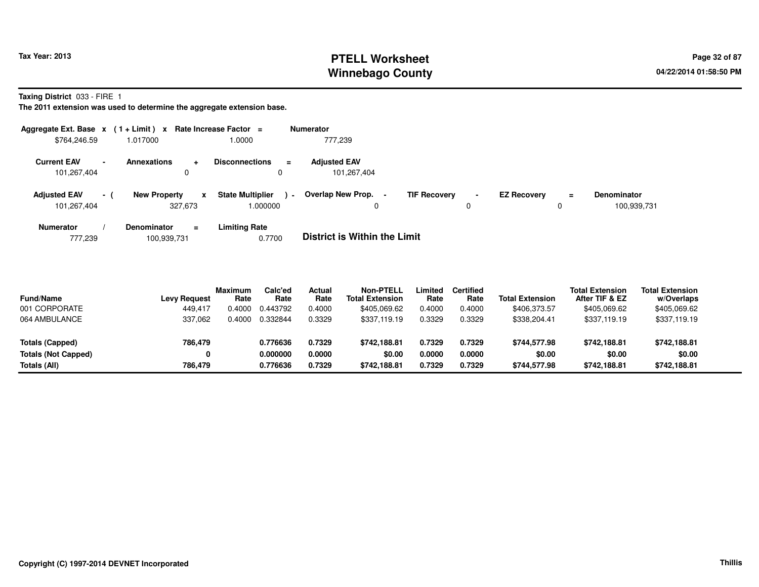# **PTELL Worksheet Tax Year: 2013 Page 32 of 87 Page 32 of 87 Winnebago County**

**Taxing District** 033 - FIRE 1

**The 2011 extension was used to determine the aggregate extension base.**

|                                    |                | Aggregate Ext. Base $x$ (1 + Limit) x Rate Increase Factor = |                                              | Numerator                          |                     |                                      |   |                                   |
|------------------------------------|----------------|--------------------------------------------------------------|----------------------------------------------|------------------------------------|---------------------|--------------------------------------|---|-----------------------------------|
| \$764,246.59                       |                | 1.017000                                                     | 0000.                                        | 777,239                            |                     |                                      |   |                                   |
| <b>Current EAV</b><br>101,267,404  | $\blacksquare$ | <b>Annexations</b><br>$\ddot{}$<br>0                         | <b>Disconnections</b><br>$\equiv$<br>0       | <b>Adjusted EAV</b><br>101,267,404 |                     |                                      |   |                                   |
| <b>Adjusted EAV</b><br>101,267,404 | - 1            | <b>New Property</b><br>x<br>327.673                          | <b>State Multiplier</b><br>$\sim$<br>000000. | Overlap New Prop.                  | <b>TIF Recovery</b> | <b>EZ Recovery</b><br>$\blacksquare$ | = | <b>Denominator</b><br>100,939,731 |
| <b>Numerator</b>                   |                | <b>Denominator</b><br>$=$                                    | <b>Limiting Rate</b>                         | _ _ _ _ _ _ _ _ _ _ _ _ _ _        |                     |                                      |   |                                   |

777,239 100,939,731 0.7700 **District is Within the Limit**

| <b>Fund/Name</b>           | <b>Levy Request</b> | Maximum<br>Rate | Calc'ed<br>Rate | Actual<br>Rate | Non-PTELL<br><b>Total Extension</b> | Limited<br>Rate | Certified<br>Rate | <b>Total Extension</b> | <b>Total Extension</b><br>After TIF & EZ | <b>Total Extension</b><br>w/Overlaps |
|----------------------------|---------------------|-----------------|-----------------|----------------|-------------------------------------|-----------------|-------------------|------------------------|------------------------------------------|--------------------------------------|
| 001 CORPORATE              | 449.417             | 0.4000          | 0.443792        | 0.4000         | \$405.069.62                        | 0.4000          | 0.4000            | \$406,373.57           | \$405.069.62                             | \$405,069.62                         |
| 064 AMBULANCE              | 337.062             | 0.4000          | 0.332844        | 0.3329         | \$337.119.19                        | 0.3329          | 0.3329            | \$338,204.41           | \$337.119.19                             | \$337,119.19                         |
| Totals (Capped)            | 786,479             |                 | 0.776636        | 0.7329         | \$742.188.81                        | 0.7329          | 0.7329            | \$744.577.98           | \$742.188.81                             | \$742,188.81                         |
| <b>Totals (Not Capped)</b> |                     |                 | 0.000000        | 0.0000         | \$0.00                              | 0.0000          | 0.0000            | \$0.00                 | \$0.00                                   | \$0.00                               |
| Totals (All)               | 786,479             |                 | 0.776636        | 0.7329         | \$742,188.81                        | 0.7329          | 0.7329            | \$744,577.98           | \$742.188.81                             | \$742,188.81                         |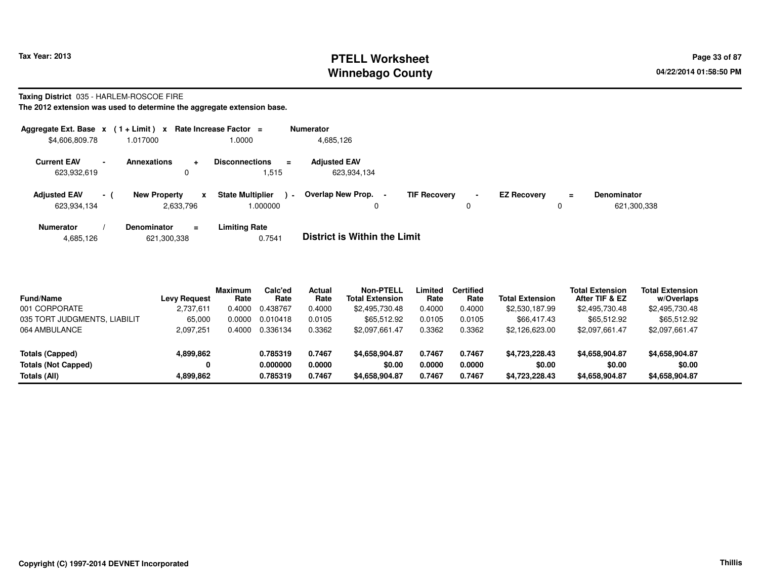# **PTELL Worksheet Tax Year: 2013 Page 33 of 87 PAGE 12 At 2014 Page 33 of 87 Winnebago County**

**Taxing District** 035 - HARLEM-ROSCOE FIRE

| Aggregate Ext. Base $x$ (1 + Limit) $x$ |       |                                            |              | Rate Increase Factor =                    | <b>Numerator</b> |                                     |                     |                |                    |          |                    |
|-----------------------------------------|-------|--------------------------------------------|--------------|-------------------------------------------|------------------|-------------------------------------|---------------------|----------------|--------------------|----------|--------------------|
| \$4,606,809.78                          |       | 1.017000                                   |              | 1.0000                                    |                  | 4,685,126                           |                     |                |                    |          |                    |
| <b>Current EAV</b><br>$\sim$            |       | <b>Annexations</b><br>$\ddot{\phantom{1}}$ |              | <b>Disconnections</b><br>$\equiv$         |                  | <b>Adjusted EAV</b>                 |                     |                |                    |          |                    |
| 623,932,619                             |       | 0                                          |              | .515                                      |                  | 623,934,134                         |                     |                |                    |          |                    |
| <b>Adjusted EAV</b>                     | $-$ ( | <b>New Property</b>                        | $\mathbf{x}$ | <b>State Multiplier</b><br>$\blacksquare$ |                  | Overlap New Prop. -                 | <b>TIF Recoverv</b> | $\blacksquare$ | <b>EZ Recovery</b> | $\equiv$ | <b>Denominator</b> |
| 623,934,134                             |       | 2,633,796                                  |              | .000000                                   |                  | 0                                   |                     | 0              |                    | 0        | 621,300,338        |
| <b>Numerator</b>                        |       | <b>Denominator</b><br>$\equiv$             |              | <b>Limiting Rate</b>                      |                  |                                     |                     |                |                    |          |                    |
| 4,685,126                               |       | 621,300,338                                |              | 0.7541                                    |                  | <b>District is Within the Limit</b> |                     |                |                    |          |                    |

| <b>Fund/Name</b>             | Levy Request | <b>Maximum</b><br>Rate | Calc'ed<br>Rate | Actual<br>Rate | <b>Non-PTELL</b><br><b>Total Extension</b> | Limited<br>Rate | <b>Certified</b><br>Rate | <b>Total Extension</b> | Total Extension<br>After TIF & EZ | <b>Total Extension</b><br>w/Overlaps |
|------------------------------|--------------|------------------------|-----------------|----------------|--------------------------------------------|-----------------|--------------------------|------------------------|-----------------------------------|--------------------------------------|
| 001 CORPORATE                | 2,737,611    | 0.4000                 | 0.438767        | 0.4000         | \$2,495,730.48                             | 0.4000          | 0.4000                   | \$2,530,187.99         | \$2,495,730.48                    | \$2,495,730.48                       |
| 035 TORT JUDGMENTS, LIABILIT | 65,000       | 0.0000                 | 0.010418        | 0.0105         | \$65,512.92                                | 0.0105          | 0.0105                   | \$66,417,43            | \$65,512.92                       | \$65,512.92                          |
| 064 AMBULANCE                | 2,097,251    | 0.4000                 | 0.336134        | 0.3362         | \$2.097.661.47                             | 0.3362          | 0.3362                   | \$2,126,623.00         | \$2,097,661.47                    | \$2,097,661.47                       |
| Totals (Capped)              | 4,899,862    |                        | 0.785319        | 0.7467         | \$4,658,904.87                             | 0.7467          | 0.7467                   | \$4,723,228.43         | \$4,658,904.87                    | \$4,658,904.87                       |
| <b>Totals (Not Capped)</b>   | 0            |                        | 0.000000        | 0.0000         | \$0.00                                     | 0.0000          | 0.0000                   | \$0.00                 | \$0.00                            | \$0.00                               |
| Totals (All)                 | 4,899,862    |                        | 0.785319        | 0.7467         | \$4,658,904.87                             | 0.7467          | 0.7467                   | \$4,723,228.43         | \$4,658,904.87                    | \$4,658,904.87                       |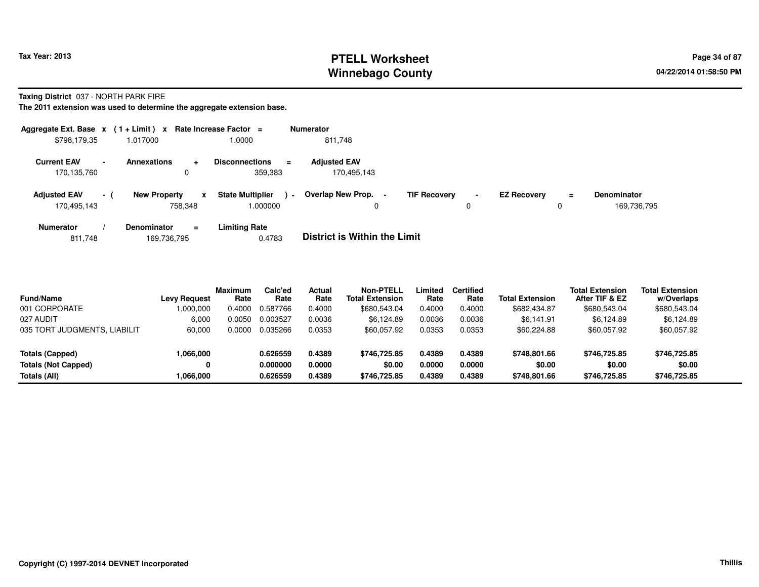# **PTELL Worksheet Tax Year: 2013 Page 34 of 87 Page 34 of 87 Winnebago County**

**Taxing District** 037 - NORTH PARK FIRE

**The 2011 extension was used to determine the aggregate extension base.**

| Aggregate Ext. Base $x$ (1+Limit) x Rate Increase Factor = |        |                     |              |                                    |                | <b>Numerator</b>                   |                     |                     |                    |          |                                   |
|------------------------------------------------------------|--------|---------------------|--------------|------------------------------------|----------------|------------------------------------|---------------------|---------------------|--------------------|----------|-----------------------------------|
| \$798,179.35                                               |        | 1.017000            |              | 1.0000                             |                | 811,748                            |                     |                     |                    |          |                                   |
| <b>Current EAV</b><br>170,135,760                          | $\sim$ | <b>Annexations</b>  | ÷<br>0       | <b>Disconnections</b><br>359,383   | $\equiv$       | <b>Adjusted EAV</b><br>170,495,143 |                     |                     |                    |          |                                   |
| <b>Adjusted EAV</b><br>170.495.143                         | $-1$   | <b>New Property</b> | x<br>758.348 | <b>State Multiplier</b><br>000000. | $\blacksquare$ | Overlap New Prop. -<br>0           | <b>TIF Recovery</b> | $\blacksquare$<br>0 | <b>EZ Recovery</b> | $=$<br>0 | <b>Denominator</b><br>169,736,795 |
| <b>Numerator</b>                                           |        | Denominator         | $\equiv$     | Limiting Rate                      |                | _ _ _ _ _ _ _ _ _ _ _ _ _ _        |                     |                     |                    |          |                                   |

811,748169,736,795 0.4783 **District is Within the Limit**

| <b>Fund/Name</b>             | Levy Request | <b>Maximum</b><br>Rate | Calc'ed<br>Rate | Actual<br>Rate | <b>Non-PTELL</b><br><b>Total Extension</b> | Limited<br>Rate | <b>Certified</b><br>Rate | <b>Total Extension</b> | <b>Total Extension</b><br>After TIF & EZ | <b>Total Extension</b><br>w/Overlaps |  |
|------------------------------|--------------|------------------------|-----------------|----------------|--------------------------------------------|-----------------|--------------------------|------------------------|------------------------------------------|--------------------------------------|--|
| 001 CORPORATE                | 1,000,000    | 0.4000                 | 0.587766        | 0.4000         | \$680,543.04                               | 0.4000          | 0.4000                   | \$682,434.87           | \$680,543.04                             | \$680,543.04                         |  |
| 027 AUDIT                    | 6.000        | 0.0050                 | 0.003527        | 0.0036         | \$6.124.89                                 | 0.0036          | 0.0036                   | \$6.141.91             | \$6.124.89                               | \$6,124.89                           |  |
| 035 TORT JUDGMENTS, LIABILIT | 60,000       | 0.0000                 | 0.035266        | 0.0353         | \$60,057.92                                | 0.0353          | 0.0353                   | \$60,224.88            | \$60,057.92                              | \$60,057.92                          |  |
| Totals (Capped)              | 1,066,000    |                        | 0.626559        | 0.4389         | \$746,725.85                               | 0.4389          | 0.4389                   | \$748.801.66           | \$746,725.85                             | \$746,725.85                         |  |
| <b>Totals (Not Capped)</b>   |              |                        | 0.000000        | 0.0000         | \$0.00                                     | 0.0000          | 0.0000                   | \$0.00                 | \$0.00                                   | \$0.00                               |  |
| Totals (All)                 | 1,066,000    |                        | 0.626559        | 0.4389         | \$746,725.85                               | 0.4389          | 0.4389                   | \$748,801.66           | \$746,725.85                             | \$746,725.85                         |  |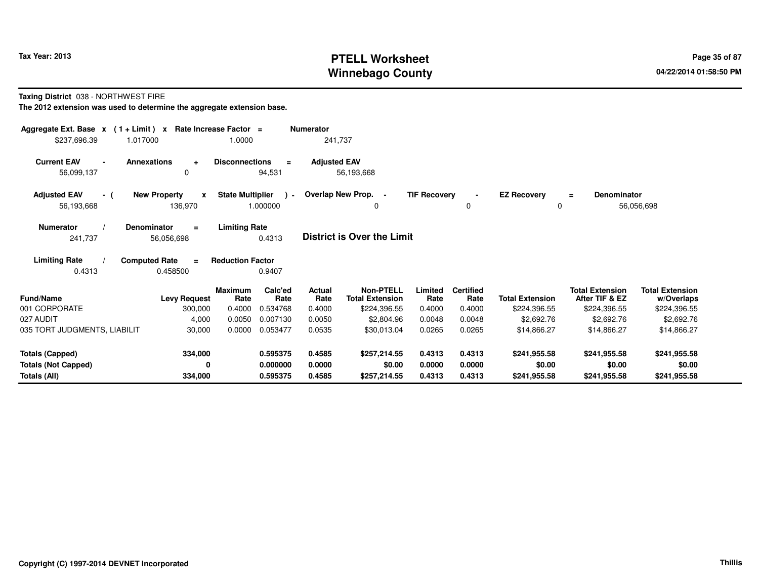# **PTELL Worksheet Tax Year: 2013 Page 35 of 87 PAGE 2013 Page 35 of 87 Winnebago County**

**Taxing District** 038 - NORTHWEST FIRE

| Aggregate Ext. Base $x$ (1 + Limit) x Rate Increase Factor =<br>1.017000<br>\$237,696.39 |                                                | 1.0000                              | <b>Numerator</b>                | 241,737                                    |                     |                          |                                   |                                          |                                      |
|------------------------------------------------------------------------------------------|------------------------------------------------|-------------------------------------|---------------------------------|--------------------------------------------|---------------------|--------------------------|-----------------------------------|------------------------------------------|--------------------------------------|
| <b>Current EAV</b><br>56,099,137                                                         | <b>Annexations</b><br>$\ddot{}$<br>0           | <b>Disconnections</b><br>94,531     | <b>Adjusted EAV</b><br>$\equiv$ | 56,193,668                                 |                     |                          |                                   |                                          |                                      |
| <b>Adjusted EAV</b><br>- (<br>56,193,668                                                 | <b>New Property</b><br>$\mathbf{x}$<br>136,970 | <b>State Multiplier</b><br>1.000000 | $\cdot$                         | Overlap New Prop. -<br>0                   | <b>TIF Recovery</b> | $\Omega$                 | <b>EZ Recovery</b><br>$\mathbf 0$ | <b>Denominator</b><br>$\equiv$           | 56,056,698                           |
| <b>Numerator</b><br>241,737                                                              | <b>Denominator</b><br>$\equiv$<br>56,056,698   | <b>Limiting Rate</b><br>0.4313      |                                 | <b>District is Over the Limit</b>          |                     |                          |                                   |                                          |                                      |
| <b>Limiting Rate</b><br>0.4313                                                           | <b>Computed Rate</b><br>$\equiv$<br>0.458500   | <b>Reduction Factor</b><br>0.9407   |                                 |                                            |                     |                          |                                   |                                          |                                      |
| Fund/Name                                                                                | <b>Levy Request</b>                            | <b>Maximum</b><br>Calc'ed<br>Rate   | Actual<br>Rate<br>Rate          | <b>Non-PTELL</b><br><b>Total Extension</b> | Limited<br>Rate     | <b>Certified</b><br>Rate | <b>Total Extension</b>            | <b>Total Extension</b><br>After TIF & EZ | <b>Total Extension</b><br>w/Overlaps |
| 001 CORPORATE                                                                            | 300,000                                        | 0.4000<br>0.534768                  | 0.4000                          | \$224,396.55                               | 0.4000              | 0.4000                   | \$224,396.55                      | \$224,396.55                             | \$224,396.55                         |
| 027 AUDIT                                                                                | 4,000                                          | 0.0050<br>0.007130                  | 0.0050                          | \$2,804.96                                 | 0.0048              | 0.0048                   | \$2,692.76                        | \$2,692.76                               | \$2,692.76                           |
| 035 TORT JUDGMENTS, LIABILIT                                                             | 30,000                                         | 0.0000<br>0.053477                  | 0.0535                          | \$30,013.04                                | 0.0265              | 0.0265                   | \$14,866.27                       | \$14,866.27                              | \$14,866.27                          |
| <b>Totals (Capped)</b>                                                                   | 334,000                                        | 0.595375                            | 0.4585                          | \$257,214.55                               | 0.4313              | 0.4313                   | \$241,955.58                      | \$241,955.58                             | \$241,955.58                         |
| <b>Totals (Not Capped)</b>                                                               | 0                                              | 0.000000                            | 0.0000                          | \$0.00                                     | 0.0000              | 0.0000                   | \$0.00                            | \$0.00                                   | \$0.00                               |
| Totals (All)                                                                             | 334,000                                        | 0.595375                            | 0.4585                          | \$257,214.55                               | 0.4313              | 0.4313                   | \$241,955.58                      | \$241,955.58                             | \$241,955.58                         |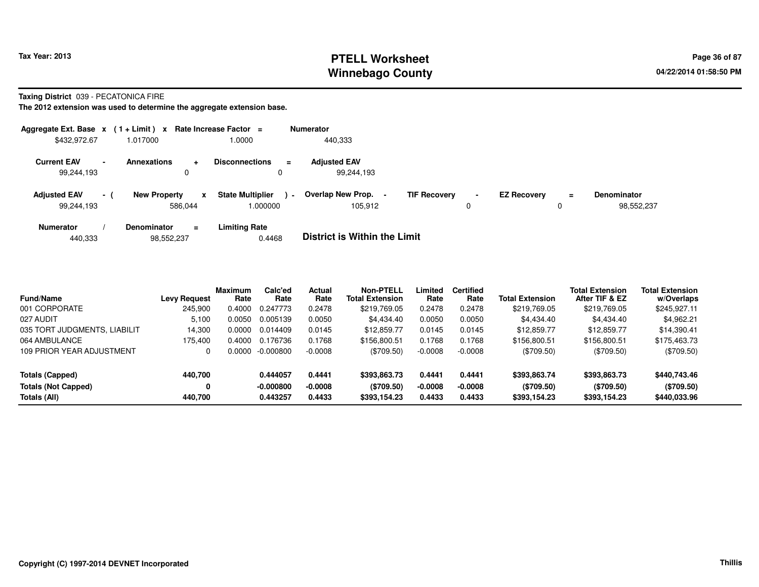# **PTELL Worksheet Tax Year: 2013 Page 36 of 87 PAGE 2013 Page 36 of 87 Winnebago County**

**Taxing District** 039 - PECATONICA FIRE

| Aggregate Ext. Base $x$ (1 + Limit) $x$ |        |                     |                | Rate Increase Factor =             |                | <b>Numerator</b>                  |                     |                |                    |               |                                  |
|-----------------------------------------|--------|---------------------|----------------|------------------------------------|----------------|-----------------------------------|---------------------|----------------|--------------------|---------------|----------------------------------|
| \$432,972.67                            |        | 1.017000            |                | 1.0000                             |                | 440,333                           |                     |                |                    |               |                                  |
| <b>Current EAV</b><br>99,244,193        | $\sim$ | <b>Annexations</b>  | $\ddot{}$<br>0 | <b>Disconnections</b><br>0         | Ξ.             | <b>Adjusted EAV</b><br>99,244,193 |                     |                |                    |               |                                  |
| <b>Adjusted EAV</b><br>99.244.193       | $-1$   | <b>New Property</b> | x<br>586.044   | <b>State Multiplier</b><br>.000000 | $\blacksquare$ | Overlap New Prop.<br>105.912      | <b>TIF Recovery</b> | $\blacksquare$ | <b>EZ Recovery</b> | $\equiv$<br>0 | <b>Denominator</b><br>98.552.237 |
| <b>Numerator</b>                        |        | <b>Denominator</b>  | $\equiv$       | <b>Limiting Rate</b>               |                | _ _ _ _ _ _ _ _ _ _ _ _ _ _       |                     |                |                    |               |                                  |

| 440.333 | 98,552,237 | 0.4468 | <b>District is Within the Limit</b> |
|---------|------------|--------|-------------------------------------|
|         |            |        |                                     |

| <b>Fund/Name</b>             | <b>Levy Request</b> | <b>Maximum</b><br>Rate | Calc'ed<br>Rate | Actual<br>Rate | Non-PTELL<br><b>Total Extension</b> | Limited<br>Rate | <b>Certified</b><br>Rate | <b>Total Extension</b> | <b>Total Extension</b><br>After TIF & EZ | <b>Total Extension</b><br>w/Overlaps |
|------------------------------|---------------------|------------------------|-----------------|----------------|-------------------------------------|-----------------|--------------------------|------------------------|------------------------------------------|--------------------------------------|
| 001 CORPORATE                | 245.900             | 0.4000                 | 0.247773        | 0.2478         | \$219,769.05                        | 0.2478          | 0.2478                   | \$219.769.05           | \$219,769.05                             | \$245,927.11                         |
| 027 AUDIT                    | 5.100               | 0.0050                 | 0.005139        | 0.0050         | \$4,434.40                          | 0.0050          | 0.0050                   | \$4.434.40             | \$4,434.40                               | \$4,962.21                           |
| 035 TORT JUDGMENTS, LIABILIT | 14,300              | 0.0000                 | 0.014409        | 0.0145         | \$12,859.77                         | 0.0145          | 0.0145                   | \$12,859.77            | \$12,859.77                              | \$14,390.41                          |
| 064 AMBULANCE                | 175.400             | 0.4000                 | 0.176736        | 0.1768         | \$156,800.51                        | 0.1768          | 0.1768                   | \$156,800.51           | \$156,800.51                             | \$175,463.73                         |
| 109 PRIOR YEAR ADJUSTMENT    | 0                   | 0.0000                 | -0.000800       | $-0.0008$      | $(\$709.50)$                        | $-0.0008$       | $-0.0008$                | (\$709.50)             | $(\$709.50)$                             | $(\$709.50)$                         |
| <b>Totals (Capped)</b>       | 440,700             |                        | 0.444057        | 0.4441         | \$393,863.73                        | 0.4441          | 0.4441                   | \$393,863.74           | \$393,863.73                             | \$440,743.46                         |
| <b>Totals (Not Capped)</b>   | 0                   |                        | $-0.000800$     | $-0.0008$      | (\$709.50)                          | $-0.0008$       | $-0.0008$                | (\$709.50)             | (\$709.50)                               | (\$709.50)                           |
| Totals (All)                 | 440.700             |                        | 0.443257        | 0.4433         | \$393,154.23                        | 0.4433          | 0.4433                   | \$393,154.23           | \$393,154.23                             | \$440,033.96                         |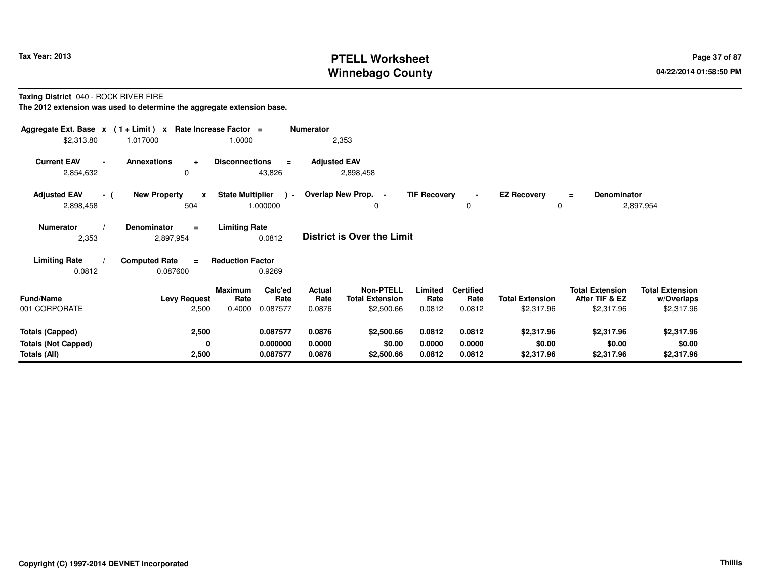## **PTELL Worksheet Tax Year: 2013 Page 37 of 87 PAGE 12 At 2014 Page 37 of 87 Winnebago County**

**Taxing District** 040 - ROCK RIVER FIRE

| Aggregate Ext. Base $x$ (1 + Limit) $x$           |                                             | Rate Increase Factor =                        | <b>Numerator</b>    |                                            |                     |                          |                         |                                          |                                      |  |
|---------------------------------------------------|---------------------------------------------|-----------------------------------------------|---------------------|--------------------------------------------|---------------------|--------------------------|-------------------------|------------------------------------------|--------------------------------------|--|
| \$2,313.80                                        | 1.017000                                    | 1.0000                                        | 2,353               |                                            |                     |                          |                         |                                          |                                      |  |
| <b>Current EAV</b><br>$\blacksquare$<br>2,854,632 | <b>Annexations</b><br>$\ddot{}$<br>$\Omega$ | <b>Disconnections</b><br>$\equiv$<br>43,826   | <b>Adjusted EAV</b> | 2,898,458                                  |                     |                          |                         |                                          |                                      |  |
| <b>Adjusted EAV</b><br>- (<br>2,898,458           | <b>New Property</b><br>$\mathbf{x}$<br>504  | <b>State Multiplier</b><br>$\sim$<br>1.000000 | Overlap New Prop. - | 0                                          | <b>TIF Recovery</b> | $\mathbf 0$              | <b>EZ Recovery</b><br>0 | Denominator<br>$\equiv$                  | 2,897,954                            |  |
| <b>Numerator</b><br>2,353                         | <b>Denominator</b><br>$\equiv$<br>2,897,954 | <b>Limiting Rate</b><br>0.0812                |                     | <b>District is Over the Limit</b>          |                     |                          |                         |                                          |                                      |  |
| <b>Limiting Rate</b>                              | <b>Computed Rate</b><br>$\blacksquare$      | <b>Reduction Factor</b>                       |                     |                                            |                     |                          |                         |                                          |                                      |  |
| 0.0812                                            | 0.087600                                    | 0.9269                                        |                     |                                            |                     |                          |                         |                                          |                                      |  |
| <b>Fund/Name</b>                                  | <b>Levy Request</b>                         | Calc'ed<br>Maximum<br>Rate<br>Rate            | Actual<br>Rate      | <b>Non-PTELL</b><br><b>Total Extension</b> | Limited<br>Rate     | <b>Certified</b><br>Rate | <b>Total Extension</b>  | <b>Total Extension</b><br>After TIF & EZ | <b>Total Extension</b><br>w/Overlaps |  |
| 001 CORPORATE                                     | 2,500                                       | 0.087577<br>0.4000                            | 0.0876              | \$2,500.66                                 | 0.0812              | 0.0812                   | \$2,317.96              | \$2,317.96                               | \$2,317.96                           |  |
|                                                   |                                             |                                               |                     |                                            |                     |                          |                         |                                          |                                      |  |
| <b>Totals (Capped)</b>                            | 2,500                                       | 0.087577                                      | 0.0876              | \$2,500.66                                 | 0.0812              | 0.0812                   | \$2,317.96              | \$2,317.96                               | \$2,317.96                           |  |
| <b>Totals (Not Capped)</b>                        | 0                                           | 0.000000                                      | 0.0000              | \$0.00                                     | 0.0000              | 0.0000                   | \$0.00                  | \$0.00                                   | \$0.00                               |  |
| Totals (All)                                      | 2,500                                       | 0.087577                                      | 0.0876              | \$2,500.66                                 | 0.0812              | 0.0812                   | \$2,317.96              | \$2,317.96                               | \$2,317.96                           |  |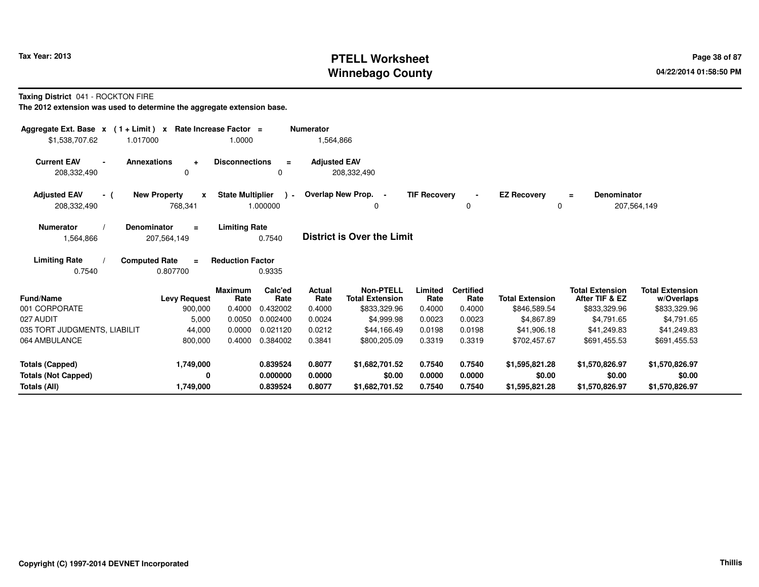## **PTELL Worksheet Tax Year: 2013 Page 38 of 87 PAGE 2013 Page 38 of 87 Winnebago County**

**Taxing District** 041 - ROCKTON FIRE

| Aggregate Ext. Base $x$ (1 + Limit) $x$<br>\$1,538,707.62<br>1.017000 | Rate Increase Factor =<br>1.0000                                        |                         | Numerator<br>1,564,866 |                                            |                     |                          |                         |                                          |                                      |
|-----------------------------------------------------------------------|-------------------------------------------------------------------------|-------------------------|------------------------|--------------------------------------------|---------------------|--------------------------|-------------------------|------------------------------------------|--------------------------------------|
| <b>Current EAV</b>                                                    | <b>Annexations</b><br><b>Disconnections</b><br>$\ddot{}$                | $\equiv$                | <b>Adiusted EAV</b>    |                                            |                     |                          |                         |                                          |                                      |
| 208,332,490                                                           | 0                                                                       | <sup>0</sup>            |                        | 208,332,490                                |                     |                          |                         |                                          |                                      |
| <b>Adjusted EAV</b><br>- (<br>208,332,490                             | <b>State Multiplier</b><br><b>New Property</b><br>X<br>768,341          | $\lambda$ -<br>1.000000 |                        | Overlap New Prop. -<br>0                   | <b>TIF Recovery</b> | 0                        | <b>EZ Recovery</b><br>0 | Denominator<br>$\equiv$                  | 207,564,149                          |
| Numerator<br>1,564,866                                                | <b>Limiting Rate</b><br><b>Denominator</b><br>$\equiv$<br>207,564,149   | 0.7540                  |                        | <b>District is Over the Limit</b>          |                     |                          |                         |                                          |                                      |
| <b>Limiting Rate</b><br>0.7540                                        | <b>Computed Rate</b><br><b>Reduction Factor</b><br>$\equiv$<br>0.807700 | 0.9335                  |                        |                                            |                     |                          |                         |                                          |                                      |
| Fund/Name                                                             | <b>Maximum</b><br>Rate<br><b>Levy Request</b>                           | Calc'ed<br>Rate         | Actual<br>Rate         | <b>Non-PTELL</b><br><b>Total Extension</b> | Limited<br>Rate     | <b>Certified</b><br>Rate | <b>Total Extension</b>  | <b>Total Extension</b><br>After TIF & EZ | <b>Total Extension</b><br>w/Overlaps |
| 001 CORPORATE                                                         | 0.4000<br>900,000                                                       | 0.432002                | 0.4000                 | \$833,329.96                               | 0.4000              | 0.4000                   | \$846,589.54            | \$833,329.96                             | \$833,329.96                         |
| 027 AUDIT                                                             | 0.0050<br>5,000                                                         | 0.002400                | 0.0024                 | \$4,999.98                                 | 0.0023              | 0.0023                   | \$4,867.89              | \$4,791.65                               | \$4,791.65                           |
| 035 TORT JUDGMENTS, LIABILIT                                          | 44,000<br>0.0000                                                        | 0.021120                | 0.0212                 | \$44,166.49                                | 0.0198              | 0.0198                   | \$41,906.18             | \$41,249.83                              | \$41,249.83                          |
| 064 AMBULANCE                                                         | 800,000<br>0.4000                                                       | 0.384002                | 0.3841                 | \$800,205.09                               | 0.3319              | 0.3319                   | \$702,457.67            | \$691,455.53                             | \$691,455.53                         |
| <b>Totals (Capped)</b>                                                | 1,749,000                                                               | 0.839524                | 0.8077                 | \$1,682,701.52                             | 0.7540              | 0.7540                   | \$1,595,821.28          | \$1,570,826.97                           | \$1,570,826.97                       |
| <b>Totals (Not Capped)</b>                                            | 0                                                                       | 0.000000                | 0.0000                 | \$0.00                                     | 0.0000              | 0.0000                   | \$0.00                  | \$0.00                                   | \$0.00                               |
| Totals (All)                                                          | 1,749,000                                                               | 0.839524                | 0.8077                 | \$1,682,701.52                             | 0.7540              | 0.7540                   | \$1,595,821.28          | \$1,570,826.97                           | \$1,570,826.97                       |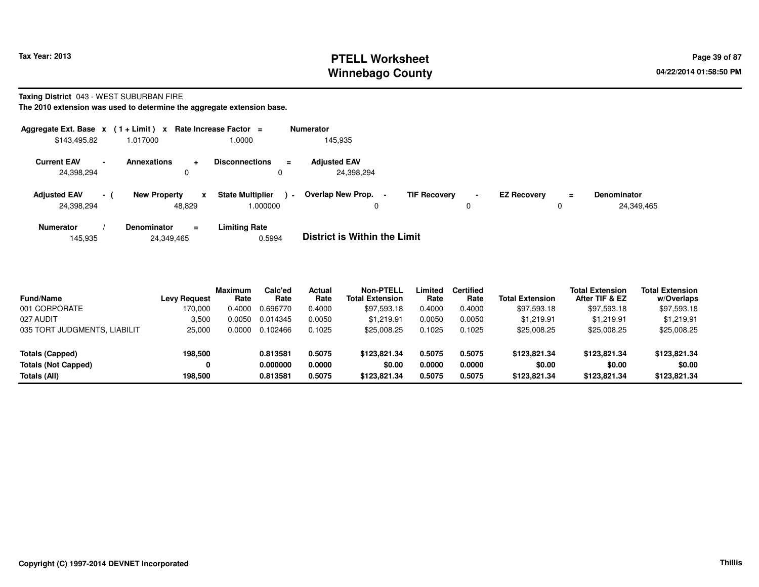## **PTELL Worksheet Tax Year: 2013 Page 39 of 87 PAGE 2013 Page 39 of 87 Winnebago County**

#### **Taxing District** 043 - WEST SUBURBAN FIRE

|                                   |                | Aggregate Ext. Base $x$ (1+Limit) x Rate Increase Factor = |                                                      | <b>Numerator</b>                                                                                                                          |
|-----------------------------------|----------------|------------------------------------------------------------|------------------------------------------------------|-------------------------------------------------------------------------------------------------------------------------------------------|
| \$143,495.82                      |                | 1.017000                                                   | .0000                                                | 145.935                                                                                                                                   |
| <b>Current EAV</b><br>24,398,294  | $\blacksquare$ | <b>Annexations</b><br>÷<br>0                               | <b>Disconnections</b><br>$\equiv$                    | <b>Adjusted EAV</b><br>24,398,294                                                                                                         |
| <b>Adjusted EAV</b><br>24,398,294 | - (            | <b>New Property</b><br>$\mathbf{x}$<br>48.829              | <b>State Multiplier</b><br>$\blacksquare$<br>000000. | Overlap New Prop.<br><b>TIF Recovery</b><br><b>EZ Recovery</b><br><b>Denominator</b><br>$\blacksquare$<br>Ξ.<br>24.349.465<br>0<br>0<br>0 |
| <b>Numerator</b><br>145,935       |                | <b>Denominator</b><br>$\equiv$<br>24,349,465               | <b>Limiting Rate</b><br>0.5994                       | <b>District is Within the Limit</b>                                                                                                       |

| <b>Fund/Name</b><br>001 CORPORATE | <b>Levy Request</b><br>170,000 | <b>Maximum</b><br>Rate<br>0.4000 | Calc'ed<br>Rate<br>0.696770 | <b>Actual</b><br>Rate<br>0.4000 | Non-PTELL<br><b>Total Extension</b><br>\$97,593.18 | Limited<br>Rate<br>0.4000 | <b>Certified</b><br>Rate<br>0.4000 | <b>Total Extension</b><br>\$97,593.18 | <b>Total Extension</b><br>After TIF & EZ<br>\$97,593.18 | <b>Total Extension</b><br>w/Overlaps<br>\$97,593.18 |
|-----------------------------------|--------------------------------|----------------------------------|-----------------------------|---------------------------------|----------------------------------------------------|---------------------------|------------------------------------|---------------------------------------|---------------------------------------------------------|-----------------------------------------------------|
| 027 AUDIT                         | 3,500                          | 0.0050                           | 0.014345                    | 0.0050                          | \$1.219.91                                         | 0.0050                    | 0.0050                             | \$1.219.91                            | \$1.219.91                                              | \$1,219.91                                          |
| 035 TORT JUDGMENTS, LIABILIT      | 25.000                         | 0.0000                           | 0.102466                    | 0.1025                          | \$25,008.25                                        | 0.1025                    | 0.1025                             | \$25,008.25                           | \$25,008.25                                             | \$25,008.25                                         |
| Totals (Capped)                   | 198,500                        |                                  | 0.813581                    | 0.5075                          | \$123.821.34                                       | 0.5075                    | 0.5075                             | \$123,821.34                          | \$123,821,34                                            | \$123,821.34                                        |
| <b>Totals (Not Capped)</b>        |                                |                                  | 0.000000                    | 0.0000                          | \$0.00                                             | 0.0000                    | 0.0000                             | \$0.00                                | \$0.00                                                  | \$0.00                                              |
| Totals (All)                      | 198,500                        |                                  | 0.813581                    | 0.5075                          | \$123,821.34                                       | 0.5075                    | 0.5075                             | \$123,821.34                          | \$123,821.34                                            | \$123,821.34                                        |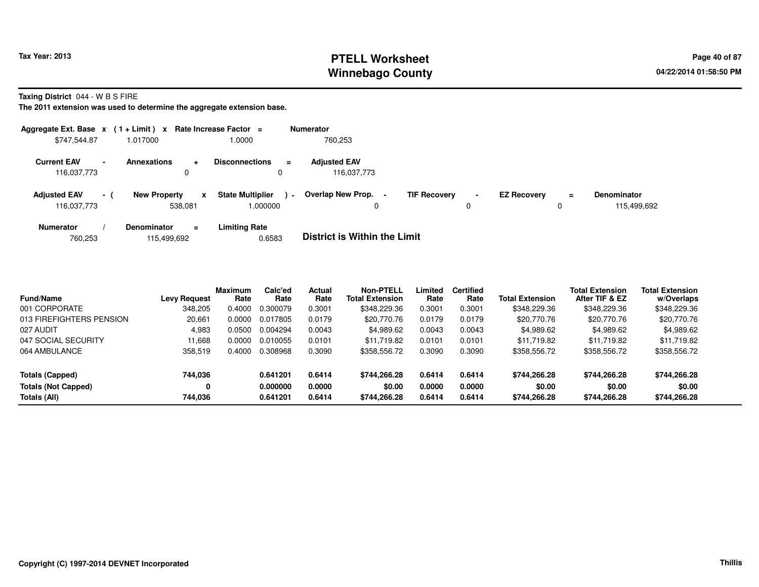## **PTELL Worksheet Tax Year: 2013 Page 40 of 87 PAGE 12 ASS ASSESSED ASSESSED ASSESSED ASSESSED ASSESSED ASSESSED AND RADIO PAGE 40 of 87 Winnebago County**

**Taxing District** 044 - W B S FIRE

| Aggregate Ext. Base $x$ (1 + Limit) $x$ |        |                                      | Rate Increase Factor =              | <b>Numerator</b>                                |                     |                     |                    |               |                                   |
|-----------------------------------------|--------|--------------------------------------|-------------------------------------|-------------------------------------------------|---------------------|---------------------|--------------------|---------------|-----------------------------------|
| \$747,544.87                            |        | 1.017000                             | 0000.                               | 760,253                                         |                     |                     |                    |               |                                   |
| <b>Current EAV</b><br>116,037,773       | $\sim$ | <b>Annexations</b><br>$\ddot{}$<br>0 | <b>Disconnections</b><br>0          | <b>Adjusted EAV</b><br>$=$<br>116,037,773       |                     |                     |                    |               |                                   |
| <b>Adjusted EAV</b><br>116,037,773      | $-1$   | <b>New Property</b><br>x<br>538.081  | <b>State Multiplier</b><br>1.000000 | <b>Overlap New Prop.</b><br>$\blacksquare$<br>0 | <b>TIF Recovery</b> | $\blacksquare$<br>0 | <b>EZ Recovery</b> | $\equiv$<br>0 | <b>Denominator</b><br>115.499.692 |
| <b>Numerator</b>                        |        | <b>Denominator</b><br>$=$            | <b>Limiting Rate</b>                | _ _ _ _ _ _ _ _ _ _ _ _ _ _                     |                     |                     |                    |               |                                   |

| 760,253<br>115,499,692 | 0.6583 | <b>District is Within the Limit</b> |
|------------------------|--------|-------------------------------------|
|------------------------|--------|-------------------------------------|

| <b>Fund/Name</b>           | Levy Request | <b>Maximum</b><br>Rate | Calc'ed<br>Rate | Actual<br>Rate | Non-PTELL<br><b>Total Extension</b> | Limited<br>Rate | <b>Certified</b><br>Rate | <b>Total Extension</b> | <b>Total Extension</b><br>After TIF & EZ | <b>Total Extension</b><br>w/Overlaps |
|----------------------------|--------------|------------------------|-----------------|----------------|-------------------------------------|-----------------|--------------------------|------------------------|------------------------------------------|--------------------------------------|
| 001 CORPORATE              | 348.205      | 0.4000                 | 0.300079        | 0.3001         | \$348,229.36                        | 0.3001          | 0.3001                   | \$348,229.36           | \$348,229.36                             | \$348,229.36                         |
| 013 FIREFIGHTERS PENSION   | 20,661       | 0.0000                 | 0.017805        | 0.0179         | \$20,770.76                         | 0.0179          | 0.0179                   | \$20,770.76            | \$20,770.76                              | \$20,770.76                          |
| 027 AUDIT                  | 4,983        | 0.0500                 | 0.004294        | 0.0043         | \$4,989.62                          | 0.0043          | 0.0043                   | \$4,989.62             | \$4,989.62                               | \$4,989.62                           |
| 047 SOCIAL SECURITY        | 11.668       | 0.0000                 | 0.010055        | 0.0101         | \$11.719.82                         | 0.0101          | 0.0101                   | \$11.719.82            | \$11.719.82                              | \$11,719.82                          |
| 064 AMBULANCE              | 358,519      | 0.4000                 | 0.308968        | 0.3090         | \$358,556.72                        | 0.3090          | 0.3090                   | \$358,556.72           | \$358,556.72                             | \$358,556.72                         |
| Totals (Capped)            | 744,036      |                        | 0.641201        | 0.6414         | \$744,266.28                        | 0.6414          | 0.6414                   | \$744,266.28           | \$744,266.28                             | \$744,266.28                         |
| <b>Totals (Not Capped)</b> | 0            |                        | 0.000000        | 0.0000         | \$0.00                              | 0.0000          | 0.0000                   | \$0.00                 | \$0.00                                   | \$0.00                               |
| Totals (All)               | 744.036      |                        | 0.641201        | 0.6414         | \$744.266.28                        | 0.6414          | 0.6414                   | \$744.266.28           | \$744.266.28                             | \$744,266.28                         |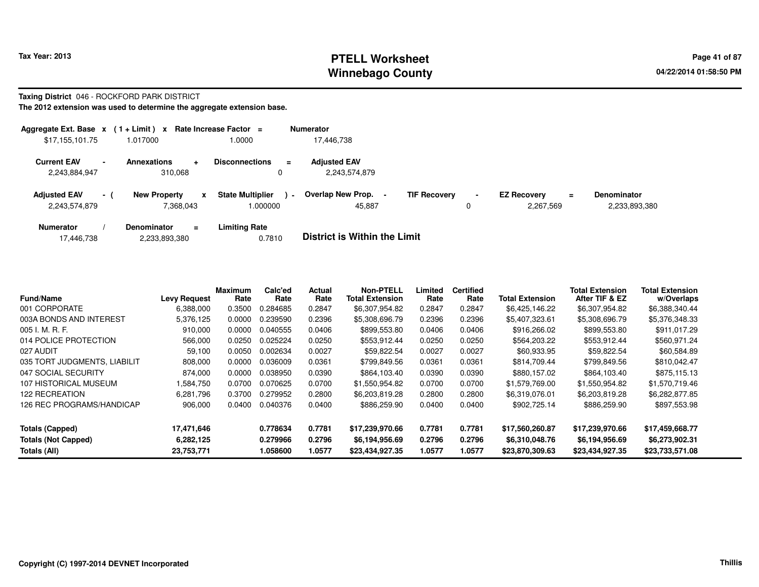### **PTELL Worksheet Tax Year: 2013 Page 41 of 87 PAGE 12 At 2014 Page 41 of 87 Winnebago County**

#### **Taxing District** 046 - ROCKFORD PARK DISTRICT

| Aggregate Ext. Base $x$ (1+Limit) x                             |                                                       | Rate Increase Factor $=$                     | <b>Numerator</b>                                     |                     |                                             |                                     |
|-----------------------------------------------------------------|-------------------------------------------------------|----------------------------------------------|------------------------------------------------------|---------------------|---------------------------------------------|-------------------------------------|
| \$17,155,101.75                                                 | 1.017000                                              | 1.0000                                       | 17.446.738                                           |                     |                                             |                                     |
| <b>Current EAV</b><br>$\overline{\phantom{a}}$<br>2,243,884,947 | <b>Annexations</b><br>$\ddot{\phantom{1}}$<br>310.068 | <b>Disconnections</b><br>$\equiv$<br>0       | <b>Adjusted EAV</b><br>2.243.574.879                 |                     |                                             |                                     |
| <b>Adjusted EAV</b><br>$-1$<br>2,243,574,879                    | <b>New Property</b><br>x<br>7.368.043                 | <b>State Multiplier</b><br>$\sim$<br>000000. | Overlap New Prop. -<br><b>TIF Recoverv</b><br>45.887 | $\blacksquare$<br>0 | <b>EZ Recovery</b><br>$\equiv$<br>2.267.569 | <b>Denominator</b><br>2,233,893,380 |
| <b>Numerator</b><br>17.446.738                                  | <b>Denominator</b><br>$\equiv$<br>2,233,893,380       | <b>Limiting Rate</b><br>0.7810               | <b>District is Within the Limit</b>                  |                     |                                             |                                     |

| <b>Fund/Name</b>             | <b>Levy Request</b> | <b>Maximum</b><br>Rate | Calc'ed<br>Rate | Actual<br>Rate | <b>Non-PTELL</b><br><b>Total Extension</b> | Limited<br>Rate | <b>Certified</b><br>Rate | <b>Total Extension</b> | <b>Total Extension</b><br>After TIF & EZ | <b>Total Extension</b><br>w/Overlaps |
|------------------------------|---------------------|------------------------|-----------------|----------------|--------------------------------------------|-----------------|--------------------------|------------------------|------------------------------------------|--------------------------------------|
| 001 CORPORATE                | 6.388.000           | 0.3500                 | 0.284685        | 0.2847         | \$6,307,954.82                             | 0.2847          | 0.2847                   | \$6,425,146.22         | \$6,307,954.82                           | \$6,388,340.44                       |
| 003A BONDS AND INTEREST      | 5,376,125           | 0.0000                 | 0.239590        | 0.2396         | \$5,308,696.79                             | 0.2396          | 0.2396                   | \$5,407,323.61         | \$5,308,696.79                           | \$5,376,348.33                       |
| 005 I. M. R. F.              | 910,000             | 0.0000                 | 0.040555        | 0.0406         | \$899,553.80                               | 0.0406          | 0.0406                   | \$916,266.02           | \$899,553.80                             | \$911,017.29                         |
| 014 POLICE PROTECTION        | 566,000             | 0.0250                 | 0.025224        | 0.0250         | \$553,912.44                               | 0.0250          | 0.0250                   | \$564,203.22           | \$553,912.44                             | \$560,971.24                         |
| 027 AUDIT                    | 59,100              | 0.0050                 | 0.002634        | 0.0027         | \$59,822.54                                | 0.0027          | 0.0027                   | \$60,933.95            | \$59,822.54                              | \$60,584.89                          |
| 035 TORT JUDGMENTS, LIABILIT | 808,000             | 0.0000                 | 0.036009        | 0.0361         | \$799,849.56                               | 0.0361          | 0.0361                   | \$814,709.44           | \$799,849.56                             | \$810,042.47                         |
| 047 SOCIAL SECURITY          | 874,000             | 0.0000                 | 0.038950        | 0.0390         | \$864.103.40                               | 0.0390          | 0.0390                   | \$880,157.02           | \$864,103.40                             | \$875.115.13                         |
| 107 HISTORICAL MUSEUM        | .584,750            | 0.0700                 | 0.070625        | 0.0700         | \$1.550.954.82                             | 0.0700          | 0.0700                   | \$1.579.769.00         | \$1.550.954.82                           | \$1.570.719.46                       |
| 122 RECREATION               | 6.281.796           | 0.3700                 | 0.279952        | 0.2800         | \$6,203,819.28                             | 0.2800          | 0.2800                   | \$6,319,076.01         | \$6,203,819.28                           | \$6,282,877.85                       |
| 126 REC PROGRAMS/HANDICAP    | 906,000             | 0.0400                 | 0.040376        | 0.0400         | \$886,259.90                               | 0.0400          | 0.0400                   | \$902,725.14           | \$886,259.90                             | \$897,553.98                         |
| <b>Totals (Capped)</b>       | 17,471,646          |                        | 0.778634        | 0.7781         | \$17,239,970.66                            | 0.7781          | 0.7781                   | \$17,560,260.87        | \$17,239,970.66                          | \$17,459,668.77                      |
| <b>Totals (Not Capped)</b>   | 6,282,125           |                        | 0.279966        | 0.2796         | \$6,194,956.69                             | 0.2796          | 0.2796                   | \$6,310,048.76         | \$6,194,956.69                           | \$6,273,902.31                       |
| Totals (All)                 | 23,753,771          |                        | 1.058600        | 1.0577         | \$23,434,927.35                            | 1.0577          | 1.0577                   | \$23,870,309.63        | \$23,434,927.35                          | \$23,733,571.08                      |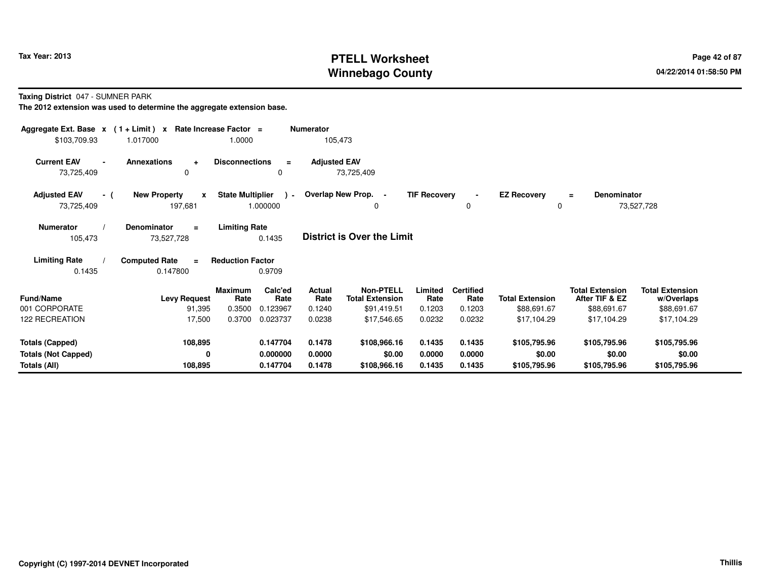## **PTELL Worksheet Tax Year: 2013 Page 42 of 87 PAGE 12 of 87 Page 42 of 87 Winnebago County**

**Taxing District** 047 - SUMNER PARK

| Aggregate Ext. Base $x$ (1 + Limit) $x$<br>\$103,709.93 | 1.017000                            | Rate Increase Factor =<br>1.0000 |                          | <b>Numerator</b><br>105,473 |                                            |                     |                          |                        |                                          |                                      |  |
|---------------------------------------------------------|-------------------------------------|----------------------------------|--------------------------|-----------------------------|--------------------------------------------|---------------------|--------------------------|------------------------|------------------------------------------|--------------------------------------|--|
|                                                         |                                     |                                  |                          |                             |                                            |                     |                          |                        |                                          |                                      |  |
| <b>Current EAV</b><br>$\blacksquare$                    | <b>Annexations</b><br>$\ddot{}$     | <b>Disconnections</b>            | $\equiv$                 | <b>Adjusted EAV</b>         |                                            |                     |                          |                        |                                          |                                      |  |
| 73,725,409                                              | 0                                   |                                  | 0                        |                             | 73,725,409                                 |                     |                          |                        |                                          |                                      |  |
| <b>Adjusted EAV</b><br>- (                              | <b>New Property</b><br>$\mathbf{x}$ | <b>State Multiplier</b>          | $\overline{\phantom{0}}$ |                             | Overlap New Prop. -                        | <b>TIF Recovery</b> |                          | <b>EZ Recovery</b>     | <b>Denominator</b><br>$=$                |                                      |  |
| 73,725,409                                              | 197,681                             |                                  | 1.000000                 |                             | $\Omega$                                   |                     | 0                        | $\Omega$               |                                          | 73,527,728                           |  |
| <b>Numerator</b>                                        | Denominator<br>$\equiv$             | <b>Limiting Rate</b>             |                          |                             |                                            |                     |                          |                        |                                          |                                      |  |
| 105,473                                                 | 73,527,728                          |                                  | 0.1435                   |                             | District is Over the Limit                 |                     |                          |                        |                                          |                                      |  |
| <b>Limiting Rate</b>                                    | <b>Computed Rate</b><br>$\equiv$    | <b>Reduction Factor</b>          |                          |                             |                                            |                     |                          |                        |                                          |                                      |  |
| 0.1435                                                  | 0.147800                            |                                  | 0.9709                   |                             |                                            |                     |                          |                        |                                          |                                      |  |
| <b>Fund/Name</b>                                        | <b>Levy Request</b>                 | Maximum<br>Rate                  | Calc'ed<br>Rate          | Actual<br>Rate              | <b>Non-PTELL</b><br><b>Total Extension</b> | Limited<br>Rate     | <b>Certified</b><br>Rate | <b>Total Extension</b> | <b>Total Extension</b><br>After TIF & EZ | <b>Total Extension</b><br>w/Overlaps |  |
| 001 CORPORATE                                           | 91,395                              | 0.3500                           | 0.123967                 | 0.1240                      | \$91,419.51                                | 0.1203              | 0.1203                   | \$88,691.67            | \$88,691.67                              | \$88,691.67                          |  |
| 122 RECREATION                                          | 17,500                              | 0.3700                           | 0.023737                 | 0.0238                      | \$17,546.65                                | 0.0232              | 0.0232                   | \$17,104.29            | \$17,104.29                              | \$17,104.29                          |  |
| <b>Totals (Capped)</b>                                  | 108,895                             |                                  | 0.147704                 | 0.1478                      | \$108,966.16                               | 0.1435              | 0.1435                   | \$105,795.96           | \$105,795.96                             | \$105,795.96                         |  |
| <b>Totals (Not Capped)</b>                              | 0                                   |                                  | 0.000000                 | 0.0000                      | \$0.00                                     | 0.0000              | 0.0000                   | \$0.00                 | \$0.00                                   | \$0.00                               |  |
| Totals (All)                                            | 108,895                             |                                  | 0.147704                 | 0.1478                      | \$108,966.16                               | 0.1435              | 0.1435                   | \$105,795.96           | \$105,795.96                             | \$105,795.96                         |  |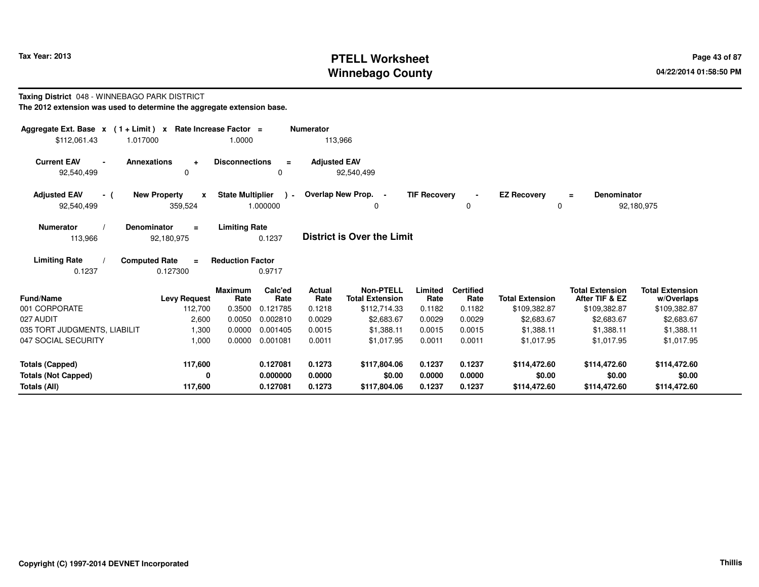## **PTELL Worksheet Tax Year: 2013 Page 43 of 87 PAGE 12 ASS ASSESSED ASSESSED ASSESSED ASSESSED ASSESSED ASSESSED AND RADIO PAGE 43 of 87 Winnebago County**

# **Taxing District** 048 - WINNEBAGO PARK DISTRICT **The 2012 extension was used to determine the aggregate extension base.**

| The 2012 extension was used to determine the aggregate extension base. |  |  |  |
|------------------------------------------------------------------------|--|--|--|
|------------------------------------------------------------------------|--|--|--|

| Aggregate Ext. Base $x$ (1 + Limit) $x$                    | Rate Increase Factor =                                      |                                        | <b>Numerator</b>    |                                            |                     |                          |                        |                                          |                                      |
|------------------------------------------------------------|-------------------------------------------------------------|----------------------------------------|---------------------|--------------------------------------------|---------------------|--------------------------|------------------------|------------------------------------------|--------------------------------------|
| 1.017000<br>\$112,061.43                                   | 1.0000                                                      |                                        | 113,966             |                                            |                     |                          |                        |                                          |                                      |
| <b>Current EAV</b><br><b>Annexations</b><br>$\blacksquare$ | <b>Disconnections</b><br>$\ddot{}$                          | $\equiv$                               | <b>Adjusted EAV</b> |                                            |                     |                          |                        |                                          |                                      |
| 92,540,499                                                 | 0                                                           | 0                                      |                     | 92,540,499                                 |                     |                          |                        |                                          |                                      |
| <b>Adjusted EAV</b><br>- (                                 | <b>New Property</b><br>X                                    | <b>State Multiplier</b><br>$\lambda$ - |                     | Overlap New Prop. -                        | <b>TIF Recovery</b> |                          | <b>EZ Recovery</b>     | <b>Denominator</b><br>$\equiv$           |                                      |
| 92,540,499                                                 | 359,524                                                     | 1.000000                               |                     | 0                                          |                     | 0                        | 0                      |                                          | 92,180,975                           |
| <b>Numerator</b><br><b>Denominator</b>                     | <b>Limiting Rate</b><br>$\equiv$                            |                                        |                     |                                            |                     |                          |                        |                                          |                                      |
| 113,966                                                    | 92,180,975                                                  | 0.1237                                 |                     | <b>District is Over the Limit</b>          |                     |                          |                        |                                          |                                      |
| <b>Limiting Rate</b>                                       | <b>Computed Rate</b><br><b>Reduction Factor</b><br>$\equiv$ |                                        |                     |                                            |                     |                          |                        |                                          |                                      |
| 0.1237                                                     | 0.127300                                                    | 0.9717                                 |                     |                                            |                     |                          |                        |                                          |                                      |
| <b>Fund/Name</b>                                           | Maximum<br><b>Levy Request</b><br>Rate                      | Calc'ed<br>Rate                        | Actual<br>Rate      | <b>Non-PTELL</b><br><b>Total Extension</b> | Limited<br>Rate     | <b>Certified</b><br>Rate | <b>Total Extension</b> | <b>Total Extension</b><br>After TIF & EZ | <b>Total Extension</b><br>w/Overlaps |
| 001 CORPORATE                                              | 112,700<br>0.3500                                           | 0.121785                               | 0.1218              | \$112,714.33                               | 0.1182              | 0.1182                   | \$109,382.87           | \$109,382.87                             | \$109,382.87                         |
| 027 AUDIT                                                  | 2,600<br>0.0050                                             | 0.002810                               | 0.0029              | \$2,683.67                                 | 0.0029              | 0.0029                   | \$2,683.67             | \$2,683.67                               | \$2,683.67                           |
| 035 TORT JUDGMENTS, LIABILIT                               | 1,300<br>0.0000                                             | 0.001405                               | 0.0015              | \$1,388.11                                 | 0.0015              | 0.0015                   | \$1,388.11             | \$1,388.11                               | \$1,388.11                           |
| 047 SOCIAL SECURITY                                        | 0.0000<br>1,000                                             | 0.001081                               | 0.0011              | \$1,017.95                                 | 0.0011              | 0.0011                   | \$1,017.95             | \$1,017.95                               | \$1,017.95                           |
| <b>Totals (Capped)</b>                                     | 117,600                                                     | 0.127081                               | 0.1273              | \$117,804.06                               | 0.1237              | 0.1237                   | \$114,472.60           | \$114,472.60                             | \$114,472.60                         |
| <b>Totals (Not Capped)</b>                                 | 0                                                           | 0.000000                               | 0.0000              | \$0.00                                     | 0.0000              | 0.0000                   | \$0.00                 | \$0.00                                   | \$0.00                               |
| Totals (All)                                               | 117,600                                                     | 0.127081                               | 0.1273              | \$117,804.06                               | 0.1237              | 0.1237                   | \$114,472.60           | \$114,472.60                             | \$114,472.60                         |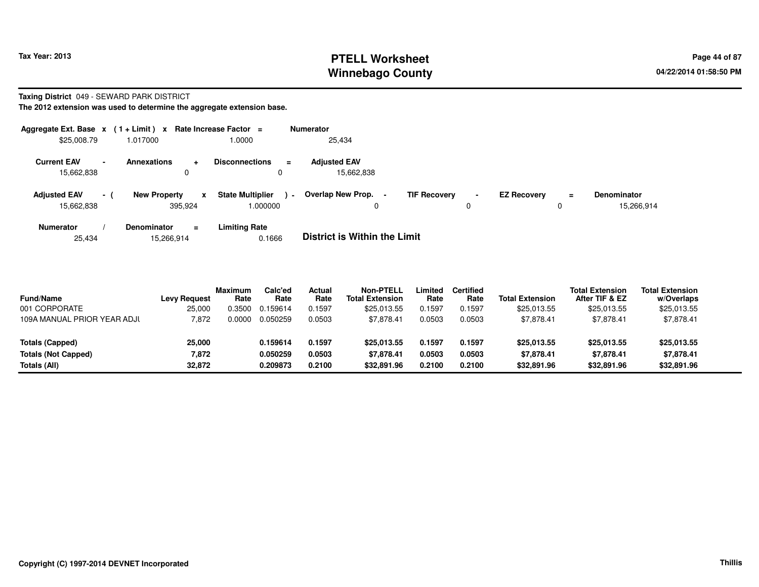## **PTELL Worksheet Tax Year: 2013 Page 44 of 87 PAGE 12 At 2014 Page 44 of 87 Winnebago County**

#### **Taxing District** 049 - SEWARD PARK DISTRICT

**The 2012 extension was used to determine the aggregate extension base.**

| Aggregate Ext. Base x (1 + Limit) x |        |                                             | Rate Increase Factor =              | <b>Numerator</b>                              |                     |                               |                    |          |                                  |
|-------------------------------------|--------|---------------------------------------------|-------------------------------------|-----------------------------------------------|---------------------|-------------------------------|--------------------|----------|----------------------------------|
| \$25,008.79                         |        | 1.017000                                    | 1.0000                              | 25,434                                        |                     |                               |                    |          |                                  |
| <b>Current EAV</b><br>15,662,838    | $\sim$ | <b>Annexations</b><br>$\div$<br>$\mathbf 0$ | <b>Disconnections</b><br>0          | <b>Adiusted EAV</b><br>$\equiv$<br>15,662,838 |                     |                               |                    |          |                                  |
| <b>Adjusted EAV</b><br>15.662.838   | - 1    | <b>New Property</b><br>x<br>395.924         | <b>State Multiplier</b><br>1.000000 | Overlap New Prop. -<br>$\blacksquare$<br>0    | <b>TIF Recovery</b> | $\overline{\phantom{a}}$<br>0 | <b>EZ Recovery</b> | $\equiv$ | <b>Denominator</b><br>15,266,914 |
| <b>Numerator</b>                    |        | <b>Denominator</b><br>$\equiv$              | <b>Limiting Rate</b>                | _ . _                                         |                     |                               |                    |          |                                  |

25,43415,266,914 0.1666 **District is Within the Limit**

| <b>Fund/Name</b><br>001 CORPORATE | <b>Levy Request</b><br>25,000 | <b>Maximum</b><br>Rate<br>0.3500 | Calc'ed<br>Rate<br>0.159614 | Actual<br>Rate<br>0.1597 | Non-PTELL<br><b>Total Extension</b><br>\$25,013.55 | Limited<br>Rate<br>0.1597 | <b>Certified</b><br>Rate<br>0.1597 | <b>Total Extension</b><br>\$25,013.55 | <b>Total Extension</b><br>After TIF & EZ<br>\$25,013.55 | <b>Total Extension</b><br>w/Overlaps<br>\$25,013.55 |
|-----------------------------------|-------------------------------|----------------------------------|-----------------------------|--------------------------|----------------------------------------------------|---------------------------|------------------------------------|---------------------------------------|---------------------------------------------------------|-----------------------------------------------------|
| 109A MANUAL PRIOR YEAR ADJI       | 7.872                         | 0.0000                           | 0.050259                    | 0.0503                   | \$7,878.41                                         | 0.0503                    | 0.0503                             | \$7,878.41                            | \$7,878.41                                              | \$7,878.41                                          |
| Totals (Capped)                   | 25,000                        |                                  | 0.159614                    | 0.1597                   | \$25,013.55                                        | 0.1597                    | 0.1597                             | \$25,013.55                           | \$25,013.55                                             | \$25,013.55                                         |
| <b>Totals (Not Capped)</b>        | 7,872                         |                                  | 0.050259                    | 0.0503                   | \$7.878.41                                         | 0.0503                    | 0.0503                             | \$7.878.41                            | \$7.878.41                                              | \$7,878.41                                          |
| Totals (All)                      | 32,872                        |                                  | 0.209873                    | 0.2100                   | \$32,891.96                                        | 0.2100                    | 0.2100                             | \$32,891.96                           | \$32,891.96                                             | \$32,891.96                                         |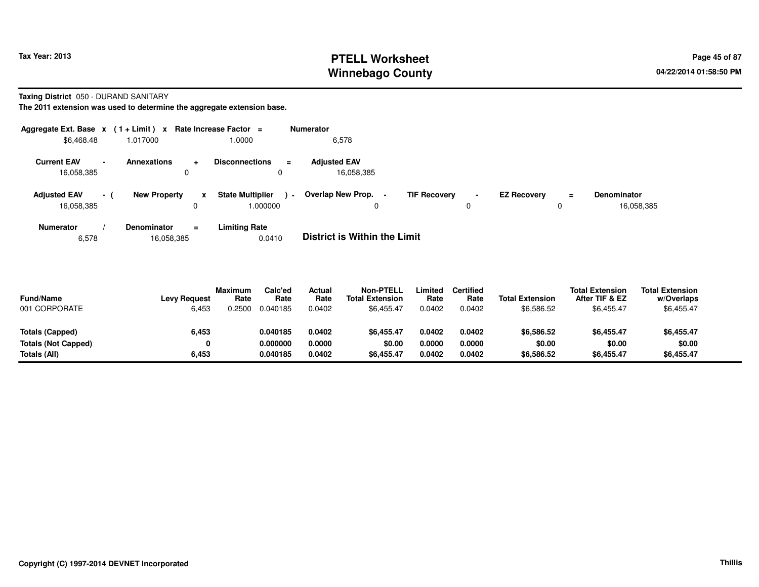## **PTELL Worksheet Tax Year: 2013 Page 45 of 87 PAGE 12 ASS ASSESSED ASSESSED ASSESSED ASSESSED ASSESSED ASSESSED ASSESSED AT A Page 45 of 87 Winnebago County**

**Taxing District** 050 - DURAND SANITARY

**The 2011 extension was used to determine the aggregate extension base.**

| Aggregate Ext. Base $x$ (1+Limit) $x$ |                          |                         |     | Rate Increase Factor =             | <b>Numerator</b> |                                   |                |                     |                     |                    |          |                                  |
|---------------------------------------|--------------------------|-------------------------|-----|------------------------------------|------------------|-----------------------------------|----------------|---------------------|---------------------|--------------------|----------|----------------------------------|
| \$6,468.48                            |                          | 1.017000                |     | 1.0000                             |                  | 6,578                             |                |                     |                     |                    |          |                                  |
| <b>Current EAV</b><br>16,058,385      | $\overline{\phantom{0}}$ | <b>Annexations</b><br>0 | ÷   | <b>Disconnections</b><br>O         | $\equiv$         | <b>Adjusted EAV</b><br>16,058,385 |                |                     |                     |                    |          |                                  |
| <b>Adjusted EAV</b><br>16,058,385     | $\sim$                   | <b>New Property</b>     | x   | <b>State Multiplier</b><br>000000. | $\sim$ $-$       | Overlap New Prop.<br>0            | $\blacksquare$ | <b>TIF Recovery</b> | $\blacksquare$<br>0 | <b>EZ Recovery</b> | $=$<br>0 | <b>Denominator</b><br>16,058,385 |
| <b>Numerator</b>                      |                          | <b>Denominator</b>      | $=$ | <b>Limiting Rate</b>               |                  | _ _ _ _ _ _ _ _ _ _ _ _ _ _       |                |                     |                     |                    |          |                                  |

6,57816,058,385 0.0410 **District is Within the Limit**

| <b>Fund/Name</b><br>001 CORPORATE | <b>Levy Request</b><br>6,453 | <b>Maximum</b><br>Rate<br>0.2500 | Calc'ed<br>Rate<br>0.040185 | Actual<br>Rate<br>0.0402 | <b>Non-PTELL</b><br><b>Total Extension</b><br>\$6,455.47 | _imited<br>Rate<br>0.0402 | Certified<br>Rate<br>0.0402 | <b>Total Extension</b><br>\$6,586.52 | <b>Total Extension</b><br>After TIF & EZ<br>\$6,455.47 | <b>Total Extension</b><br>w/Overlaps<br>\$6,455.47 |  |
|-----------------------------------|------------------------------|----------------------------------|-----------------------------|--------------------------|----------------------------------------------------------|---------------------------|-----------------------------|--------------------------------------|--------------------------------------------------------|----------------------------------------------------|--|
| Totals (Capped)                   | 6,453                        |                                  | 0.040185                    | 0.0402                   | \$6.455.47                                               | 0.0402                    | 0.0402                      | \$6,586.52                           | \$6,455.47                                             | \$6,455.47                                         |  |
| Totals (Not Capped)               |                              |                                  | 0.000000                    | 0.0000                   | \$0.00                                                   | 0.0000                    | 0.0000                      | \$0.00                               | \$0.00                                                 | \$0.00                                             |  |
| Totals (All)                      | 6,453                        |                                  | 0.040185                    | 0.0402                   | \$6,455.47                                               | 0.0402                    | 0.0402                      | \$6,586.52                           | \$6,455.47                                             | \$6,455.47                                         |  |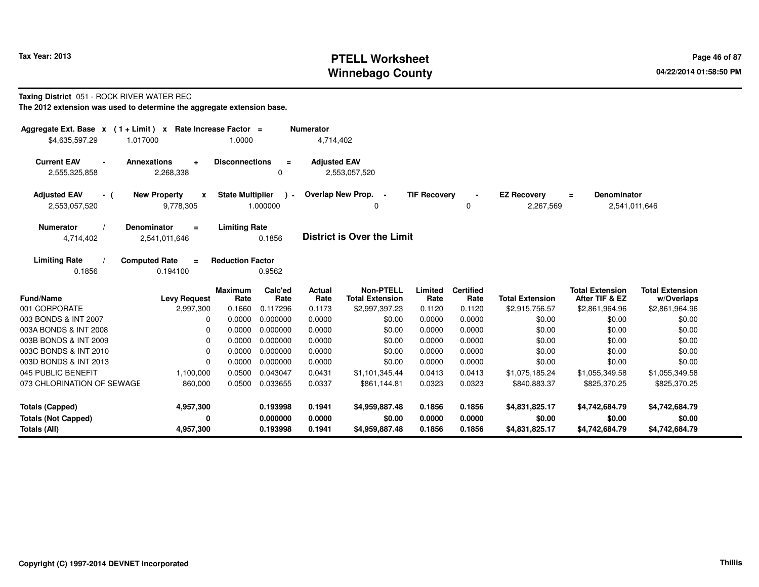## **PTELL Worksheet Tax Year: 2013 Page 46 of 87 PAGE 12 ASS ASSESSED ASSESSED ASSESSED ASSESSED ASSESSED ASSESSED AND RADIO PAGE 46 OF 87 Winnebago County**

#### **Taxing District** 051 - ROCK RIVER WATER REC

| Aggregate Ext. Base $x$ (1 + Limit) x Rate Increase Factor = |                                              |                         |                 | <b>Numerator</b>    |                                            |                     |                          |                        |                                          |                                      |
|--------------------------------------------------------------|----------------------------------------------|-------------------------|-----------------|---------------------|--------------------------------------------|---------------------|--------------------------|------------------------|------------------------------------------|--------------------------------------|
| \$4,635,597.29                                               | 1.017000                                     | 1.0000                  |                 | 4,714,402           |                                            |                     |                          |                        |                                          |                                      |
| <b>Current EAV</b><br>2,555,325,858                          | <b>Annexations</b><br>$\ddot{}$<br>2,268,338 | <b>Disconnections</b>   | $\equiv$<br>0   | <b>Adjusted EAV</b> | 2,553,057,520                              |                     |                          |                        |                                          |                                      |
| <b>Adjusted EAV</b><br>- (                                   | <b>New Property</b><br>X                     | <b>State Multiplier</b> | $\rightarrow$   |                     | Overlap New Prop. -                        | <b>TIF Recovery</b> |                          | <b>EZ Recovery</b>     | <b>Denominator</b><br>$=$                |                                      |
| 2,553,057,520                                                | 9,778,305                                    |                         | 1.000000        |                     | 0                                          |                     | 0                        | 2,267,569              | 2,541,011,646                            |                                      |
| <b>Numerator</b>                                             | <b>Denominator</b><br>$\equiv$               | <b>Limiting Rate</b>    |                 |                     |                                            |                     |                          |                        |                                          |                                      |
| 4,714,402                                                    | 2,541,011,646                                |                         | 0.1856          |                     | <b>District is Over the Limit</b>          |                     |                          |                        |                                          |                                      |
| <b>Limiting Rate</b><br>0.1856                               | <b>Computed Rate</b><br>$\equiv$<br>0.194100 | <b>Reduction Factor</b> | 0.9562          |                     |                                            |                     |                          |                        |                                          |                                      |
| <b>Fund/Name</b>                                             | <b>Levy Request</b>                          | <b>Maximum</b><br>Rate  | Calc'ed<br>Rate | Actual<br>Rate      | <b>Non-PTELL</b><br><b>Total Extension</b> | Limited<br>Rate     | <b>Certified</b><br>Rate | <b>Total Extension</b> | <b>Total Extension</b><br>After TIF & EZ | <b>Total Extension</b><br>w/Overlaps |
| 001 CORPORATE                                                | 2,997,300                                    | 0.1660                  | 0.117296        | 0.1173              | \$2,997,397.23                             | 0.1120              | 0.1120                   | \$2,915,756.57         | \$2,861,964.96                           | \$2,861,964.96                       |
| 003 BONDS & INT 2007                                         | 0                                            | 0.0000                  | 0.000000        | 0.0000              | \$0.00                                     | 0.0000              | 0.0000                   | \$0.00                 | \$0.00                                   | \$0.00                               |
| 003A BONDS & INT 2008                                        | $\Omega$                                     | 0.0000                  | 0.000000        | 0.0000              | \$0.00                                     | 0.0000              | 0.0000                   | \$0.00                 | \$0.00                                   | \$0.00                               |
| 003B BONDS & INT 2009                                        | 0                                            | 0.0000                  | 0.000000        | 0.0000              | \$0.00                                     | 0.0000              | 0.0000                   | \$0.00                 | \$0.00                                   | \$0.00                               |
| 003C BONDS & INT 2010                                        | 0                                            | 0.0000                  | 0.000000        | 0.0000              | \$0.00                                     | 0.0000              | 0.0000                   | \$0.00                 | \$0.00                                   | \$0.00                               |
| 003D BONDS & INT 2013                                        | $\Omega$                                     | 0.0000                  | 0.000000        | 0.0000              | \$0.00                                     | 0.0000              | 0.0000                   | \$0.00                 | \$0.00                                   | \$0.00                               |
| 045 PUBLIC BENEFIT                                           | 1,100,000                                    | 0.0500                  | 0.043047        | 0.0431              | \$1,101,345.44                             | 0.0413              | 0.0413                   | \$1,075,185.24         | \$1,055,349.58                           | \$1,055,349.58                       |
| 073 CHLORINATION OF SEWAGE                                   | 860,000                                      | 0.0500                  | 0.033655        | 0.0337              | \$861,144.81                               | 0.0323              | 0.0323                   | \$840,883.37           | \$825,370.25                             | \$825,370.25                         |
| <b>Totals (Capped)</b>                                       | 4,957,300                                    |                         | 0.193998        | 0.1941              | \$4,959,887.48                             | 0.1856              | 0.1856                   | \$4,831,825.17         | \$4,742,684.79                           | \$4,742,684.79                       |
| <b>Totals (Not Capped)</b>                                   | 0                                            |                         | 0.000000        | 0.0000              | \$0.00                                     | 0.0000              | 0.0000                   | \$0.00                 | \$0.00                                   | \$0.00                               |
| Totals (All)                                                 | 4,957,300                                    |                         | 0.193998        | 0.1941              | \$4,959,887.48                             | 0.1856              | 0.1856                   | \$4,831,825.17         | \$4,742,684.79                           | \$4,742,684.79                       |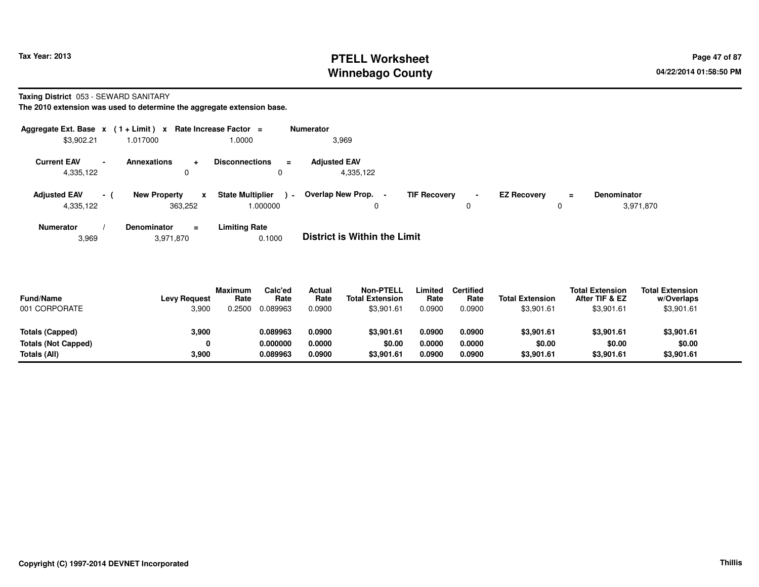## **PTELL Worksheet Tax Year: 2013 Page 47 of 87 Page 47 of 87 Winnebago County**

**Taxing District** 053 - SEWARD SANITARY

**The 2010 extension was used to determine the aggregate extension base.**

| Aggregate Ext. Base $x$ (1+Limit) x |        |                                | Rate Increase Factor $=$                 |                         | <b>Numerator</b>                         |                     |                     |                    |        |                                 |
|-------------------------------------|--------|--------------------------------|------------------------------------------|-------------------------|------------------------------------------|---------------------|---------------------|--------------------|--------|---------------------------------|
| \$3,902.21                          |        | 1.017000                       | 1.0000                                   |                         | 3,969                                    |                     |                     |                    |        |                                 |
| <b>Current EAV</b><br>4,335,122     | $\sim$ | <b>Annexations</b><br>÷.       | <b>Disconnections</b>                    | $\equiv$<br>$\mathbf 0$ | <b>Adiusted EAV</b><br>4,335,122         |                     |                     |                    |        |                                 |
| <b>Adjusted EAV</b><br>4,335,122    | $-1$   | <b>New Property</b><br>363,252 | <b>State Multiplier</b><br>x<br>1.000000 | $\sim$                  | Overlap New Prop.<br>$\blacksquare$<br>0 | <b>TIF Recovery</b> | $\blacksquare$<br>0 | <b>EZ Recovery</b> | Ξ<br>0 | <b>Denominator</b><br>3,971,870 |
| <b>Numerator</b>                    |        | <b>Denominator</b><br>$\equiv$ | <b>Limiting Rate</b>                     |                         | _ _ _ _ _ _ _ _ _ _ _ _ _ _              |                     |                     |                    |        |                                 |

3,9693,971,870 0.1000 **District is Within the Limit**

| <b>Fund/Name</b><br>001 CORPORATE | <b>Levy Request</b><br>3,900 | <b>Maximum</b><br>Rate<br>0.2500 | Calc'ed<br>Rate<br>0.089963 | Actual<br>Rate<br>0.0900 | <b>Non-PTELL</b><br><b>Total Extension</b><br>\$3,901.61 | .imited<br>Rate<br>0.0900 | Certified<br>Rate<br>0.0900 | <b>Total Extension</b><br>\$3,901.61 | <b>Total Extension</b><br>After TIF & EZ<br>\$3,901.61 | <b>Total Extension</b><br>w/Overlaps<br>\$3,901.61 |  |
|-----------------------------------|------------------------------|----------------------------------|-----------------------------|--------------------------|----------------------------------------------------------|---------------------------|-----------------------------|--------------------------------------|--------------------------------------------------------|----------------------------------------------------|--|
| Totals (Capped)                   | 3,900                        |                                  | 0.089963                    | 0.0900                   | \$3,901.61                                               | 0.0900                    | 0.0900                      | \$3,901.61                           | \$3,901.61                                             | \$3,901.61                                         |  |
| <b>Totals (Not Capped)</b>        | 0                            |                                  | 0.000000                    | 0.0000                   | \$0.00                                                   | 0.0000                    | 0.0000                      | \$0.00                               | \$0.00                                                 | \$0.00                                             |  |
| Totals (All)                      | 3.900                        |                                  | 0.089963                    | 0.0900                   | \$3,901.61                                               | 0.0900                    | 0.0900                      | \$3,901.61                           | \$3,901.61                                             | \$3,901.61                                         |  |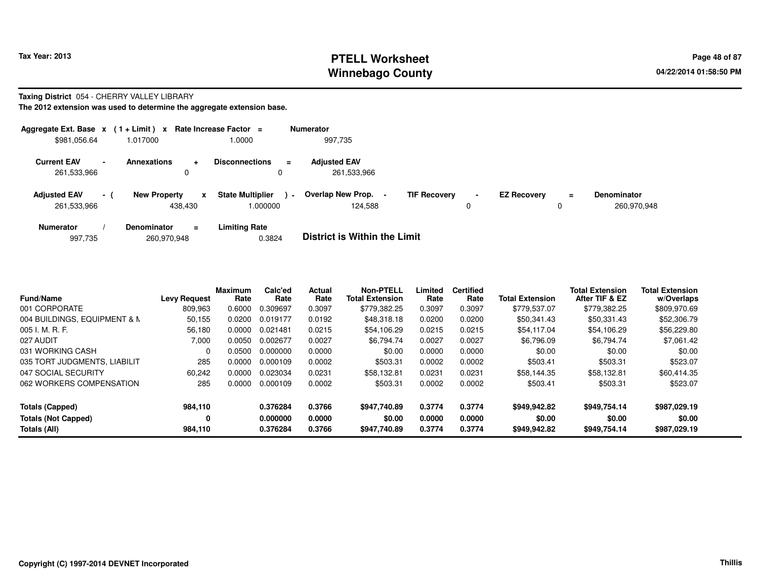## **PTELL Worksheet Tax Year: 2013 Page 48 of 87 PAGE 12 ASS ASSESSED ASSESSED ASSESSED ASSESSED ASSESSED ASSESSED AND RADIO PAGE 48 of 87 Winnebago County**

#### **Taxing District** 054 - CHERRY VALLEY LIBRARY

| Aggregate Ext. Base $x$ (1 + Limit) $x$ |                          |                                      | Rate Increase Factor =                  |                | <b>Numerator</b>                    |                     |                     |                    |    |                                   |
|-----------------------------------------|--------------------------|--------------------------------------|-----------------------------------------|----------------|-------------------------------------|---------------------|---------------------|--------------------|----|-----------------------------------|
| \$981,056.64                            |                          | 1.017000                             | 1.0000                                  |                | 997.735                             |                     |                     |                    |    |                                   |
| <b>Current EAV</b><br>261,533,966       | $\overline{\phantom{a}}$ | <b>Annexations</b><br>$\ddot{}$<br>0 | <b>Disconnections</b>                   | $\blacksquare$ | <b>Adjusted EAV</b><br>261,533,966  |                     |                     |                    |    |                                   |
| <b>Adjusted EAV</b><br>261,533,966      | - 1                      | <b>New Property</b><br>438.430       | <b>State Multiplier</b><br>x<br>000000. | $\blacksquare$ | <b>Overlap New Prop.</b><br>124.588 | <b>TIF Recovery</b> | $\blacksquare$<br>0 | <b>EZ Recovery</b> | Ξ. | <b>Denominator</b><br>260,970,948 |
| <b>Numerator</b>                        |                          | <b>Denominator</b><br>$\equiv$       | <b>Limiting Rate</b>                    |                | _ _ _ _ _ _ _ _ _ _ _ _ _ _         |                     |                     |                    |    |                                   |

| <b>District is Within the Limit</b><br>0.3824<br>260,970,948<br>997.735 |  |
|-------------------------------------------------------------------------|--|
|-------------------------------------------------------------------------|--|

| <b>Fund/Name</b>             | <b>Levy Request</b> | <b>Maximum</b><br>Rate | Calc'ed<br>Rate | Actual<br>Rate | <b>Non-PTELL</b><br><b>Total Extension</b> | Limited<br>Rate | <b>Certified</b><br>Rate | <b>Total Extension</b> | <b>Total Extension</b><br>After TIF & EZ | <b>Total Extension</b><br>w/Overlaps |
|------------------------------|---------------------|------------------------|-----------------|----------------|--------------------------------------------|-----------------|--------------------------|------------------------|------------------------------------------|--------------------------------------|
| 001 CORPORATE                | 809.963             | 0.6000                 | 0.309697        | 0.3097         | \$779.382.25                               | 0.3097          | 0.3097                   | \$779.537.07           | \$779,382.25                             | \$809,970.69                         |
| 004 BUILDINGS, EQUIPMENT & N | 50,155              | 0.0200                 | 0.019177        | 0.0192         | \$48,318.18                                | 0.0200          | 0.0200                   | \$50,341.43            | \$50,331.43                              | \$52,306.79                          |
| $005$ J. M. R. F.            | 56,180              | 0.0000                 | 0.021481        | 0.0215         | \$54,106.29                                | 0.0215          | 0.0215                   | \$54,117.04            | \$54,106.29                              | \$56,229.80                          |
| 027 AUDIT                    | 7.000               | 0.0050                 | 0.002677        | 0.0027         | \$6.794.74                                 | 0.0027          | 0.0027                   | \$6,796.09             | \$6.794.74                               | \$7.061.42                           |
| 031 WORKING CASH             | $\Omega$            | 0.0500                 | 0.000000        | 0.0000         | \$0.00                                     | 0.0000          | 0.0000                   | \$0.00                 | \$0.00                                   | \$0.00                               |
| 035 TORT JUDGMENTS, LIABILIT | 285                 | 0.0000                 | 0.000109        | 0.0002         | \$503.31                                   | 0.0002          | 0.0002                   | \$503.41               | \$503.31                                 | \$523.07                             |
| 047 SOCIAL SECURITY          | 60,242              | 0.0000                 | 0.023034        | 0.0231         | \$58.132.81                                | 0.0231          | 0.0231                   | \$58.144.35            | \$58.132.81                              | \$60,414.35                          |
| 062 WORKERS COMPENSATION     | 285                 | 0.0000                 | 0.000109        | 0.0002         | \$503.31                                   | 0.0002          | 0.0002                   | \$503.41               | \$503.31                                 | \$523.07                             |
| Totals (Capped)              | 984,110             |                        | 0.376284        | 0.3766         | \$947.740.89                               | 0.3774          | 0.3774                   | \$949,942.82           | \$949.754.14                             | \$987.029.19                         |
| <b>Totals (Not Capped)</b>   | 0                   |                        | 0.000000        | 0.0000         | \$0.00                                     | 0.0000          | 0.0000                   | \$0.00                 | \$0.00                                   | \$0.00                               |
| Totals (All)                 | 984,110             |                        | 0.376284        | 0.3766         | \$947,740.89                               | 0.3774          | 0.3774                   | \$949,942.82           | \$949.754.14                             | \$987,029.19                         |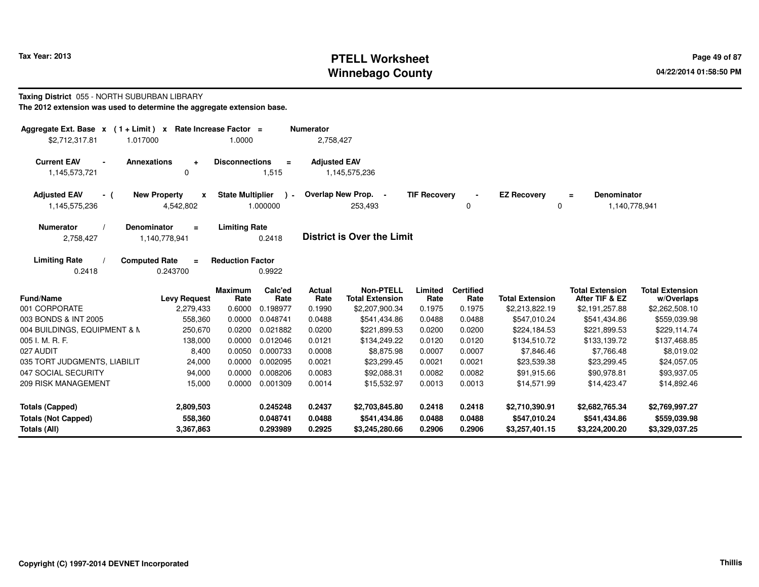## **PTELL Worksheet Tax Year: 2013 Page 49 of 87 PAGE 12 ASS ASSESSED ASSESSED ASSESSED ASSESSED ASSESSED ASSESSED AND RADIO PAGE 49 of 87 Winnebago County**

#### **Taxing District** 055 - NORTH SUBURBAN LIBRARY

| Aggregate Ext. Base $x$ (1 + Limit) $x$<br>\$2,712,317.81<br>1.017000 | Rate Increase Factor =                | 1.0000                  |                         | <b>Numerator</b><br>2,758,427 |                                            |                     |                          |                                |                                                 |                                      |
|-----------------------------------------------------------------------|---------------------------------------|-------------------------|-------------------------|-------------------------------|--------------------------------------------|---------------------|--------------------------|--------------------------------|-------------------------------------------------|--------------------------------------|
| <b>Current EAV</b><br><b>Annexations</b><br>1,145,573,721             | $\ddot{}$<br>0                        | <b>Disconnections</b>   | $\equiv$<br>1,515       | <b>Adjusted EAV</b>           | 1,145,575,236                              |                     |                          |                                |                                                 |                                      |
| <b>Adjusted EAV</b><br>- (<br>1,145,575,236                           | <b>New Property</b><br>X<br>4,542,802 | <b>State Multiplier</b> | $\lambda$ -<br>1.000000 |                               | Overlap New Prop. -<br>253,493             | <b>TIF Recovery</b> | 0                        | <b>EZ Recovery</b><br>0        | <b>Denominator</b><br>$\equiv$<br>1,140,778,941 |                                      |
| <b>Numerator</b><br><b>Denominator</b><br>2,758,427                   | $\equiv$<br>1,140,778,941             | <b>Limiting Rate</b>    | 0.2418                  |                               | <b>District is Over the Limit</b>          |                     |                          |                                |                                                 |                                      |
| <b>Limiting Rate</b><br><b>Computed Rate</b><br>0.2418                | $\equiv$<br>0.243700                  | <b>Reduction Factor</b> | 0.9922                  |                               |                                            |                     |                          |                                |                                                 |                                      |
| <b>Fund/Name</b>                                                      | <b>Levy Request</b>                   | <b>Maximum</b><br>Rate  | Calc'ed<br>Rate         | Actual<br>Rate                | <b>Non-PTELL</b><br><b>Total Extension</b> | Limited<br>Rate     | <b>Certified</b><br>Rate | <b>Total Extension</b>         | <b>Total Extension</b><br>After TIF & EZ        | <b>Total Extension</b><br>w/Overlaps |
| 001 CORPORATE                                                         | 2,279,433                             | 0.6000                  | 0.198977                | 0.1990                        | \$2,207,900.34                             | 0.1975              | 0.1975                   | \$2,213,822.19                 | \$2,191,257.88                                  | \$2,262,508.10                       |
| 003 BONDS & INT 2005                                                  | 558,360                               | 0.0000                  | 0.048741                | 0.0488                        | \$541,434.86                               | 0.0488              | 0.0488                   | \$547,010.24                   | \$541,434.86                                    | \$559,039.98                         |
| 004 BUILDINGS, EQUIPMENT & N                                          | 250,670                               | 0.0200                  | 0.021882                | 0.0200                        | \$221,899.53                               | 0.0200              | 0.0200                   | \$224,184.53                   | \$221,899.53                                    | \$229,114.74                         |
| 005 I. M. R. F.                                                       | 138,000                               | 0.0000                  | 0.012046                | 0.0121                        | \$134,249.22                               | 0.0120              | 0.0120                   | \$134,510.72                   | \$133,139.72                                    | \$137,468.85                         |
| 027 AUDIT                                                             | 8,400                                 | 0.0050                  | 0.000733                | 0.0008                        | \$8,875.98                                 | 0.0007              | 0.0007                   | \$7,846.46                     | \$7,766.48                                      | \$8,019.02                           |
| 035 TORT JUDGMENTS, LIABILIT                                          | 24,000                                | 0.0000                  | 0.002095                | 0.0021                        | \$23,299.45                                | 0.0021              | 0.0021                   | \$23,539.38                    | \$23,299.45                                     | \$24,057.05                          |
| 047 SOCIAL SECURITY                                                   | 94,000                                | 0.0000                  | 0.008206                | 0.0083                        | \$92,088.31                                | 0.0082              | 0.0082                   | \$91,915.66                    | \$90,978.81                                     | \$93,937.05                          |
| 209 RISK MANAGEMENT                                                   | 15,000                                | 0.0000                  | 0.001309                | 0.0014                        | \$15,532.97                                | 0.0013              | 0.0013                   | \$14,571.99                    | \$14,423.47                                     | \$14,892.46                          |
| <b>Totals (Capped)</b>                                                | 2,809,503                             |                         | 0.245248                | 0.2437                        | \$2,703,845.80                             | 0.2418              | 0.2418                   | \$2,710,390.91                 | \$2,682,765.34                                  | \$2,769,997.27                       |
| <b>Totals (Not Capped)</b><br>Totals (All)                            | 558,360<br>3,367,863                  |                         | 0.048741<br>0.293989    | 0.0488<br>0.2925              | \$541,434.86<br>\$3,245,280.66             | 0.0488<br>0.2906    | 0.0488<br>0.2906         | \$547,010.24<br>\$3,257,401.15 | \$541,434.86<br>\$3,224,200.20                  | \$559,039.98<br>\$3,329,037.25       |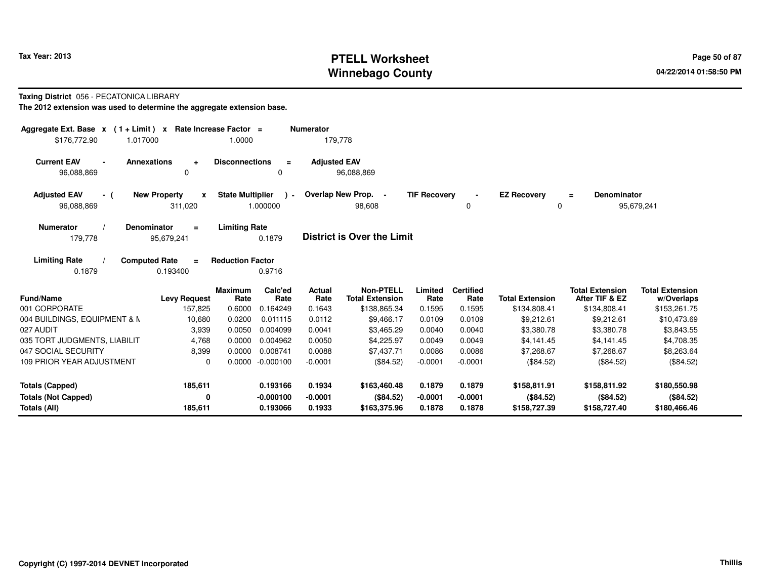## **PTELL Worksheet Tax Year: 2013 Page 50 of 87 PAGE 2013 Page 50 of 87 Winnebago County**

#### **Taxing District** 056 - PECATONICA LIBRARY

| Aggregate Ext. Base $x$ (1 + Limit) $x$                | Rate Increase Factor =              |                                                    | <b>Numerator</b>    |                                            |                     |                          |                                |                                          |                                      |
|--------------------------------------------------------|-------------------------------------|----------------------------------------------------|---------------------|--------------------------------------------|---------------------|--------------------------|--------------------------------|------------------------------------------|--------------------------------------|
| \$176,772.90<br>1.017000                               |                                     | 1.0000                                             | 179,778             |                                            |                     |                          |                                |                                          |                                      |
| <b>Current EAV</b><br><b>Annexations</b><br>96,088,869 | $\ddotmark$<br>0                    | <b>Disconnections</b><br>$\equiv$<br>0             | <b>Adjusted EAV</b> | 96,088,869                                 |                     |                          |                                |                                          |                                      |
| <b>Adjusted EAV</b><br>- (<br>96,088,869               | <b>New Property</b><br>X<br>311,020 | <b>State Multiplier</b><br>$\lambda$ -<br>1.000000 |                     | Overlap New Prop. -<br>98,608              | <b>TIF Recovery</b> | 0                        | <b>EZ Recovery</b><br>$\Omega$ | <b>Denominator</b><br>Ξ.                 | 95,679,241                           |
| <b>Numerator</b><br><b>Denominator</b><br>179,778      | $\equiv$<br>95,679,241              | <b>Limiting Rate</b><br>0.1879                     |                     | <b>District is Over the Limit</b>          |                     |                          |                                |                                          |                                      |
| <b>Limiting Rate</b><br><b>Computed Rate</b><br>0.1879 | $=$<br>0.193400                     | <b>Reduction Factor</b><br>0.9716                  |                     |                                            |                     |                          |                                |                                          |                                      |
| <b>Fund/Name</b>                                       | <b>Levy Request</b>                 | Calc'ed<br><b>Maximum</b><br>Rate<br>Rate          | Actual<br>Rate      | <b>Non-PTELL</b><br><b>Total Extension</b> | Limited<br>Rate     | <b>Certified</b><br>Rate | <b>Total Extension</b>         | <b>Total Extension</b><br>After TIF & EZ | <b>Total Extension</b><br>w/Overlaps |
| 001 CORPORATE                                          | 157,825                             | 0.6000<br>0.164249                                 | 0.1643              | \$138,865.34                               | 0.1595              | 0.1595                   | \$134,808.41                   | \$134,808.41                             | \$153,261.75                         |
| 004 BUILDINGS, EQUIPMENT & N                           | 10,680                              | 0.0200<br>0.011115                                 | 0.0112              | \$9,466.17                                 | 0.0109              | 0.0109                   | \$9,212.61                     | \$9,212.61                               | \$10,473.69                          |
| 027 AUDIT                                              | 3,939                               | 0.0050<br>0.004099                                 | 0.0041              | \$3,465.29                                 | 0.0040              | 0.0040                   | \$3,380.78                     | \$3,380.78                               | \$3,843.55                           |
| 035 TORT JUDGMENTS, LIABILIT                           | 4,768                               | 0.0000<br>0.004962                                 | 0.0050              | \$4,225.97                                 | 0.0049              | 0.0049                   | \$4,141.45                     | \$4,141.45                               | \$4,708.35                           |
| 047 SOCIAL SECURITY                                    | 8,399                               | 0.0000<br>0.008741                                 | 0.0088              | \$7,437.71                                 | 0.0086              | 0.0086                   | \$7,268.67                     | \$7,268.67                               | \$8,263.64                           |
| 109 PRIOR YEAR ADJUSTMENT                              | $\Omega$                            | 0.0000 -0.000100                                   | $-0.0001$           | (\$84.52)                                  | $-0.0001$           | $-0.0001$                | (\$84.52)                      | (\$84.52)                                | (\$84.52)                            |
| <b>Totals (Capped)</b>                                 | 185,611                             | 0.193166                                           | 0.1934              | \$163,460.48                               | 0.1879              | 0.1879                   | \$158,811.91                   | \$158,811.92                             | \$180,550.98                         |
| <b>Totals (Not Capped)</b>                             | $\mathbf 0$                         | $-0.000100$                                        | -0.0001             | (\$84.52)                                  | $-0.0001$           | $-0.0001$                | (\$84.52)                      | (\$84.52)                                | (\$84.52)                            |
| Totals (All)                                           | 185,611                             | 0.193066                                           | 0.1933              | \$163,375.96                               | 0.1878              | 0.1878                   | \$158,727.39                   | \$158,727.40                             | \$180,466.46                         |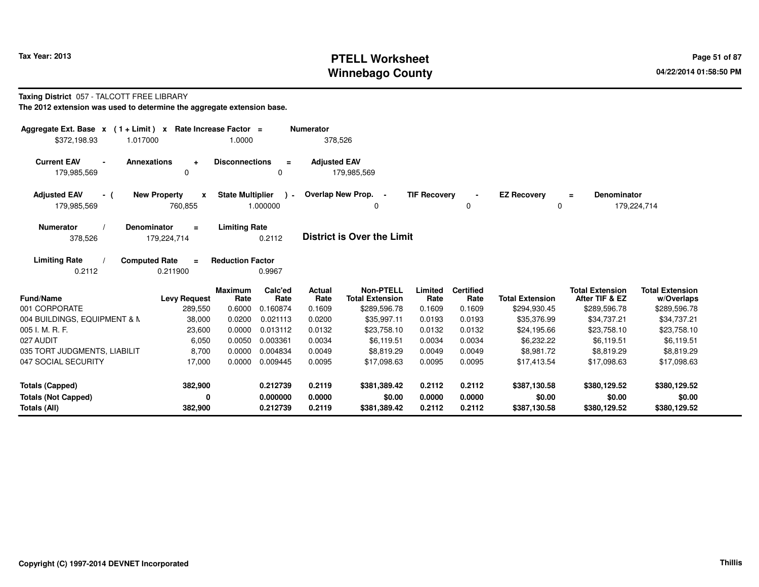## **PTELL Worksheet Tax Year: 2013 Page 51 of 87 PAGE 2013 Page 51 of 87 Winnebago County**

#### **Taxing District** 057 - TALCOTT FREE LIBRARY

| Aggregate Ext. Base $x$ (1+Limit) x Rate Increase Factor = |                                        |                         |                      | <b>Numerator</b>    |                                     |                     |                          |                            |                                          |                                      |
|------------------------------------------------------------|----------------------------------------|-------------------------|----------------------|---------------------|-------------------------------------|---------------------|--------------------------|----------------------------|------------------------------------------|--------------------------------------|
| \$372,198.93<br>1.017000                                   |                                        | 1.0000                  |                      | 378,526             |                                     |                     |                          |                            |                                          |                                      |
| <b>Current EAV</b><br>$\blacksquare$<br>179,985,569        | <b>Annexations</b><br>$\ddot{}$<br>0   | <b>Disconnections</b>   | $\equiv$<br>0        | <b>Adjusted EAV</b> | 179,985,569                         |                     |                          |                            |                                          |                                      |
| <b>Adjusted EAV</b><br>- (                                 | <b>New Property</b><br>$\mathbf{x}$    | <b>State Multiplier</b> | $\cdot$              |                     | Overlap New Prop. -                 | <b>TIF Recovery</b> |                          | <b>EZ Recovery</b>         | Denominator<br>$\equiv$                  |                                      |
| 179,985,569                                                | 760,855                                |                         | 1.000000             |                     | 0                                   |                     | 0                        | 0                          |                                          | 179,224,714                          |
| <b>Numerator</b><br>378,526                                | Denominator<br>$\equiv$<br>179,224,714 | <b>Limiting Rate</b>    | 0.2112               |                     | <b>District is Over the Limit</b>   |                     |                          |                            |                                          |                                      |
| <b>Limiting Rate</b>                                       | <b>Computed Rate</b><br>$\equiv$       | <b>Reduction Factor</b> |                      |                     |                                     |                     |                          |                            |                                          |                                      |
| 0.2112                                                     | 0.211900                               |                         | 0.9967               |                     |                                     |                     |                          |                            |                                          |                                      |
| <b>Fund/Name</b>                                           | <b>Levy Request</b>                    | <b>Maximum</b><br>Rate  | Calc'ed<br>Rate      | Actual<br>Rate      | Non-PTELL<br><b>Total Extension</b> | Limited<br>Rate     | <b>Certified</b><br>Rate | <b>Total Extension</b>     | <b>Total Extension</b><br>After TIF & EZ | <b>Total Extension</b><br>w/Overlaps |
| 001 CORPORATE                                              | 289,550                                | 0.6000                  | 0.160874             | 0.1609              | \$289,596.78                        | 0.1609              | 0.1609                   | \$294,930.45               | \$289,596.78                             | \$289,596.78                         |
| 004 BUILDINGS, EQUIPMENT & M<br>005 I. M. R. F.            | 38,000<br>23,600                       | 0.0200<br>0.0000        | 0.021113<br>0.013112 | 0.0200<br>0.0132    | \$35,997.11<br>\$23,758.10          | 0.0193<br>0.0132    | 0.0193<br>0.0132         | \$35,376.99<br>\$24,195.66 | \$34,737.21<br>\$23,758.10               | \$34,737.21<br>\$23,758.10           |
| 027 AUDIT                                                  | 6,050                                  | 0.0050                  | 0.003361             | 0.0034              | \$6,119.51                          | 0.0034              | 0.0034                   | \$6,232.22                 | \$6,119.51                               | \$6,119.51                           |
| 035 TORT JUDGMENTS, LIABILIT                               | 8,700                                  | 0.0000                  | 0.004834             | 0.0049              | \$8,819.29                          | 0.0049              | 0.0049                   | \$8,981.72                 | \$8,819.29                               | \$8,819.29                           |
| 047 SOCIAL SECURITY                                        | 17,000                                 | 0.0000                  | 0.009445             | 0.0095              | \$17,098.63                         | 0.0095              | 0.0095                   | \$17,413.54                | \$17,098.63                              | \$17,098.63                          |
| <b>Totals (Capped)</b>                                     | 382,900                                |                         | 0.212739             | 0.2119              | \$381,389.42                        | 0.2112              | 0.2112                   | \$387,130.58               | \$380,129.52                             | \$380,129.52                         |
| <b>Totals (Not Capped)</b>                                 | 0                                      |                         | 0.000000             | 0.0000              | \$0.00                              | 0.0000              | 0.0000                   | \$0.00                     | \$0.00                                   | \$0.00                               |
| Totals (All)                                               | 382,900                                |                         | 0.212739             | 0.2119              | \$381,389.42                        | 0.2112              | 0.2112                   | \$387,130.58               | \$380,129.52                             | \$380,129.52                         |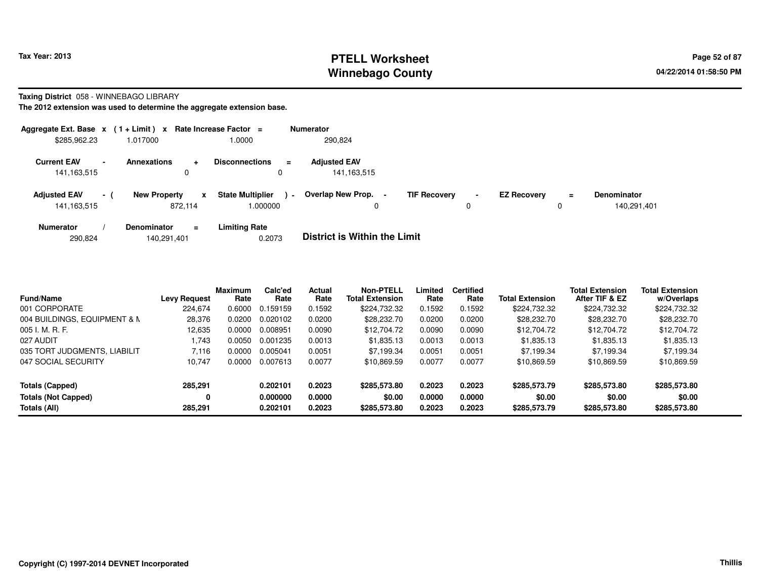## **PTELL Worksheet Tax Year: 2013 Page 52 of 87 Page 52 of 87 Winnebago County**

**Taxing District** 058 - WINNEBAGO LIBRARY

|                                      |                          | Aggregate Ext. Base $x$ (1 + Limit) x Rate Increase Factor = |                                         |                | <b>Numerator</b>                                |                     |                |                    |               |                                   |
|--------------------------------------|--------------------------|--------------------------------------------------------------|-----------------------------------------|----------------|-------------------------------------------------|---------------------|----------------|--------------------|---------------|-----------------------------------|
| \$285,962.23                         |                          | 1.017000                                                     | 0000.1                                  |                | 290,824                                         |                     |                |                    |               |                                   |
| <b>Current EAV</b><br>141,163,515    | $\overline{\phantom{a}}$ | <b>Annexations</b><br>$\ddot{}$<br>0                         | <b>Disconnections</b>                   | $\equiv$       | <b>Adjusted EAV</b><br>141, 163, 515            |                     |                |                    |               |                                   |
| <b>Adjusted EAV</b><br>141, 163, 515 | $-1$                     | <b>New Property</b><br>872.114                               | <b>State Multiplier</b><br>x<br>000000. | $\blacksquare$ | <b>Overlap New Prop.</b><br>$\blacksquare$<br>0 | <b>TIF Recovery</b> | $\blacksquare$ | <b>EZ Recovery</b> | $\equiv$<br>0 | <b>Denominator</b><br>140.291.401 |
| <b>Numerator</b>                     |                          | <b>Denominator</b><br>$\equiv$                               | <b>Limiting Rate</b>                    |                | _ . _                                           |                     |                |                    |               |                                   |

| 290,824 | 140,291,401 | 0.2073 | <b>District is Within the Limit</b> |
|---------|-------------|--------|-------------------------------------|
|         |             |        |                                     |
|         |             |        |                                     |

| <b>Fund/Name</b>             | <b>Levy Request</b> | <b>Maximum</b><br>Rate | Calc'ed<br>Rate | <b>Actual</b><br>Rate | <b>Non-PTELL</b><br><b>Total Extension</b> | Limited<br>Rate | <b>Certified</b><br>Rate | <b>Total Extension</b> | <b>Total Extension</b><br>After TIF & EZ | <b>Total Extension</b><br>w/Overlaps |  |
|------------------------------|---------------------|------------------------|-----------------|-----------------------|--------------------------------------------|-----------------|--------------------------|------------------------|------------------------------------------|--------------------------------------|--|
| 001 CORPORATE                | 224.674             | 0.6000                 | 0.159159        | 0.1592                | \$224.732.32                               | 0.1592          | 0.1592                   | \$224,732,32           | \$224,732.32                             | \$224,732.32                         |  |
| 004 BUILDINGS, EQUIPMENT & N | 28,376              | 0.0200                 | 0.020102        | 0.0200                | \$28,232.70                                | 0.0200          | 0.0200                   | \$28,232.70            | \$28,232.70                              | \$28,232.70                          |  |
| 005 I. M. R. F.              | 12,635              | 0.0000                 | 0.008951        | 0.0090                | \$12,704.72                                | 0.0090          | 0.0090                   | \$12,704.72            | \$12,704.72                              | \$12,704.72                          |  |
| 027 AUDIT                    | .743                | 0.0050                 | 0.001235        | 0.0013                | \$1,835.13                                 | 0.0013          | 0.0013                   | \$1,835.13             | \$1,835.13                               | \$1.835.13                           |  |
| 035 TORT JUDGMENTS, LIABILIT | 7.116               | 0.0000                 | 0.005041        | 0.0051                | \$7.199.34                                 | 0.0051          | 0.0051                   | \$7.199.34             | \$7,199.34                               | \$7.199.34                           |  |
| 047 SOCIAL SECURITY          | 10.747              | 0.0000                 | 0.007613        | 0.0077                | \$10.869.59                                | 0.0077          | 0.0077                   | \$10.869.59            | \$10,869.59                              | \$10,869.59                          |  |
| Totals (Capped)              | 285.291             |                        | 0.202101        | 0.2023                | \$285,573.80                               | 0.2023          | 0.2023                   | \$285,573.79           | \$285,573.80                             | \$285,573.80                         |  |
| <b>Totals (Not Capped)</b>   | 0                   |                        | 0.000000        | 0.0000                | \$0.00                                     | 0.0000          | 0.0000                   | \$0.00                 | \$0.00                                   | \$0.00                               |  |
| Totals (All)                 | 285.291             |                        | 0.202101        | 0.2023                | \$285,573.80                               | 0.2023          | 0.2023                   | \$285,573.79           | \$285,573.80                             | \$285,573.80                         |  |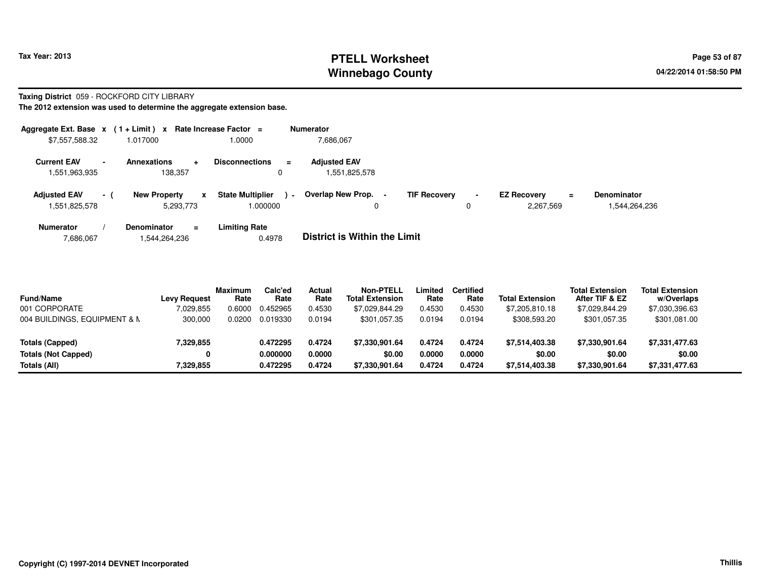## **PTELL Worksheet Tax Year: 2013 Page 53 of 87 PAGE 12 At 2014 Page 53 of 87 Winnebago County**

#### **Taxing District** 059 - ROCKFORD CITY LIBRARY

| Aggregate Ext. Base x                                 | $(1 + Limit) x$                       | Rate Increase Factor $=$                              | <b>Numerator</b>                     |                                            |                                             |                                     |
|-------------------------------------------------------|---------------------------------------|-------------------------------------------------------|--------------------------------------|--------------------------------------------|---------------------------------------------|-------------------------------------|
| \$7,557,588.32                                        | 1.017000                              | 1.0000                                                | 7,686,067                            |                                            |                                             |                                     |
| <b>Current EAV</b><br>$\blacksquare$<br>1,551,963,935 | Annexations<br>138.357                | <b>Disconnections</b><br>$\equiv$<br>$\mathbf 0$      | <b>Adjusted EAV</b><br>1,551,825,578 |                                            |                                             |                                     |
| <b>Adjusted EAV</b><br>$\sim$ 1<br>1,551,825,578      | <b>New Property</b><br>x<br>5,293,773 | <b>State Multiplier</b><br>$\blacksquare$<br>1.000000 | Overlap New Prop.<br>0               | <b>TIF Recovery</b><br>$\blacksquare$<br>0 | <b>EZ Recovery</b><br>$\equiv$<br>2,267,569 | <b>Denominator</b><br>1.544.264.236 |
| <b>Numerator</b>                                      | <b>Denominator</b><br>$\equiv$        | <b>Limiting Rate</b>                                  | _ _ _ _ _ _ _ _ _ _ _ _ _ _          |                                            |                                             |                                     |

| 7,686,067 | 1.544.264.236 | 0.4978 | <b>District is Within the Limit</b> |
|-----------|---------------|--------|-------------------------------------|
|           |               |        |                                     |

| <b>Fund/Name</b>             | <b>Levy Request</b> | <b>Maximum</b><br>Rate | Calc'ed<br>Rate | Actual<br>Rate | <b>Non-PTELL</b><br><b>Total Extension</b> | .imited<br>Rate | <b>Certified</b><br>Rate | <b>Total Extension</b> | <b>Total Extension</b><br>After TIF & EZ | <b>Total Extension</b><br>w/Overlaps |  |
|------------------------------|---------------------|------------------------|-----------------|----------------|--------------------------------------------|-----------------|--------------------------|------------------------|------------------------------------------|--------------------------------------|--|
| 001 CORPORATE                | 7.029.855           | 0.6000                 | 0.452965        | 0.4530         | \$7.029.844.29                             | 0.4530          | 0.4530                   | \$7,205,810.18         | \$7.029.844.29                           | \$7,030,396.63                       |  |
| 004 BUILDINGS, EQUIPMENT & N | 300,000             | 0.0200                 | 0.019330        | 0.0194         | \$301.057.35                               | 0.0194          | 0.0194                   | \$308,593.20           | \$301,057.35                             | \$301,081.00                         |  |
| Totals (Capped)              | 7,329,855           |                        | 0.472295        | 0.4724         | \$7.330.901.64                             | 0.4724          | 0.4724                   | \$7,514,403.38         | \$7,330,901.64                           | \$7,331,477.63                       |  |
| <b>Totals (Not Capped)</b>   | 0                   |                        | 0.000000        | 0.0000         | \$0.00                                     | 0.0000          | 0.0000                   | \$0.00                 | \$0.00                                   | \$0.00                               |  |
| Totals (All)                 | 7,329,855           |                        | 0.472295        | 0.4724         | \$7,330,901.64                             | 0.4724          | 0.4724                   | \$7,514,403.38         | \$7,330,901.64                           | \$7,331,477.63                       |  |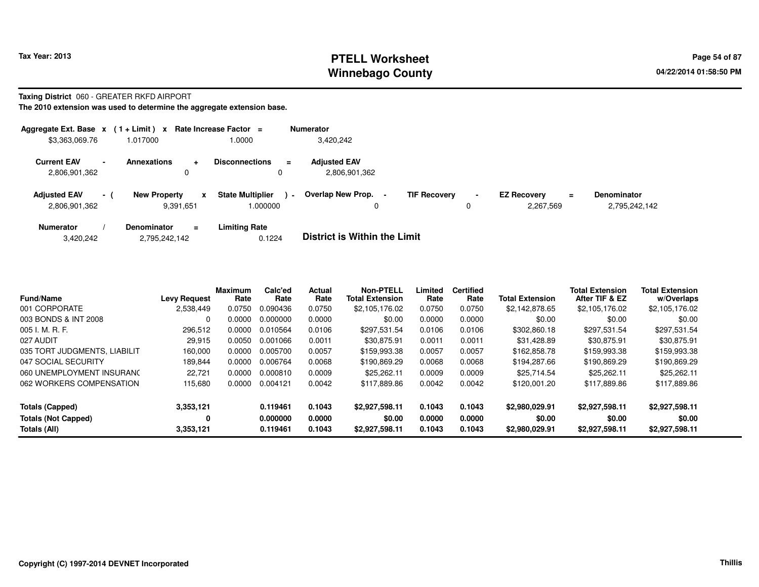## **PTELL Worksheet Tax Year: 2013 Page 54 of 87 PAGE 2013 Page 54 of 87 Winnebago County**

#### **Taxing District** 060 - GREATER RKFD AIRPORT

| Aggregate Ext. Base $x$ (1 + Limit) $x$ |                          |                                  |           | Rate Increase Factor $=$           |               | <b>Numerator</b>                     |                     |                     |                                 |     |                                     |
|-----------------------------------------|--------------------------|----------------------------------|-----------|------------------------------------|---------------|--------------------------------------|---------------------|---------------------|---------------------------------|-----|-------------------------------------|
| \$3,363,069.76                          |                          | .017000                          |           | 1.0000                             |               | 3,420,242                            |                     |                     |                                 |     |                                     |
| <b>Current EAV</b><br>2,806,901,362     | $\overline{\phantom{0}}$ | <b>Annexations</b><br>0          | $\ddot{}$ | <b>Disconnections</b>              | $\equiv$<br>0 | <b>Adiusted EAV</b><br>2,806,901,362 |                     |                     |                                 |     |                                     |
| <b>Adjusted EAV</b><br>2,806,901,362    | $\sim$ 1                 | <b>New Property</b><br>9,391,651 | x         | <b>State Multiplier</b><br>000000. | $\sim$        | Overlap New Prop. -<br>0             | <b>TIF Recovery</b> | $\blacksquare$<br>0 | <b>EZ Recovery</b><br>2.267.569 | $=$ | <b>Denominator</b><br>2,795,242,142 |
| <b>Numerator</b>                        |                          | <b>Denominator</b>               | $\equiv$  | <b>Limiting Rate</b>               |               | _ _ _ _ _ _ _ _ _ _ _ _ _ _          |                     |                     |                                 |     |                                     |

| 3,420,242 | 2,795,242,142 | 0.1224 | <b>District is Within the Limit</b> |
|-----------|---------------|--------|-------------------------------------|
|           |               |        |                                     |

| <b>Fund/Name</b>             | <b>Levy Request</b> | Maximum<br>Rate | Calc'ed<br>Rate | Actual<br>Rate | <b>Non-PTELL</b><br><b>Total Extension</b> | Limited<br>Rate | <b>Certified</b><br>Rate | <b>Total Extension</b> | <b>Total Extension</b><br>After TIF & EZ | <b>Total Extension</b><br>w/Overlaps |
|------------------------------|---------------------|-----------------|-----------------|----------------|--------------------------------------------|-----------------|--------------------------|------------------------|------------------------------------------|--------------------------------------|
| 001 CORPORATE                | 2,538,449           | 0.0750          | 0.090436        | 0.0750         | \$2,105,176.02                             | 0.0750          | 0.0750                   | \$2,142,878.65         | \$2,105,176.02                           | \$2,105,176.02                       |
| 003 BONDS & INT 2008         |                     | 0.0000          | 0.000000        | 0.0000         | \$0.00                                     | 0.0000          | 0.0000                   | \$0.00                 | \$0.00                                   | \$0.00                               |
| 005 I. M. R. F.              | 296,512             | 0.0000          | 0.010564        | 0.0106         | \$297,531.54                               | 0.0106          | 0.0106                   | \$302,860.18           | \$297,531.54                             | \$297,531.54                         |
| 027 AUDIT                    | 29,915              | 0.0050          | 0.001066        | 0.0011         | \$30.875.91                                | 0.0011          | 0.0011                   | \$31,428.89            | \$30.875.91                              | \$30,875.91                          |
| 035 TORT JUDGMENTS, LIABILIT | 160,000             | 0.0000          | 0.005700        | 0.0057         | \$159,993.38                               | 0.0057          | 0.0057                   | \$162,858.78           | \$159,993.38                             | \$159,993.38                         |
| 047 SOCIAL SECURITY          | 189,844             | 0.0000          | 0.006764        | 0.0068         | \$190.869.29                               | 0.0068          | 0.0068                   | \$194.287.66           | \$190.869.29                             | \$190,869.29                         |
| 060 UNEMPLOYMENT INSURANO    | 22.721              | 0.0000          | 0.000810        | 0.0009         | \$25,262.11                                | 0.0009          | 0.0009                   | \$25.714.54            | \$25,262.11                              | \$25,262.11                          |
| 062 WORKERS COMPENSATION     | 115,680             | 0.0000          | 0.004121        | 0.0042         | \$117,889.86                               | 0.0042          | 0.0042                   | \$120,001.20           | \$117,889.86                             | \$117,889.86                         |
| Totals (Capped)              | 3,353,121           |                 | 0.119461        | 0.1043         | \$2,927,598.11                             | 0.1043          | 0.1043                   | \$2,980,029.91         | \$2,927,598.11                           | \$2,927,598.11                       |
| <b>Totals (Not Capped)</b>   | 0                   |                 | 0.000000        | 0.0000         | \$0.00                                     | 0.0000          | 0.0000                   | \$0.00                 | \$0.00                                   | \$0.00                               |
| Totals (All)                 | 3,353,121           |                 | 0.119461        | 0.1043         | \$2,927,598.11                             | 0.1043          | 0.1043                   | \$2,980,029.91         | \$2,927,598.11                           | \$2,927,598.11                       |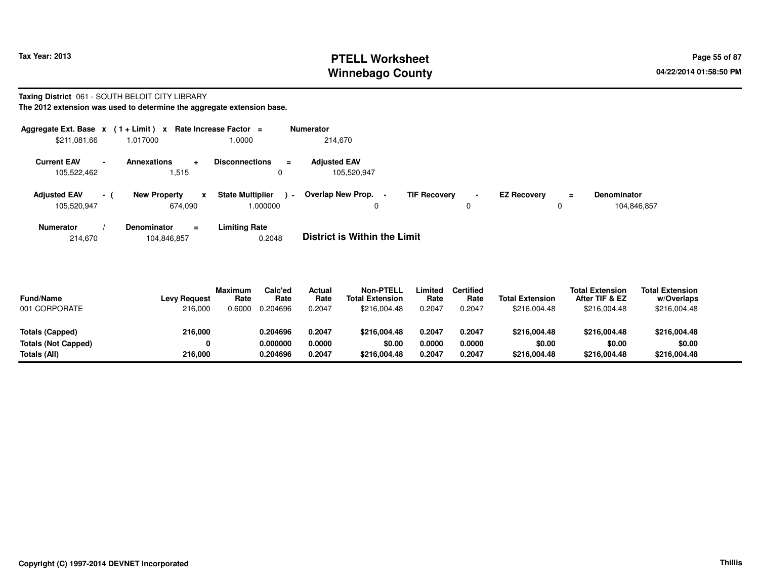## **PTELL Worksheet Tax Year: 2013 Page 55 of 87 PAGE 2013 Page 55 of 87 Winnebago County**

#### **Taxing District** 061 - SOUTH BELOIT CITY LIBRARY

**The 2012 extension was used to determine the aggregate extension base.**

| Aggregate Ext. Base x                               | $(1 + Limit) x$                     | Rate Increase Factor =                         | <b>Numerator</b>                   |                                       |                                           |     |                                   |
|-----------------------------------------------------|-------------------------------------|------------------------------------------------|------------------------------------|---------------------------------------|-------------------------------------------|-----|-----------------------------------|
| \$211,081.66                                        | 1.017000                            | 1.0000                                         | 214.670                            |                                       |                                           |     |                                   |
| <b>Current EAV</b><br>$\blacksquare$<br>105,522,462 | <b>Annexations</b><br>÷<br>.515     | <b>Disconnections</b><br>$\equiv$<br>0         | <b>Adjusted EAV</b><br>105,520,947 |                                       |                                           |     |                                   |
| <b>Adjusted EAV</b><br>$-1$<br>105,520,947          | <b>New Property</b><br>X<br>674.090 | <b>State Multiplier</b><br>a martin<br>000000. | Overlap New Prop.<br>0             | <b>TIF Recovery</b><br>$\blacksquare$ | <b>EZ Recovery</b><br>$\blacksquare$<br>0 | $=$ | <b>Denominator</b><br>104.846.857 |
| Numerator                                           | <b>Denominator</b><br>$\equiv$      | <b>Limiting Rate</b>                           | _ _ _ _ _ _ _ _ _ _ _ _ _ _        |                                       |                                           |     |                                   |

214,670104,846,857 0.2048 **District is Within the Limit**

| <b>Fund/Name</b><br>001 CORPORATE | <b>Levy Request</b><br>216,000 | <b>Maximum</b><br>Rate<br>0.6000 | Calc'ed<br>Rate<br>0.204696 | Actual<br>Rate<br>0.2047 | Non-PTELL<br><b>Total Extension</b><br>\$216,004.48 | .imited<br>Rate<br>0.2047 | Certified<br>Rate<br>0.2047 | <b>Total Extension</b><br>\$216,004.48 | <b>Total Extension</b><br>After TIF & EZ<br>\$216,004.48 | <b>Total Extension</b><br>w/Overlaps<br>\$216,004.48 |  |
|-----------------------------------|--------------------------------|----------------------------------|-----------------------------|--------------------------|-----------------------------------------------------|---------------------------|-----------------------------|----------------------------------------|----------------------------------------------------------|------------------------------------------------------|--|
| Totals (Capped)                   | 216,000                        |                                  | 0.204696                    | 0.2047                   | \$216,004.48                                        | 0.2047                    | 0.2047                      | \$216,004.48                           | \$216,004.48                                             | \$216,004.48                                         |  |
| Totals (Not Capped)               | 0                              |                                  | 0.000000                    | 0.0000                   | \$0.00                                              | 0.0000                    | 0.0000                      | \$0.00                                 | \$0.00                                                   | \$0.00                                               |  |
| Totals (All)                      | 216.000                        |                                  | 0.204696                    | 0.2047                   | \$216,004.48                                        | 0.2047                    | 0.2047                      | \$216,004.48                           | \$216,004.48                                             | \$216,004.48                                         |  |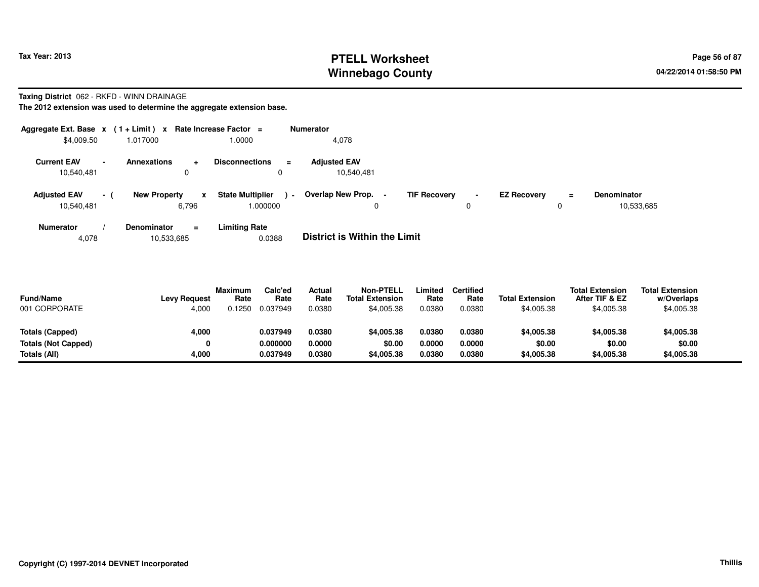## **PTELL Worksheet Tax Year: 2013 Page 56 of 87 PAGE 2013 Page 56 of 87 Winnebago County**

#### **Taxing District** 062 - RKFD - WINN DRAINAGE

**The 2012 extension was used to determine the aggregate extension base.**

| Aggregate Ext. Base $x$ (1+Limit) $x$ |                |                                              | Rate Increase Factor =                           | <b>Numerator</b>                                   |                     |                     |                    |               |                                  |
|---------------------------------------|----------------|----------------------------------------------|--------------------------------------------------|----------------------------------------------------|---------------------|---------------------|--------------------|---------------|----------------------------------|
| \$4,009.50                            |                | 1.017000                                     | 1.0000                                           | 4,078                                              |                     |                     |                    |               |                                  |
| <b>Current EAV</b><br>10,540,481      | $\sim$         | <b>Annexations</b><br>$\div$<br>$\Omega$     | <b>Disconnections</b><br>$\equiv$<br>$\mathbf 0$ | <b>Adjusted EAV</b><br>10,540,481                  |                     |                     |                    |               |                                  |
| <b>Adjusted EAV</b><br>10.540.481     | $\sim$ 10 $\,$ | <b>New Property</b><br>$\mathbf{x}$<br>6.796 | <b>State Multiplier</b><br>$\sim$<br>000000.     | Overlap New Prop.<br>$\overline{\phantom{0}}$<br>0 | <b>TIF Recovery</b> | $\blacksquare$<br>0 | <b>EZ Recovery</b> | $\equiv$<br>0 | <b>Denominator</b><br>10,533,685 |
| <b>Numerator</b>                      |                | <b>Denominator</b><br>$\equiv$               | <b>Limiting Rate</b>                             | _ _ _ _ _ _ _ _ _ _ _ _ _ _                        |                     |                     |                    |               |                                  |

4,07810,533,685 0.0388 **District is Within the Limit**

| <b>Fund/Name</b><br>001 CORPORATE | <b>Levy Request</b><br>4.000 | Maximum<br>Rate<br>0.1250 | Calc'ed<br>Rate<br>0.037949 | Actual<br>Rate<br>0.0380 | <b>Non-PTELL</b><br><b>Total Extension</b><br>\$4,005.38 | Limited<br>Rate<br>0.0380 | Certified<br>Rate<br>0.0380 | <b>Total Extension</b><br>\$4,005.38 | <b>Total Extension</b><br>After TIF & EZ<br>\$4,005.38 | <b>Total Extension</b><br>w/Overlaps<br>\$4,005.38 |  |
|-----------------------------------|------------------------------|---------------------------|-----------------------------|--------------------------|----------------------------------------------------------|---------------------------|-----------------------------|--------------------------------------|--------------------------------------------------------|----------------------------------------------------|--|
| Totals (Capped)                   | 4,000                        |                           | 0.037949                    | 0.0380                   | \$4,005.38                                               | 0.0380                    | 0.0380                      | \$4,005.38                           | \$4,005.38                                             | \$4,005.38                                         |  |
| <b>Totals (Not Capped)</b>        | 0                            |                           | 0.000000                    | 0.0000                   | \$0.00                                                   | 0.0000                    | 0.0000                      | \$0.00                               | \$0.00                                                 | \$0.00                                             |  |
| Totals (All)                      | 4,000                        |                           | 0.037949                    | 0.0380                   | \$4,005.38                                               | 0.0380                    | 0.0380                      | \$4,005.38                           | \$4,005.38                                             | \$4,005.38                                         |  |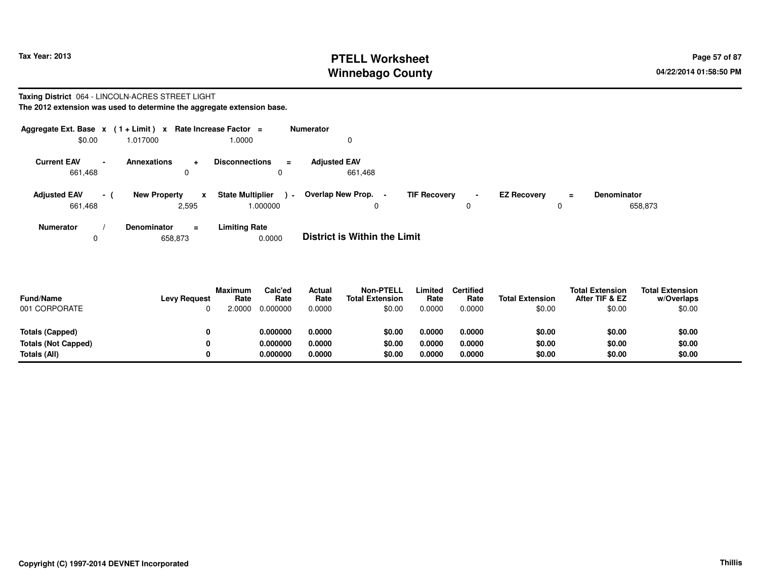## **PTELL Worksheet Tax Year: 2013 Page 57 of 87 PAGE 12 At 2014 Page 57 of 87 Winnebago County**

#### **Taxing District** 064 - LINCOLN-ACRES STREET LIGHT**The 2012 extension was used to determine the aggregate extension base.**

| Aggregate Ext. Base $x$ (1+Limit) $x$ |                          |                                      | Rate Increase Factor =                        | Numerator                      |                          |                                |                               |
|---------------------------------------|--------------------------|--------------------------------------|-----------------------------------------------|--------------------------------|--------------------------|--------------------------------|-------------------------------|
| \$0.00                                |                          | 1.017000                             | 1.0000                                        |                                |                          |                                |                               |
| <b>Current EAV</b><br>661,468         | $\overline{\phantom{a}}$ | <b>Annexations</b><br>$\ddot{}$<br>0 | <b>Disconnections</b><br>$\equiv$<br>$\Omega$ | <b>Adjusted EAV</b><br>661,468 |                          |                                |                               |
| <b>Adjusted EAV</b><br>661,468        | $-1$                     | <b>New Property</b><br>x<br>2,595    | <b>State Multiplier</b><br>$\sim$<br>1.000000 | Overlap New Prop.<br>$\Omega$  | <b>TIF Recovery</b><br>0 | <b>EZ Recoverv</b><br>$\equiv$ | <b>Denominator</b><br>658,873 |
| <b>Numerator</b>                      |                          | <b>Denominator</b><br>$\equiv$       | <b>Limiting Rate</b>                          | _ _ _ _ _ _ _ _ _ _ _ _ _ _    |                          |                                |                               |

0658,873 0.0000 **District is Within the Limit**

| <b>Fund/Name</b><br>001 CORPORATE | <b>Levy Request</b> | Maximum<br>Rate<br>2.0000 | Calc'ed<br>Rate<br>0.000000 | Actual<br>Rate<br>0.0000 | <b>Non-PTELL</b><br><b>Total Extension</b><br>\$0.00 | Limited<br>Rate<br>0.0000 | <b>Certified</b><br>Rate<br>0.0000 | <b>Total Extension</b><br>\$0.00 | <b>Total Extension</b><br>After TIF & EZ<br>\$0.00 | <b>Total Extension</b><br>w/Overlaps<br>\$0.00 |
|-----------------------------------|---------------------|---------------------------|-----------------------------|--------------------------|------------------------------------------------------|---------------------------|------------------------------------|----------------------------------|----------------------------------------------------|------------------------------------------------|
| Totals (Capped)                   | 0                   |                           | 0.000000                    | 0.0000                   | \$0.00                                               | 0.0000                    | 0.0000                             | \$0.00                           | \$0.00                                             | \$0.00                                         |
| <b>Totals (Not Capped)</b>        | 0                   |                           | 0.000000                    | 0.0000                   | \$0.00                                               | 0.0000                    | 0.0000                             | \$0.00                           | \$0.00                                             | \$0.00                                         |
| Totals (All)                      | 0                   |                           | 0.000000                    | 0.0000                   | \$0.00                                               | 0.0000                    | 0.0000                             | \$0.00                           | \$0.00                                             | \$0.00                                         |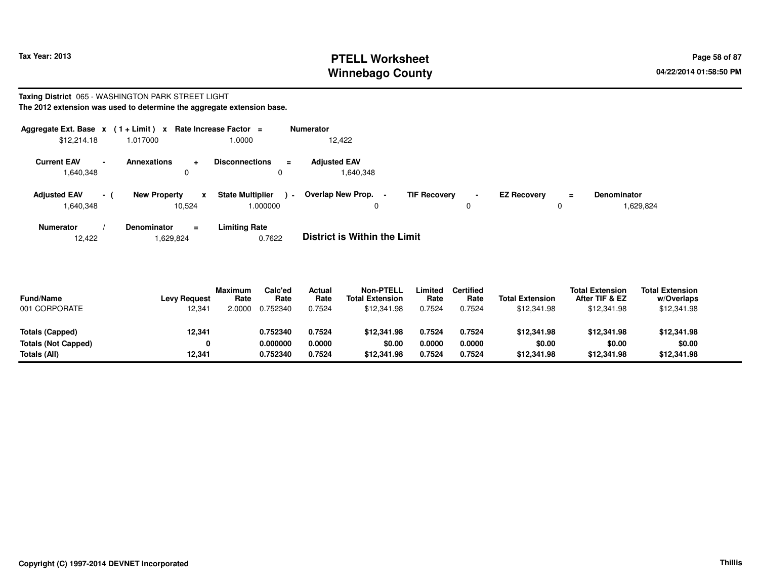## **PTELL Worksheet Tax Year: 2013 Page 58 of 87 PAGE 2013 Page 58 of 87 Winnebago County**

#### **Taxing District** 065 - WASHINGTON PARK STREET LIGHT**The 2012 extension was used to determine the aggregate extension base.**

| Aggregate Ext. Base $x$ (1+Limit) $x$ |          |                                    | Rate Increase Factor =                        | Numerator                                     |                          |                    |          |                                 |
|---------------------------------------|----------|------------------------------------|-----------------------------------------------|-----------------------------------------------|--------------------------|--------------------|----------|---------------------------------|
| \$12,214.18                           |          | 1.017000                           | 1.0000                                        | 12.422                                        |                          |                    |          |                                 |
| <b>Current EAV</b><br>1,640,348       |          | <b>Annexations</b><br>÷<br>0       | <b>Disconnections</b><br>$\equiv$<br>0        | <b>Adiusted EAV</b><br>1,640,348              |                          |                    |          |                                 |
| <b>Adjusted EAV</b><br>1,640,348      | $\sim$ 1 | <b>New Property</b><br>x<br>10.524 | <b>State Multiplier</b><br>$\sim$<br>1.000000 | Overlap New Prop.<br>$\overline{\phantom{a}}$ | <b>TIF Recovery</b><br>0 | <b>EZ Recovery</b> | $\equiv$ | <b>Denominator</b><br>1,629,824 |
| <b>Numerator</b>                      |          | <b>Denominator</b><br>Ξ.           | <b>Limiting Rate</b>                          |                                               |                          |                    |          |                                 |

 **/ Denominator <sup>=</sup>Limiting Rate**<br>0.7622 12,4221,629,824 0.7622 **District is Within the Limit**

| <b>Fund/Name</b><br>001 CORPORATE | <b>Levy Request</b><br>12,341 | Maximum<br>Rate<br>2.0000 | Calc'ed<br>Rate<br>0.752340 | Actual<br>Rate<br>0.7524 | <b>Non-PTELL</b><br><b>Total Extension</b><br>\$12,341.98 | Limited<br>Rate<br>0.7524 | <b>Certified</b><br>Rate<br>0.7524 | <b>Total Extension</b><br>\$12,341.98 | <b>Total Extension</b><br>After TIF & EZ<br>\$12,341.98 | <b>Total Extension</b><br>w/Overlaps<br>\$12,341.98 |  |
|-----------------------------------|-------------------------------|---------------------------|-----------------------------|--------------------------|-----------------------------------------------------------|---------------------------|------------------------------------|---------------------------------------|---------------------------------------------------------|-----------------------------------------------------|--|
| Totals (Capped)                   | 12,341                        |                           | 0.752340                    | 0.7524                   | \$12,341.98                                               | 0.7524                    | 0.7524                             | \$12,341.98                           | \$12,341.98                                             | \$12,341.98                                         |  |
| <b>Totals (Not Capped)</b>        | 0                             |                           | 0.000000                    | 0.0000                   | \$0.00                                                    | 0.0000                    | 0.0000                             | \$0.00                                | \$0.00                                                  | \$0.00                                              |  |
| Totals (All)                      | 12,341                        |                           | 0.752340                    | 0.7524                   | \$12.341.98                                               | 0.7524                    | 0.7524                             | \$12,341.98                           | \$12,341.98                                             | \$12,341.98                                         |  |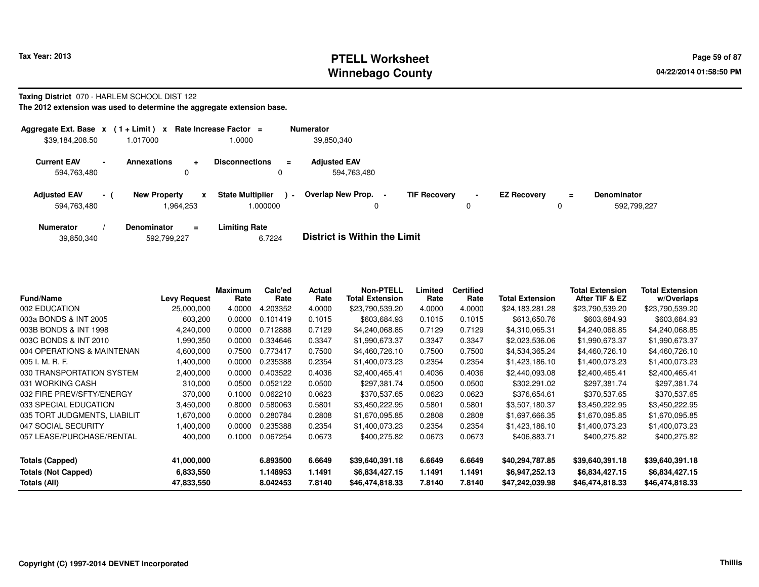## **PTELL Worksheet Tax Year: 2013 Page 59 of 87 PAGE 2013 Page 59 of 87 Winnebago County**

#### **Taxing District** 070 - HARLEM SCHOOL DIST 122

| Aggregate Ext. Base $x$ (1+Limit) x Rate Increase Factor = |                          |                                  |           |                                    |          | <b>Numerator</b>                   |                     |                     |                    |               |                                   |
|------------------------------------------------------------|--------------------------|----------------------------------|-----------|------------------------------------|----------|------------------------------------|---------------------|---------------------|--------------------|---------------|-----------------------------------|
| \$39,184,208.50                                            |                          | 1.017000                         |           | 1.0000                             |          | 39,850,340                         |                     |                     |                    |               |                                   |
| <b>Current EAV</b><br>594,763,480                          | $\overline{\phantom{0}}$ | <b>Annexations</b><br>0          | $\ddot{}$ | <b>Disconnections</b>              | $\equiv$ | <b>Adjusted EAV</b><br>594,763,480 |                     |                     |                    |               |                                   |
| <b>Adjusted EAV</b><br>594,763,480                         | $-1$                     | <b>New Property</b><br>1.964.253 | x         | <b>State Multiplier</b><br>.000000 | $\sim$   | Overlap New Prop.                  | <b>TIF Recovery</b> | $\blacksquare$<br>0 | <b>EZ Recovery</b> | $\equiv$<br>0 | <b>Denominator</b><br>592.799.227 |
| <b>Numerator</b>                                           |                          | <b>Denominator</b>               | $\equiv$  | <b>Limiting Rate</b>               |          | _ _ _ _ _ _ _ _ _ _ _ _ _ _        |                     |                     |                    |               |                                   |

|  | 39,850,340 | 592,799,227 | 6.7224 | <b>District is Within the Limit</b> |
|--|------------|-------------|--------|-------------------------------------|
|--|------------|-------------|--------|-------------------------------------|

| <b>Fund/Name</b>             | <b>Levy Request</b> | Maximum<br>Rate | Calc'ed<br>Rate | Actual<br>Rate | <b>Non-PTELL</b><br><b>Total Extension</b> | Limited<br>Rate | <b>Certified</b><br>Rate | <b>Total Extension</b> | <b>Total Extension</b><br>After TIF & EZ | <b>Total Extension</b><br>w/Overlaps |
|------------------------------|---------------------|-----------------|-----------------|----------------|--------------------------------------------|-----------------|--------------------------|------------------------|------------------------------------------|--------------------------------------|
| 002 EDUCATION                | 25,000,000          | 4.0000          | 4.203352        | 4.0000         | \$23,790,539.20                            | 4.0000          | 4.0000                   | \$24,183,281.28        | \$23,790,539.20                          | \$23,790,539.20                      |
| 003a BONDS & INT 2005        | 603,200             | 0.0000          | 0.101419        | 0.1015         | \$603,684.93                               | 0.1015          | 0.1015                   | \$613,650.76           | \$603,684.93                             | \$603,684.93                         |
| 003B BONDS & INT 1998        | 4,240,000           | 0.0000          | 0.712888        | 0.7129         | \$4,240,068.85                             | 0.7129          | 0.7129                   | \$4,310,065.31         | \$4,240,068.85                           | \$4,240,068.85                       |
| 003C BONDS & INT 2010        | 990,350             | 0.0000          | 0.334646        | 0.3347         | \$1,990,673.37                             | 0.3347          | 0.3347                   | \$2,023,536.06         | \$1,990,673.37                           | \$1,990,673.37                       |
| 004 OPERATIONS & MAINTENAN   | 4,600,000           | 0.7500          | 0.773417        | 0.7500         | \$4,460,726.10                             | 0.7500          | 0.7500                   | \$4,534,365.24         | \$4,460,726.10                           | \$4,460,726.10                       |
| 005 I. M. R. F.              | 1,400,000           | 0.0000          | 0.235388        | 0.2354         | \$1,400,073.23                             | 0.2354          | 0.2354                   | \$1,423,186.10         | \$1,400,073.23                           | \$1,400,073.23                       |
| 030 TRANSPORTATION SYSTEM    | 2,400,000           | 0.0000          | 0.403522        | 0.4036         | \$2,400,465.41                             | 0.4036          | 0.4036                   | \$2,440,093.08         | \$2,400,465.41                           | \$2,400,465.41                       |
| 031 WORKING CASH             | 310,000             | 0.0500          | 0.052122        | 0.0500         | \$297,381.74                               | 0.0500          | 0.0500                   | \$302,291.02           | \$297,381.74                             | \$297,381.74                         |
| 032 FIRE PREV/SFTY/ENERGY    | 370,000             | 0.1000          | 0.062210        | 0.0623         | \$370,537.65                               | 0.0623          | 0.0623                   | \$376,654.61           | \$370,537.65                             | \$370,537.65                         |
| 033 SPECIAL EDUCATION        | 3,450,000           | 0.8000          | 0.580063        | 0.5801         | \$3,450,222.95                             | 0.5801          | 0.5801                   | \$3,507,180.37         | \$3,450,222.95                           | \$3,450,222.95                       |
| 035 TORT JUDGMENTS, LIABILIT | 000,070 ا           | 0.0000          | 0.280784        | 0.2808         | \$1,670,095.85                             | 0.2808          | 0.2808                   | \$1,697,666.35         | \$1,670,095.85                           | \$1,670,095.85                       |
| 047 SOCIAL SECURITY          | 000,000. ا          | 0.0000          | 0.235388        | 0.2354         | \$1,400,073.23                             | 0.2354          | 0.2354                   | \$1,423,186.10         | \$1,400,073.23                           | \$1,400,073.23                       |
| 057 LEASE/PURCHASE/RENTAL    | 400,000             | 0.1000          | 0.067254        | 0.0673         | \$400,275.82                               | 0.0673          | 0.0673                   | \$406,883.71           | \$400,275.82                             | \$400,275.82                         |
| <b>Totals (Capped)</b>       | 41,000,000          |                 | 6.893500        | 6.6649         | \$39,640,391.18                            | 6.6649          | 6.6649                   | \$40,294,787.85        | \$39,640,391.18                          | \$39,640,391.18                      |
| <b>Totals (Not Capped)</b>   | 6,833,550           |                 | 1.148953        | 1.1491         | \$6,834,427.15                             | 1.1491          | 1.1491                   | \$6,947,252.13         | \$6,834,427.15                           | \$6,834,427.15                       |
| Totals (All)                 | 47,833,550          |                 | 8.042453        | 7.8140         | \$46,474,818.33                            | 7.8140          | 7.8140                   | \$47,242,039.98        | \$46,474,818.33                          | \$46,474,818.33                      |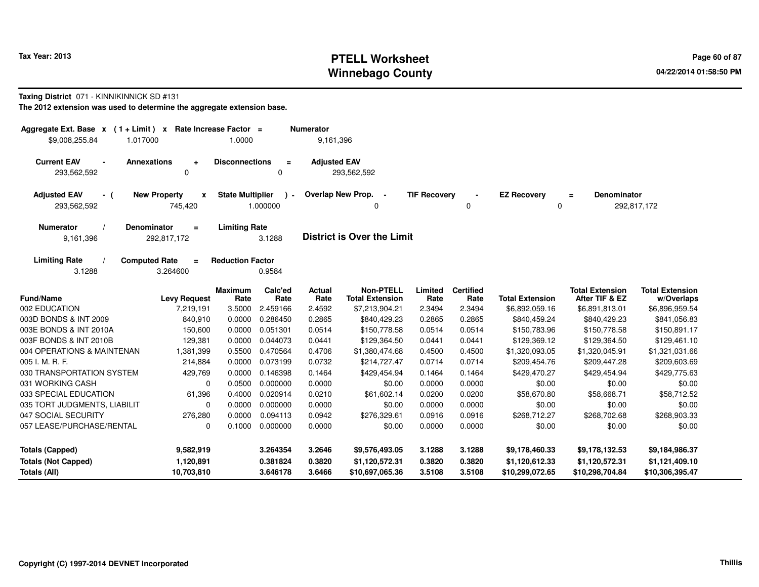## **PTELL Worksheet Tax Year: 2013 Page 60 of 87 PAGE 12 At 2014 Page 60 of 87 Winnebago County**

#### **Taxing District** 071 - KINNIKINNICK SD #131

| $(1 + Limit) x$<br>Aggregate Ext. Base x |                                  | Rate Increase Factor =  |                 | <b>Numerator</b>    |                                            |                     |                          |                        |                                          |                                      |
|------------------------------------------|----------------------------------|-------------------------|-----------------|---------------------|--------------------------------------------|---------------------|--------------------------|------------------------|------------------------------------------|--------------------------------------|
| \$9,008,255.84<br>1.017000               |                                  | 1.0000                  |                 | 9,161,396           |                                            |                     |                          |                        |                                          |                                      |
| <b>Current EAV</b><br>$\blacksquare$     | <b>Annexations</b><br>$\div$     | <b>Disconnections</b>   | $\equiv$        | <b>Adjusted EAV</b> |                                            |                     |                          |                        |                                          |                                      |
| 293,562,592                              | 0                                |                         | 0               |                     | 293,562,592                                |                     |                          |                        |                                          |                                      |
| <b>Adjusted EAV</b><br>- (               | <b>New Property</b><br>X         | <b>State Multiplier</b> | $\lambda$ -     |                     | Overlap New Prop. -                        | <b>TIF Recovery</b> |                          | <b>EZ Recovery</b>     | <b>Denominator</b><br>$=$                |                                      |
| 293,562,592                              | 745,420                          |                         | 1.000000        |                     | 0                                          |                     | 0                        | 0                      |                                          | 292,817,172                          |
| <b>Numerator</b>                         | <b>Denominator</b><br>$\equiv$   | <b>Limiting Rate</b>    |                 |                     |                                            |                     |                          |                        |                                          |                                      |
| 9,161,396                                | 292,817,172                      |                         | 3.1288          |                     | <b>District is Over the Limit</b>          |                     |                          |                        |                                          |                                      |
| <b>Limiting Rate</b>                     | <b>Computed Rate</b><br>$\equiv$ | <b>Reduction Factor</b> |                 |                     |                                            |                     |                          |                        |                                          |                                      |
| 3.1288                                   | 3.264600                         |                         | 0.9584          |                     |                                            |                     |                          |                        |                                          |                                      |
| <b>Fund/Name</b>                         | <b>Levy Request</b>              | Maximum<br>Rate         | Calc'ed<br>Rate | Actual<br>Rate      | <b>Non-PTELL</b><br><b>Total Extension</b> | Limited<br>Rate     | <b>Certified</b><br>Rate | <b>Total Extension</b> | <b>Total Extension</b><br>After TIF & EZ | <b>Total Extension</b><br>w/Overlaps |
| 002 EDUCATION                            | 7,219,191                        | 3.5000                  | 2.459166        | 2.4592              | \$7,213,904.21                             | 2.3494              | 2.3494                   | \$6,892,059.16         | \$6,891,813.01                           | \$6,896,959.54                       |
| 003D BONDS & INT 2009                    | 840,910                          | 0.0000                  | 0.286450        | 0.2865              | \$840,429.23                               | 0.2865              | 0.2865                   | \$840,459.24           | \$840,429.23                             | \$841,056.83                         |
| 003E BONDS & INT 2010A                   | 150,600                          | 0.0000                  | 0.051301        | 0.0514              | \$150,778.58                               | 0.0514              | 0.0514                   | \$150,783.96           | \$150,778.58                             | \$150,891.17                         |
| 003F BONDS & INT 2010B                   | 129,381                          | 0.0000                  | 0.044073        | 0.0441              | \$129,364.50                               | 0.0441              | 0.0441                   | \$129,369.12           | \$129,364.50                             | \$129,461.10                         |
| 004 OPERATIONS & MAINTENAN               | 1,381,399                        | 0.5500                  | 0.470564        | 0.4706              | \$1,380,474.68                             | 0.4500              | 0.4500                   | \$1,320,093.05         | \$1,320,045.91                           | \$1,321,031.66                       |
| 005 I. M. R. F.                          | 214,884                          | 0.0000                  | 0.073199        | 0.0732              | \$214,727.47                               | 0.0714              | 0.0714                   | \$209,454.76           | \$209,447.28                             | \$209,603.69                         |
| 030 TRANSPORTATION SYSTEM                | 429,769                          |                         | 0.0000 0.146398 | 0.1464              | \$429,454.94                               | 0.1464              | 0.1464                   | \$429,470.27           | \$429,454.94                             | \$429,775.63                         |
| 031 WORKING CASH                         | $\mathbf 0$                      | 0.0500                  | 0.000000        | 0.0000              | \$0.00                                     | 0.0000              | 0.0000                   | \$0.00                 | \$0.00                                   | \$0.00                               |
| 033 SPECIAL EDUCATION                    | 61,396                           | 0.4000                  | 0.020914        | 0.0210              | \$61,602.14                                | 0.0200              | 0.0200                   | \$58,670.80            | \$58,668.71                              | \$58,712.52                          |
| 035 TORT JUDGMENTS, LIABILIT             | $\mathbf 0$                      | 0.0000                  | 0.000000        | 0.0000              | \$0.00                                     | 0.0000              | 0.0000                   | \$0.00                 | \$0.00                                   | \$0.00                               |
| 047 SOCIAL SECURITY                      | 276,280                          | 0.0000                  | 0.094113        | 0.0942              | \$276,329.61                               | 0.0916              | 0.0916                   | \$268,712.27           | \$268,702.68                             | \$268,903.33                         |
| 057 LEASE/PURCHASE/RENTAL                | $\mathbf 0$                      | 0.1000                  | 0.000000        | 0.0000              | \$0.00                                     | 0.0000              | 0.0000                   | \$0.00                 | \$0.00                                   | \$0.00                               |
| <b>Totals (Capped)</b>                   | 9,582,919                        |                         | 3.264354        | 3.2646              | \$9,576,493.05                             | 3.1288              | 3.1288                   | \$9,178,460.33         | \$9,178,132.53                           | \$9,184,986.37                       |
| <b>Totals (Not Capped)</b>               | 1,120,891                        |                         | 0.381824        | 0.3820              | \$1,120,572.31                             | 0.3820              | 0.3820                   | \$1,120,612.33         | \$1,120,572.31                           | \$1,121,409.10                       |
| Totals (All)                             | 10,703,810                       |                         | 3.646178        | 3.6466              | \$10,697,065.36                            | 3.5108              | 3.5108                   | \$10,299,072.65        | \$10,298,704.84                          | \$10,306,395.47                      |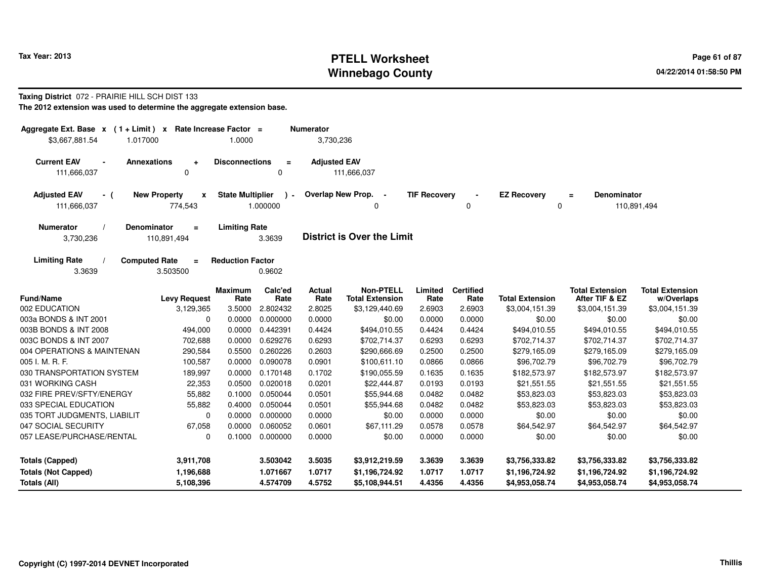## **PTELL Worksheet Tax Year: 2013 Page 61 of 87 PAGE 12 At 2014 Page 61 of 87 Winnebago County**

#### **Taxing District** 072 - PRAIRIE HILL SCH DIST 133

| Aggregate Ext. Base $x$ (1+Limit) x |                                  | Rate Increase Factor =  |                 | <b>Numerator</b>    |                                            |                     |                          |                        |                                          |                                      |
|-------------------------------------|----------------------------------|-------------------------|-----------------|---------------------|--------------------------------------------|---------------------|--------------------------|------------------------|------------------------------------------|--------------------------------------|
| \$3,667,881.54<br>1.017000          |                                  | 1.0000                  |                 | 3,730,236           |                                            |                     |                          |                        |                                          |                                      |
| <b>Current EAV</b>                  | <b>Annexations</b><br>$\ddot{}$  | <b>Disconnections</b>   | $\equiv$        | <b>Adjusted EAV</b> |                                            |                     |                          |                        |                                          |                                      |
| 111,666,037                         | 0                                |                         | 0               |                     | 111,666,037                                |                     |                          |                        |                                          |                                      |
| <b>Adjusted EAV</b><br>- (          | <b>New Property</b><br>x         | <b>State Multiplier</b> | $\rightarrow$   |                     | Overlap New Prop.                          | <b>TIF Recovery</b> |                          | <b>EZ Recovery</b>     | <b>Denominator</b><br>$\equiv$           |                                      |
| 111,666,037                         | 774,543                          |                         | 1.000000        |                     | 0                                          |                     | 0                        | 0                      |                                          | 110,891,494                          |
| <b>Numerator</b>                    | Denominator<br>$\equiv$          | <b>Limiting Rate</b>    |                 |                     |                                            |                     |                          |                        |                                          |                                      |
| 3,730,236                           | 110,891,494                      |                         | 3.3639          |                     | <b>District is Over the Limit</b>          |                     |                          |                        |                                          |                                      |
| <b>Limiting Rate</b>                | <b>Computed Rate</b><br>$\equiv$ | <b>Reduction Factor</b> |                 |                     |                                            |                     |                          |                        |                                          |                                      |
| 3.3639                              | 3.503500                         |                         | 0.9602          |                     |                                            |                     |                          |                        |                                          |                                      |
| <b>Fund/Name</b>                    | <b>Levy Request</b>              | <b>Maximum</b><br>Rate  | Calc'ed<br>Rate | Actual<br>Rate      | <b>Non-PTELL</b><br><b>Total Extension</b> | Limited<br>Rate     | <b>Certified</b><br>Rate | <b>Total Extension</b> | <b>Total Extension</b><br>After TIF & EZ | <b>Total Extension</b><br>w/Overlaps |
| 002 EDUCATION                       | 3,129,365                        | 3.5000                  | 2.802432        | 2.8025              | \$3,129,440.69                             | 2.6903              | 2.6903                   | \$3,004,151.39         | \$3,004,151.39                           | \$3,004,151.39                       |
| 003a BONDS & INT 2001               | 0                                | 0.0000                  | 0.000000        | 0.0000              | \$0.00                                     | 0.0000              | 0.0000                   | \$0.00                 | \$0.00                                   | \$0.00                               |
| 003B BONDS & INT 2008               | 494,000                          | 0.0000                  | 0.442391        | 0.4424              | \$494,010.55                               | 0.4424              | 0.4424                   | \$494,010.55           | \$494,010.55                             | \$494,010.55                         |
| 003C BONDS & INT 2007               | 702,688                          | 0.0000                  | 0.629276        | 0.6293              | \$702,714.37                               | 0.6293              | 0.6293                   | \$702,714.37           | \$702,714.37                             | \$702,714.37                         |
| 004 OPERATIONS & MAINTENAN          | 290,584                          | 0.5500                  | 0.260226        | 0.2603              | \$290,666.69                               | 0.2500              | 0.2500                   | \$279,165.09           | \$279,165.09                             | \$279,165.09                         |
| 005 I. M. R. F.                     | 100,587                          | 0.0000                  | 0.090078        | 0.0901              | \$100,611.10                               | 0.0866              | 0.0866                   | \$96,702.79            | \$96,702.79                              | \$96,702.79                          |
| 030 TRANSPORTATION SYSTEM           | 189,997                          | 0.0000                  | 0.170148        | 0.1702              | \$190,055.59                               | 0.1635              | 0.1635                   | \$182,573.97           | \$182,573.97                             | \$182,573.97                         |
| 031 WORKING CASH                    | 22,353                           | 0.0500                  | 0.020018        | 0.0201              | \$22,444.87                                | 0.0193              | 0.0193                   | \$21,551.55            | \$21,551.55                              | \$21,551.55                          |
| 032 FIRE PREV/SFTY/ENERGY           | 55,882                           | 0.1000                  | 0.050044        | 0.0501              | \$55,944.68                                | 0.0482              | 0.0482                   | \$53,823.03            | \$53,823.03                              | \$53,823.03                          |
| 033 SPECIAL EDUCATION               | 55,882                           | 0.4000                  | 0.050044        | 0.0501              | \$55,944.68                                | 0.0482              | 0.0482                   | \$53,823.03            | \$53,823.03                              | \$53,823.03                          |
| 035 TORT JUDGMENTS, LIABILIT        | 0                                | 0.0000                  | 0.000000        | 0.0000              | \$0.00                                     | 0.0000              | 0.0000                   | \$0.00                 | \$0.00                                   | \$0.00                               |
| 047 SOCIAL SECURITY                 | 67,058                           | 0.0000                  | 0.060052        | 0.0601              | \$67,111.29                                | 0.0578              | 0.0578                   | \$64,542.97            | \$64,542.97                              | \$64,542.97                          |
| 057 LEASE/PURCHASE/RENTAL           | $\mathbf 0$                      | 0.1000                  | 0.000000        | 0.0000              | \$0.00                                     | 0.0000              | 0.0000                   | \$0.00                 | \$0.00                                   | \$0.00                               |
| <b>Totals (Capped)</b>              | 3,911,708                        |                         | 3.503042        | 3.5035              | \$3,912,219.59                             | 3.3639              | 3.3639                   | \$3,756,333.82         | \$3,756,333.82                           | \$3,756,333.82                       |
| <b>Totals (Not Capped)</b>          | 1,196,688                        |                         | 1.071667        | 1.0717              | \$1,196,724.92                             | 1.0717              | 1.0717                   | \$1,196,724.92         | \$1,196,724.92                           | \$1,196,724.92                       |
| Totals (All)                        | 5,108,396                        |                         | 4.574709        | 4.5752              | \$5,108,944.51                             | 4.4356              | 4.4356                   | \$4,953,058.74         | \$4,953,058.74                           | \$4,953,058.74                       |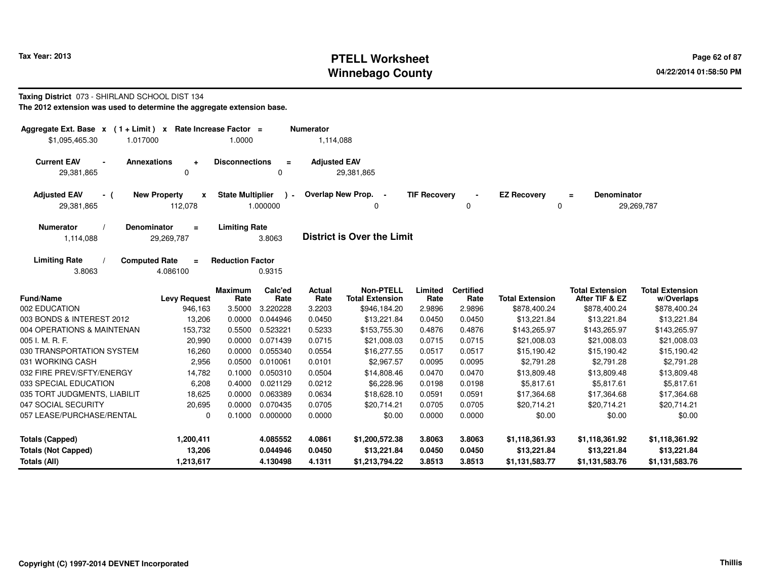## **PTELL Worksheet Tax Year: 2013 Page 62 of 87 Page 62 of 87 Winnebago County**

#### **Taxing District** 073 - SHIRLAND SCHOOL DIST 134**The 2012 extension was used to determine the aggregate extension base.**

| Aggregate Ext. Base $x$ (1 + Limit) x Rate Increase Factor =<br>\$1,095,465.30<br>1.017000 | 1.0000                                        |                           | <b>Numerator</b><br>1,114,088 |                                            |                     |                          |                         |                                          |                                      |
|--------------------------------------------------------------------------------------------|-----------------------------------------------|---------------------------|-------------------------------|--------------------------------------------|---------------------|--------------------------|-------------------------|------------------------------------------|--------------------------------------|
| <b>Current EAV</b><br><b>Annexations</b><br>$\ddot{}$<br>29,381,865<br>$\mathbf 0$         | <b>Disconnections</b>                         | $\equiv$<br>$\mathbf 0$   | <b>Adjusted EAV</b>           | 29,381,865                                 |                     |                          |                         |                                          |                                      |
| <b>Adjusted EAV</b><br><b>New Property</b><br>- (<br>112,078<br>29,381,865                 | <b>State Multiplier</b><br>$\pmb{\mathsf{x}}$ | $\rightarrow$<br>1.000000 |                               | Overlap New Prop. -<br>0                   | <b>TIF Recovery</b> | 0                        | <b>EZ Recovery</b><br>0 | <b>Denominator</b><br>$\equiv$           | 29,269,787                           |
| <b>Numerator</b><br><b>Denominator</b><br>$=$<br>1,114,088<br>29,269,787                   | <b>Limiting Rate</b>                          | 3.8063                    |                               | <b>District is Over the Limit</b>          |                     |                          |                         |                                          |                                      |
| <b>Limiting Rate</b><br><b>Computed Rate</b><br>$\equiv$<br>4.086100<br>3.8063             | <b>Reduction Factor</b>                       | 0.9315                    |                               |                                            |                     |                          |                         |                                          |                                      |
| Fund/Name<br><b>Levy Request</b>                                                           | <b>Maximum</b><br>Rate                        | Calc'ed<br>Rate           | Actual<br>Rate                | <b>Non-PTELL</b><br><b>Total Extension</b> | Limited<br>Rate     | <b>Certified</b><br>Rate | <b>Total Extension</b>  | <b>Total Extension</b><br>After TIF & EZ | <b>Total Extension</b><br>w/Overlaps |
| 002 EDUCATION<br>946,163                                                                   | 3.5000                                        | 3.220228                  | 3.2203                        | \$946,184.20                               | 2.9896              | 2.9896                   | \$878,400.24            | \$878,400.24                             | \$878,400.24                         |
| 003 BONDS & INTEREST 2012<br>13,206                                                        | 0.0000                                        | 0.044946                  | 0.0450                        | \$13,221.84                                | 0.0450              | 0.0450                   | \$13,221.84             | \$13,221.84                              | \$13,221.84                          |
| 004 OPERATIONS & MAINTENAN<br>153,732                                                      | 0.5500                                        | 0.523221                  | 0.5233                        | \$153,755.30                               | 0.4876              | 0.4876                   | \$143,265.97            | \$143,265.97                             | \$143,265.97                         |
| 005 I. M. R. F.<br>20,990                                                                  | 0.0000                                        | 0.071439                  | 0.0715                        | \$21,008.03                                | 0.0715              | 0.0715                   | \$21,008.03             | \$21,008.03                              | \$21,008.03                          |
| 030 TRANSPORTATION SYSTEM<br>16,260                                                        | 0.0000                                        | 0.055340                  | 0.0554                        | \$16,277.55                                | 0.0517              | 0.0517                   | \$15,190.42             | \$15,190.42                              | \$15,190.42                          |
| 031 WORKING CASH<br>2,956                                                                  | 0.0500                                        | 0.010061                  | 0.0101                        | \$2,967.57                                 | 0.0095              | 0.0095                   | \$2,791.28              | \$2,791.28                               | \$2,791.28                           |
| 032 FIRE PREV/SFTY/ENERGY<br>14,782                                                        | 0.1000                                        | 0.050310                  | 0.0504                        | \$14,808.46                                | 0.0470              | 0.0470                   | \$13,809.48             | \$13,809.48                              | \$13,809.48                          |
| 033 SPECIAL EDUCATION<br>6,208                                                             | 0.4000                                        | 0.021129                  | 0.0212                        | \$6,228.96                                 | 0.0198              | 0.0198                   | \$5,817.61              | \$5,817.61                               | \$5,817.61                           |
| 035 TORT JUDGMENTS, LIABILIT<br>18,625                                                     | 0.0000                                        | 0.063389                  | 0.0634                        | \$18,628.10                                | 0.0591              | 0.0591                   | \$17,364.68             | \$17,364.68                              | \$17,364.68                          |
| 047 SOCIAL SECURITY<br>20,695                                                              | 0.0000                                        | 0.070435                  | 0.0705                        | \$20,714.21                                | 0.0705              | 0.0705                   | \$20,714.21             | \$20,714.21                              | \$20,714.21                          |
| 057 LEASE/PURCHASE/RENTAL                                                                  | 0.1000<br>0                                   | 0.000000                  | 0.0000                        | \$0.00                                     | 0.0000              | 0.0000                   | \$0.00                  | \$0.00                                   | \$0.00                               |
| Totals (Capped)<br>1,200,411                                                               |                                               | 4.085552                  | 4.0861                        | \$1,200,572.38                             | 3.8063              | 3.8063                   | \$1,118,361.93          | \$1,118,361.92                           | \$1,118,361.92                       |
| 13,206<br><b>Totals (Not Capped)</b>                                                       |                                               | 0.044946                  | 0.0450                        | \$13,221.84                                | 0.0450              | 0.0450                   | \$13,221.84             | \$13,221.84                              | \$13,221.84                          |
| Totals (All)<br>1,213,617                                                                  |                                               | 4.130498                  | 4.1311                        | \$1,213,794.22                             | 3.8513              | 3.8513                   | \$1,131,583.77          | \$1,131,583.76                           | \$1,131,583.76                       |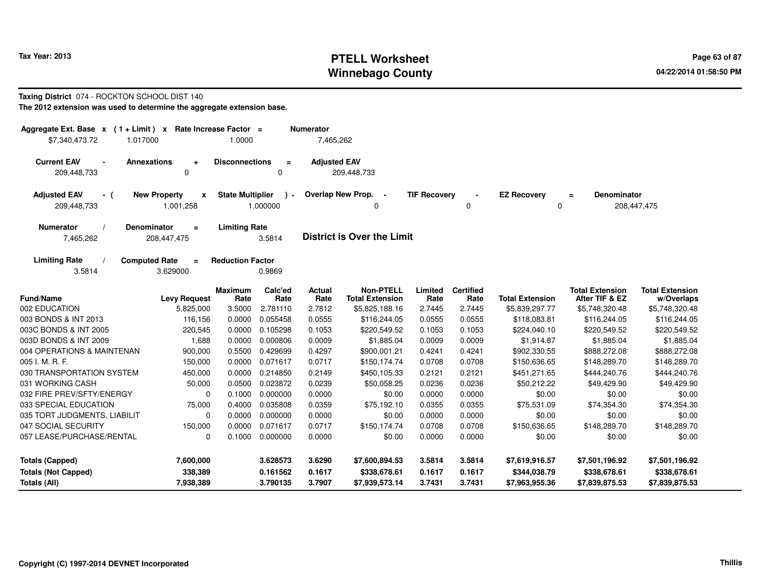## **PTELL Worksheet Tax Year: 2013 Page 63 of 87 PAGE 12 ASS ASSESSED ASSESSED ASSESSED ASSESSED ASSESSED AT A Page 63 of 87 Winnebago County**

#### **Taxing District** 074 - ROCKTON SCHOOL DIST 140**The 2012 extension was used to determine the aggregate extension base.**

| Aggregate Ext. Base $x$ (1 + Limit)                           | $\mathbf{x}$                         | Rate Increase Factor =  |                 | <b>Numerator</b>    |                                            |                     |                          |                        |                                          |                                      |
|---------------------------------------------------------------|--------------------------------------|-------------------------|-----------------|---------------------|--------------------------------------------|---------------------|--------------------------|------------------------|------------------------------------------|--------------------------------------|
| \$7,340,473.72<br>1.017000                                    |                                      | 1.0000                  |                 | 7,465,262           |                                            |                     |                          |                        |                                          |                                      |
| <b>Current EAV</b><br>$\overline{\phantom{a}}$<br>209,448,733 | <b>Annexations</b><br>$\ddot{}$<br>0 | <b>Disconnections</b>   | $\equiv$<br>0   | <b>Adjusted EAV</b> | 209,448,733                                |                     |                          |                        |                                          |                                      |
|                                                               |                                      |                         |                 |                     |                                            |                     |                          |                        |                                          |                                      |
| <b>Adjusted EAV</b><br>- (                                    | <b>New Property</b><br>x             | <b>State Multiplier</b> |                 |                     | Overlap New Prop. -                        | <b>TIF Recovery</b> |                          | <b>EZ Recovery</b>     | <b>Denominator</b><br>$\equiv$           |                                      |
| 209,448,733                                                   | 1,001,258                            |                         | 1.000000        |                     |                                            |                     | $\Omega$                 | 0                      |                                          | 208,447,475                          |
| <b>Numerator</b>                                              | <b>Denominator</b><br>$\equiv$       | <b>Limiting Rate</b>    |                 |                     |                                            |                     |                          |                        |                                          |                                      |
| 7,465,262                                                     | 208,447,475                          |                         | 3.5814          |                     | <b>District is Over the Limit</b>          |                     |                          |                        |                                          |                                      |
| <b>Limiting Rate</b>                                          | <b>Computed Rate</b><br>$=$          | <b>Reduction Factor</b> |                 |                     |                                            |                     |                          |                        |                                          |                                      |
| 3.5814                                                        | 3.629000                             |                         | 0.9869          |                     |                                            |                     |                          |                        |                                          |                                      |
| <b>Fund/Name</b>                                              | <b>Levy Request</b>                  | <b>Maximum</b><br>Rate  | Calc'ed<br>Rate | Actual<br>Rate      | <b>Non-PTELL</b><br><b>Total Extension</b> | Limited<br>Rate     | <b>Certified</b><br>Rate | <b>Total Extension</b> | <b>Total Extension</b><br>After TIF & EZ | <b>Total Extension</b><br>w/Overlaps |
| 002 EDUCATION                                                 | 5,825,000                            | 3.5000                  | 2.781110        | 2.7812              | \$5,825,188.16                             | 2.7445              | 2.7445                   | \$5,839,297.77         | \$5,748,320.48                           | \$5,748,320.48                       |
| 003 BONDS & INT 2013                                          | 116,156                              | 0.0000                  | 0.055458        | 0.0555              | \$116,244.05                               | 0.0555              | 0.0555                   | \$118,083.81           | \$116,244.05                             | \$116,244.05                         |
| 003C BONDS & INT 2005                                         | 220,545                              | 0.0000                  | 0.105298        | 0.1053              | \$220,549.52                               | 0.1053              | 0.1053                   | \$224,040.10           | \$220,549.52                             | \$220,549.52                         |
| 003D BONDS & INT 2009                                         | 1,688                                | 0.0000                  | 0.000806        | 0.0009              | \$1,885.04                                 | 0.0009              | 0.0009                   | \$1,914.87             | \$1,885.04                               | \$1,885.04                           |
| 004 OPERATIONS & MAINTENAN                                    | 900,000                              | 0.5500                  | 0.429699        | 0.4297              | \$900,001.21                               | 0.4241              | 0.4241                   | \$902,330.55           | \$888,272.08                             | \$888,272.08                         |
| 005 I. M. R. F.                                               | 150,000                              | 0.0000                  | 0.071617        | 0.0717              | \$150,174.74                               | 0.0708              | 0.0708                   | \$150,636.65           | \$148,289.70                             | \$148,289.70                         |
| 030 TRANSPORTATION SYSTEM                                     | 450,000                              | 0.0000                  | 0.214850        | 0.2149              | \$450,105.33                               | 0.2121              | 0.2121                   | \$451,271.65           | \$444,240.76                             | \$444,240.76                         |
| 031 WORKING CASH                                              | 50,000                               | 0.0500                  | 0.023872        | 0.0239              | \$50,058.25                                | 0.0236              | 0.0236                   | \$50,212.22            | \$49,429.90                              | \$49,429.90                          |
| 032 FIRE PREV/SFTY/ENERGY                                     | 0                                    | 0.1000                  | 0.000000        | 0.0000              | \$0.00                                     | 0.0000              | 0.0000                   | \$0.00                 | \$0.00                                   | \$0.00                               |
| 033 SPECIAL EDUCATION                                         | 75,000                               | 0.4000                  | 0.035808        | 0.0359              | \$75,192.10                                | 0.0355              | 0.0355                   | \$75,531.09            | \$74,354.30                              | \$74,354.30                          |
| 035 TORT JUDGMENTS, LIABILIT                                  | 0                                    | 0.0000                  | 0.000000        | 0.0000              | \$0.00                                     | 0.0000              | 0.0000                   | \$0.00                 | \$0.00                                   | \$0.00                               |
| 047 SOCIAL SECURITY                                           | 150,000                              | 0.0000                  | 0.071617        | 0.0717              | \$150,174.74                               | 0.0708              | 0.0708                   | \$150,636.65           | \$148,289.70                             | \$148,289.70                         |
| 057 LEASE/PURCHASE/RENTAL                                     | 0                                    | 0.1000                  | 0.000000        | 0.0000              | \$0.00                                     | 0.0000              | 0.0000                   | \$0.00                 | \$0.00                                   | \$0.00                               |
| <b>Totals (Capped)</b>                                        | 7,600,000                            |                         | 3.628573        | 3.6290              | \$7,600,894.53                             | 3.5814              | 3.5814                   | \$7,619,916.57         | \$7,501,196.92                           | \$7,501,196.92                       |
| <b>Totals (Not Capped)</b>                                    | 338,389                              |                         | 0.161562        | 0.1617              | \$338,678.61                               | 0.1617              | 0.1617                   | \$344,038.79           | \$338,678.61                             | \$338,678.61                         |
| Totals (All)                                                  | 7,938,389                            |                         | 3.790135        | 3.7907              | \$7,939,573.14                             | 3.7431              | 3.7431                   | \$7,963,955.36         | \$7,839,875.53                           | \$7,839,875.53                       |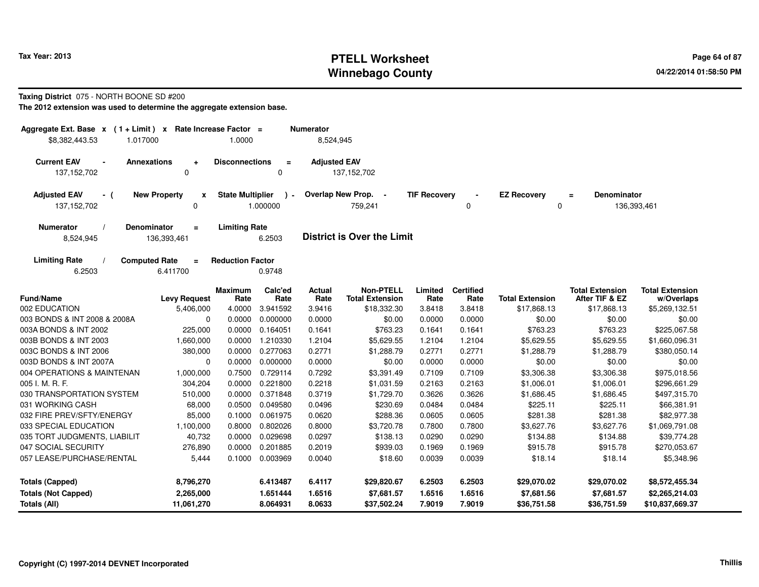## **PTELL Worksheet Tax Year: 2013 Page 64 of 87 PAGE 12 At 2014 Page 64 of 87 Winnebago County**

#### **Taxing District** 075 - NORTH BOONE SD #200

| Aggregate Ext. Base $x$ (1 + Limit) $x$ Rate Increase Factor =<br>\$8,382,443.53<br>1.017000 |                                               | 1.0000                  |                         | <b>Numerator</b><br>8,524,945 |                                            |                     |                          |                         |                                          |                                      |
|----------------------------------------------------------------------------------------------|-----------------------------------------------|-------------------------|-------------------------|-------------------------------|--------------------------------------------|---------------------|--------------------------|-------------------------|------------------------------------------|--------------------------------------|
| <b>Current EAV</b><br>137, 152, 702                                                          | Annexations<br>$\ddot{}$<br>0                 | <b>Disconnections</b>   | $\equiv$<br>0           | <b>Adjusted EAV</b>           | 137, 152, 702                              |                     |                          |                         |                                          |                                      |
| <b>Adjusted EAV</b><br>- (<br>137, 152, 702                                                  | <b>New Property</b><br>$\mathbf{x}$<br>0      | <b>State Multiplier</b> | $\lambda$ -<br>1.000000 |                               | Overlap New Prop. -<br>759,241             | <b>TIF Recovery</b> | 0                        | <b>EZ Recovery</b><br>0 | <b>Denominator</b><br>$\equiv$           | 136,393,461                          |
| <b>Numerator</b><br>8,524,945                                                                | <b>Denominator</b><br>$\equiv$<br>136,393,461 | <b>Limiting Rate</b>    | 6.2503                  |                               | <b>District is Over the Limit</b>          |                     |                          |                         |                                          |                                      |
| <b>Limiting Rate</b><br>6.2503                                                               | <b>Computed Rate</b><br>$\equiv$<br>6.411700  | <b>Reduction Factor</b> | 0.9748                  |                               |                                            |                     |                          |                         |                                          |                                      |
| <b>Fund/Name</b>                                                                             | <b>Levy Request</b>                           | <b>Maximum</b><br>Rate  | Calc'ed<br>Rate         | <b>Actual</b><br>Rate         | <b>Non-PTELL</b><br><b>Total Extension</b> | Limited<br>Rate     | <b>Certified</b><br>Rate | <b>Total Extension</b>  | <b>Total Extension</b><br>After TIF & EZ | <b>Total Extension</b><br>w/Overlaps |
| 002 EDUCATION                                                                                | 5,406,000                                     | 4.0000                  | 3.941592                | 3.9416                        | \$18,332.30                                | 3.8418              | 3.8418                   | \$17,868.13             | \$17,868.13                              | \$5,269,132.51                       |
| 003 BONDS & INT 2008 & 2008A                                                                 | $\mathbf 0$                                   | 0.0000                  | 0.000000                | 0.0000                        | \$0.00                                     | 0.0000              | 0.0000                   | \$0.00                  | \$0.00                                   | \$0.00                               |
| 003A BONDS & INT 2002                                                                        | 225,000                                       | 0.0000                  | 0.164051                | 0.1641                        | \$763.23                                   | 0.1641              | 0.1641                   | \$763.23                | \$763.23                                 | \$225,067.58                         |
| 003B BONDS & INT 2003                                                                        | 1,660,000                                     | 0.0000                  | 1.210330                | 1.2104                        | \$5,629.55                                 | 1.2104              | 1.2104                   | \$5,629.55              | \$5,629.55                               | \$1,660,096.31                       |
| 003C BONDS & INT 2006                                                                        | 380,000                                       | 0.0000                  | 0.277063                | 0.2771                        | \$1,288.79                                 | 0.2771              | 0.2771                   | \$1,288.79              | \$1,288.79                               | \$380,050.14                         |
| 003D BONDS & INT 2007A                                                                       | $\mathbf 0$                                   | 0.0000                  | 0.000000                | 0.0000                        | \$0.00                                     | 0.0000              | 0.0000                   | \$0.00                  | \$0.00                                   | \$0.00                               |
| 004 OPERATIONS & MAINTENAN                                                                   | 1,000,000                                     | 0.7500                  | 0.729114                | 0.7292                        | \$3,391.49                                 | 0.7109              | 0.7109                   | \$3,306.38              | \$3,306.38                               | \$975,018.56                         |
| 005 I. M. R. F.                                                                              | 304,204                                       | 0.0000                  | 0.221800                | 0.2218                        | \$1,031.59                                 | 0.2163              | 0.2163                   | \$1,006.01              | \$1,006.01                               | \$296,661.29                         |
| 030 TRANSPORTATION SYSTEM                                                                    | 510,000                                       | 0.0000                  | 0.371848                | 0.3719                        | \$1,729.70                                 | 0.3626              | 0.3626                   | \$1,686.45              | \$1,686.45                               | \$497,315.70                         |
| 031 WORKING CASH                                                                             | 68,000                                        | 0.0500                  | 0.049580                | 0.0496                        | \$230.69                                   | 0.0484              | 0.0484                   | \$225.11                | \$225.11                                 | \$66,381.91                          |
| 032 FIRE PREV/SFTY/ENERGY                                                                    | 85,000                                        | 0.1000                  | 0.061975                | 0.0620                        | \$288.36                                   | 0.0605              | 0.0605                   | \$281.38                | \$281.38                                 | \$82,977.38                          |
| 033 SPECIAL EDUCATION                                                                        | 1,100,000                                     | 0.8000                  | 0.802026                | 0.8000                        | \$3,720.78                                 | 0.7800              | 0.7800                   | \$3,627.76              | \$3,627.76                               | \$1,069,791.08                       |
| 035 TORT JUDGMENTS, LIABILIT                                                                 | 40,732                                        | 0.0000                  | 0.029698                | 0.0297                        | \$138.13                                   | 0.0290              | 0.0290                   | \$134.88                | \$134.88                                 | \$39,774.28                          |
| 047 SOCIAL SECURITY                                                                          | 276,890                                       | 0.0000                  | 0.201885                | 0.2019                        | \$939.03                                   | 0.1969              | 0.1969                   | \$915.78                | \$915.78                                 | \$270,053.67                         |
| 057 LEASE/PURCHASE/RENTAL                                                                    | 5,444                                         | 0.1000                  | 0.003969                | 0.0040                        | \$18.60                                    | 0.0039              | 0.0039                   | \$18.14                 | \$18.14                                  | \$5,348.96                           |
| <b>Totals (Capped)</b>                                                                       | 8,796,270                                     |                         | 6.413487                | 6.4117                        | \$29,820.67                                | 6.2503              | 6.2503                   | \$29,070.02             | \$29,070.02                              | \$8,572,455.34                       |
| <b>Totals (Not Capped)</b>                                                                   | 2,265,000                                     |                         | 1.651444                | 1.6516                        | \$7,681.57                                 | 1.6516              | 1.6516                   | \$7,681.56              | \$7,681.57                               | \$2,265,214.03                       |
| Totals (All)                                                                                 | 11,061,270                                    |                         | 8.064931                | 8.0633                        | \$37,502.24                                | 7.9019              | 7.9019                   | \$36,751.58             | \$36,751.59                              | \$10,837,669.37                      |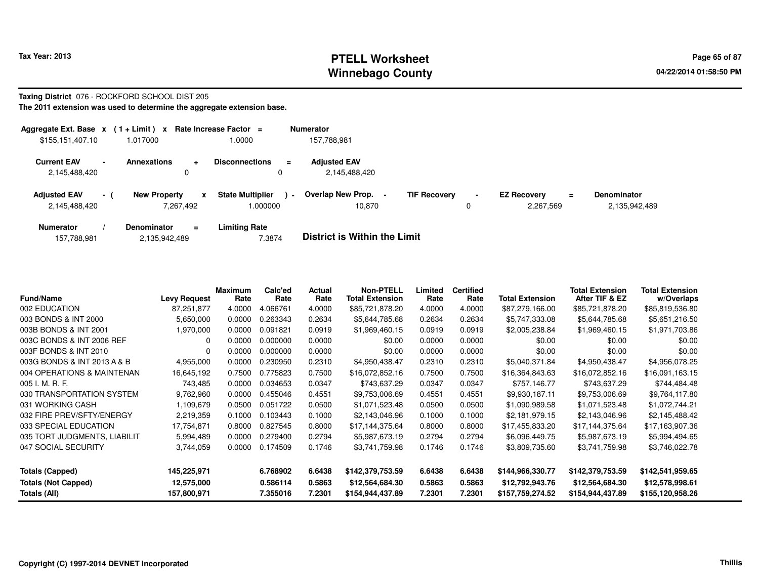## **PTELL Worksheet Tax Year: 2013 Page 65 of 87 PAGE 12 ASS ASSESSED ASSESSED ASSESSED ASSESSED ASSESSED AT A Page 65 of 87 Winnebago County**

## **Taxing District** 076 - ROCKFORD SCHOOL DIST 205

| Aggregate Ext. Base $x$ (1 + Limit) $x$ |      |                     |                | Rate Increase Factor $=$           |                          | <b>Numerator</b>                     |                     |   |                                             |                                     |  |
|-----------------------------------------|------|---------------------|----------------|------------------------------------|--------------------------|--------------------------------------|---------------------|---|---------------------------------------------|-------------------------------------|--|
| \$155,151,407.10                        |      | 1.017000            |                | 1.0000                             |                          | 157.788.981                          |                     |   |                                             |                                     |  |
| <b>Current EAV</b><br>2,145,488,420     |      | <b>Annexations</b>  | $\ddot{}$<br>0 | <b>Disconnections</b><br>0         | $\equiv$                 | <b>Adjusted EAV</b><br>2,145,488,420 |                     |   |                                             |                                     |  |
| <b>Adjusted EAV</b><br>2,145,488,420    | $-1$ | <b>New Property</b> | 7,267,492      | <b>State Multiplier</b><br>.000000 | $\overline{\phantom{a}}$ | Overlap New Prop. -<br>10.870        | <b>TIF Recovery</b> | 0 | <b>EZ Recovery</b><br>$\equiv$<br>2,267,569 | <b>Denominator</b><br>2,135,942,489 |  |
| <b>Numerator</b>                        |      | Denominator         | $\equiv$       | <b>Limiting Rate</b>               |                          | _ _ _ _ _ _ _ _ _ _ _ _ _ _          |                     |   |                                             |                                     |  |

| 157,788,981 | 2,135,942,489 | 7.3874 | <b>District is Within the Limit</b> |
|-------------|---------------|--------|-------------------------------------|
|             |               |        |                                     |

| <b>Fund/Name</b>             | <b>Levy Request</b> | <b>Maximum</b><br>Rate | Calc'ed<br>Rate | Actual<br>Rate | <b>Non-PTELL</b><br><b>Total Extension</b> | Limited<br>Rate | <b>Certified</b><br>Rate | <b>Total Extension</b> | <b>Total Extension</b><br>After TIF & EZ | <b>Total Extension</b><br>w/Overlaps |
|------------------------------|---------------------|------------------------|-----------------|----------------|--------------------------------------------|-----------------|--------------------------|------------------------|------------------------------------------|--------------------------------------|
| 002 EDUCATION                | 87,251,877          | 4.0000                 | 4.066761        | 4.0000         | \$85,721,878.20                            | 4.0000          | 4.0000                   | \$87,279,166.00        | \$85,721,878.20                          | \$85,819,536.80                      |
| 003 BONDS & INT 2000         | 5,650,000           | 0.0000                 | 0.263343        | 0.2634         | \$5,644,785.68                             | 0.2634          | 0.2634                   | \$5,747,333.08         | \$5,644,785.68                           | \$5,651,216.50                       |
| 003B BONDS & INT 2001        | 1,970,000           | 0.0000                 | 0.091821        | 0.0919         | \$1,969,460.15                             | 0.0919          | 0.0919                   | \$2,005,238.84         | \$1,969,460.15                           | \$1,971,703.86                       |
| 003C BONDS & INT 2006 REF    | 0                   | 0.0000                 | 0.000000        | 0.0000         | \$0.00                                     | 0.0000          | 0.0000                   | \$0.00                 | \$0.00                                   | \$0.00                               |
| 003F BONDS & INT 2010        | 0                   | 0.0000                 | 0.000000        | 0.0000         | \$0.00                                     | 0.0000          | 0.0000                   | \$0.00                 | \$0.00                                   | \$0.00                               |
| 003G BONDS & INT 2013 A & B  | 4,955,000           | 0.0000                 | 0.230950        | 0.2310         | \$4,950,438.47                             | 0.2310          | 0.2310                   | \$5,040,371.84         | \$4,950,438.47                           | \$4,956,078.25                       |
| 004 OPERATIONS & MAINTENAN   | 16,645,192          | 0.7500                 | 0.775823        | 0.7500         | \$16,072,852.16                            | 0.7500          | 0.7500                   | \$16,364,843.63        | \$16,072,852.16                          | \$16,091,163.15                      |
| 005 I. M. R. F.              | 743,485             | 0.0000                 | 0.034653        | 0.0347         | \$743,637.29                               | 0.0347          | 0.0347                   | \$757,146.77           | \$743,637.29                             | \$744,484.48                         |
| 030 TRANSPORTATION SYSTEM    | 9,762,960           | 0.0000                 | 0.455046        | 0.4551         | \$9,753,006.69                             | 0.4551          | 0.4551                   | \$9,930,187.11         | \$9,753,006.69                           | \$9,764,117.80                       |
| 031 WORKING CASH             | 1,109,679           | 0.0500                 | 0.051722        | 0.0500         | \$1,071,523.48                             | 0.0500          | 0.0500                   | \$1,090,989.58         | \$1,071,523.48                           | \$1,072,744.21                       |
| 032 FIRE PREV/SFTY/ENERGY    | 2,219,359           | 0.1000                 | 0.103443        | 0.1000         | \$2,143,046.96                             | 0.1000          | 0.1000                   | \$2,181,979.15         | \$2,143,046.96                           | \$2,145,488.42                       |
| 033 SPECIAL EDUCATION        | 17,754,871          | 0.8000                 | 0.827545        | 0.8000         | \$17,144,375.64                            | 0.8000          | 0.8000                   | \$17,455,833.20        | \$17,144,375.64                          | \$17,163,907.36                      |
| 035 TORT JUDGMENTS, LIABILIT | 5,994,489           | 0.0000                 | 0.279400        | 0.2794         | \$5,987,673.19                             | 0.2794          | 0.2794                   | \$6,096,449.75         | \$5,987,673.19                           | \$5,994,494.65                       |
| 047 SOCIAL SECURITY          | 3,744,059           | 0.0000                 | 0.174509        | 0.1746         | \$3,741,759.98                             | 0.1746          | 0.1746                   | \$3,809,735.60         | \$3,741,759.98                           | \$3,746,022.78                       |
| <b>Totals (Capped)</b>       | 145,225,971         |                        | 6.768902        | 6.6438         | \$142,379,753.59                           | 6.6438          | 6.6438                   | \$144,966,330.77       | \$142,379,753.59                         | \$142,541,959.65                     |
| <b>Totals (Not Capped)</b>   | 12,575,000          |                        | 0.586114        | 0.5863         | \$12,564,684.30                            | 0.5863          | 0.5863                   | \$12,792,943.76        | \$12,564,684.30                          | \$12,578,998.61                      |
| Totals (All)                 | 157,800,971         |                        | 7.355016        | 7.2301         | \$154,944,437.89                           | 7.2301          | 7.2301                   | \$157,759,274.52       | \$154,944,437.89                         | \$155,120,958.26                     |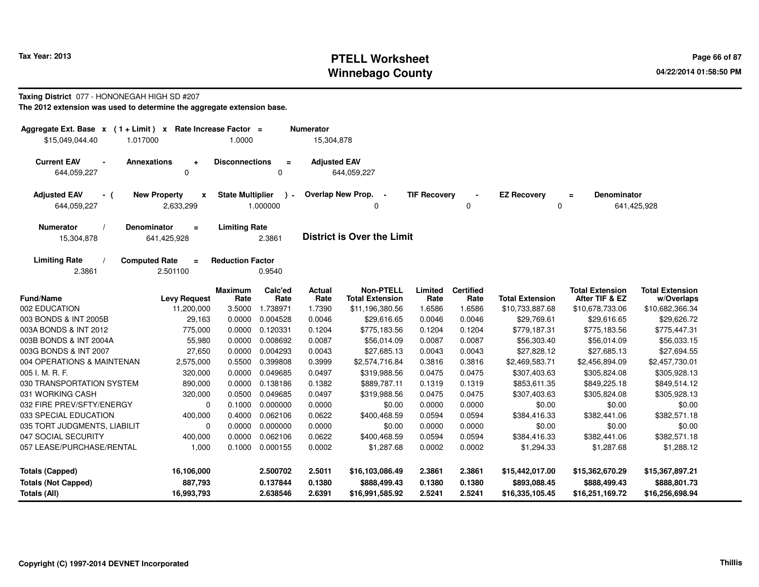## **PTELL Worksheet Tax Year: 2013 Page 66 of 87 PAGE 12 ASS ASSESSED ASSESSED ASSESSED ASSESSED ASSESSED ASSESSED AND RADIO PAGE 66 OF 87 Winnebago County**

#### **Taxing District** 077 - HONONEGAH HIGH SD #207

| Aggregate Ext. Base $x$ (1+Limit) x<br>\$15,049,044.40<br>1.017000 |                                     | Rate Increase Factor =<br>1.0000 |                         | <b>Numerator</b><br>15,304,878 |                                   |                     |                  |                        |                                |                        |
|--------------------------------------------------------------------|-------------------------------------|----------------------------------|-------------------------|--------------------------------|-----------------------------------|---------------------|------------------|------------------------|--------------------------------|------------------------|
|                                                                    |                                     |                                  |                         |                                |                                   |                     |                  |                        |                                |                        |
| <b>Current EAV</b><br>$\blacksquare$<br>644,059,227                | <b>Annexations</b><br>÷<br>$\Omega$ | <b>Disconnections</b>            | $\equiv$<br>$\mathbf 0$ | <b>Adjusted EAV</b>            | 644,059,227                       |                     |                  |                        |                                |                        |
|                                                                    |                                     |                                  |                         |                                |                                   |                     |                  |                        |                                |                        |
| <b>Adjusted EAV</b><br>- (                                         | <b>New Property</b><br>x            | <b>State Multiplier</b>          | $\lambda$ -             |                                | Overlap New Prop.<br>$\sim$       | <b>TIF Recovery</b> |                  | <b>EZ Recovery</b>     | <b>Denominator</b><br>$\equiv$ |                        |
| 644,059,227                                                        | 2,633,299                           |                                  | 1.000000                |                                | 0                                 |                     | 0                | 0                      |                                | 641,425,928            |
| Numerator                                                          | <b>Denominator</b><br>$\equiv$      | <b>Limiting Rate</b>             |                         |                                |                                   |                     |                  |                        |                                |                        |
| 15,304,878                                                         | 641,425,928                         |                                  | 2.3861                  |                                | <b>District is Over the Limit</b> |                     |                  |                        |                                |                        |
| <b>Limiting Rate</b>                                               | <b>Computed Rate</b><br>$\equiv$    | <b>Reduction Factor</b>          |                         |                                |                                   |                     |                  |                        |                                |                        |
| 2.3861                                                             | 2.501100                            |                                  | 0.9540                  |                                |                                   |                     |                  |                        |                                |                        |
|                                                                    |                                     | <b>Maximum</b>                   | Calc'ed                 | <b>Actual</b>                  | <b>Non-PTELL</b>                  | Limited             | <b>Certified</b> |                        | <b>Total Extension</b>         | <b>Total Extension</b> |
| <b>Fund/Name</b>                                                   | <b>Levy Request</b>                 | Rate                             | Rate                    | Rate                           | <b>Total Extension</b>            | Rate                | Rate             | <b>Total Extension</b> | After TIF & EZ                 | w/Overlaps             |
| 002 EDUCATION                                                      | 11,200,000                          | 3.5000                           | 1.738971                | 1.7390                         | \$11,196,380.56                   | 1.6586              | 1.6586           | \$10,733,887.68        | \$10,678,733.06                | \$10,682,366.34        |
| 003 BONDS & INT 2005B                                              | 29,163                              | 0.0000                           | 0.004528                | 0.0046                         | \$29,616.65                       | 0.0046              | 0.0046           | \$29,769.61            | \$29,616.65                    | \$29,626.72            |
| 003A BONDS & INT 2012                                              | 775,000                             | 0.0000                           | 0.120331                | 0.1204                         | \$775,183.56                      | 0.1204              | 0.1204           | \$779,187.31           | \$775,183.56                   | \$775,447.31           |
| 003B BONDS & INT 2004A                                             | 55,980                              | 0.0000                           | 0.008692                | 0.0087                         | \$56,014.09                       | 0.0087              | 0.0087           | \$56,303.40            | \$56,014.09                    | \$56,033.15            |
| 003G BONDS & INT 2007                                              | 27,650                              | 0.0000                           | 0.004293                | 0.0043                         | \$27,685.13                       | 0.0043              | 0.0043           | \$27,828.12            | \$27,685.13                    | \$27,694.55            |
| 004 OPERATIONS & MAINTENAN                                         | 2,575,000                           | 0.5500                           | 0.399808                | 0.3999                         | \$2,574,716.84                    | 0.3816              | 0.3816           | \$2,469,583.71         | \$2,456,894.09                 | \$2,457,730.01         |
| 005 I. M. R. F.                                                    | 320,000                             | 0.0000                           | 0.049685                | 0.0497                         | \$319,988.56                      | 0.0475              | 0.0475           | \$307,403.63           | \$305,824.08                   | \$305,928.13           |
| 030 TRANSPORTATION SYSTEM                                          | 890,000                             | 0.0000                           | 0.138186                | 0.1382                         | \$889,787.11                      | 0.1319              | 0.1319           | \$853,611.35           | \$849,225.18                   | \$849,514.12           |
| 031 WORKING CASH                                                   | 320,000                             | 0.0500                           | 0.049685                | 0.0497                         | \$319,988.56                      | 0.0475              | 0.0475           | \$307,403.63           | \$305,824.08                   | \$305,928.13           |
| 032 FIRE PREV/SFTY/ENERGY                                          | $\mathbf 0$                         | 0.1000                           | 0.000000                | 0.0000                         | \$0.00                            | 0.0000              | 0.0000           | \$0.00                 | \$0.00                         | \$0.00                 |
| 033 SPECIAL EDUCATION                                              | 400,000                             | 0.4000                           | 0.062106                | 0.0622                         | \$400,468.59                      | 0.0594              | 0.0594           | \$384,416.33           | \$382,441.06                   | \$382,571.18           |
| 035 TORT JUDGMENTS, LIABILIT                                       | 0                                   | 0.0000                           | 0.000000                | 0.0000                         | \$0.00                            | 0.0000              | 0.0000           | \$0.00                 | \$0.00                         | \$0.00                 |
| 047 SOCIAL SECURITY                                                | 400,000                             | 0.0000                           | 0.062106                | 0.0622                         | \$400,468.59                      | 0.0594              | 0.0594           | \$384,416.33           | \$382,441.06                   | \$382,571.18           |
| 057 LEASE/PURCHASE/RENTAL                                          | 1,000                               | 0.1000                           | 0.000155                | 0.0002                         | \$1,287.68                        | 0.0002              | 0.0002           | \$1,294.33             | \$1,287.68                     | \$1,288.12             |
| <b>Totals (Capped)</b>                                             | 16,106,000                          |                                  | 2.500702                | 2.5011                         | \$16,103,086.49                   | 2.3861              | 2.3861           | \$15,442,017.00        | \$15,362,670.29                | \$15,367,897.21        |
| <b>Totals (Not Capped)</b>                                         | 887,793                             |                                  | 0.137844                | 0.1380                         | \$888,499.43                      | 0.1380              | 0.1380           | \$893,088.45           | \$888,499.43                   | \$888,801.73           |
| Totals (All)                                                       | 16,993,793                          |                                  | 2.638546                | 2.6391                         | \$16,991,585.92                   | 2.5241              | 2.5241           | \$16,335,105.45        | \$16,251,169.72                | \$16,256,698.94        |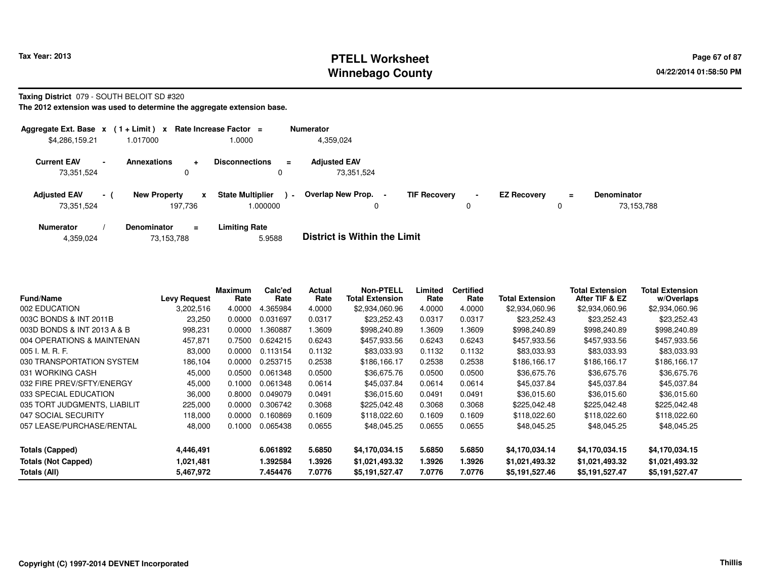### **PTELL Worksheet Tax Year: 2013 Page 67 of 87 PAGE 12 At 2014 Page 67 of 87 Winnebago County**

#### **Taxing District** 079 - SOUTH BELOIT SD #320

| Aggregate Ext. Base $x$ (1 + Limit) x Rate Increase Factor = |                |                                |              |                                    |                | <b>Numerator</b>                                |                     |                |                    |          |                                  |
|--------------------------------------------------------------|----------------|--------------------------------|--------------|------------------------------------|----------------|-------------------------------------------------|---------------------|----------------|--------------------|----------|----------------------------------|
| \$4,286,159.21                                               |                | 1.017000                       |              | 0000.1                             |                | 4,359,024                                       |                     |                |                    |          |                                  |
| <b>Current EAV</b><br>73,351,524                             | $\blacksquare$ | <b>Annexations</b><br>0        | $\ddot{}$    | <b>Disconnections</b>              | $=$            | <b>Adjusted EAV</b><br>73,351,524               |                     |                |                    |          |                                  |
| <b>Adjusted EAV</b><br>73,351,524                            | $-1$           | <b>New Property</b><br>197.736 | $\mathbf{x}$ | <b>State Multiplier</b><br>000000. | $\blacksquare$ | <b>Overlap New Prop.</b><br>$\blacksquare$<br>0 | <b>TIF Recovery</b> | $\blacksquare$ | <b>EZ Recovery</b> | $=$<br>υ | <b>Denominator</b><br>73,153,788 |
| <b>Numerator</b>                                             |                | <b>Denominator</b>             | $\equiv$     | Limiting Rate                      |                | _ _ _ _ _ _ _ _ _ _ _ _ _ _                     |                     |                |                    |          |                                  |

|  | 4,359,024 | 73,153,788 | 5.9588 | <b>District is Within the Limit</b> |
|--|-----------|------------|--------|-------------------------------------|
|--|-----------|------------|--------|-------------------------------------|

| <b>Fund/Name</b>             | <b>Levy Request</b> | <b>Maximum</b><br>Rate | Calc'ed<br>Rate | Actual<br>Rate | <b>Non-PTELL</b><br><b>Total Extension</b> | Limited<br>Rate | <b>Certified</b><br>Rate | Total Extension | <b>Total Extension</b><br>After TIF & EZ | <b>Total Extension</b><br>w/Overlaps |
|------------------------------|---------------------|------------------------|-----------------|----------------|--------------------------------------------|-----------------|--------------------------|-----------------|------------------------------------------|--------------------------------------|
| 002 EDUCATION                | 3,202,516           | 4.0000                 | 4.365984        | 4.0000         | \$2,934,060.96                             | 4.0000          | 4.0000                   | \$2,934,060.96  | \$2,934,060.96                           | \$2,934,060.96                       |
| 003C BONDS & INT 2011B       | 23,250              | 0.0000                 | 0.031697        | 0.0317         | \$23,252.43                                | 0.0317          | 0.0317                   | \$23,252.43     | \$23,252.43                              | \$23,252.43                          |
| 003D BONDS & INT 2013 A & B  | 998,231             | 0.0000                 | .360887         | 1.3609         | \$998,240.89                               | 1.3609          | 1.3609                   | \$998,240.89    | \$998,240.89                             | \$998,240.89                         |
| 004 OPERATIONS & MAINTENAN   | 457,871             | 0.7500                 | 0.624215        | 0.6243         | \$457,933.56                               | 0.6243          | 0.6243                   | \$457,933.56    | \$457,933.56                             | \$457,933.56                         |
| 005 I. M. R. F.              | 83,000              | 0.0000                 | 0.113154        | 0.1132         | \$83,033.93                                | 0.1132          | 0.1132                   | \$83,033.93     | \$83,033.93                              | \$83,033.93                          |
| 030 TRANSPORTATION SYSTEM    | 186,104             | 0.0000                 | 0.253715        | 0.2538         | \$186,166.17                               | 0.2538          | 0.2538                   | \$186,166.17    | \$186,166.17                             | \$186,166.17                         |
| 031 WORKING CASH             | 45,000              | 0.0500                 | 0.061348        | 0.0500         | \$36,675.76                                | 0.0500          | 0.0500                   | \$36,675.76     | \$36,675.76                              | \$36,675.76                          |
| 032 FIRE PREV/SFTY/ENERGY    | 45,000              | 0.1000                 | 0.061348        | 0.0614         | \$45,037.84                                | 0.0614          | 0.0614                   | \$45,037.84     | \$45,037.84                              | \$45,037.84                          |
| 033 SPECIAL EDUCATION        | 36,000              | 0.8000                 | 0.049079        | 0.0491         | \$36,015.60                                | 0.0491          | 0.0491                   | \$36,015.60     | \$36,015.60                              | \$36,015.60                          |
| 035 TORT JUDGMENTS, LIABILIT | 225,000             | 0.0000                 | 0.306742        | 0.3068         | \$225,042.48                               | 0.3068          | 0.3068                   | \$225,042.48    | \$225,042.48                             | \$225,042.48                         |
| 047 SOCIAL SECURITY          | 118,000             | 0.0000                 | 0.160869        | 0.1609         | \$118,022.60                               | 0.1609          | 0.1609                   | \$118,022.60    | \$118,022.60                             | \$118,022.60                         |
| 057 LEASE/PURCHASE/RENTAL    | 48,000              | 0.1000                 | 0.065438        | 0.0655         | \$48,045.25                                | 0.0655          | 0.0655                   | \$48,045.25     | \$48,045.25                              | \$48,045.25                          |
| <b>Totals (Capped)</b>       | 4,446,491           |                        | 6.061892        | 5.6850         | \$4,170,034.15                             | 5.6850          | 5.6850                   | \$4,170,034.14  | \$4,170,034.15                           | \$4,170,034.15                       |
| <b>Totals (Not Capped)</b>   | 1,021,481           |                        | 1.392584        | 1.3926         | \$1,021,493.32                             | 1.3926          | 1.3926                   | \$1,021,493.32  | \$1,021,493.32                           | \$1,021,493.32                       |
| Totals (All)                 | 5,467,972           |                        | 7.454476        | 7.0776         | \$5,191,527.47                             | 7.0776          | 7.0776                   | \$5,191,527.46  | \$5,191,527.47                           | \$5,191,527.47                       |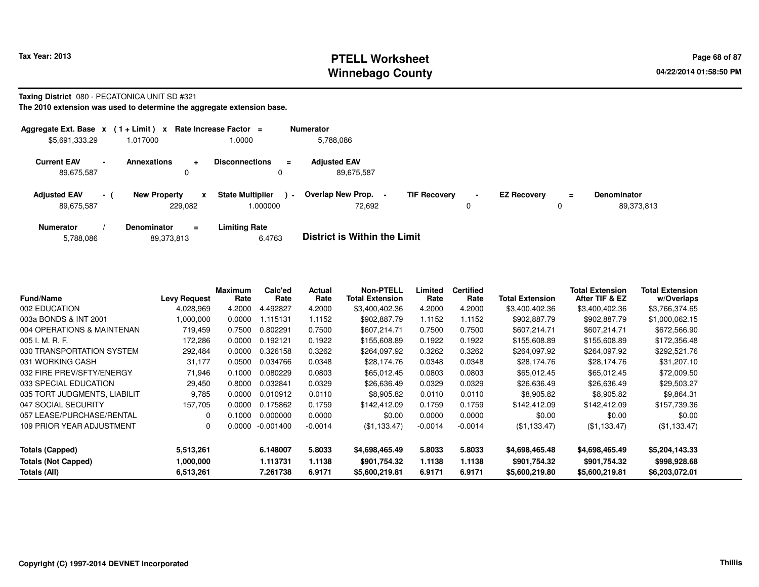## **PTELL Worksheet Tax Year: 2013 Page 68 of 87 PAGE 12 ASS ASSESSED ASSESSED ASSESSED ASSESSED ASSESSED ASSESSED AND RADIO PAGE 68 OF 87 Winnebago County**

#### **Taxing District** 080 - PECATONICA UNIT SD #321

| Aggregate Ext. Base $x$ (1 + Limit) $x$ Rate Increase Factor = |        |                     |                           |                                    |                | <b>Numerator</b>                   |                     |                |                    |          |                                  |
|----------------------------------------------------------------|--------|---------------------|---------------------------|------------------------------------|----------------|------------------------------------|---------------------|----------------|--------------------|----------|----------------------------------|
| \$5,691,333.29                                                 |        | 1.017000            |                           | 1.0000                             |                | 5,788,086                          |                     |                |                    |          |                                  |
| <b>Current EAV</b><br>89,675,587                               | $\sim$ | <b>Annexations</b>  | $\ddot{\phantom{1}}$<br>0 | <b>Disconnections</b>              | ÷              | <b>Adjusted EAV</b><br>89,675,587  |                     |                |                    |          |                                  |
| <b>Adjusted EAV</b><br>89,675,587                              | $-1$   | <b>New Property</b> | x<br>229.082              | <b>State Multiplier</b><br>000000. | $\blacksquare$ | <b>Overlap New Prop.</b><br>72.692 | <b>TIF Recovery</b> | $\blacksquare$ | <b>EZ Recovery</b> | $=$<br>υ | <b>Denominator</b><br>89,373,813 |
| <b>Numerator</b>                                               |        | <b>Denominator</b>  | $\equiv$                  | Limiting Rate                      |                | _ _ _ _ _ _ _ _ _ _ _ _ _ _        |                     |                |                    |          |                                  |

| 5,788,086 | 89,373,813 | 6.4763 | <b>District is Within the Limit</b> |
|-----------|------------|--------|-------------------------------------|
|           |            |        |                                     |

| <b>Fund/Name</b>             | <b>Levy Request</b> | Maximum<br>Rate | Calc'ed<br>Rate | Actual<br>Rate | <b>Non-PTELL</b><br><b>Total Extension</b> | Limited<br>Rate | <b>Certified</b><br>Rate | Total Extension | <b>Total Extension</b><br>After TIF & EZ | <b>Total Extension</b><br>w/Overlaps |
|------------------------------|---------------------|-----------------|-----------------|----------------|--------------------------------------------|-----------------|--------------------------|-----------------|------------------------------------------|--------------------------------------|
| 002 EDUCATION                | 4,028,969           | 4.2000          | 4.492827        | 4.2000         | \$3,400,402.36                             | 4.2000          | 4.2000                   | \$3,400,402.36  | \$3,400,402.36                           | \$3,766,374.65                       |
| 003a BONDS & INT 2001        | 1,000,000           | 0.0000          | .115131         | 1.1152         | \$902,887.79                               | 1.1152          | 1.1152                   | \$902,887.79    | \$902,887.79                             | \$1,000,062.15                       |
| 004 OPERATIONS & MAINTENAN   | 719,459             | 0.7500          | 0.802291        | 0.7500         | \$607,214.71                               | 0.7500          | 0.7500                   | \$607,214.71    | \$607,214.71                             | \$672,566.90                         |
| $005$ J. M. R. F.            | 172,286             | 0.0000          | 0.192121        | 0.1922         | \$155,608.89                               | 0.1922          | 0.1922                   | \$155,608.89    | \$155,608.89                             | \$172,356.48                         |
| 030 TRANSPORTATION SYSTEM    | 292,484             | 0.0000          | 0.326158        | 0.3262         | \$264,097.92                               | 0.3262          | 0.3262                   | \$264,097.92    | \$264,097.92                             | \$292,521.76                         |
| 031 WORKING CASH             | 31,177              | 0.0500          | 0.034766        | 0.0348         | \$28,174.76                                | 0.0348          | 0.0348                   | \$28,174.76     | \$28,174.76                              | \$31,207.10                          |
| 032 FIRE PREV/SFTY/ENERGY    | 71.946              | 0.1000          | 0.080229        | 0.0803         | \$65,012.45                                | 0.0803          | 0.0803                   | \$65.012.45     | \$65,012.45                              | \$72,009.50                          |
| 033 SPECIAL EDUCATION        | 29,450              | 0.8000          | 0.032841        | 0.0329         | \$26,636.49                                | 0.0329          | 0.0329                   | \$26,636.49     | \$26,636.49                              | \$29,503.27                          |
| 035 TORT JUDGMENTS, LIABILIT | 9,785               | 0.0000          | 0.010912        | 0.0110         | \$8,905.82                                 | 0.0110          | 0.0110                   | \$8,905.82      | \$8,905.82                               | \$9,864.31                           |
| 047 SOCIAL SECURITY          | 157.705             | 0.0000          | 0.175862        | 0.1759         | \$142,412.09                               | 0.1759          | 0.1759                   | \$142,412.09    | \$142.412.09                             | \$157,739.36                         |
| 057 LEASE/PURCHASE/RENTAL    | $\Omega$            | 0.1000          | 0.000000        | 0.0000         | \$0.00                                     | 0.0000          | 0.0000                   | \$0.00          | \$0.00                                   | \$0.00                               |
| 109 PRIOR YEAR ADJUSTMENT    | 0                   | 0.0000          | $-0.001400$     | $-0.0014$      | (\$1,133.47)                               | $-0.0014$       | $-0.0014$                | (\$1,133.47)    | (\$1,133.47)                             | (\$1,133.47)                         |
| Totals (Capped)              | 5,513,261           |                 | 6.148007        | 5.8033         | \$4,698,465.49                             | 5.8033          | 5.8033                   | \$4,698,465.48  | \$4,698,465.49                           | \$5,204,143.33                       |
| <b>Totals (Not Capped)</b>   | 1,000,000           |                 | 1.113731        | 1.1138         | \$901,754.32                               | 1.1138          | 1.1138                   | \$901,754.32    | \$901,754.32                             | \$998,928.68                         |
| Totals (All)                 | 6,513,261           |                 | 7.261738        | 6.9171         | \$5,600,219.81                             | 6.9171          | 6.9171                   | \$5,600,219.80  | \$5,600,219.81                           | \$6,203,072.01                       |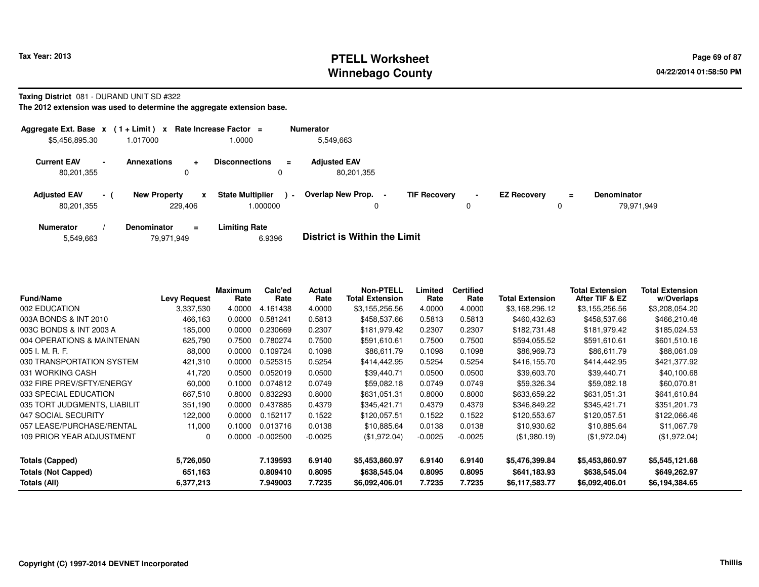#### **PTELL Worksheet Tax Year: 2013 Page 69 of 87 PAGE 12 ASS ASSESSED ASSESSED ASSESSED ASSESSED ASSESSED ASSESSED AND RADIO PAGE 69 OF 87 Winnebago County**

#### **Taxing District** 081 - DURAND UNIT SD #322

| Aggregate Ext. Base $x$ (1 + Limit) x Rate Increase Factor = |                |                     |                         |                                    |                | <b>Numerator</b>                  |                     |                |                    |               |                                  |
|--------------------------------------------------------------|----------------|---------------------|-------------------------|------------------------------------|----------------|-----------------------------------|---------------------|----------------|--------------------|---------------|----------------------------------|
| \$5,456,895.30                                               |                | 1.017000            |                         | 1.0000                             |                | 5,549,663                         |                     |                |                    |               |                                  |
| <b>Current EAV</b><br>80,201,355                             | $\blacksquare$ | <b>Annexations</b>  | $\ddot{}$<br>0          | <b>Disconnections</b><br>0         | $\equiv$       | <b>Adjusted EAV</b><br>80,201,355 |                     |                |                    |               |                                  |
| <b>Adjusted EAV</b><br>80,201,355                            | $-1$           | <b>New Property</b> | $\mathbf{x}$<br>229.406 | <b>State Multiplier</b><br>000000. | $\blacksquare$ | Overlap New Prop.<br>0            | <b>TIF Recovery</b> | $\blacksquare$ | <b>EZ Recovery</b> | $\equiv$<br>0 | <b>Denominator</b><br>79.971.949 |
| <b>Numerator</b>                                             |                | <b>Denominator</b>  | $\equiv$                | <b>Limiting Rate</b>               |                | _ _ _ _ _ _ _ _ _ _ _ _ _ _       |                     |                |                    |               |                                  |

| 79,971,949<br>5,549,663 | 6.9396 | <b>District is Within the Limit</b> |
|-------------------------|--------|-------------------------------------|
|-------------------------|--------|-------------------------------------|

| <b>Fund/Name</b>             | <b>Levy Request</b> | Maximum<br>Rate | Calc'ed<br>Rate | Actual<br>Rate | <b>Non-PTELL</b><br><b>Total Extension</b> | Limited<br>Rate | <b>Certified</b><br>Rate | <b>Total Extension</b> | Total Extension<br>After TIF & EZ | <b>Total Extension</b><br>w/Overlaps |
|------------------------------|---------------------|-----------------|-----------------|----------------|--------------------------------------------|-----------------|--------------------------|------------------------|-----------------------------------|--------------------------------------|
| 002 EDUCATION                | 3,337,530           | 4.0000          | 4.161438        | 4.0000         | \$3,155,256.56                             | 4.0000          | 4.0000                   | \$3,168,296.12         | \$3,155,256.56                    | \$3,208,054.20                       |
| 003A BONDS & INT 2010        | 466,163             | 0.0000          | 0.581241        | 0.5813         | \$458,537.66                               | 0.5813          | 0.5813                   | \$460,432.63           | \$458,537.66                      | \$466,210.48                         |
| 003C BONDS & INT 2003 A      | 185,000             | 0.0000          | 0.230669        | 0.2307         | \$181,979.42                               | 0.2307          | 0.2307                   | \$182,731.48           | \$181,979.42                      | \$185,024.53                         |
| 004 OPERATIONS & MAINTENAN   | 625,790             | 0.7500          | 0.780274        | 0.7500         | \$591,610.61                               | 0.7500          | 0.7500                   | \$594,055.52           | \$591,610.61                      | \$601,510.16                         |
| 005 I. M. R. F.              | 88,000              | 0.0000          | 0.109724        | 0.1098         | \$86,611.79                                | 0.1098          | 0.1098                   | \$86,969.73            | \$86,611.79                       | \$88,061.09                          |
| 030 TRANSPORTATION SYSTEM    | 421,310             | 0.0000          | 0.525315        | 0.5254         | \$414,442.95                               | 0.5254          | 0.5254                   | \$416,155.70           | \$414,442.95                      | \$421,377.92                         |
| 031 WORKING CASH             | 41,720              | 0.0500          | 0.052019        | 0.0500         | \$39,440.71                                | 0.0500          | 0.0500                   | \$39,603.70            | \$39,440.71                       | \$40,100.68                          |
| 032 FIRE PREV/SFTY/ENERGY    | 60,000              | 0.1000          | 0.074812        | 0.0749         | \$59,082.18                                | 0.0749          | 0.0749                   | \$59,326.34            | \$59,082.18                       | \$60,070.81                          |
| 033 SPECIAL EDUCATION        | 667,510             | 0.8000          | 0.832293        | 0.8000         | \$631,051.31                               | 0.8000          | 0.8000                   | \$633,659.22           | \$631,051.31                      | \$641,610.84                         |
| 035 TORT JUDGMENTS, LIABILIT | 351,190             | 0.0000          | 0.437885        | 0.4379         | \$345,421.71                               | 0.4379          | 0.4379                   | \$346,849.22           | \$345,421.71                      | \$351,201.73                         |
| 047 SOCIAL SECURITY          | 122,000             | 0.0000          | 0.152117        | 0.1522         | \$120,057.51                               | 0.1522          | 0.1522                   | \$120,553.67           | \$120,057.51                      | \$122,066.46                         |
| 057 LEASE/PURCHASE/RENTAL    | 11,000              | 0.1000          | 0.013716        | 0.0138         | \$10,885.64                                | 0.0138          | 0.0138                   | \$10,930.62            | \$10,885.64                       | \$11,067.79                          |
| 109 PRIOR YEAR ADJUSTMENT    | 0                   | 0.0000          | $-0.002500$     | $-0.0025$      | (\$1,972.04)                               | $-0.0025$       | $-0.0025$                | (\$1,980.19)           | (\$1,972.04)                      | (\$1,972.04)                         |
| <b>Totals (Capped)</b>       | 5,726,050           |                 | 7.139593        | 6.9140         | \$5,453,860.97                             | 6.9140          | 6.9140                   | \$5,476,399.84         | \$5,453,860.97                    | \$5,545,121.68                       |
| <b>Totals (Not Capped)</b>   | 651,163             |                 | 0.809410        | 0.8095         | \$638,545.04                               | 0.8095          | 0.8095                   | \$641,183.93           | \$638,545.04                      | \$649,262.97                         |
| Totals (All)                 | 6,377,213           |                 | 7.949003        | 7.7235         | \$6,092,406.01                             | 7.7235          | 7.7235                   | \$6,117,583.77         | \$6,092,406.01                    | \$6,194,384.65                       |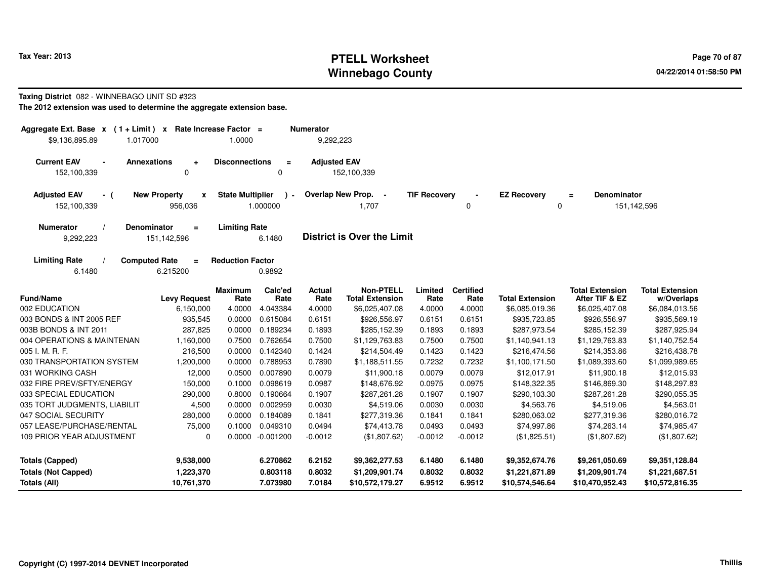## **PTELL Worksheet Tax Year: 2013 Page 70 of 87 PAGE 12 At 2014 Page 70 of 87 Winnebago County**

#### **Taxing District** 082 - WINNEBAGO UNIT SD #323

| Aggregate Ext. Base $x$ (1+Limit) x<br>\$9,136,895.89<br>1.017000                                                                              |                                              | Rate Increase Factor =<br>1.0000 |                     | <b>Numerator</b><br>9,292,223 |                                            |                     |                          |                        |                                          |                                      |
|------------------------------------------------------------------------------------------------------------------------------------------------|----------------------------------------------|----------------------------------|---------------------|-------------------------------|--------------------------------------------|---------------------|--------------------------|------------------------|------------------------------------------|--------------------------------------|
| <b>Current EAV</b><br>$\blacksquare$<br>152,100,339                                                                                            | <b>Annexations</b><br>$\bullet$<br>0         | <b>Disconnections</b>            | $\equiv$<br>0       | <b>Adjusted EAV</b>           | 152,100,339                                |                     |                          |                        |                                          |                                      |
| <b>Adjusted EAV</b><br>- (<br>152,100,339                                                                                                      | <b>New Property</b><br>X<br>956,036          | <b>State Multiplier</b>          | $\cdot$<br>1.000000 |                               | Overlap New Prop. -<br>1,707               | <b>TIF Recovery</b> | $\mathbf 0$              | <b>EZ Recovery</b>     | <b>Denominator</b><br>$\equiv$<br>0      | 151,142,596                          |
| <b>Limiting Rate</b><br><b>Numerator</b><br>Denominator<br>$\equiv$<br><b>District is Over the Limit</b><br>9,292,223<br>151,142,596<br>6.1480 |                                              |                                  |                     |                               |                                            |                     |                          |                        |                                          |                                      |
| <b>Limiting Rate</b><br>6.1480                                                                                                                 | <b>Computed Rate</b><br>$\equiv$<br>6.215200 | <b>Reduction Factor</b>          | 0.9892              |                               |                                            |                     |                          |                        |                                          |                                      |
| <b>Fund/Name</b>                                                                                                                               | <b>Levy Request</b>                          | <b>Maximum</b><br>Rate           | Calc'ed<br>Rate     | Actual<br>Rate                | <b>Non-PTELL</b><br><b>Total Extension</b> | Limited<br>Rate     | <b>Certified</b><br>Rate | <b>Total Extension</b> | <b>Total Extension</b><br>After TIF & EZ | <b>Total Extension</b><br>w/Overlaps |
| 002 EDUCATION                                                                                                                                  | 6,150,000                                    | 4.0000                           | 4.043384            | 4.0000                        | \$6,025,407.08                             | 4.0000              | 4.0000                   | \$6,085,019.36         | \$6,025,407.08                           | \$6,084,013.56                       |
| 003 BONDS & INT 2005 REF                                                                                                                       | 935,545                                      | 0.0000                           | 0.615084            | 0.6151                        | \$926,556.97                               | 0.6151              | 0.6151                   | \$935,723.85           | \$926,556.97                             | \$935,569.19                         |
| 003B BONDS & INT 2011                                                                                                                          | 287,825                                      | 0.0000                           | 0.189234            | 0.1893                        | \$285,152.39                               | 0.1893              | 0.1893                   | \$287,973.54           | \$285,152.39                             | \$287,925.94                         |
| 004 OPERATIONS & MAINTENAN                                                                                                                     | 1,160,000                                    | 0.7500                           | 0.762654            | 0.7500                        | \$1,129,763.83                             | 0.7500              | 0.7500                   | \$1,140,941.13         | \$1,129,763.83                           | \$1,140,752.54                       |
| 005 I. M. R. F.                                                                                                                                | 216,500                                      | 0.0000                           | 0.142340            | 0.1424                        | \$214,504.49                               | 0.1423              | 0.1423                   | \$216,474.56           | \$214,353.86                             | \$216,438.78                         |
| 030 TRANSPORTATION SYSTEM                                                                                                                      | 1,200,000                                    | 0.0000                           | 0.788953            | 0.7890                        | \$1,188,511.55                             | 0.7232              | 0.7232                   | \$1,100,171.50         | \$1,089,393.60                           | \$1,099,989.65                       |
| 031 WORKING CASH                                                                                                                               | 12,000                                       | 0.0500                           | 0.007890            | 0.0079                        | \$11,900.18                                | 0.0079              | 0.0079                   | \$12,017.91            | \$11,900.18                              | \$12,015.93                          |
| 032 FIRE PREV/SFTY/ENERGY                                                                                                                      | 150,000                                      | 0.1000                           | 0.098619            | 0.0987                        | \$148,676.92                               | 0.0975              | 0.0975                   | \$148,322.35           | \$146,869.30                             | \$148,297.83                         |
| 033 SPECIAL EDUCATION                                                                                                                          | 290,000                                      | 0.8000                           | 0.190664            | 0.1907                        | \$287,261.28                               | 0.1907              | 0.1907                   | \$290,103.30           | \$287,261.28                             | \$290,055.35                         |
| 035 TORT JUDGMENTS, LIABILIT                                                                                                                   | 4,500                                        | 0.0000                           | 0.002959            | 0.0030                        | \$4,519.06                                 | 0.0030              | 0.0030                   | \$4,563.76             | \$4,519.06                               | \$4,563.01                           |
| 047 SOCIAL SECURITY                                                                                                                            | 280,000                                      | 0.0000                           | 0.184089            | 0.1841                        | \$277,319.36                               | 0.1841              | 0.1841                   | \$280,063.02           | \$277,319.36                             | \$280,016.72                         |
| 057 LEASE/PURCHASE/RENTAL                                                                                                                      | 75,000                                       | 0.1000                           | 0.049310            | 0.0494                        | \$74,413.78                                | 0.0493              | 0.0493                   | \$74,997.86            | \$74,263.14                              | \$74,985.47                          |
| 109 PRIOR YEAR ADJUSTMENT                                                                                                                      | 0                                            | 0.0000                           | $-0.001200$         | $-0.0012$                     | (\$1,807.62)                               | $-0.0012$           | $-0.0012$                | (\$1,825.51)           | (\$1,807.62)                             | (\$1,807.62)                         |
| <b>Totals (Capped)</b>                                                                                                                         | 9,538,000                                    |                                  | 6.270862            | 6.2152                        | \$9,362,277.53                             | 6.1480              | 6.1480                   | \$9,352,674.76         | \$9,261,050.69                           | \$9,351,128.84                       |
| <b>Totals (Not Capped)</b>                                                                                                                     | 1,223,370                                    |                                  | 0.803118            | 0.8032                        | \$1,209,901.74                             | 0.8032              | 0.8032                   | \$1,221,871.89         | \$1,209,901.74                           | \$1,221,687.51                       |
| Totals (All)<br>10,761,370                                                                                                                     |                                              |                                  | 7.073980            | 7.0184                        | \$10,572,179.27                            | 6.9512              | 6.9512                   | \$10,574,546.64        | \$10,470,952.43                          | \$10,572,816.35                      |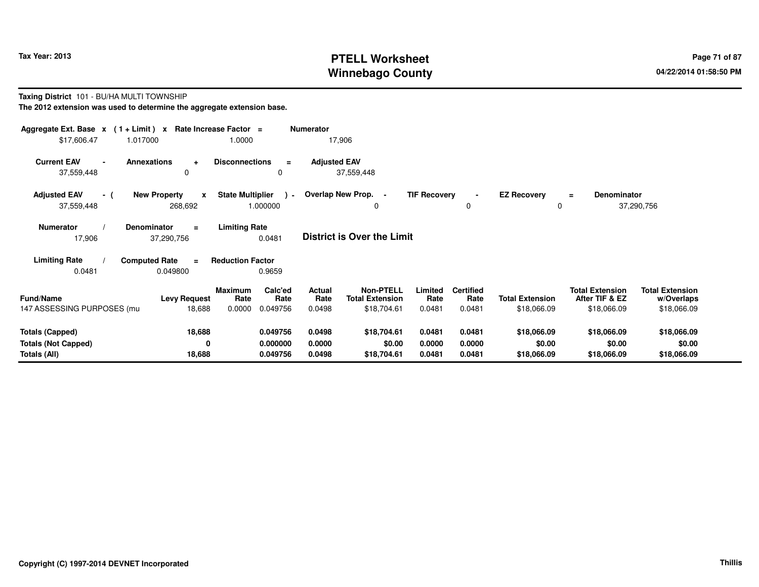## **PTELL Worksheet Tax Year: 2013 Page 71 of 87 PAGE 12 At 2014 Page 71 of 87 Winnebago County**

#### **Taxing District** 101 - BU/HA MULTI TOWNSHIP

| Aggregate Ext. Base $x$ (1+Limit) $x$              |                                                | Rate Increase Factor =                        | <b>Numerator</b>                  |                                            |                     |                          |                         |                                          |                                      |
|----------------------------------------------------|------------------------------------------------|-----------------------------------------------|-----------------------------------|--------------------------------------------|---------------------|--------------------------|-------------------------|------------------------------------------|--------------------------------------|
| \$17,606.47                                        | 1.017000                                       | 1.0000                                        | 17,906                            |                                            |                     |                          |                         |                                          |                                      |
| <b>Current EAV</b><br>$\blacksquare$<br>37,559,448 | <b>Annexations</b><br>$\ddot{}$<br>$\mathbf 0$ | <b>Disconnections</b><br>$\equiv$<br>0        | <b>Adjusted EAV</b><br>37,559,448 |                                            |                     |                          |                         |                                          |                                      |
| <b>Adjusted EAV</b><br>- (<br>37,559,448           | <b>New Property</b><br>$\mathbf{x}$<br>268,692 | <b>State Multiplier</b><br>$\sim$<br>1.000000 | Overlap New Prop. -               | 0                                          | <b>TIF Recovery</b> | 0                        | <b>EZ Recovery</b><br>0 | <b>Denominator</b><br>$\equiv$           | 37,290,756                           |
| <b>Numerator</b><br><b>Denominator</b><br>17,906   | <b>District is Over the Limit</b>              |                                               |                                   |                                            |                     |                          |                         |                                          |                                      |
| <b>Limiting Rate</b>                               | <b>Computed Rate</b><br>$\equiv$               | <b>Reduction Factor</b>                       |                                   |                                            |                     |                          |                         |                                          |                                      |
| 0.0481                                             | 0.049800                                       | 0.9659                                        |                                   |                                            |                     |                          |                         |                                          |                                      |
| <b>Fund/Name</b>                                   | <b>Levy Request</b>                            | Calc'ed<br>Maximum<br>Rate<br>Rate            | Actual<br>Rate                    | <b>Non-PTELL</b><br><b>Total Extension</b> | Limited<br>Rate     | <b>Certified</b><br>Rate | <b>Total Extension</b>  | <b>Total Extension</b><br>After TIF & EZ | <b>Total Extension</b><br>w/Overlaps |
| 147 ASSESSING PURPOSES (mu                         | 18,688                                         | 0.0000<br>0.049756                            | 0.0498                            | \$18,704.61                                | 0.0481              | 0.0481                   | \$18,066.09             | \$18,066.09                              | \$18,066.09                          |
| <b>Totals (Capped)</b>                             | 18,688                                         | 0.049756                                      | 0.0498                            | \$18,704.61                                | 0.0481              | 0.0481                   | \$18,066.09             | \$18,066.09                              | \$18,066.09                          |
| <b>Totals (Not Capped)</b><br>Totals (All)         | 0<br>18,688                                    | 0.000000<br>0.049756                          | 0.0000<br>0.0498                  | \$0.00<br>\$18,704.61                      | 0.0000<br>0.0481    | 0.0000<br>0.0481         | \$0.00<br>\$18,066.09   | \$0.00<br>\$18,066.09                    | \$0.00<br>\$18,066.09                |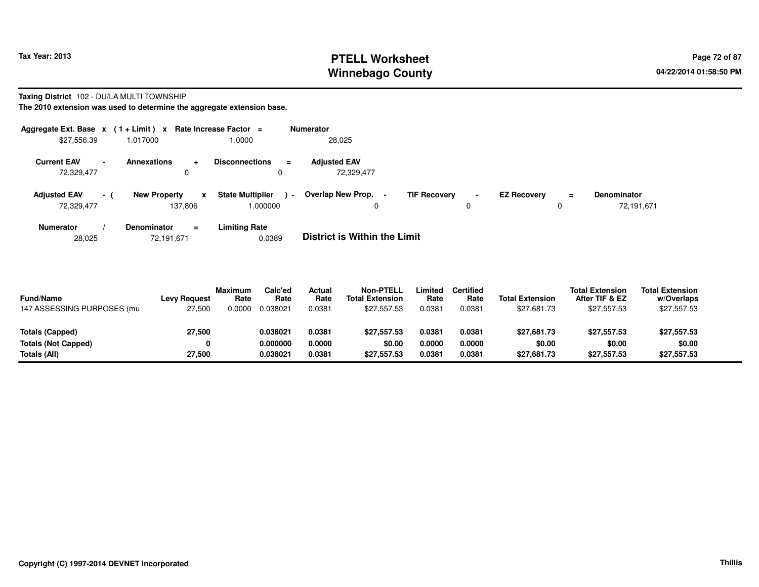## **PTELL Worksheet Tax Year: 2013 Page 72 of 87 Page 72 of 87 Winnebago County**

#### **Taxing District** 102 - DU/LA MULTI TOWNSHIP

**The 2010 extension was used to determine the aggregate extension base.**

|                                   |                | Aggregate Ext. Base $x$ (1 + Limit) x Rate Increase Factor = |                                                      | <b>Numerator</b>                  |                                            |                    |         |                                  |
|-----------------------------------|----------------|--------------------------------------------------------------|------------------------------------------------------|-----------------------------------|--------------------------------------------|--------------------|---------|----------------------------------|
| \$27,556.39                       |                | 1.017000                                                     | 1.0000                                               | 28,025                            |                                            |                    |         |                                  |
| <b>Current EAV</b><br>72,329,477  | $\blacksquare$ | <b>Annexations</b><br>$\ddot{}$<br>0                         | <b>Disconnections</b><br>$\equiv$<br>0               | <b>Adjusted EAV</b><br>72,329,477 |                                            |                    |         |                                  |
| <b>Adjusted EAV</b><br>72,329,477 | - (            | <b>New Property</b><br>x<br>137.806                          | <b>State Multiplier</b><br>$\blacksquare$<br>000000. | Overlap New Prop.<br>0            | <b>TIF Recovery</b><br>$\blacksquare$<br>0 | <b>EZ Recovery</b> | Ξ.<br>0 | <b>Denominator</b><br>72,191,671 |
| <b>Numerator</b>                  |                | <b>Denominator</b><br>$=$                                    | <b>Limiting Rate</b>                                 | _ _ _ _ _ _ _ _ _ _ _ _ _ _       |                                            |                    |         |                                  |

28,02572,191,671 0.0389 **District is Within the Limit**

| <b>Fund/Name</b><br>147 ASSESSING PURPOSES (mu | <b>Levy Request</b><br>27,500 | <b>Maximum</b><br>Rate<br>0.0000 | Calc'ed<br>Rate<br>0.038021 | Actual<br>Rate<br>0.0381 | <b>Non-PTELL</b><br><b>Total Extension</b><br>\$27.557.53 | .imited<br>Rate<br>0.0381 | Certified<br>Rate<br>0.0381 | <b>Total Extension</b><br>\$27,681.73 | <b>Total Extension</b><br>After TIF & EZ<br>\$27,557.53 | <b>Total Extension</b><br>w/Overlaps<br>\$27,557.53 |  |
|------------------------------------------------|-------------------------------|----------------------------------|-----------------------------|--------------------------|-----------------------------------------------------------|---------------------------|-----------------------------|---------------------------------------|---------------------------------------------------------|-----------------------------------------------------|--|
| Totals (Capped)                                | 27,500                        |                                  | 0.038021                    | 0.0381                   | \$27.557.53                                               | 0.0381                    | 0.0381                      | \$27.681.73                           | \$27.557.53                                             | \$27,557.53                                         |  |
| Totals (Not Capped)                            | 0                             |                                  | 0.000000                    | 0.0000                   | \$0.00                                                    | 0.0000                    | 0.0000                      | \$0.00                                | \$0.00                                                  | \$0.00                                              |  |
| Totals (All)                                   | 27,500                        |                                  | 0.038021                    | 0.0381                   | \$27.557.53                                               | 0.0381                    | 0.0381                      | \$27,681.73                           | \$27,557.53                                             | \$27,557.53                                         |  |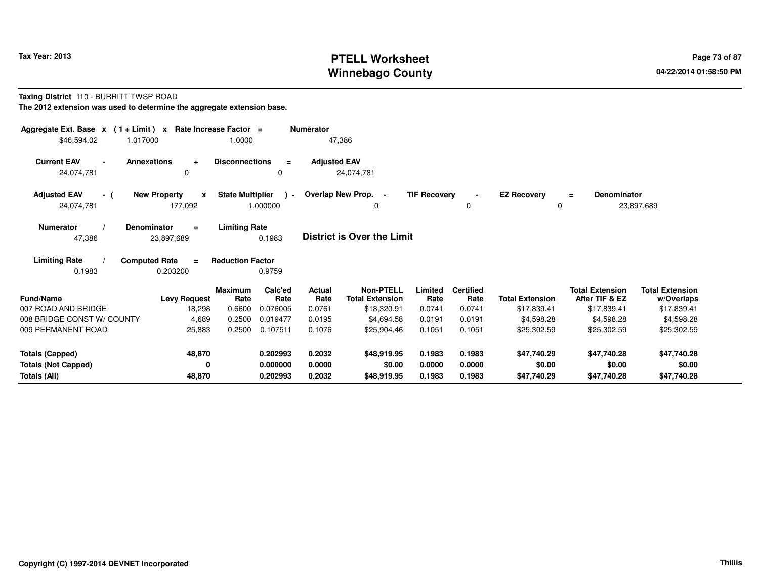# **PTELL Worksheet Tax Year: 2013 Page 73 of 87 PAGE 12 At 2014 Page 73 of 87 Winnebago County**

#### **Taxing District** 110 - BURRITT TWSP ROAD

| Aggregate Ext. Base $x$ (1 + Limit) $x$<br>\$46,594.02<br>1.017000       | Rate Increase Factor =                         | 1.0000                                               | <b>Numerator</b><br>47,386 |                                            |                     |                          |                         |                                          |                                      |
|--------------------------------------------------------------------------|------------------------------------------------|------------------------------------------------------|----------------------------|--------------------------------------------|---------------------|--------------------------|-------------------------|------------------------------------------|--------------------------------------|
| <b>Current EAV</b><br><b>Annexations</b><br>$\blacksquare$<br>24,074,781 | $\ddot{}$<br>0                                 | <b>Disconnections</b><br>$\equiv$<br>$\Omega$        | <b>Adjusted EAV</b>        | 24,074,781                                 |                     |                          |                         |                                          |                                      |
| <b>Adjusted EAV</b><br>- (<br>24,074,781                                 | <b>New Property</b><br>$\mathbf{x}$<br>177,092 | <b>State Multiplier</b><br>$\rightarrow$<br>1.000000 | Overlap New Prop. -        | 0                                          | <b>TIF Recovery</b> | $\Omega$                 | <b>EZ Recovery</b><br>0 | <b>Denominator</b><br>$=$                | 23,897,689                           |
| <b>Numerator</b><br>47,386                                               | Denominator<br>$\equiv$<br>23,897,689          | <b>Limiting Rate</b><br>0.1983                       |                            | <b>District is Over the Limit</b>          |                     |                          |                         |                                          |                                      |
| <b>Limiting Rate</b><br>0.1983                                           | <b>Computed Rate</b><br>$\equiv$<br>0.203200   | <b>Reduction Factor</b><br>0.9759                    |                            |                                            |                     |                          |                         |                                          |                                      |
| <b>Fund/Name</b>                                                         | <b>Levy Request</b>                            | Calc'ed<br><b>Maximum</b><br>Rate<br>Rate            | Actual<br>Rate             | <b>Non-PTELL</b><br><b>Total Extension</b> | Limited<br>Rate     | <b>Certified</b><br>Rate | <b>Total Extension</b>  | <b>Total Extension</b><br>After TIF & EZ | <b>Total Extension</b><br>w/Overlaps |
| 007 ROAD AND BRIDGE                                                      | 18,298                                         | 0.6600<br>0.076005                                   | 0.0761                     | \$18,320.91                                | 0.0741              | 0.0741                   | \$17,839.41             | \$17,839.41                              | \$17,839.41                          |
| 008 BRIDGE CONST W/ COUNTY                                               | 4,689                                          | 0.2500<br>0.019477                                   | 0.0195                     | \$4,694.58                                 | 0.0191              | 0.0191                   | \$4,598.28              | \$4,598.28                               | \$4,598.28                           |
| 009 PERMANENT ROAD                                                       | 25,883                                         | 0.107511<br>0.2500                                   | 0.1076                     | \$25,904.46                                | 0.1051              | 0.1051                   | \$25,302.59             | \$25,302.59                              | \$25,302.59                          |
| <b>Totals (Capped)</b>                                                   | 48,870                                         | 0.202993                                             | 0.2032                     | \$48,919.95                                | 0.1983              | 0.1983                   | \$47,740.29             | \$47,740.28                              | \$47,740.28                          |
| <b>Totals (Not Capped)</b>                                               | 0                                              | 0.000000                                             | 0.0000                     | \$0.00                                     | 0.0000              | 0.0000                   | \$0.00                  | \$0.00                                   | \$0.00                               |
| Totals (All)                                                             | 48,870                                         | 0.202993                                             | 0.2032                     | \$48,919.95                                | 0.1983              | 0.1983                   | \$47,740.29             | \$47,740.28                              | \$47,740.28                          |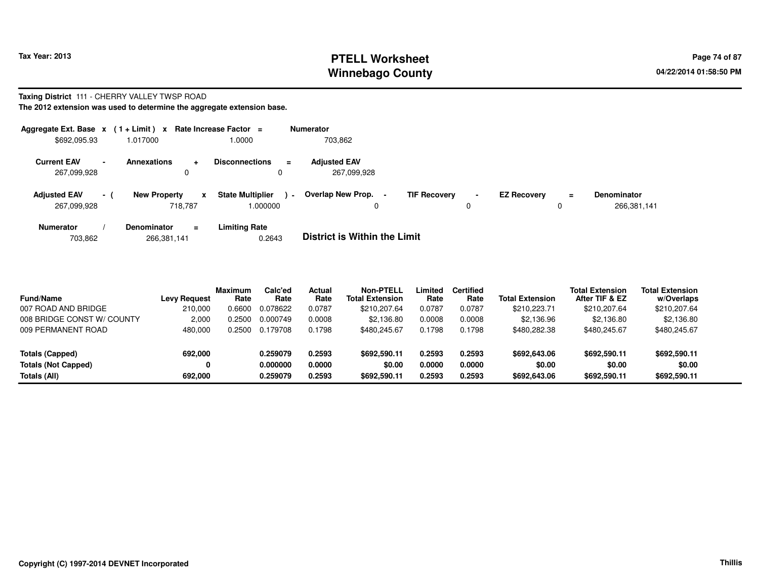# **PTELL Worksheet Tax Year: 2013 Page 74 of 87 Page 74 of 87 Winnebago County**

#### **Taxing District** 111 - CHERRY VALLEY TWSP ROAD**The 2012 extension was used to determine the aggregate extension base.**

| Aggregate Ext. Base $x$ (1 + Limit) $x$<br>\$692,095.93 |     | 1.017000                                        | Rate Increase Factor =<br>1.0000                    |        | <b>Numerator</b><br>703,862        |                     |                |                    |        |                                   |
|---------------------------------------------------------|-----|-------------------------------------------------|-----------------------------------------------------|--------|------------------------------------|---------------------|----------------|--------------------|--------|-----------------------------------|
| <b>Current EAV</b><br>267,099,928                       |     | <b>Annexations</b><br>$\ddot{\phantom{1}}$<br>0 | <b>Disconnections</b>                               | Ξ<br>0 | <b>Adjusted EAV</b><br>267.099.928 |                     |                |                    |        |                                   |
| <b>Adjusted EAV</b><br>267,099,928                      | - ( | <b>New Property</b><br>718.787                  | <b>State Multiplier</b><br>$\mathbf{x}$<br>1.000000 | $\sim$ | Overlap New Prop.                  | <b>TIF Recovery</b> | $\blacksquare$ | <b>EZ Recovery</b> | Ξ<br>0 | <b>Denominator</b><br>266,381,141 |
| <b>Numerator</b>                                        |     | <b>Denominator</b><br>Ξ.                        | Limiting Rate                                       |        |                                    |                     |                |                    |        |                                   |

| 703,862 | 266,381,141 | 0.2643 | <b>District is Within the Limit</b> |
|---------|-------------|--------|-------------------------------------|
|         |             |        |                                     |

| <b>Fund/Name</b>           | <b>Levy Request</b> | Maximum<br>Rate | Calc'ed<br>Rate | Actual<br>Rate | Non-PTELL<br><b>Total Extension</b> | Limited<br>Rate | <b>Certified</b><br>Rate | <b>Total Extension</b> | <b>Total Extension</b><br>After TIF & EZ | <b>Total Extension</b><br>w/Overlaps |
|----------------------------|---------------------|-----------------|-----------------|----------------|-------------------------------------|-----------------|--------------------------|------------------------|------------------------------------------|--------------------------------------|
| 007 ROAD AND BRIDGE        | 210,000             | 0.6600          | 0.078622        | 0.0787         | \$210,207.64                        | 0.0787          | 0.0787                   | \$210,223.71           | \$210,207.64                             | \$210,207.64                         |
| 008 BRIDGE CONST W/ COUNTY | 2,000               | .2500           | 0.000749        | 0.0008         | \$2.136.80                          | 0.0008          | 0.0008                   | \$2,136.96             | \$2,136.80                               | \$2,136.80                           |
| 009 PERMANENT ROAD         | 480,000             | .2500           | 0.179708        | 0.1798         | \$480,245.67                        | 0.1798          | 0.1798                   | \$480,282.38           | \$480,245.67                             | \$480,245.67                         |
| Totals (Capped)            | 692,000             |                 | 0.259079        | 0.2593         | \$692.590.11                        | 0.2593          | 0.2593                   | \$692,643.06           | \$692,590.11                             | \$692,590.11                         |
| <b>Totals (Not Capped)</b> | 0                   |                 | 0.000000        | 0.0000         | \$0.00                              | 0.0000          | 0.0000                   | \$0.00                 | \$0.00                                   | \$0.00                               |
| Totals (All)               | 692.000             |                 | 0.259079        | 0.2593         | \$692,590.11                        | 0.2593          | 0.2593                   | \$692,643.06           | \$692,590.11                             | \$692,590.11                         |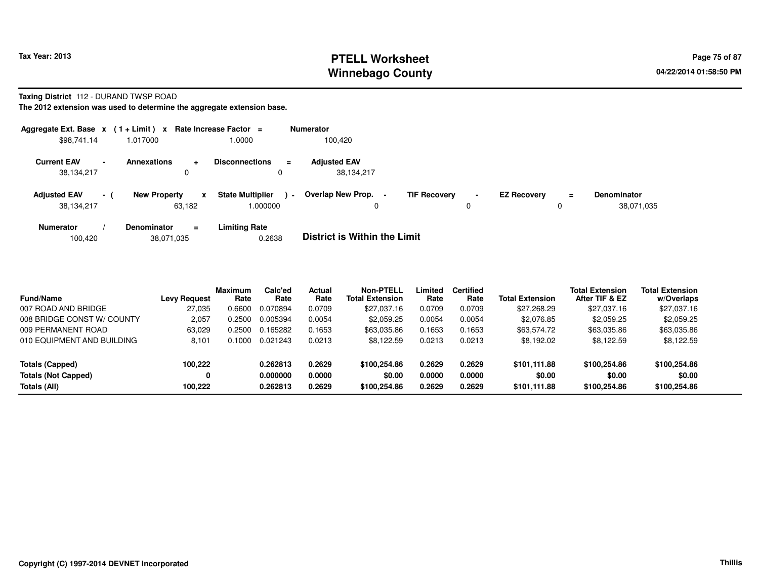# **PTELL Worksheet Tax Year: 2013 Page 75 of 87 PAGE 12 At 2014 Page 75 of 87 Winnebago County**

#### **Taxing District** 112 - DURAND TWSP ROAD

|                                                              |     | Aggregate Ext. Base $x$ (1 + Limit) x Rate Increase Factor = |                                               | <b>Numerator</b>                                                                                                                                |
|--------------------------------------------------------------|-----|--------------------------------------------------------------|-----------------------------------------------|-------------------------------------------------------------------------------------------------------------------------------------------------|
| \$98,741.14                                                  |     | 1.017000                                                     | 1.0000                                        | 100,420                                                                                                                                         |
| <b>Current EAV</b><br>$\overline{\phantom{a}}$<br>38,134,217 |     | <b>Annexations</b><br>$\ddot{}$<br>0                         | <b>Disconnections</b><br>$\equiv$<br>0        | <b>Adjusted EAV</b><br>38,134,217                                                                                                               |
| <b>Adjusted EAV</b><br>38,134,217                            | - ( | <b>New Property</b><br>$\mathbf{x}$<br>63.182                | <b>State Multiplier</b><br>$\sim$<br>1.000000 | <b>Overlap New Prop.</b><br><b>TIF Recovery</b><br><b>EZ Recovery</b><br>Denominator<br>$\blacksquare$<br>$\equiv$<br>38,071,035<br>0<br>0<br>0 |
| <b>Numerator</b>                                             |     | <b>Denominator</b><br>$=$                                    | <b>Limiting Rate</b>                          |                                                                                                                                                 |
| 100,420                                                      |     | 38,071,035                                                   | 0.2638                                        | <b>District is Within the Limit</b>                                                                                                             |

| <b>Fund/Name</b>           | <b>Levy Request</b> | <b>Maximum</b><br>Rate | Calc'ed<br>Rate | Actual<br>Rate | <b>Non-PTELL</b><br><b>Total Extension</b> | Limited<br>Rate | <b>Certified</b><br>Rate | <b>Total Extension</b> | <b>Total Extension</b><br>After TIF & EZ | <b>Total Extension</b><br>w/Overlaps |
|----------------------------|---------------------|------------------------|-----------------|----------------|--------------------------------------------|-----------------|--------------------------|------------------------|------------------------------------------|--------------------------------------|
| 007 ROAD AND BRIDGE        | 27.035              | 0.6600                 | 0.070894        | 0.0709         | \$27.037.16                                | 0.0709          | 0.0709                   | \$27,268.29            | \$27,037.16                              | \$27,037.16                          |
| 008 BRIDGE CONST W/ COUNTY | 2,057               | 0.2500                 | 0.005394        | 0.0054         | \$2,059.25                                 | 0.0054          | 0.0054                   | \$2,076.85             | \$2,059.25                               | \$2,059.25                           |
| 009 PERMANENT ROAD         | 63.029              | 0.2500                 | 0.165282        | 0.1653         | \$63,035.86                                | 0.1653          | 0.1653                   | \$63,574.72            | \$63,035.86                              | \$63,035.86                          |
| 010 EQUIPMENT AND BUILDING | 8.101               | 0.1000                 | 0.021243        | 0.0213         | \$8,122.59                                 | 0.0213          | 0.0213                   | \$8.192.02             | \$8,122.59                               | \$8.122.59                           |
| Totals (Capped)            | 100.222             |                        | 0.262813        | 0.2629         | \$100,254.86                               | 0.2629          | 0.2629                   | \$101.111.88           | \$100,254.86                             | \$100,254.86                         |
| <b>Totals (Not Capped)</b> | 0                   |                        | 0.000000        | 0.0000         | \$0.00                                     | 0.0000          | 0.0000                   | \$0.00                 | \$0.00                                   | \$0.00                               |
| Totals (All)               | 100.222             |                        | 0.262813        | 0.2629         | \$100,254.86                               | 0.2629          | 0.2629                   | \$101,111.88           | \$100,254.86                             | \$100,254.86                         |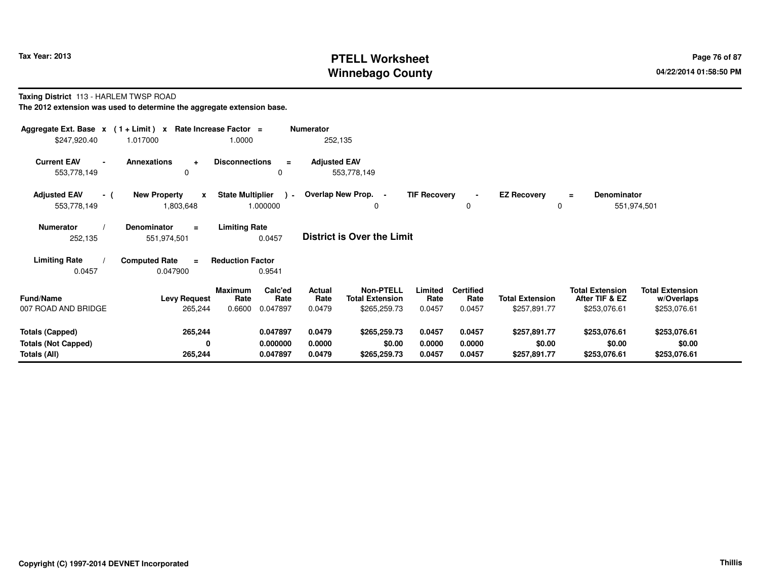# **PTELL Worksheet Tax Year: 2013 Page 76 of 87 PAGE 12 At 2014 Page 76 of 87 Winnebago County**

#### **Taxing District** 113 - HARLEM TWSP ROAD

| Aggregate Ext. Base $x$ (1 + Limit) x Rate Increase Factor =<br><b>Numerator</b> |                                                  |                                                       |                                    |                                                               |                          |                         |                                          |                                      |  |  |
|----------------------------------------------------------------------------------|--------------------------------------------------|-------------------------------------------------------|------------------------------------|---------------------------------------------------------------|--------------------------|-------------------------|------------------------------------------|--------------------------------------|--|--|
| \$247,920.40                                                                     | 1.017000                                         | 1.0000                                                | 252,135                            |                                                               |                          |                         |                                          |                                      |  |  |
| <b>Current EAV</b><br>553,778,149                                                | <b>Annexations</b><br>$\ddot{}$<br>0             | <b>Disconnections</b><br>$\equiv$<br>0                | <b>Adjusted EAV</b><br>553,778,149 |                                                               |                          |                         |                                          |                                      |  |  |
| <b>Adjusted EAV</b><br>- (<br>553,778,149                                        | <b>New Property</b><br>$\mathbf{x}$<br>1,803,648 | <b>State Multiplier</b><br>$\overline{a}$<br>1.000000 | Overlap New Prop. -                | <b>TIF Recovery</b><br>0                                      | 0                        | <b>EZ Recovery</b><br>0 | <b>Denominator</b><br>$\equiv$           | 551,974,501                          |  |  |
| <b>Numerator</b><br>252,135                                                      | <b>Denominator</b><br>$\equiv$<br>551,974,501    | <b>Limiting Rate</b><br>0.0457                        | District is Over the Limit         |                                                               |                          |                         |                                          |                                      |  |  |
| <b>Limiting Rate</b>                                                             | <b>Computed Rate</b><br>$\equiv$                 | <b>Reduction Factor</b>                               |                                    |                                                               |                          |                         |                                          |                                      |  |  |
| 0.0457                                                                           | 0.047900                                         | 0.9541                                                |                                    |                                                               |                          |                         |                                          |                                      |  |  |
| <b>Fund/Name</b>                                                                 | <b>Levy Request</b>                              | Calc'ed<br>Maximum<br>Rate<br>Rate                    | Actual<br>Rate                     | <b>Non-PTELL</b><br>Limited<br><b>Total Extension</b><br>Rate | <b>Certified</b><br>Rate | <b>Total Extension</b>  | <b>Total Extension</b><br>After TIF & EZ | <b>Total Extension</b><br>w/Overlaps |  |  |
| 007 ROAD AND BRIDGE                                                              | 265,244                                          | 0.6600<br>0.047897                                    | 0.0479                             | \$265,259.73<br>0.0457                                        | 0.0457                   | \$257,891.77            | \$253,076.61                             | \$253,076.61                         |  |  |
| <b>Totals (Capped)</b>                                                           | 265,244                                          | 0.047897                                              | 0.0479                             | \$265,259.73<br>0.0457                                        | 0.0457                   | \$257,891.77            | \$253,076.61                             | \$253,076.61                         |  |  |
| <b>Totals (Not Capped)</b>                                                       | 0                                                | 0.000000                                              | 0.0000                             | \$0.00<br>0.0000                                              | 0.0000                   | \$0.00                  | \$0.00                                   | \$0.00                               |  |  |
| Totals (All)                                                                     | 265,244                                          | 0.047897                                              | 0.0479                             | 0.0457<br>\$265,259.73                                        | 0.0457                   | \$257,891.77            | \$253,076.61                             | \$253,076.61                         |  |  |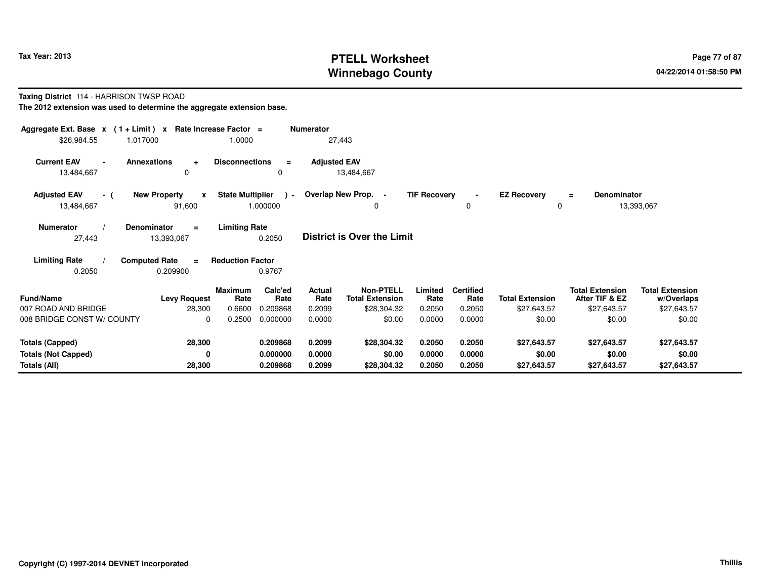# **PTELL Worksheet Tax Year: 2013 Page 77 of 87 Page 77 of 87 Winnebago County**

#### **Taxing District** 114 - HARRISON TWSP ROAD

| Aggregate Ext. Base $x$ (1 + Limit) $x$<br>\$26,984.55<br>1.017000                                                                                |                                               | Rate Increase Factor =<br>1.0000 |                           | <b>Numerator</b><br>27,443 |                                            |                     |                          |                         |                                          |                                      |  |
|---------------------------------------------------------------------------------------------------------------------------------------------------|-----------------------------------------------|----------------------------------|---------------------------|----------------------------|--------------------------------------------|---------------------|--------------------------|-------------------------|------------------------------------------|--------------------------------------|--|
| <b>Current EAV</b><br><b>Annexations</b><br>13,484,667                                                                                            | $\ddot{}$<br>$\Omega$                         | <b>Disconnections</b>            | $\equiv$<br>$\Omega$      | <b>Adjusted EAV</b>        | 13,484,667                                 |                     |                          |                         |                                          |                                      |  |
| <b>Adjusted EAV</b><br>- (<br>13,484,667                                                                                                          | <b>New Property</b><br>$\mathbf{x}$<br>91,600 | <b>State Multiplier</b>          | $\rightarrow$<br>1.000000 |                            | Overlap New Prop. -<br>0                   | <b>TIF Recovery</b> | $\blacksquare$<br>0      | <b>EZ Recovery</b><br>0 | <b>Denominator</b><br>$=$                | 13,393,067                           |  |
| <b>Limiting Rate</b><br><b>Numerator</b><br><b>Denominator</b><br>$\equiv$<br><b>District is Over the Limit</b><br>27,443<br>0.2050<br>13,393,067 |                                               |                                  |                           |                            |                                            |                     |                          |                         |                                          |                                      |  |
| <b>Limiting Rate</b><br><b>Computed Rate</b><br>0.2050                                                                                            | $\equiv$<br>0.209900                          | <b>Reduction Factor</b>          | 0.9767                    |                            |                                            |                     |                          |                         |                                          |                                      |  |
| <b>Fund/Name</b>                                                                                                                                  | <b>Levy Request</b>                           | <b>Maximum</b><br>Rate           | Calc'ed<br>Rate           | <b>Actual</b><br>Rate      | <b>Non-PTELL</b><br><b>Total Extension</b> | Limited<br>Rate     | <b>Certified</b><br>Rate | <b>Total Extension</b>  | <b>Total Extension</b><br>After TIF & EZ | <b>Total Extension</b><br>w/Overlaps |  |
| 007 ROAD AND BRIDGE                                                                                                                               | 28,300                                        | 0.6600                           | 0.209868                  | 0.2099                     | \$28,304.32                                | 0.2050              | 0.2050                   | \$27,643.57             | \$27,643.57                              | \$27,643.57                          |  |
| 008 BRIDGE CONST W/ COUNTY                                                                                                                        | $\Omega$                                      | 0.2500                           | 0.000000                  | 0.0000                     | \$0.00                                     | 0.0000              | 0.0000                   | \$0.00                  | \$0.00                                   | \$0.00                               |  |
| <b>Totals (Capped)</b>                                                                                                                            | 28,300                                        |                                  | 0.209868                  | 0.2099                     | \$28,304.32                                | 0.2050              | 0.2050                   | \$27,643.57             | \$27,643.57                              | \$27,643.57                          |  |
| <b>Totals (Not Capped)</b><br>Totals (All)                                                                                                        | 0<br>28,300                                   |                                  | 0.000000<br>0.209868      | 0.0000<br>0.2099           | \$0.00<br>\$28,304.32                      | 0.0000<br>0.2050    | 0.0000<br>0.2050         | \$0.00<br>\$27,643.57   | \$0.00<br>\$27,643.57                    | \$0.00<br>\$27,643.57                |  |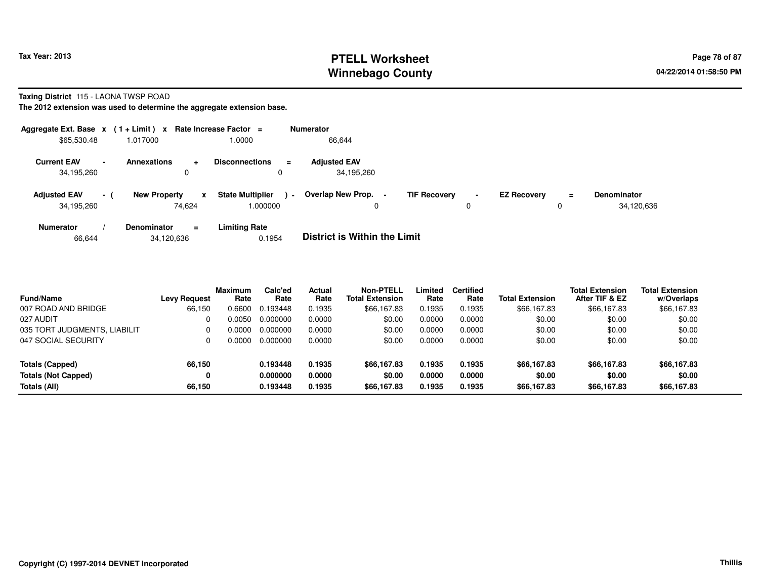# **PTELL Worksheet Tax Year: 2013 Page 78 of 87 PAGE 12 At 2014 Page 78 of 87 Winnebago County**

#### **Taxing District** 115 - LAONA TWSP ROAD

| Aggregate Ext. Base $x$ (1 + Limit) $x$ |                |                               |           | Rate Increase Factor =             |                | <b>Numerator</b>                         |                     |                     |                    |          |                                  |
|-----------------------------------------|----------------|-------------------------------|-----------|------------------------------------|----------------|------------------------------------------|---------------------|---------------------|--------------------|----------|----------------------------------|
| \$65,530.48                             |                | 1.017000                      |           | 1.0000                             |                | 66,644                                   |                     |                     |                    |          |                                  |
| <b>Current EAV</b><br>34,195,260        | $\blacksquare$ | <b>Annexations</b><br>0       | $\ddot{}$ | <b>Disconnections</b><br>0         | $\equiv$       | <b>Adjusted EAV</b><br>34,195,260        |                     |                     |                    |          |                                  |
| <b>Adjusted EAV</b><br>34,195,260       | $-1$           | <b>New Property</b><br>74.624 | x         | <b>State Multiplier</b><br>000000. | $\blacksquare$ | Overlap New Prop.<br>$\blacksquare$<br>0 | <b>TIF Recovery</b> | $\blacksquare$<br>0 | <b>EZ Recovery</b> | $\equiv$ | <b>Denominator</b><br>34,120,636 |
| <b>Numerator</b>                        |                | <b>Denominator</b>            | $\equiv$  | <b>Limiting Rate</b>               |                | _ _ _ _ _ _ _ _ _ _ _ _ _ _              |                     |                     |                    |          |                                  |

| <b>District is Within the Limit</b><br>0.1954<br>34,120,636<br>66,644 |
|-----------------------------------------------------------------------|
|-----------------------------------------------------------------------|

| <b>Fund/Name</b>             | <b>Levy Request</b> | Maximum<br>Rate | Calc'ed<br>Rate | Actual<br>Rate | <b>Non-PTELL</b><br><b>Total Extension</b> | Limited<br>Rate | <b>Certified</b><br>Rate | <b>Total Extension</b> | <b>Total Extension</b><br>After TIF & EZ | <b>Total Extension</b><br>w/Overlaps |
|------------------------------|---------------------|-----------------|-----------------|----------------|--------------------------------------------|-----------------|--------------------------|------------------------|------------------------------------------|--------------------------------------|
| 007 ROAD AND BRIDGE          | 66,150              | 0.6600          | 0.193448        | 0.1935         | \$66,167.83                                | 0.1935          | 0.1935                   | \$66,167.83            | \$66,167.83                              | \$66,167.83                          |
| 027 AUDIT                    |                     | .0050           | 0.000000        | 0.0000         | \$0.00                                     | 0.0000          | 0.0000                   | \$0.00                 | \$0.00                                   | \$0.00                               |
| 035 TORT JUDGMENTS, LIABILIT |                     | 0.0000          | 0.000000        | 0.0000         | \$0.00                                     | 0.0000          | 0.0000                   | \$0.00                 | \$0.00                                   | \$0.00                               |
| 047 SOCIAL SECURITY          |                     | 0.0000          | 0.000000        | 0.0000         | \$0.00                                     | 0.0000          | 0.0000                   | \$0.00                 | \$0.00                                   | \$0.00                               |
| Totals (Capped)              | 66,150              |                 | 0.193448        | 0.1935         | \$66,167.83                                | 0.1935          | 0.1935                   | \$66,167.83            | \$66,167.83                              | \$66,167.83                          |
| <b>Totals (Not Capped)</b>   |                     |                 | 0.000000        | 0.0000         | \$0.00                                     | 0.0000          | 0.0000                   | \$0.00                 | \$0.00                                   | \$0.00                               |
| Totals (All)                 | 66,150              |                 | 0.193448        | 0.1935         | \$66,167,83                                | 0.1935          | 0.1935                   | \$66,167.83            | \$66,167.83                              | \$66,167.83                          |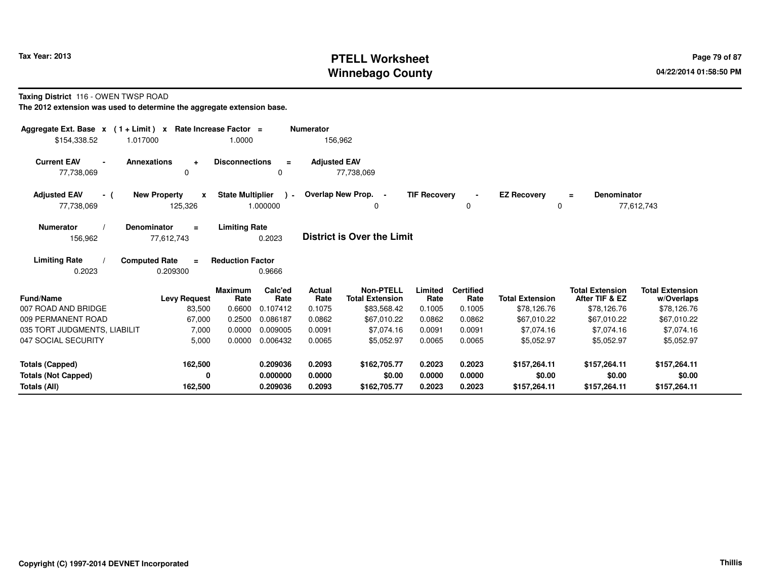# **PTELL Worksheet Tax Year: 2013 Page 79 of 87 PAGE 12 At 2014 Page 79 of 87 Winnebago County**

#### **Taxing District** 116 - OWEN TWSP ROAD

| Aggregate Ext. Base $x$ (1 + Limit) $x$                | Rate Increase Factor =                                                    |                       | <b>Numerator</b>    |                                            |                     |                          |                                |                                          |                                      |
|--------------------------------------------------------|---------------------------------------------------------------------------|-----------------------|---------------------|--------------------------------------------|---------------------|--------------------------|--------------------------------|------------------------------------------|--------------------------------------|
| \$154,338.52<br>1.017000                               | 1.0000                                                                    |                       | 156,962             |                                            |                     |                          |                                |                                          |                                      |
| <b>Current EAV</b><br><b>Annexations</b><br>77,738,069 | <b>Disconnections</b><br>$\ddot{}$<br>0                                   | $\equiv$<br>0         | <b>Adjusted EAV</b> | 77,738,069                                 |                     |                          |                                |                                          |                                      |
| <b>Adjusted EAV</b><br>- (<br>77,738,069               | <b>State Multiplier</b><br><b>New Property</b><br>$\mathbf{x}$<br>125,326 | $\lambda$<br>1.000000 |                     | Overlap New Prop. -<br>0                   | <b>TIF Recovery</b> | $\blacksquare$<br>0      | <b>EZ Recovery</b><br>$\Omega$ | <b>Denominator</b><br>$=$                | 77,612,743                           |
| <b>Numerator</b><br><b>Denominator</b><br>156,962      | <b>Limiting Rate</b><br>Ξ<br>77,612,743                                   | 0.2023                |                     | <b>District is Over the Limit</b>          |                     |                          |                                |                                          |                                      |
| <b>Limiting Rate</b><br><b>Computed Rate</b><br>0.2023 | <b>Reduction Factor</b><br>$\equiv$<br>0.209300                           | 0.9666                |                     |                                            |                     |                          |                                |                                          |                                      |
| <b>Fund/Name</b>                                       | <b>Maximum</b><br><b>Levy Request</b><br>Rate                             | Calc'ed<br>Rate       | Actual<br>Rate      | <b>Non-PTELL</b><br><b>Total Extension</b> | Limited<br>Rate     | <b>Certified</b><br>Rate | <b>Total Extension</b>         | <b>Total Extension</b><br>After TIF & EZ | <b>Total Extension</b><br>w/Overlaps |
| 007 ROAD AND BRIDGE                                    | 0.6600<br>83,500                                                          | 0.107412              | 0.1075              | \$83,568.42                                | 0.1005              | 0.1005                   | \$78,126.76                    | \$78,126.76                              | \$78,126.76                          |
| 009 PERMANENT ROAD                                     | 0.2500<br>67,000                                                          | 0.086187              | 0.0862              | \$67,010.22                                | 0.0862              | 0.0862                   | \$67,010.22                    | \$67,010.22                              | \$67,010.22                          |
| 035 TORT JUDGMENTS, LIABILIT                           | 7,000<br>0.0000                                                           | 0.009005              | 0.0091              | \$7,074.16                                 | 0.0091              | 0.0091                   | \$7,074.16                     | \$7,074.16                               | \$7,074.16                           |
| 047 SOCIAL SECURITY                                    | 5,000<br>0.0000                                                           | 0.006432              | 0.0065              | \$5,052.97                                 | 0.0065              | 0.0065                   | \$5,052.97                     | \$5,052.97                               | \$5,052.97                           |
| <b>Totals (Capped)</b>                                 | 162,500                                                                   | 0.209036              | 0.2093              | \$162,705.77                               | 0.2023              | 0.2023                   | \$157,264.11                   | \$157,264.11                             | \$157,264.11                         |
| <b>Totals (Not Capped)</b>                             | 0                                                                         | 0.000000              | 0.0000              | \$0.00                                     | 0.0000              | 0.0000                   | \$0.00                         | \$0.00                                   | \$0.00                               |
| Totals (All)                                           | 162,500                                                                   | 0.209036              | 0.2093              | \$162,705.77                               | 0.2023              | 0.2023                   | \$157,264.11                   | \$157,264.11                             | \$157,264.11                         |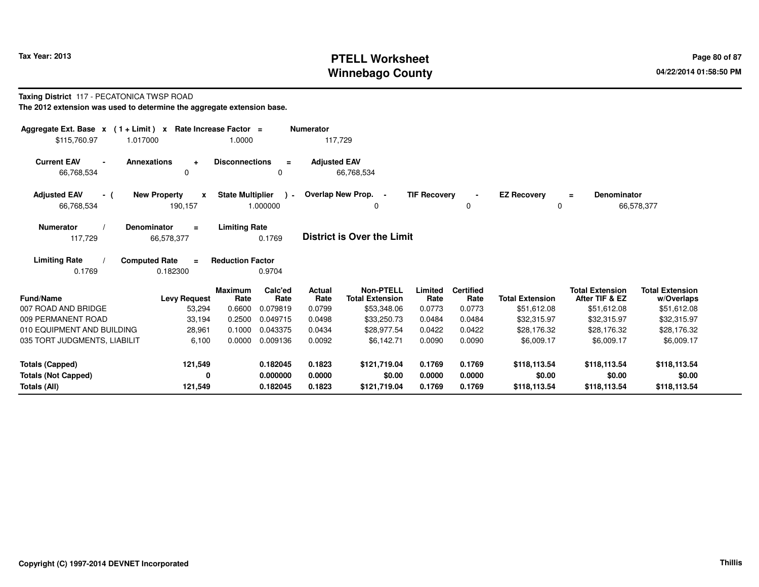# **PTELL Worksheet Tax Year: 2013 Page 80 of 87 PAGE 12 ASS ASSESSED ASSESSED ASSESSED ASSESSED ASSESSED ASSESSED AND RADIO PAGE 80 Of 87 Winnebago County**

#### **Taxing District** 117 - PECATONICA TWSP ROAD

| Aggregate Ext. Base $x$ (1 + Limit) $x$<br>\$115,760.97<br>1.017000 | Rate Increase Factor =<br>1.0000                               |                    | <b>Numerator</b><br>117,729 |                                            |                     |                          |                         |                                          |                                      |
|---------------------------------------------------------------------|----------------------------------------------------------------|--------------------|-----------------------------|--------------------------------------------|---------------------|--------------------------|-------------------------|------------------------------------------|--------------------------------------|
| <b>Current EAV</b><br><b>Annexations</b><br>66,768,534              | <b>Disconnections</b><br>÷<br>$\Omega$                         | $\equiv$<br>0      | <b>Adjusted EAV</b>         | 66,768,534                                 |                     |                          |                         |                                          |                                      |
| <b>Adjusted EAV</b><br>- (<br>66,768,534                            | <b>State Multiplier</b><br><b>New Property</b><br>X<br>190,157 | $\sim$<br>1.000000 |                             | Overlap New Prop. -<br>$\Omega$            | <b>TIF Recovery</b> | $\blacksquare$<br>0      | <b>EZ Recovery</b><br>0 | Denominator<br>$\equiv$                  | 66,578,377                           |
| <b>Numerator</b><br><b>Denominator</b><br>117,729                   | <b>Limiting Rate</b><br>$\equiv$<br>66,578,377                 | 0.1769             |                             | <b>District is Over the Limit</b>          |                     |                          |                         |                                          |                                      |
| <b>Limiting Rate</b><br><b>Computed Rate</b><br>0.1769              | <b>Reduction Factor</b><br>$\equiv$<br>0.182300                | 0.9704             |                             |                                            |                     |                          |                         |                                          |                                      |
| <b>Fund/Name</b>                                                    | <b>Maximum</b><br>Rate<br><b>Levy Request</b>                  | Calc'ed<br>Rate    | Actual<br>Rate              | <b>Non-PTELL</b><br><b>Total Extension</b> | Limited<br>Rate     | <b>Certified</b><br>Rate | <b>Total Extension</b>  | <b>Total Extension</b><br>After TIF & EZ | <b>Total Extension</b><br>w/Overlaps |
| 007 ROAD AND BRIDGE                                                 | 0.6600<br>53,294                                               | 0.079819           | 0.0799                      | \$53,348.06                                | 0.0773              | 0.0773                   | \$51,612.08             | \$51,612.08                              | \$51,612.08                          |
| 009 PERMANENT ROAD                                                  | 0.2500<br>33,194                                               | 0.049715           | 0.0498                      | \$33,250,73                                | 0.0484              | 0.0484                   | \$32,315.97             | \$32,315.97                              | \$32,315.97                          |
| 010 EQUIPMENT AND BUILDING                                          | 0.1000<br>28,961                                               | 0.043375           | 0.0434                      | \$28,977.54                                | 0.0422              | 0.0422                   | \$28,176.32             | \$28,176.32                              | \$28,176.32                          |
| 035 TORT JUDGMENTS, LIABILIT                                        | 0.0000<br>6,100                                                | 0.009136           | 0.0092                      | \$6,142.71                                 | 0.0090              | 0.0090                   | \$6,009.17              | \$6,009.17                               | \$6,009.17                           |
| <b>Totals (Capped)</b>                                              | 121,549                                                        | 0.182045           | 0.1823                      | \$121,719.04                               | 0.1769              | 0.1769                   | \$118,113.54            | \$118,113.54                             | \$118,113.54                         |
| <b>Totals (Not Capped)</b>                                          | 0                                                              | 0.000000           | 0.0000                      | \$0.00                                     | 0.0000              | 0.0000                   | \$0.00                  | \$0.00                                   | \$0.00                               |
| Totals (All)                                                        | 121,549                                                        | 0.182045           | 0.1823                      | \$121,719.04                               | 0.1769              | 0.1769                   | \$118,113.54            | \$118,113.54                             | \$118,113.54                         |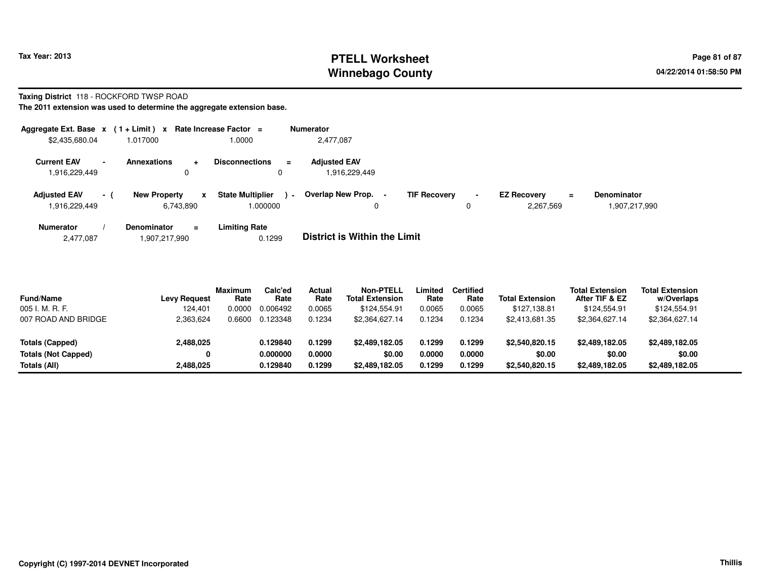# **PTELL Worksheet Tax Year: 2013 Page 81 of 87 PAGE 12 At 2014 Page 81 of 87 Winnebago County**

#### **Taxing District** 118 - ROCKFORD TWSP ROAD

|                                                                 |                     | Aggregate Ext. Base $x$ (1 + Limit) x Rate Increase Factor =                  | <b>Numerator</b>                                 |                          |   |                                        |                                     |
|-----------------------------------------------------------------|---------------------|-------------------------------------------------------------------------------|--------------------------------------------------|--------------------------|---|----------------------------------------|-------------------------------------|
| \$2,435,680.04                                                  | 1.017000            | 1.0000                                                                        | 2,477,087                                        |                          |   |                                        |                                     |
| <b>Current EAV</b><br>$\overline{\phantom{0}}$<br>1,916,229,449 | <b>Annexations</b>  | <b>Disconnections</b><br>0                                                    | <b>Adiusted EAV</b><br>$\equiv$<br>1,916,229,449 |                          |   |                                        |                                     |
| <b>Adjusted EAV</b><br>- 1<br>1,916,229,449                     | <b>New Property</b> | <b>State Multiplier</b><br>$\boldsymbol{\mathsf{x}}$<br>1.000000<br>6,743,890 | Overlap New Prop.<br>$\sim$                      | <b>TIF Recovery</b><br>0 | 0 | <b>EZ Recovery</b><br>$=$<br>2,267,569 | <b>Denominator</b><br>1,907,217,990 |
| <b>Numerator</b>                                                | <b>Denominator</b>  | <b>Limiting Rate</b><br>$\equiv$                                              | _ . _                                            |                          |   |                                        |                                     |

| .907,217,990 ا<br>2,477,087 | 0.1299 | <b>District is Within the Limit</b> |
|-----------------------------|--------|-------------------------------------|
|-----------------------------|--------|-------------------------------------|

| <b>Fund/Name</b><br>005 I. M. R. F. | <b>Levy Request</b><br>124,401 | <b>Maximum</b><br>Rate<br>0.0000 | Calc'ed<br>Rate<br>0.006492 | Actual<br>Rate<br>0.0065 | <b>Non-PTELL</b><br><b>Total Extension</b><br>\$124.554.91 | Limited<br>Rate<br>0.0065 | <b>Certified</b><br>Rate<br>0.0065 | <b>Total Extension</b><br>\$127.138.81 | <b>Total Extension</b><br>After TIF & EZ<br>\$124.554.91 | <b>Total Extension</b><br>w/Overlaps<br>\$124,554.91 |  |
|-------------------------------------|--------------------------------|----------------------------------|-----------------------------|--------------------------|------------------------------------------------------------|---------------------------|------------------------------------|----------------------------------------|----------------------------------------------------------|------------------------------------------------------|--|
| 007 ROAD AND BRIDGE                 | 2.363.624                      | 0.6600                           | 0.123348                    | 0.1234                   | \$2.364.627.14                                             | 0.1234                    | 0.1234                             | \$2.413.681.35                         | \$2,364,627.14                                           | \$2,364,627.14                                       |  |
| <b>Totals (Capped)</b>              | 2,488,025                      |                                  | 0.129840                    | 0.1299                   | \$2,489,182.05                                             | 0.1299                    | 0.1299                             | \$2,540,820.15                         | \$2,489,182,05                                           | \$2,489,182.05                                       |  |
| <b>Totals (Not Capped)</b>          | 0                              |                                  | 0.000000                    | 0.0000                   | \$0.00                                                     | 0.0000                    | 0.0000                             | \$0.00                                 | \$0.00                                                   | \$0.00                                               |  |
| Totals (All)                        | 2,488,025                      |                                  | 0.129840                    | 0.1299                   | \$2,489,182.05                                             | 0.1299                    | 0.1299                             | \$2,540,820.15                         | \$2,489,182,05                                           | \$2,489,182.05                                       |  |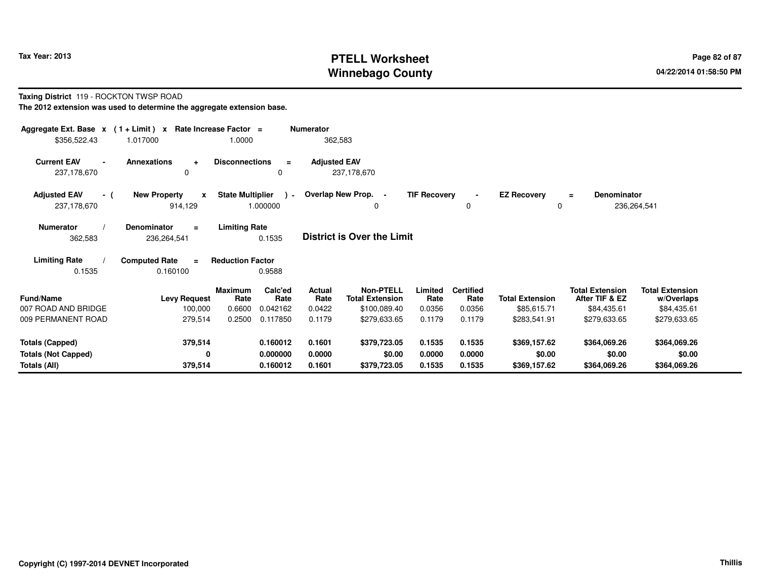# **PTELL Worksheet Tax Year: 2013 Page 82 of 87 Page 82 of 87 Winnebago County**

# **Taxing District** 119 - ROCKTON TWSP ROAD

| Aggregate Ext. Base $x$ (1 + Limit) $x$                               |                                     | Rate Increase Factor =  |                 | <b>Numerator</b>    |                                            |                     |                          |                        |                                          |                                      |  |
|-----------------------------------------------------------------------|-------------------------------------|-------------------------|-----------------|---------------------|--------------------------------------------|---------------------|--------------------------|------------------------|------------------------------------------|--------------------------------------|--|
| \$356,522.43                                                          | 1.017000                            | 1.0000                  |                 | 362,583             |                                            |                     |                          |                        |                                          |                                      |  |
| <b>Current EAV</b><br>$\blacksquare$                                  | <b>Annexations</b><br>$\ddot{}$     | <b>Disconnections</b>   | $\equiv$        | <b>Adjusted EAV</b> |                                            |                     |                          |                        |                                          |                                      |  |
| 237,178,670                                                           | 0                                   |                         | 0               |                     | 237,178,670                                |                     |                          |                        |                                          |                                      |  |
| <b>Adjusted EAV</b><br>- (                                            | <b>New Property</b><br>$\mathbf{x}$ | <b>State Multiplier</b> |                 |                     | ) - Overlap New Prop. -                    | <b>TIF Recovery</b> | $\blacksquare$           | <b>EZ Recovery</b>     | <b>Denominator</b><br>$\equiv$           |                                      |  |
| 237,178,670                                                           | 914,129                             |                         | 1.000000        |                     | 0                                          |                     | 0                        | 0                      |                                          | 236,264,541                          |  |
| <b>Numerator</b>                                                      | <b>Denominator</b><br>$\equiv$      | <b>Limiting Rate</b>    |                 |                     |                                            |                     |                          |                        |                                          |                                      |  |
| <b>District is Over the Limit</b><br>0.1535<br>362,583<br>236,264,541 |                                     |                         |                 |                     |                                            |                     |                          |                        |                                          |                                      |  |
| <b>Limiting Rate</b>                                                  | <b>Computed Rate</b><br>$\equiv$    | <b>Reduction Factor</b> |                 |                     |                                            |                     |                          |                        |                                          |                                      |  |
| 0.1535                                                                | 0.160100                            |                         | 0.9588          |                     |                                            |                     |                          |                        |                                          |                                      |  |
| <b>Fund/Name</b>                                                      | <b>Levy Request</b>                 | <b>Maximum</b><br>Rate  | Calc'ed<br>Rate | Actual<br>Rate      | <b>Non-PTELL</b><br><b>Total Extension</b> | Limited<br>Rate     | <b>Certified</b><br>Rate | <b>Total Extension</b> | <b>Total Extension</b><br>After TIF & EZ | <b>Total Extension</b><br>w/Overlaps |  |
| 007 ROAD AND BRIDGE                                                   | 100,000                             | 0.6600                  | 0.042162        | 0.0422              | \$100,089.40                               | 0.0356              | 0.0356                   | \$85,615.71            | \$84,435.61                              | \$84,435.61                          |  |
| 009 PERMANENT ROAD                                                    | 279,514                             | 0.2500                  | 0.117850        | 0.1179              | \$279,633.65                               | 0.1179              | 0.1179                   | \$283,541.91           | \$279,633.65                             | \$279,633.65                         |  |
| <b>Totals (Capped)</b>                                                | 379,514                             |                         | 0.160012        | 0.1601              | \$379,723.05                               | 0.1535              | 0.1535                   | \$369,157.62           | \$364,069.26                             | \$364,069.26                         |  |
| <b>Totals (Not Capped)</b>                                            | 0                                   |                         | 0.000000        | 0.0000              | \$0.00                                     | 0.0000              | 0.0000                   | \$0.00                 | \$0.00                                   | \$0.00                               |  |
| Totals (All)                                                          | 379,514                             |                         | 0.160012        | 0.1601              | \$379,723.05                               | 0.1535              | 0.1535                   | \$369,157.62           | \$364,069.26                             | \$364,069.26                         |  |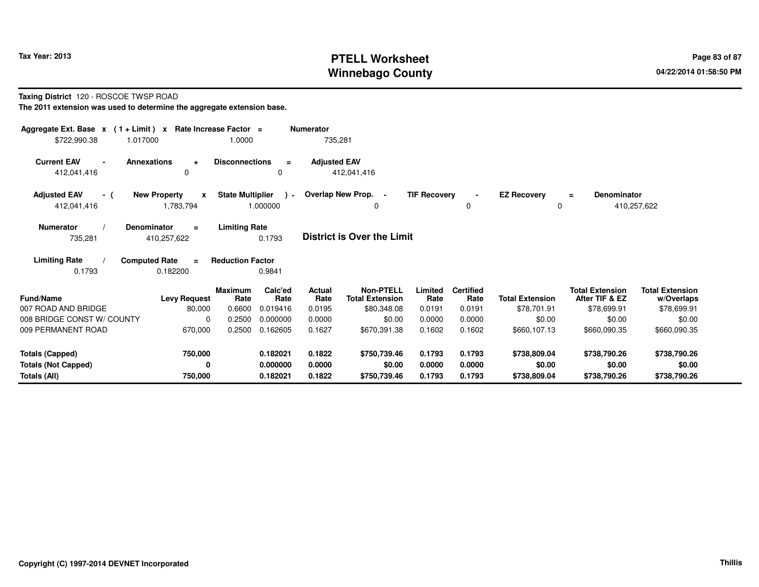# **PTELL Worksheet Tax Year: 2013 Page 83 of 87 PAGE 12 ASS ASSESSED ASSESSED ASSESSED ASSESSED AT A Page 83 of 87 Winnebago County**

#### **Taxing District** 120 - ROSCOE TWSP ROAD

| Aggregate Ext. Base $x$ (1+Limit) $x$<br>\$722,990.38<br>1.017000    |                                                  | Rate Increase Factor =<br>1.0000 |                                  | <b>Numerator</b><br>735,281 |                                                           |                            |                                    |                                        |                                                         |                                                     |
|----------------------------------------------------------------------|--------------------------------------------------|----------------------------------|----------------------------------|-----------------------------|-----------------------------------------------------------|----------------------------|------------------------------------|----------------------------------------|---------------------------------------------------------|-----------------------------------------------------|
| <b>Current EAV</b><br>$\blacksquare$<br>412,041,416                  | Annexations<br>$\ddotmark$<br>0                  | <b>Disconnections</b>            | $\equiv$<br>0                    | <b>Adjusted EAV</b>         | 412,041,416                                               |                            |                                    |                                        |                                                         |                                                     |
| <b>Adjusted EAV</b><br>- (<br>412,041,416                            | <b>New Property</b><br>$\mathbf{x}$<br>1,783,794 | <b>State Multiplier</b>          | $\rightarrow$<br>1.000000        |                             | Overlap New Prop. -<br>0                                  | <b>TIF Recovery</b>        | $\blacksquare$<br>$\mathbf 0$      | <b>EZ Recovery</b><br>0                | <b>Denominator</b><br>$\equiv$                          | 410,257,622                                         |
| <b>Numerator</b><br>735,281                                          | <b>Denominator</b><br>$=$<br>410,257,622         | <b>Limiting Rate</b>             | 0.1793                           |                             | <b>District is Over the Limit</b>                         |                            |                                    |                                        |                                                         |                                                     |
| <b>Limiting Rate</b><br>0.1793                                       | <b>Computed Rate</b><br>$\equiv$<br>0.182200     | <b>Reduction Factor</b>          | 0.9841                           |                             |                                                           |                            |                                    |                                        |                                                         |                                                     |
| Fund/Name<br>007 ROAD AND BRIDGE                                     | <b>Levy Request</b><br>80,000                    | <b>Maximum</b><br>Rate<br>0.6600 | Calc'ed<br>Rate<br>0.019416      | Actual<br>Rate<br>0.0195    | <b>Non-PTELL</b><br><b>Total Extension</b><br>\$80,348.08 | Limited<br>Rate<br>0.0191  | <b>Certified</b><br>Rate<br>0.0191 | <b>Total Extension</b><br>\$78,701.91  | <b>Total Extension</b><br>After TIF & EZ<br>\$78,699.91 | <b>Total Extension</b><br>w/Overlaps<br>\$78,699.91 |
| 008 BRIDGE CONST W/ COUNTY<br>009 PERMANENT ROAD                     | $\Omega$<br>670,000                              | 0.2500<br>0.2500                 | 0.000000<br>0.162605             | 0.0000<br>0.1627            | \$0.00<br>\$670.391.38                                    | 0.0000<br>0.1602           | 0.0000<br>0.1602                   | \$0.00<br>\$660,107.13                 | \$0.00<br>\$660,090.35                                  | \$0.00<br>\$660,090.35                              |
| <b>Totals (Capped)</b><br><b>Totals (Not Capped)</b><br>Totals (All) | 750,000<br>0<br>750,000                          |                                  | 0.182021<br>0.000000<br>0.182021 | 0.1822<br>0.0000<br>0.1822  | \$750,739.46<br>\$0.00<br>\$750,739.46                    | 0.1793<br>0.0000<br>0.1793 | 0.1793<br>0.0000<br>0.1793         | \$738,809.04<br>\$0.00<br>\$738,809.04 | \$738,790.26<br>\$0.00<br>\$738,790.26                  | \$738,790.26<br>\$0.00<br>\$738,790.26              |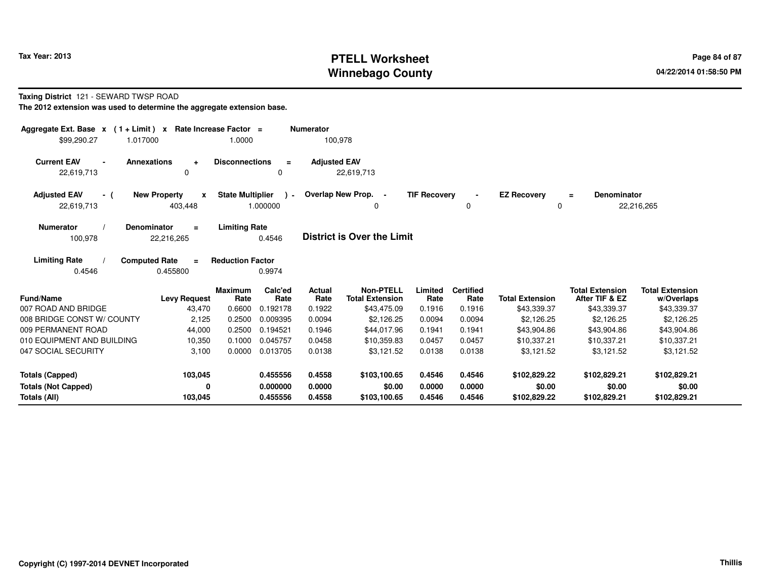# **PTELL Worksheet Tax Year: 2013 Page 84 of 87 PAGE 12 At 2014 Page 84 of 87 Winnebago County**

#### **Taxing District** 121 - SEWARD TWSP ROAD

| Aggregate Ext. Base $x$ (1 + Limit) x                                    | Rate Increase Factor =                         |                         |                    | <b>Numerator</b>    |                                            |                     |                          |                         |                                          |                                      |
|--------------------------------------------------------------------------|------------------------------------------------|-------------------------|--------------------|---------------------|--------------------------------------------|---------------------|--------------------------|-------------------------|------------------------------------------|--------------------------------------|
| \$99.290.27<br>1.017000                                                  |                                                | 1.0000                  |                    | 100,978             |                                            |                     |                          |                         |                                          |                                      |
| <b>Current EAV</b><br><b>Annexations</b><br>$\blacksquare$<br>22,619,713 | $\ddot{}$<br>$\Omega$                          | <b>Disconnections</b>   | $\equiv$<br>0      | <b>Adjusted EAV</b> | 22,619,713                                 |                     |                          |                         |                                          |                                      |
| <b>Adjusted EAV</b><br>- (<br>22,619,713                                 | <b>New Property</b><br>$\mathbf{x}$<br>403,448 | <b>State Multiplier</b> | $\sim$<br>1.000000 |                     | Overlap New Prop. -<br>0                   | <b>TIF Recovery</b> | 0                        | <b>EZ Recovery</b><br>0 | <b>Denominator</b><br>Ξ                  | 22,216,265                           |
| <b>Numerator</b><br>Denominator<br>100,978                               | $\equiv$<br>22,216,265                         | <b>Limiting Rate</b>    | 0.4546             |                     | <b>District is Over the Limit</b>          |                     |                          |                         |                                          |                                      |
| <b>Limiting Rate</b><br><b>Computed Rate</b><br>0.4546                   | $\equiv$<br>0.455800                           | <b>Reduction Factor</b> | 0.9974             |                     |                                            |                     |                          |                         |                                          |                                      |
| <b>Fund/Name</b>                                                         | <b>Levy Request</b>                            | <b>Maximum</b><br>Rate  | Calc'ed<br>Rate    | Actual<br>Rate      | <b>Non-PTELL</b><br><b>Total Extension</b> | Limited<br>Rate     | <b>Certified</b><br>Rate | <b>Total Extension</b>  | <b>Total Extension</b><br>After TIF & EZ | <b>Total Extension</b><br>w/Overlaps |
| 007 ROAD AND BRIDGE                                                      | 43,470                                         | 0.6600                  | 0.192178           | 0.1922              | \$43,475.09                                | 0.1916              | 0.1916                   | \$43,339.37             | \$43,339.37                              | \$43,339.37                          |
| 008 BRIDGE CONST W/ COUNTY                                               | 2,125                                          | 0.2500                  | 0.009395           | 0.0094              | \$2,126.25                                 | 0.0094              | 0.0094                   | \$2,126.25              | \$2,126.25                               | \$2,126.25                           |
| 009 PERMANENT ROAD                                                       | 44,000                                         | 0.2500                  | 0.194521           | 0.1946              | \$44,017.96                                | 0.1941              | 0.1941                   | \$43,904.86             | \$43,904.86                              | \$43,904.86                          |
| 010 EQUIPMENT AND BUILDING                                               | 10,350                                         | 0.1000                  | 0.045757           | 0.0458              | \$10.359.83                                | 0.0457              | 0.0457                   | \$10.337.21             | \$10.337.21                              | \$10,337.21                          |
| 047 SOCIAL SECURITY                                                      | 3,100                                          | 0.0000                  | 0.013705           | 0.0138              | \$3,121.52                                 | 0.0138              | 0.0138                   | \$3,121.52              | \$3,121.52                               | \$3,121.52                           |
| <b>Totals (Capped)</b>                                                   | 103,045                                        |                         | 0.455556           | 0.4558              | \$103,100.65                               | 0.4546              | 0.4546                   | \$102,829.22            | \$102,829.21                             | \$102,829.21                         |
| <b>Totals (Not Capped)</b>                                               | 0                                              |                         | 0.000000           | 0.0000              | \$0.00                                     | 0.0000              | 0.0000                   | \$0.00                  | \$0.00                                   | \$0.00                               |
| Totals (All)                                                             | 103,045                                        |                         | 0.455556           | 0.4558              | \$103,100.65                               | 0.4546              | 0.4546                   | \$102,829.22            | \$102,829.21                             | \$102,829.21                         |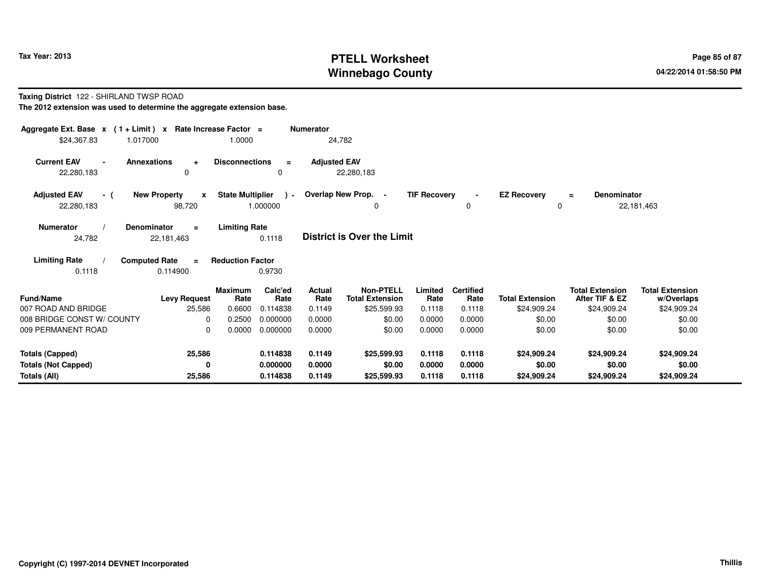# **PTELL Worksheet Tax Year: 2013 Page 85 of 87 PAGE 12 ASS ASSESSED ASSESSED ASSESSED ASSESSED ASSESSED AT A Page 85 of 87 Winnebago County**

#### **Taxing District** 122 - SHIRLAND TWSP ROAD

| Aggregate Ext. Base $x$ (1 + Limit) $x$<br>\$24,367.83<br>1.017000 |                                               | Rate Increase Factor =<br>1.0000 |                             | <b>Numerator</b>                | 24,782                                                    |                           |                                    |                                       |                                                         |                                                     |
|--------------------------------------------------------------------|-----------------------------------------------|----------------------------------|-----------------------------|---------------------------------|-----------------------------------------------------------|---------------------------|------------------------------------|---------------------------------------|---------------------------------------------------------|-----------------------------------------------------|
| <b>Current EAV</b><br>$\blacksquare$<br>22,280,183                 | <b>Annexations</b><br>$\ddot{}$<br>$\Omega$   | <b>Disconnections</b>            | $\equiv$<br>0               | <b>Adjusted EAV</b>             | 22,280,183                                                |                           |                                    |                                       |                                                         |                                                     |
| <b>Adjusted EAV</b><br>- (<br>22,280,183                           | <b>New Property</b><br>$\mathbf{x}$<br>98,720 | <b>State Multiplier</b>          | $\rightarrow$<br>1.000000   |                                 | Overlap New Prop. -<br>0                                  | <b>TIF Recovery</b>       | 0                                  | <b>EZ Recovery</b><br>0               | <b>Denominator</b><br>$=$                               | 22,181,463                                          |
| <b>Numerator</b><br>24,782                                         | Denominator<br>$\equiv$<br>22,181,463         | <b>Limiting Rate</b>             | 0.1118                      |                                 | <b>District is Over the Limit</b>                         |                           |                                    |                                       |                                                         |                                                     |
| <b>Limiting Rate</b><br>0.1118                                     | <b>Computed Rate</b><br>$\equiv$<br>0.114900  | <b>Reduction Factor</b>          | 0.9730                      |                                 |                                                           |                           |                                    |                                       |                                                         |                                                     |
| <b>Fund/Name</b><br>007 ROAD AND BRIDGE                            | <b>Levy Request</b><br>25,586                 | <b>Maximum</b><br>Rate<br>0.6600 | Calc'ed<br>Rate<br>0.114838 | <b>Actual</b><br>Rate<br>0.1149 | <b>Non-PTELL</b><br><b>Total Extension</b><br>\$25,599.93 | Limited<br>Rate<br>0.1118 | <b>Certified</b><br>Rate<br>0.1118 | <b>Total Extension</b><br>\$24,909.24 | <b>Total Extension</b><br>After TIF & EZ<br>\$24,909.24 | <b>Total Extension</b><br>w/Overlaps<br>\$24,909.24 |
| 008 BRIDGE CONST W/ COUNTY<br>009 PERMANENT ROAD                   | $\Omega$<br>$\Omega$                          | 0.2500<br>0.0000                 | 0.000000<br>0.000000        | 0.0000<br>0.0000                | \$0.00<br>\$0.00                                          | 0.0000<br>0.0000          | 0.0000<br>0.0000                   | \$0.00<br>\$0.00                      | \$0.00<br>\$0.00                                        | \$0.00<br>\$0.00                                    |
| <b>Totals (Capped)</b>                                             | 25,586                                        |                                  | 0.114838                    | 0.1149                          | \$25,599.93                                               | 0.1118                    | 0.1118                             | \$24,909.24                           | \$24,909.24                                             | \$24,909.24                                         |
| <b>Totals (Not Capped)</b><br>Totals (All)                         | 0<br>25,586                                   |                                  | 0.000000<br>0.114838        | 0.0000<br>0.1149                | \$0.00<br>\$25,599.93                                     | 0.0000<br>0.1118          | 0.0000<br>0.1118                   | \$0.00<br>\$24,909.24                 | \$0.00<br>\$24,909.24                                   | \$0.00<br>\$24,909.24                               |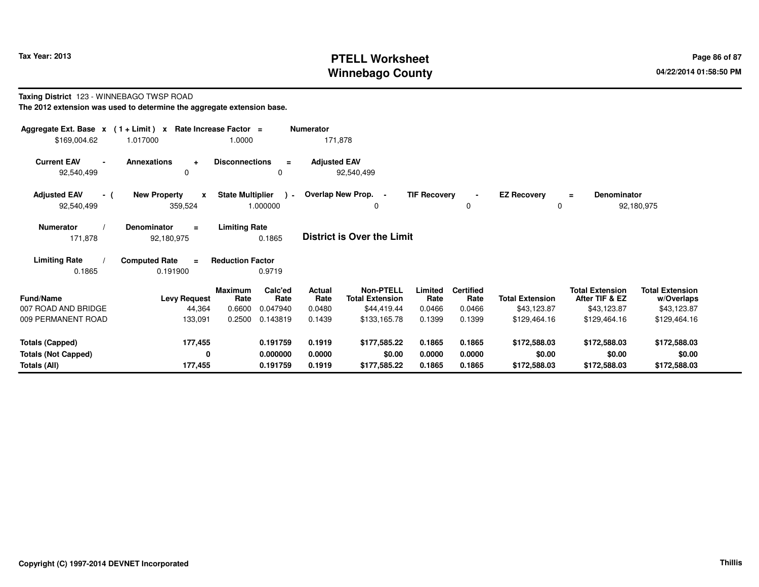# **PTELL Worksheet Tax Year: 2013 Page 86 of 87 PAGE 12 ASS ASSESSED ASSESSED ASSESSED ASSESSED ASSESSED ASSESSED ASSESSED AT A Page 86 of 87 Winnebago County**

#### **Taxing District** 123 - WINNEBAGO TWSP ROAD**The 2012 extension was used to determine the aggregate extension base.**

| Aggregate Ext. Base $x$ (1 + Limit) $x$            |                                                        | Rate Increase Factor =            | <b>Numerator</b>                                        |                                                           |                           |                                    |                                       |                                                         |                                                     |
|----------------------------------------------------|--------------------------------------------------------|-----------------------------------|---------------------------------------------------------|-----------------------------------------------------------|---------------------------|------------------------------------|---------------------------------------|---------------------------------------------------------|-----------------------------------------------------|
| \$169,004.62                                       | 1.017000                                               | 1.0000                            |                                                         | 171,878                                                   |                           |                                    |                                       |                                                         |                                                     |
| <b>Current EAV</b><br>$\blacksquare$<br>92,540,499 | <b>Annexations</b><br>$\ddot{\phantom{1}}$<br>$\Omega$ | <b>Disconnections</b>             | $\equiv$<br>0                                           | <b>Adjusted EAV</b><br>92,540,499                         |                           |                                    |                                       |                                                         |                                                     |
| <b>Adjusted EAV</b><br>- (                         | <b>New Property</b><br>$\mathbf{x}$                    | <b>State Multiplier</b>           | $\sim$                                                  | Overlap New Prop. -                                       | <b>TIF Recovery</b>       | $\blacksquare$                     | <b>EZ Recovery</b>                    | <b>Denominator</b><br>$=$                               |                                                     |
| 92,540,499                                         | 359,524                                                | 1.000000                          |                                                         | 0                                                         |                           | 0                                  | $\mathbf 0$                           |                                                         | 92,180,975                                          |
| <b>Numerator</b><br>171,878                        | <b>Denominator</b><br>$\equiv$<br>92,180,975           | <b>Limiting Rate</b><br>0.1865    |                                                         | <b>District is Over the Limit</b>                         |                           |                                    |                                       |                                                         |                                                     |
| <b>Limiting Rate</b><br>0.1865                     | <b>Computed Rate</b><br>$\equiv$<br>0.191900           | <b>Reduction Factor</b><br>0.9719 |                                                         |                                                           |                           |                                    |                                       |                                                         |                                                     |
| <b>Fund/Name</b><br>007 ROAD AND BRIDGE            | <b>Levy Request</b><br>44,364                          | Maximum<br>Rate<br>0.6600         | Calc'ed<br>Actual<br>Rate<br>Rate<br>0.0480<br>0.047940 | <b>Non-PTELL</b><br><b>Total Extension</b><br>\$44,419.44 | Limited<br>Rate<br>0.0466 | <b>Certified</b><br>Rate<br>0.0466 | <b>Total Extension</b><br>\$43,123.87 | <b>Total Extension</b><br>After TIF & EZ<br>\$43,123.87 | <b>Total Extension</b><br>w/Overlaps<br>\$43,123.87 |
| 009 PERMANENT ROAD                                 | 133,091                                                | 0.2500                            | 0.143819<br>0.1439                                      | \$133,165.78                                              | 0.1399                    | 0.1399                             | \$129,464.16                          | \$129,464.16                                            | \$129,464.16                                        |
|                                                    |                                                        |                                   |                                                         |                                                           |                           |                                    |                                       |                                                         |                                                     |
| <b>Totals (Capped)</b>                             | 177,455                                                |                                   | 0.191759<br>0.1919                                      | \$177,585.22                                              | 0.1865                    | 0.1865                             | \$172,588.03                          | \$172,588.03                                            | \$172,588.03                                        |
| <b>Totals (Not Capped)</b>                         | 0                                                      |                                   | 0.000000<br>0.0000                                      | \$0.00                                                    | 0.0000                    | 0.0000                             | \$0.00                                | \$0.00                                                  | \$0.00                                              |
| Totals (All)                                       | 177,455                                                |                                   | 0.191759<br>0.1919                                      | \$177,585.22                                              | 0.1865                    | 0.1865                             | \$172,588.03                          | \$172,588.03                                            | \$172,588.03                                        |